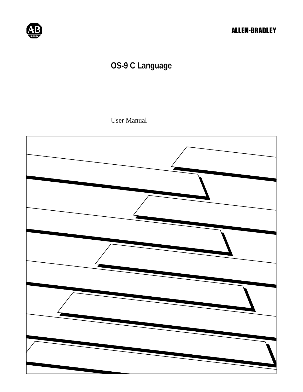

# **OS-9 C Language**

User Manual

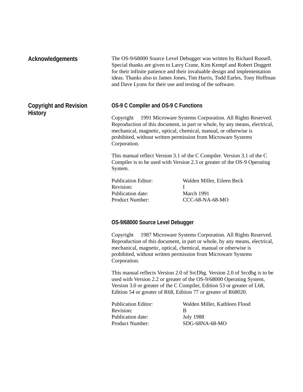| <b>Acknowledgements</b>                         |                                                                                 | The OS-9/68000 Source Level Debugger was written by Richard Russell.<br>Special thanks are given to Larry Crane, Kim Kempf and Robert Doggett<br>for their infinite patience and their invaluable design and implementation<br>ideas. Thanks also to James Jones, Tim Harris, Todd Earles, Tony Hoffman<br>and Dave Lyons for their use and testing of the software. |
|-------------------------------------------------|---------------------------------------------------------------------------------|----------------------------------------------------------------------------------------------------------------------------------------------------------------------------------------------------------------------------------------------------------------------------------------------------------------------------------------------------------------------|
| <b>Copyright and Revision</b><br><b>History</b> | OS-9 C Compiler and OS-9 C Functions<br>Corporation.                            | Copyright © 1991 Microware Systems Corporation. All Rights Reserved.<br>Reproduction of this document, in part or whole, by any means, electrical,<br>mechanical, magnetic, optical, chemical, manual, or otherwise is<br>prohibited, without written permission from Microware Systems                                                                              |
|                                                 | System.                                                                         | This manual reflect Version 3.1 of the C Compiler. Version 3.1 of the C<br>Compiler is to be used with Version 2.3 or greater of the OS-9 Operating                                                                                                                                                                                                                  |
|                                                 | <b>Publication Editor:</b><br>Revision:<br>Publication date:<br>Product Number: | Walden Miller, Eileen Beck<br>Ι<br>March 1991<br>CCC-68-NA-68-MO                                                                                                                                                                                                                                                                                                     |

### **OS-9/68000 Source Level Debugger**

Copyright © 1987 Microware Systems Corporation. All Rights Reserved. Reproduction of this document, in part or whole, by any means, electrical, mechanical, magnetic, optical, chemical, manual or otherwise is prohibited, without written permission from Microware Systems Corporation.

This manual reflects Version 2.0 of SrcDbg. Version 2.0 of Srcdbg is to be used with Version 2.2 or greater of the OS-9/68000 Operating System, Version 3.0 or greater of the C Compiler, Edition 53 or greater of L68, Edition 54 or greater of R68, Edition 77 or greater of R68020.

| Publication Editor: | Walden Miller. Kathleen Flood |
|---------------------|-------------------------------|
| Revision:           | R                             |
| Publication date:   | July 1988                     |
| Product Number:     | $SDG-68NA-68-MO$              |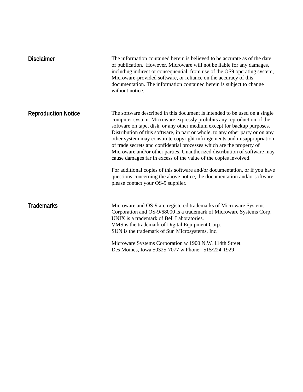| <b>Disclaimer</b>          | The information contained herein is believed to be accurate as of the date<br>of publication. However, Microware will not be liable for any damages,<br>including indirect or consequential, from use of the OS9 operating system,<br>Microware-provided software, or reliance on the accuracy of this<br>documentation. The information contained herein is subject to change<br>without notice.                                                                                                                                                                                                                                                                                                     |
|----------------------------|-------------------------------------------------------------------------------------------------------------------------------------------------------------------------------------------------------------------------------------------------------------------------------------------------------------------------------------------------------------------------------------------------------------------------------------------------------------------------------------------------------------------------------------------------------------------------------------------------------------------------------------------------------------------------------------------------------|
| <b>Reproduction Notice</b> | The software described in this document is intended to be used on a single<br>computer system. Microware expressly prohibits any reproduction of the<br>software on tape, disk, or any other medium except for backup purposes.<br>Distribution of this software, in part or whole, to any other party or on any<br>other system may constitute copyright infringements and misappropriation<br>of trade secrets and confidential processes which are the property of<br>Microware and/or other parties. Unauthorized distribution of software may<br>cause damages far in excess of the value of the copies involved.<br>For additional copies of this software and/or documentation, or if you have |
|                            | questions concerning the above notice, the documentation and/or software,<br>please contact your OS-9 supplier.                                                                                                                                                                                                                                                                                                                                                                                                                                                                                                                                                                                       |
| <b>Trademarks</b>          | Microware and OS-9 are registered trademarks of Microware Systems<br>Corporation and OS-9/68000 is a trademark of Microware Systems Corp.<br>UNIX is a trademark of Bell Laboratories.<br>VMS is the trademark of Digital Equipment Corp.<br>SUN is the trademark of Sun Microsystems, Inc.                                                                                                                                                                                                                                                                                                                                                                                                           |
|                            | Microware Systems Corporation w 1900 N.W. 114th Street                                                                                                                                                                                                                                                                                                                                                                                                                                                                                                                                                                                                                                                |
|                            | Des Moines, Iowa 50325-7077 w Phone: 515/224-1929                                                                                                                                                                                                                                                                                                                                                                                                                                                                                                                                                                                                                                                     |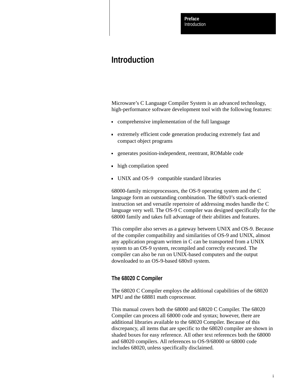Introduction **Preface**

## **Introduction**

Microware's C Language Compiler System is an advanced technology, high-performance software development tool with the following features:

- comprehensive implementation of the full language
- extremely efficient code generation producing extremely fast and compact object programs
- generates position-independent, reentrant, ROMable code
- high compilation speed
- UNIX and  $OS-9^{\circledR}$  compatible standard libraries

68000-family microprocessors, the OS-9 operating system and the C language form an outstanding combination. The 680x0's stack-oriented instruction set and versatile repertoire of addressing modes handle the C language very well. The OS-9 C compiler was designed specifically for the 68000 family and takes full advantage of their abilities and features.

This compiler also serves as a gateway between UNIX and OS-9. Because of the compiler compatibility and similarities of OS-9 and UNIX, almost any application program written in C can be transported from a UNIX system to an OS-9 system, recompiled and correctly executed. The compiler can also be run on UNIX-based computers and the output downloaded to an OS-9-based 680x0 system.

#### **The 68020 C Compiler**

The 68020 C Compiler employs the additional capabilities of the 68020 MPU and the 68881 math coprocessor.

This manual covers both the 68000 and 68020 C Compiler. The 68020 Compiler can process all 68000 code and syntax; however, there are additional libraries available to the 68020 Compiler. Because of this discrepancy, all items that are specific to the 68020 compiler are shown in shaded boxes for easy reference. All other text references both the 68000 and 68020 compilers. All references to OS-9/68000 or 68000 code includes 68020, unless specifically disclaimed.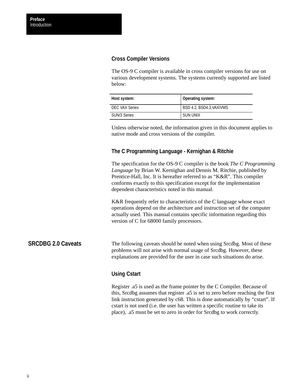### **Cross Compiler Versions**

The OS-9 C compiler is available in cross compiler versions for use on various development systems. The systems currently supported are listed below:

| Host system:   | Operating system:       |
|----------------|-------------------------|
| DEC VAX Series | BSD 4.2, BSD4.3,VAX/VMS |
| SUN/3 Series   | SUN UNIX                |

Unless otherwise noted, the information given in this document applies to native mode and cross versions of the compiler.

### **The C Programming Language - Kernighan & Ritchie**

The specification for the OS-9 C compiler is the book *The C Programming Language* by Brian W. Kernighan and Dennis M. Ritchie, published by Prentice-Hall, Inc. It is hereafter referred to as "K&R". This compiler conforms exactly to this specification except for the implementation dependent characteristics noted in this manual.

K&R frequently refer to characteristics of the C language whose exact operations depend on the architecture and instruction set of the computer actually used. This manual contains specific information regarding this version of C for 68000 family processors.

#### The following caveats should be noted when using Srcdbg. Most of these problems will not arise with normal usage of Srcdbg. However, these explanations are provided for the user in case such situations do arise. **SRCDBG 2.0 Caveats**

### **Using Cstart**

Register .a5 is used as the frame pointer by the C Compiler. Because of this, Srcdbg assumes that register .a5 is set to zero before reaching the first link instruction generated by c68. This is done automatically by "cstart". If cstart is not used (i.e. the user has written a specific routine to take its place), .a5 must be set to zero in order for Srcdbg to work correctly.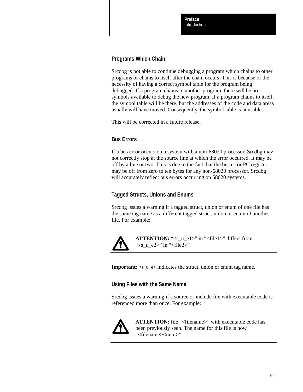### **Programs Which Chain**

Srcdbg is not able to continue debugging a program which chains to other programs or chains to itself after the chain occurs. This is because of the necessity of having a correct symbol table for the program being debugged. If a program chains to another program, there will be no symbols available to debug the new program. If a program chains to itself, the symbol table will be there, but the addresses of the code and data areas usually will have moved. Consequently, the symbol table is unusable.

This will be corrected in a future release.

### **Bus Errors**

If a bus error occurs on a system with a non-68020 processor, Srcdbg may not correctly stop at the source line at which the error occurred. It may be off by a line or two. This is due to the fact that the bus error PC register may be off from zero to ten bytes for any non-68020 processor. Srcdbg will accurately reflect bus errors occurring on 68020 systems.

### **Tagged Structs, Unions and Enums**

Srcdbg issues a warning if a tagged struct, union or enum of one file has the same tag name as a different tagged struct, union or enum of another file. For example:



**ATTENTION:** "<s\_u\_e1>" in "<file1>" differs from " $\leq$ s\_u\_e2>" in " $\leq$ file2>"

**Important:**  $\langle s \rangle$  =  $\langle u \rangle$  =  $\langle u \rangle$  = indicates the struct, union or enum tag name.

### **Using Files with the Same Name**

Srcdbg issues a warning if a source or include file with executable code is referenced more than once. For example:



**ATTENTION:** file "<filename>" with executable code has been previously seen. The name for this file is now "<filename><num>".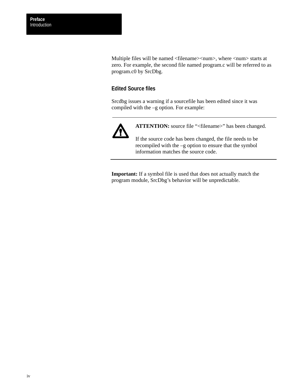Multiple files will be named <filename><num>, where <num> starts at zero. For example, the second file named program.c will be referred to as program.c0 by SrcDbg.

### **Edited Source files**

Srcdbg issues a warning if a sourcefile has been edited since it was compiled with the –g option. For example:



ATTENTION: source file "<filename>" has been changed.

If the source code has been changed, the file needs to be recompiled with the –g option to ensure that the symbol information matches the source code.

**Important:** If a symbol file is used that does not actually match the program module, SrcDbg's behavior will be unpredictable.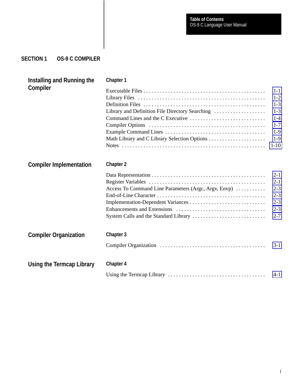### **SECTION 1 OS-9 C COMPILER**

| Installing and Running the<br>Compiler | Chapter 1                                            |          |
|----------------------------------------|------------------------------------------------------|----------|
|                                        |                                                      | $1-1$    |
|                                        |                                                      | $1 - 2$  |
|                                        |                                                      | $1 - 3$  |
|                                        | Library and Definition File Directory Searching      | $1 - 3$  |
|                                        |                                                      | $1 - 4$  |
|                                        |                                                      | $1 - 7$  |
|                                        |                                                      | $1-9$    |
|                                        |                                                      | $1-9$    |
|                                        |                                                      | $1 - 10$ |
| <b>Compiler Implementation</b>         | <b>Chapter 2</b>                                     |          |
|                                        |                                                      | $2 - 1$  |
|                                        |                                                      | $2 - 1$  |
|                                        | Access To Command Line Parameters (Argc, Argv, Envp) | $2 - 3$  |
|                                        |                                                      | $2 - 3$  |
|                                        |                                                      | $2 - 3$  |
|                                        |                                                      | $2 - 3$  |
|                                        |                                                      | $2 - 7$  |
| <b>Compiler Organization</b>           | Chapter 3                                            |          |
|                                        |                                                      | $3-1$    |
| Using the Termcap Library              | <b>Chapter 4</b>                                     |          |
|                                        |                                                      |          |
|                                        |                                                      | $4 - 1$  |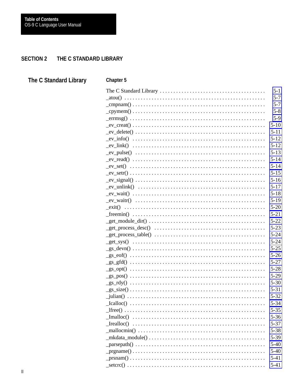#### **SECTION 2** THE C STANDARD LIBRARY

| The C Standard Library | <b>Chapter 5</b>                                                                                                           |
|------------------------|----------------------------------------------------------------------------------------------------------------------------|
|                        | $5 - 1$                                                                                                                    |
|                        | $5 - 7$                                                                                                                    |
|                        | $5 - 7$                                                                                                                    |
|                        | $5 - 8$                                                                                                                    |
|                        | $5-9$<br>$\text{errmsg}() \dots \dots \dots \dots \dots \dots \dots \dots \dots \dots \dots \dots \dots \dots \dots \dots$ |
|                        | $5-10$                                                                                                                     |
|                        | $5 - 11$                                                                                                                   |
|                        | $5 - 12$                                                                                                                   |
|                        | $5 - 12$                                                                                                                   |
|                        | $5 - 13$                                                                                                                   |
|                        | $5 - 14$                                                                                                                   |
|                        | $5 - 14$                                                                                                                   |
|                        | $5 - 15$                                                                                                                   |
|                        | $5 - 16$                                                                                                                   |
|                        | $5 - 17$                                                                                                                   |
|                        | $5 - 18$<br>$5-19$                                                                                                         |
|                        | $5 - 20$                                                                                                                   |
|                        | $5 - 21$                                                                                                                   |
|                        | $5 - 22$                                                                                                                   |
|                        | $5 - 23$                                                                                                                   |
|                        | $5 - 24$                                                                                                                   |
|                        | $5 - 24$                                                                                                                   |
|                        | $5 - 25$                                                                                                                   |
|                        | $5 - 26$                                                                                                                   |
|                        | $5 - 27$                                                                                                                   |
|                        | $5 - 28$                                                                                                                   |
|                        | $5-29$                                                                                                                     |
|                        | $5 - 30$                                                                                                                   |
|                        | $5 - 31$                                                                                                                   |
|                        | $5 - 32$                                                                                                                   |
|                        | $5 - 34$                                                                                                                   |
|                        | $5 - 35$                                                                                                                   |
|                        | $5 - 36$                                                                                                                   |
|                        | $5 - 37$                                                                                                                   |
|                        | $5 - 38$                                                                                                                   |
|                        | 5-39<br>$\_mkdata\_module() \dots \dots \dots \dots \dots \dots \dots \dots \dots \dots \dots \dots \dots$                 |
|                        | $5-40$<br>$5 - 40$                                                                                                         |
|                        | $5 - 41$                                                                                                                   |
|                        | $5 - 41$                                                                                                                   |
|                        |                                                                                                                            |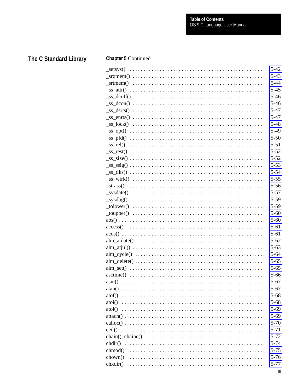|                                                                                                                                                                                                                                                                                                                                                                                                                                                                                                                                                                                                           | $5 - 42$ |
|-----------------------------------------------------------------------------------------------------------------------------------------------------------------------------------------------------------------------------------------------------------------------------------------------------------------------------------------------------------------------------------------------------------------------------------------------------------------------------------------------------------------------------------------------------------------------------------------------------------|----------|
|                                                                                                                                                                                                                                                                                                                                                                                                                                                                                                                                                                                                           | $5 - 43$ |
|                                                                                                                                                                                                                                                                                                                                                                                                                                                                                                                                                                                                           | $5 - 44$ |
|                                                                                                                                                                                                                                                                                                                                                                                                                                                                                                                                                                                                           | $5 - 45$ |
|                                                                                                                                                                                                                                                                                                                                                                                                                                                                                                                                                                                                           | $5 - 46$ |
|                                                                                                                                                                                                                                                                                                                                                                                                                                                                                                                                                                                                           | $5 - 46$ |
|                                                                                                                                                                                                                                                                                                                                                                                                                                                                                                                                                                                                           | $5 - 47$ |
|                                                                                                                                                                                                                                                                                                                                                                                                                                                                                                                                                                                                           | $5 - 47$ |
|                                                                                                                                                                                                                                                                                                                                                                                                                                                                                                                                                                                                           | $5 - 48$ |
|                                                                                                                                                                                                                                                                                                                                                                                                                                                                                                                                                                                                           |          |
|                                                                                                                                                                                                                                                                                                                                                                                                                                                                                                                                                                                                           | $5-49$   |
|                                                                                                                                                                                                                                                                                                                                                                                                                                                                                                                                                                                                           | $5 - 50$ |
|                                                                                                                                                                                                                                                                                                                                                                                                                                                                                                                                                                                                           | $5 - 51$ |
|                                                                                                                                                                                                                                                                                                                                                                                                                                                                                                                                                                                                           | $5 - 52$ |
|                                                                                                                                                                                                                                                                                                                                                                                                                                                                                                                                                                                                           | $5 - 52$ |
|                                                                                                                                                                                                                                                                                                                                                                                                                                                                                                                                                                                                           | $5 - 53$ |
|                                                                                                                                                                                                                                                                                                                                                                                                                                                                                                                                                                                                           | $5 - 54$ |
|                                                                                                                                                                                                                                                                                                                                                                                                                                                                                                                                                                                                           | $5 - 55$ |
|                                                                                                                                                                                                                                                                                                                                                                                                                                                                                                                                                                                                           | $5 - 56$ |
|                                                                                                                                                                                                                                                                                                                                                                                                                                                                                                                                                                                                           | $5 - 57$ |
|                                                                                                                                                                                                                                                                                                                                                                                                                                                                                                                                                                                                           | $5 - 59$ |
|                                                                                                                                                                                                                                                                                                                                                                                                                                                                                                                                                                                                           | $5 - 59$ |
| $\text{\textcolor{red}{\bot} \textcolor{green}{\bot} \textcolor{green}{\bot} \textcolor{green}{\bot} \textcolor{green}{\bot} \textcolor{green}{\bot} \textcolor{green}{\bot} \textcolor{green}{\bot} \textcolor{green}{\bot} \textcolor{green}{\bot} \textcolor{green}{\bot} \textcolor{green}{\bot} \textcolor{green}{\bot} \textcolor{green}{\bot} \textcolor{green}{\bot} \textcolor{green}{\bot} \textcolor{green}{\bot} \textcolor{green}{\bot} \textcolor{green}{\bot} \textcolor{green}{\bot} \textcolor{green}{\bot} \textcolor{green}{\bot} \textcolor{green}{\bot} \textcolor{red}{\bot} \text$ | $5 - 60$ |
|                                                                                                                                                                                                                                                                                                                                                                                                                                                                                                                                                                                                           | $5 - 60$ |
|                                                                                                                                                                                                                                                                                                                                                                                                                                                                                                                                                                                                           | $5 - 61$ |
|                                                                                                                                                                                                                                                                                                                                                                                                                                                                                                                                                                                                           | $5 - 61$ |
|                                                                                                                                                                                                                                                                                                                                                                                                                                                                                                                                                                                                           | $5 - 62$ |
|                                                                                                                                                                                                                                                                                                                                                                                                                                                                                                                                                                                                           | $5 - 63$ |
|                                                                                                                                                                                                                                                                                                                                                                                                                                                                                                                                                                                                           | $5 - 64$ |
|                                                                                                                                                                                                                                                                                                                                                                                                                                                                                                                                                                                                           | $5 - 65$ |
|                                                                                                                                                                                                                                                                                                                                                                                                                                                                                                                                                                                                           | $5 - 65$ |
|                                                                                                                                                                                                                                                                                                                                                                                                                                                                                                                                                                                                           | $5 - 66$ |
|                                                                                                                                                                                                                                                                                                                                                                                                                                                                                                                                                                                                           | $5 - 67$ |
|                                                                                                                                                                                                                                                                                                                                                                                                                                                                                                                                                                                                           | $5 - 67$ |
|                                                                                                                                                                                                                                                                                                                                                                                                                                                                                                                                                                                                           |          |
| atof()                                                                                                                                                                                                                                                                                                                                                                                                                                                                                                                                                                                                    | $5 - 68$ |
|                                                                                                                                                                                                                                                                                                                                                                                                                                                                                                                                                                                                           | $5 - 68$ |
|                                                                                                                                                                                                                                                                                                                                                                                                                                                                                                                                                                                                           | $5 - 69$ |
|                                                                                                                                                                                                                                                                                                                                                                                                                                                                                                                                                                                                           | $5 - 69$ |
|                                                                                                                                                                                                                                                                                                                                                                                                                                                                                                                                                                                                           | $5 - 70$ |
|                                                                                                                                                                                                                                                                                                                                                                                                                                                                                                                                                                                                           | $5 - 71$ |
|                                                                                                                                                                                                                                                                                                                                                                                                                                                                                                                                                                                                           | $5 - 72$ |
|                                                                                                                                                                                                                                                                                                                                                                                                                                                                                                                                                                                                           | $5 - 74$ |
|                                                                                                                                                                                                                                                                                                                                                                                                                                                                                                                                                                                                           | $5 - 75$ |
|                                                                                                                                                                                                                                                                                                                                                                                                                                                                                                                                                                                                           | $5 - 76$ |
|                                                                                                                                                                                                                                                                                                                                                                                                                                                                                                                                                                                                           | $5 - 77$ |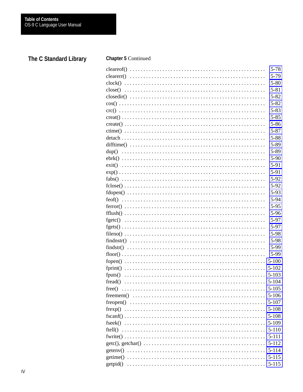| $5 - 78$  |
|-----------|
| 5-79      |
| $5 - 80$  |
| $5 - 81$  |
| $5 - 82$  |
| $5 - 82$  |
| $5 - 83$  |
| $5 - 85$  |
| $5 - 86$  |
| $5 - 87$  |
| $5 - 88$  |
| 5-89      |
| 5-89      |
| 5-90      |
| $5 - 91$  |
| 5-91      |
| 5-92      |
| 5-92      |
| 5-93      |
| 5-94      |
| $5 - 95$  |
| 5-96      |
| 5-97      |
| 5-97      |
| 5-98      |
| 5-98      |
|           |
| 5-99      |
| 5-99      |
| $5 - 100$ |
| $5 - 102$ |
| $5 - 103$ |
|           |
| $5 - 105$ |
|           |
|           |
|           |
|           |
| $5-109$   |
| $5-110$   |
| $5 - 111$ |
| $5 - 112$ |
| $5 - 114$ |
| $5 - 115$ |
|           |
|           |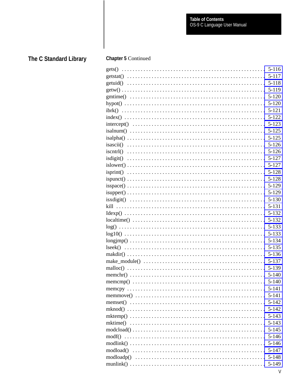| $5 - 116$ |
|-----------|
| $5 - 117$ |
| $5 - 118$ |
| 5-119     |
| $5 - 120$ |
| $5 - 120$ |
| $5 - 121$ |
| $5 - 122$ |
| $5 - 123$ |
| $5 - 125$ |
| $5 - 125$ |
| $5 - 126$ |
| $5 - 126$ |
| $5 - 127$ |
| $5 - 127$ |
| $5 - 128$ |
| $5 - 128$ |
| 5-129     |
| $5 - 129$ |
| $5 - 130$ |
| 5-131     |
| $5 - 132$ |
| 5-132     |
| $5 - 133$ |
| $5 - 133$ |
| $5 - 134$ |
| $5 - 135$ |
| $5 - 136$ |
| $5 - 137$ |
| 5-139     |
| $5-140$   |
| $5 - 140$ |
|           |
|           |
|           |
|           |
| $5 - 143$ |
|           |
|           |
|           |
|           |
|           |
| $5-148$   |
|           |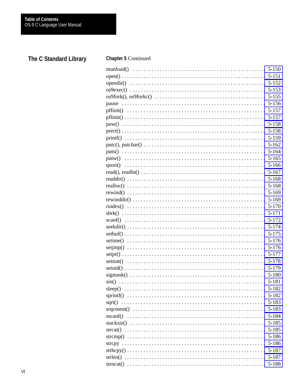|         | $5 - 152$ |
|---------|-----------|
|         | $5 - 153$ |
|         | $5 - 155$ |
|         | $5 - 156$ |
|         | $5 - 157$ |
|         | $5 - 157$ |
|         | $5 - 158$ |
|         | $5 - 158$ |
|         | 5-159     |
|         | $5 - 162$ |
|         | $5 - 164$ |
|         | $5 - 165$ |
| qsort() | $5 - 166$ |
|         | $5 - 167$ |
|         | $5 - 168$ |
|         | $5 - 168$ |
|         | $5 - 169$ |
|         | $5 - 169$ |
|         | $5 - 170$ |
|         | $5 - 171$ |
|         | $5 - 172$ |
|         | 5-174     |
|         | $5 - 175$ |
|         | $5 - 176$ |
|         | $5 - 176$ |
|         | 5-177     |
|         | 5-178     |
|         | 5-179     |
|         | 5-180     |
|         |           |
| sleep() | 5-182     |
|         |           |
|         | 5-183     |
|         | $5 - 183$ |
|         | 5-184     |
|         | 5-185     |
|         |           |
|         | $5 - 185$ |
|         | 5-186     |
|         | 5-186     |
|         | 5-187     |
|         | 5-187     |
|         |           |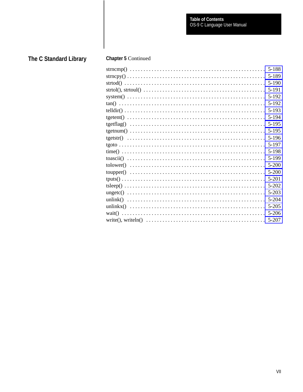| 5-188     |
|-----------|
| 5-189     |
| $5-190$   |
| 5-191     |
| 5-192     |
| 5-192     |
| 5-193     |
| 5-194     |
| $5 - 195$ |
| 5-195     |
| 5-196     |
| 5-197     |
| 5-198     |
| 5-199     |
| $5 - 200$ |
| $5 - 200$ |
| 5-201     |
| 5-202     |
| $5 - 203$ |
| 5-204     |
| $5 - 205$ |
| $5 - 206$ |
| 5-207     |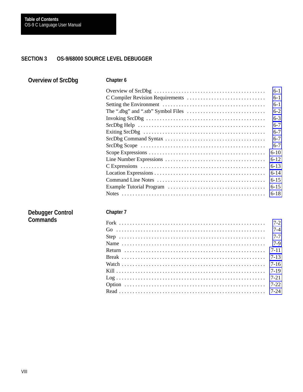#### **SECTION 3 OS-9/68000 SOURCE LEVEL DEBUGGER**

| <b>Overview of SrcDbg</b> | Chapter 6                                                                                        |          |
|---------------------------|--------------------------------------------------------------------------------------------------|----------|
|                           |                                                                                                  | $6 - 1$  |
|                           |                                                                                                  | $6-1$    |
|                           |                                                                                                  | $6-1$    |
|                           | The ".dbg" and ".stb" Symbol Files $\dots \dots \dots \dots \dots \dots \dots \dots \dots \dots$ | $6 - 2$  |
|                           |                                                                                                  | $6 - 3$  |
|                           |                                                                                                  | $6 - 7$  |
|                           |                                                                                                  | $6 - 7$  |
|                           |                                                                                                  | $6 - 7$  |
|                           |                                                                                                  | $6 - 7$  |
|                           |                                                                                                  | $6 - 10$ |
|                           |                                                                                                  | $6 - 12$ |
|                           |                                                                                                  | $6 - 13$ |
|                           |                                                                                                  | $6 - 14$ |
|                           |                                                                                                  | $6 - 15$ |
|                           |                                                                                                  | $6 - 15$ |
|                           |                                                                                                  | $6 - 18$ |
| <b>Debugger Control</b>   | <b>Chapter 7</b>                                                                                 |          |
| <b>Commands</b>           |                                                                                                  | $7 - 2$  |
|                           |                                                                                                  | $7 - 4$  |
|                           |                                                                                                  | $7 - 7$  |
|                           |                                                                                                  | $7-9$    |
|                           |                                                                                                  | $7 - 11$ |
|                           |                                                                                                  | $7 - 13$ |
|                           |                                                                                                  | $7 - 16$ |
|                           |                                                                                                  | $7-19$   |
|                           |                                                                                                  | $7 - 21$ |
|                           |                                                                                                  | $7 - 22$ |
|                           |                                                                                                  | $7 - 24$ |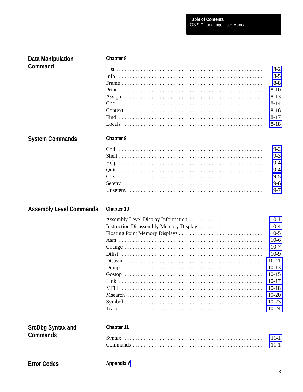| <b>Data Manipulation</b>       | <b>Chapter 8</b> |                                                                                                                                  |
|--------------------------------|------------------|----------------------------------------------------------------------------------------------------------------------------------|
| Command                        | Info.            | $8-2$<br>$8 - 5$<br>$8 - 8$<br>$8 - 10$<br>$8-13$<br>$8 - 14$<br>$8 - 16$<br>$8-17$<br>$8 - 18$                                  |
| <b>System Commands</b>         | Chapter 9        |                                                                                                                                  |
|                                |                  | $9 - 2$<br>$9 - 3$<br>$9 - 4$<br>$9 - 4$<br>$9 - 5$<br>$9 - 6$<br>$9 - 7$                                                        |
|                                |                  |                                                                                                                                  |
| <b>Assembly Level Commands</b> | Chapter 10       |                                                                                                                                  |
|                                |                  | $10-1$<br>$10-4$<br>$10-5$<br>$10-6$<br>$10-7$<br>$10-9$<br>$10 - 11$<br>$10-13$<br>$10-15$<br>$10 - 17$<br>$10 - 20$<br>$10-23$ |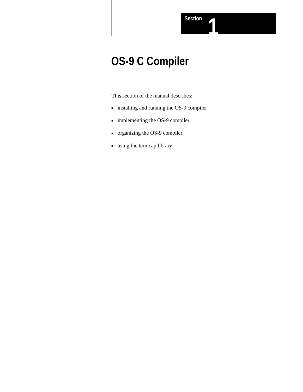# **OS-9 C Compiler**

This section of the manual describes:

- installing and running the OS-9 compiler
- implementing the OS-9 compiler
- organizing the OS-9 compiler
- using the termcap library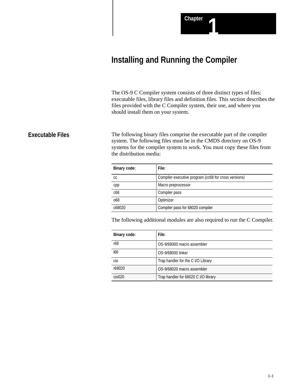## <span id="page-17-0"></span>**Installing and Running the Compiler**

The OS-9 C Compiler system consists of three distinct types of files: executable files, library files and definition files. This section describes the files provided with the C Compiler system, their use, and where you should install them on your system.

### **Executable Files**

The following binary files comprise the executable part of the compiler system. The following files must be in the CMDS directory on OS-9 systems for the compiler system to work. You must copy these files from the distribution media:

| Binary code: | File:                                                |  |
|--------------|------------------------------------------------------|--|
| СC           | Compiler executive program (cc68 for cross versions) |  |
| cpp          | Macro preprocessor                                   |  |
| c68          | Compiler pass                                        |  |
| 068          | Optimizer                                            |  |
| c68020       | Compiler pass for 68020 compiler                     |  |

The following additional modules are also required to run the C Compiler.

| <b>Binary code:</b> | File:                                |  |  |
|---------------------|--------------------------------------|--|--|
| r68                 | OS-9/68000 macro assembler           |  |  |
| 168                 | OS-9/68000 linker                    |  |  |
| cio                 | Trap handler for the C I/O Library   |  |  |
| r68020              | OS-9/68020 macro assembler           |  |  |
| ci <sub>0</sub> 020 | Trap handler for 68020 C I/O library |  |  |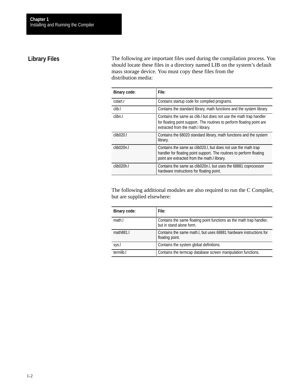### <span id="page-18-0"></span>**Library Files**

The following are important files used during the compilation process. You should locate these files in a directory named LIB on the system's default mass storage device. You must copy these files from the distribution media:

| <b>Binary code:</b>    | File:                                                                                                                                                                                  |  |  |  |
|------------------------|----------------------------------------------------------------------------------------------------------------------------------------------------------------------------------------|--|--|--|
| cstart.r               | Contains startup code for compiled programs.                                                                                                                                           |  |  |  |
| clib.l                 | Contains the standard library, math functions and the system library.                                                                                                                  |  |  |  |
| clibn.l                | Contains the same as clib. but does not use the math trap handler<br>for floating point support. The routines to perform floating point are<br>extracted from the math.I library.      |  |  |  |
| clib020.1              | Contains the 68020 standard library, math functions and the system<br>library.                                                                                                         |  |  |  |
| clib <sub>020n.l</sub> | Contains the same as clib020.I, but does not use the math trap<br>handler for floating point support. The routines to perform floating<br>point are extracted from the math.I library. |  |  |  |
| clib <sub>020h.l</sub> | Contains the same as clib020n.l, but uses the 68881 coprocessor<br>hardware instructions for floating point.                                                                           |  |  |  |

The following additional modules are also required to run the C Compiler, but are supplied elsewhere:

| <b>Binary code:</b> | File:                                                                                            |
|---------------------|--------------------------------------------------------------------------------------------------|
| math.               | Contains the same floating point functions as the math trap handler,<br>but in stand alone form. |
| math831.            | Contains the same math. I, but uses 68881 hardware instructions for<br>floating point.           |
| sys.l               | Contains the system global definitions.                                                          |
| termlih I           | Contains the termcap database screen manipulation functions.                                     |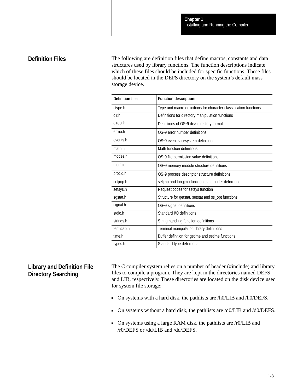### <span id="page-19-0"></span>**Definition Files**

The following are definition files that define macros, constants and data structures used by library functions. The function descriptions indicate which of these files should be included for specific functions. These files should be located in the DEFS directory on the system's default mass storage device.

| <b>Definition file:</b> | Function description:                                             |  |  |  |
|-------------------------|-------------------------------------------------------------------|--|--|--|
| ctype.h                 | Type and macro definitions for character classification functions |  |  |  |
| dir.h                   | Definitions for directory manipulation functions                  |  |  |  |
| direct.h                | Definitions of OS-9 disk directory format                         |  |  |  |
| errno.h                 | OS-9 error number definitions                                     |  |  |  |
| events.h                | OS-9 event sub-system definitions                                 |  |  |  |
| math.h                  | Math function definitions                                         |  |  |  |
| modes h                 | OS-9 file permission value definitions                            |  |  |  |
| module.h                | OS-9 memory module structure definitions                          |  |  |  |
| procid.h                | OS-9 process descriptor structure definitions                     |  |  |  |
| setjmp.h                | setimp and longimp function state buffer definitions              |  |  |  |
| setsys.h                | Request codes for setsys function                                 |  |  |  |
| sgstat.h                | Structure for getstat, setstat and ss_opt functions               |  |  |  |
| signal.h                | OS-9 signal definitions                                           |  |  |  |
| stdio.h                 | Standard I/O definitions                                          |  |  |  |
| strings.h               | String handling function definitions                              |  |  |  |
| termcap.h               | Terminal manipulation library definitions                         |  |  |  |
| time.h                  | Buffer definition for getime and setime functions                 |  |  |  |
| types.h                 | Standard type definitions                                         |  |  |  |

### **Library and Definition File Directory Searching**

The C compiler system relies on a number of header (#include) and library files to compile a program. They are kept in the directories named DEFS and LIB, respectively. These directories are located on the disk device used for system file storage:

- On systems with a hard disk, the pathlists are /h0/LIB and /h0/DEFS.
- On systems without a hard disk, the pathlists are /d0/LIB and /d0/DEFS.
- On systems using a large RAM disk, the pathlists are /r0/LIB and /r0/DEFS or /dd/LIB and /dd/DEFS.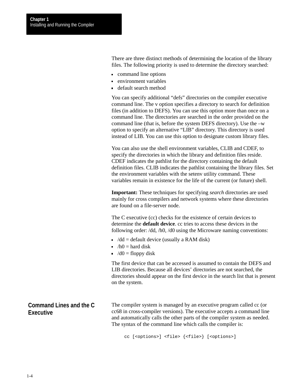<span id="page-20-0"></span>There are three distinct methods of determining the location of the library files. The following priority is used to determine the directory searched:

- command line options
- environment variables
- default search method

You can specify additional "defs" directories on the compiler executive command line. The v option specifies a directory to search for definition files (in addition to DEFS). You can use this option more than once on a command line. The directories are searched in the order provided on the command line (that is, before the system DEFS directory). Use the –w option to specify an alternative "LIB" directory. This directory is used instead of LIB. You can use this option to designate custom library files.

You can also use the shell environment variables, CLIB and CDEF, to specify the directories in which the library and definition files reside. CDEF indicates the pathlist for the directory containing the default definition files. CLIB indicates the pathlist containing the library files. Set the environment variables with the setenv utility command. These variables remain in existence for the life of the current (or future) shell.

**Important:** These techniques for specifying *search* directories are used mainly for cross compilers and network systems where these directories are found on a file-server node.

The C executive (cc) checks for the existence of certain devices to determine the **default device**. cc tries to access these devices in the following order: /dd, /h0, /d0 using the Microware naming conventions:

- $\blacktriangleright$  /dd = default device (usually a RAM disk)
- $/h0 =$  hard disk
- $\overline{\phantom{a}}$  /d0 = floppy disk

The first device that can be accessed is assumed to contain the DEFS and LIB directories. Because all devices' directories are not searched, the directories should appear on the first device in the search list that is present on the system.

The compiler system is managed by an executive program called cc (or cc68 in cross-compiler versions). The executive accepts a command line and automatically calls the other parts of the compiler system as needed. The syntax of the command line which calls the compiler is: **Command Lines and the C Executive**

cc [<options>] <file> {<file>} [<options>]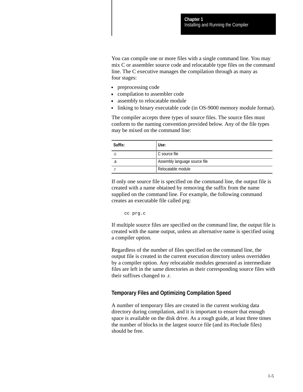You can compile one or more files with a single command line. You may mix C or assembler source code and relocatable type files on the command line. The C executive manages the compilation through as many as four stages:

- **preprocessing code**
- compilation to assembler code
- assembly to relocatable module
- linking to binary executable code (in OS-9000 memory module format).

The compiler accepts three types of source files. The source files must conform to the naming convention provided below. Any of the file types may be mixed on the command line:

| Suffix:  | Use:                          |  |  |
|----------|-------------------------------|--|--|
| $\Gamma$ | C source file                 |  |  |
|          | Assembly language source file |  |  |
|          | Relocatable module            |  |  |

If only one source file is specified on the command line, the output file is created with a name obtained by removing the suffix from the name supplied on the command line. For example, the following command creates an executable file called prg:

cc prg.c

If multiple source files are specified on the command line, the output file is created with the name output, unless an alternative name is specified using a compiler option.

Regardless of the number of files specified on the command line, the output file is created in the current execution directory unless overridden by a compiler option. Any relocatable modules generated as intermediate files are left in the same directories as their corresponding source files with their suffixes changed to .r.

### **Temporary Files and Optimizing Compilation Speed**

A number of temporary files are created in the current working data directory during compilation, and it is important to ensure that enough space is available on the disk drive. As a rough guide, at least three times the number of blocks in the largest source file (and its #include files) should be free.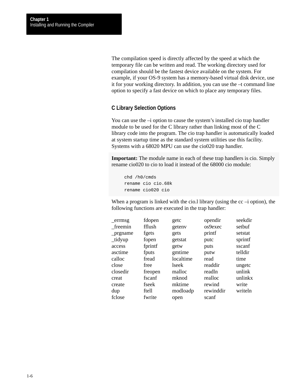The compilation speed is directly affected by the speed at which the temporary file can be written and read. The working directory used for compilation should be the fastest device available on the system. For example, if your OS-9 system has a memory-based virtual disk device, use it for your working directory. In addition, you can use the –t command line option to specify a fast device on which to place any temporary files.

### **C Library Selection Options**

You can use the –i option to cause the system's installed cio trap handler module to be used for the C library rather than linking most of the C library code into the program. The cio trap handler is automatically loaded at system startup time as the standard system utilities use this facility. Systems with a 68020 MPU can use the cio020 trap handler.

**Important:** The module name in each of these trap handlers is cio. Simply rename cio020 to cio to load it instead of the 68000 cio module:

```
chd /h0/cmds
rename cio cio.68k
rename cio020 cio
```
When a program is linked with the cio. I library (using the  $cc -i$  option), the following functions are executed in the trap handler:

| fdopen  | getc      | opendir   | seekdir |
|---------|-----------|-----------|---------|
| fflush  | getenv    | os9exec   | setbuf  |
| fgets   | gets      | printf    | setstat |
| fopen   | getstat   | putc      | sprintf |
| fprintf | getw      | puts      | sscanf  |
| fputs   | gmtime    | putw      | telldir |
| fread   | localtime | read      | time    |
| free    | lseek     | readdir   | ungetc  |
| freopen | malloc    | readln    | unlink  |
| fscanf  | mknod     | realloc   | unlinkx |
| fseek   | mktime    | rewind    | write   |
| ftell   | modloadp  | rewinddir | writeln |
| fwrite  | open      | scanf     |         |
|         |           |           |         |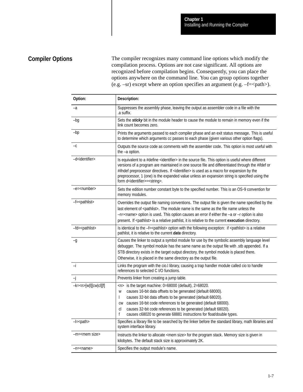## <span id="page-23-0"></span>**Compiler Options**

The compiler recognizes many command line options which modify the compilation process. Options are not case significant. All options are recognized before compilation begins. Consequently, you can place the options anywhere on the command line. You can group options together (e.g.  $-sr$ ) except where an option specifies an argument (e.g.  $-f=\phi$ ath $>$ ).

| Option:                      | Description:                                                                                                                                                                                                                                                                                                                                                                                                                                                                           |  |  |  |
|------------------------------|----------------------------------------------------------------------------------------------------------------------------------------------------------------------------------------------------------------------------------------------------------------------------------------------------------------------------------------------------------------------------------------------------------------------------------------------------------------------------------------|--|--|--|
| -a                           | Suppresses the assembly phase, leaving the output as assembler code in a file with the<br>.a suffix.                                                                                                                                                                                                                                                                                                                                                                                   |  |  |  |
| -bg                          | Sets the sticky bit in the module header to cause the module to remain in memory even if the<br>link count becomes zero.                                                                                                                                                                                                                                                                                                                                                               |  |  |  |
| $-bp$                        | Prints the arguments passed to each compiler phase and an exit status message. This is useful<br>to determine which arguments cc passes to each phase (given various other option flags).                                                                                                                                                                                                                                                                                              |  |  |  |
| $-c$                         | Outputs the source code as comments with the assembler code. This option is most useful with<br>the -a option.                                                                                                                                                                                                                                                                                                                                                                         |  |  |  |
| -d <identifier></identifier> | Is equivalent to a #define <identifier> in the source file. This option is useful where different<br/>versions of a program are maintained in one source file and differentiated through the #ifdef or<br/>#ifndef preprocessor directives. If <identifier> is used as a macro for expansion by the<br/>preprocessor, 1 (one) is the expanded value unless an expansion string is specified using the<br/>form d<identifier>=<string>.</string></identifier></identifier></identifier> |  |  |  |
| -e= <number></number>        | Sets the edition number constant byte to the specified number. This is an OS-9 convention for<br>memory modules.                                                                                                                                                                                                                                                                                                                                                                       |  |  |  |
| $-f =$ <pathlist></pathlist> | Overrides the output file naming conventions. The output file is given the name specified by the<br>last element of <pathlist>. The module name is the same as the file name unless the<br/>-n=<name> option is used. This option causes an error if either the -a or -r option is also<br/>present. If <pathlist> is a relative pathlist, it is relative to the current execution directory.</pathlist></name></pathlist>                                                             |  |  |  |
| -fd= <pathlist></pathlist>   | Is identical to the -f= <pathlist> option with the following exception: if <pathlist> is a relative<br/>pathlist, it is relative to the current data directory.</pathlist></pathlist>                                                                                                                                                                                                                                                                                                  |  |  |  |
| -g                           | Causes the linker to output a symbol module for use by the symbolic assembly language level<br>debugger. The symbol module has the same name as the output file with .stb appended. If a<br>STB directory exists in the target output directory, the symbol module is placed there.<br>Otherwise, it is placed in the same directory as the output file.                                                                                                                               |  |  |  |
| $-i$                         | Links the program with the cio.I library, causing a trap handler module called cio to handle<br>references to selected C I/O functions.                                                                                                                                                                                                                                                                                                                                                |  |  |  |
| -j                           | Prevents linker from creating a jump table.                                                                                                                                                                                                                                                                                                                                                                                                                                            |  |  |  |
| $-k = < n > [w  [cw c ][f]$  | $\langle n \rangle$ is the target machine: 0=68000 (default), 2=68020.<br>causes 16-bit data offsets to be generated (default 68000).<br>W<br>causes 32-bit data offsets to be generated (default 68020).<br>$\mathbf{I}$<br>causes 16-bit code references to be generated (default 68000).<br>CW<br>causes 32-bit code references to be generated (default 68020).<br>cl<br>causes c68020 to generate 68881 instructions for float/double types.<br>f                                 |  |  |  |
| $-l =$ $<$ path $>$          | Specifies a library file to be searched by the linker before the standard library, math libraries and<br>system interface library.                                                                                                                                                                                                                                                                                                                                                     |  |  |  |
| -m= <mem size=""></mem>      | Instructs the linker to allocate <mem size=""> for the program stack. Memory size is given in<br/>kilobytes. The default stack size is approximately 2K.</mem>                                                                                                                                                                                                                                                                                                                         |  |  |  |
| -n= <name></name>            | Specifies the output module's name.                                                                                                                                                                                                                                                                                                                                                                                                                                                    |  |  |  |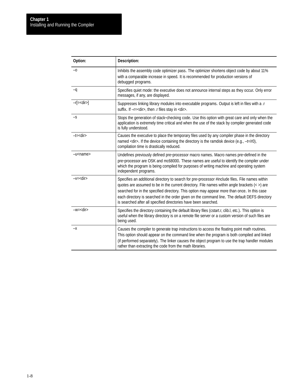| Option:           | Description:                                                                                                                                                                                                                                                                                                                                                                                                                                                         |  |  |  |
|-------------------|----------------------------------------------------------------------------------------------------------------------------------------------------------------------------------------------------------------------------------------------------------------------------------------------------------------------------------------------------------------------------------------------------------------------------------------------------------------------|--|--|--|
| $-0$              | Inhibits the assembly code optimizer pass. The optimizer shortens object code by about 11%<br>with a comparable increase in speed. It is recommended for production versions of<br>debugged programs.                                                                                                                                                                                                                                                                |  |  |  |
| $-q$              | Specifies quiet mode: the executive does not announce internal steps as they occur. Only error<br>messages, if any, are displayed.                                                                                                                                                                                                                                                                                                                                   |  |  |  |
| $-r[=<$ dir $>$ ] | Suppresses linking library modules into executable programs. Output is left in files with a.r<br>suffix. If -r= <dir>, then .r files stay in <dir>.</dir></dir>                                                                                                                                                                                                                                                                                                      |  |  |  |
| $-S$              | Stops the generation of stack-checking code. Use this option with great care and only when the<br>application is extremely time critical and when the use of the stack by compiler generated code<br>is fully understood.                                                                                                                                                                                                                                            |  |  |  |
| $-t = <$ dir $>$  | Causes the executive to place the temporary files used by any compiler phase in the directory<br>named <dir>. If the device containing the directory is the ramdisk device (e.g., -t=/r0),<br/>compilation time is drastically reduced.</dir>                                                                                                                                                                                                                        |  |  |  |
| -u <name></name>  | Undefines previously defined pre-processor macro names. Macro names pre-defined in the<br>pre-processor are OSK and mc68000. These names are useful to identify the compiler under<br>which the program is being compiled for purposes of writing machine and operating system<br>independent programs.                                                                                                                                                              |  |  |  |
| $-v = <$ dir $>$  | Specifies an additional directory to search for pre-processor #include files. File names within<br>quotes are assumed to be in the current directory. File names within angle brackets (< >) are<br>searched for in the specified directory. This option may appear more than once. In this case<br>each directory is searched in the order given on the command line. The default DEFS directory<br>is searched after all specified directories have been searched. |  |  |  |
| $-w = $           | Specifies the directory containing the default library files (cstart.r, clib.l, etc.). This option is<br>useful when the library directory is on a remote file server or a custom version of such files are<br>being used.                                                                                                                                                                                                                                           |  |  |  |
| –х                | Causes the compiler to generate trap instructions to access the floating point math routines.<br>This option should appear on the command line when the program is both compiled and linked<br>(if performed separately). The linker causes the object program to use the trap handler modules<br>rather than extracting the code from the math libraries.                                                                                                           |  |  |  |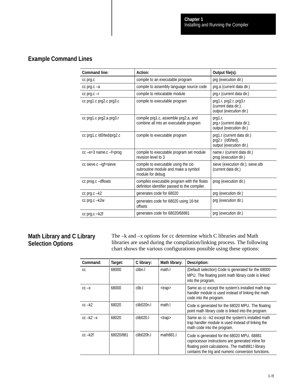## <span id="page-25-0"></span>**Example Command Lines**

| <b>Command line:</b>        | Action:                                                                                                               | Output file(s):                                                            |
|-----------------------------|-----------------------------------------------------------------------------------------------------------------------|----------------------------------------------------------------------------|
| cc prg.c                    | compile to an executable program                                                                                      | prg (execution dir.)                                                       |
| $cc$ prq. $c - a$           | compile to assembly language source code                                                                              | prg.a (current data dir.)                                                  |
| $cc$ prg. $c - r$           | compile to relocatable module                                                                                         | prg.r (current data dir.)                                                  |
| cc prg1.c prg2.c prg3.c     | compile to executable program                                                                                         | prg1.r, prg2.r, prg3.r<br>(current data dir.);<br>output (execution dir.)  |
| cc prg1.c prg2.a prg3.r     | compile prg1.c, assemble prg2.a, and<br>combine all into an executable program                                        | prg1.r,<br>prg.r (current data dir.);<br>output (execution dir.)           |
| cc prg1.c /d0/ted/prg2.c    | compile to executable program                                                                                         | prg1.r (current data dir.)<br>prg2.r (/d0/ted),<br>output (execution dir.) |
| $cc$ -e=3 name. $c$ -f=prog | compile to executable program set module<br>revision level to 3                                                       | name.r (current data dir.)<br>prog (execution dir.)                        |
| cc sieve.c -igf=sieve       | compile to executable using the cio<br>subroutine module and make a symbol<br>module for debug                        | sieve (execution dir.); sieve.stb<br>(current data dir.)                   |
| cc prog.c -dfloats          | compiles executable program with the floats<br>prog (execution dir.)<br>definition identifier passed to the compiler. |                                                                            |
| cc prg.c -k2                | generates code for 68020                                                                                              | prg (execution dir.)                                                       |
| cc prg.c -k2w               | generates code for 68020 using 16-bit<br>offsets                                                                      | prg (execution dir.)                                                       |
| $cc$ prg. $c - k2f$         | prg (execution dir.)<br>generates code for 68020/68881                                                                |                                                                            |

### **Math Library and C Library Selection Options**

The –k and –x options for cc determine which C libraries and Math libraries are used during the compilation/linking process. The following chart shows the various configurations possible using these options:

| Command:      | Target:   | C library:             | Math library: | Description:                                                                                                                                                                                                 |
|---------------|-----------|------------------------|---------------|--------------------------------------------------------------------------------------------------------------------------------------------------------------------------------------------------------------|
| CC.           | 68000     | clibn.l                | math.         | (Default selection) Code is generated for the 68000<br>MPU. The floating point math library code is linked<br>into the program.                                                                              |
| $CC -X$       | 68000     | clib.l                 | <trap></trap> | Same as cc except the system's installed math trap<br>handler module is used instead of linking the math<br>code into the program.                                                                           |
| $cc - k2$     | 68020     | clib <sub>020n.l</sub> | math.         | Code is generated for the 68020 MPU. The floating<br>point math library code is linked into the program.                                                                                                     |
| $cc - k2 - x$ | 68020     | clib020.1              | <trap></trap> | Same as cc-k2 except the system's installed math<br>trap handler module is used instead of linking the<br>math code into the program.                                                                        |
| $cc - k2f$    | 68020/881 | clib <sub>020h.l</sub> | math831.      | Code is generated for the 68020 MPU. 68881<br>coprocessor instructions are generated inline for<br>floating point calculations. The math881.I library<br>contains the trig and numeric conversion functions. |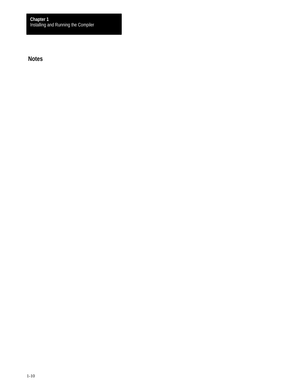<span id="page-26-0"></span>**Notes**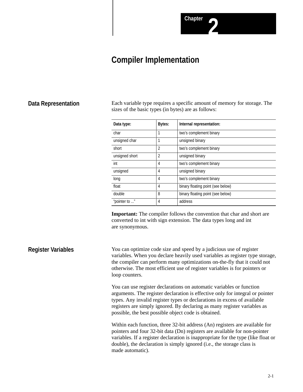## **Compiler Implementation**

### <span id="page-27-0"></span>**Data Representation**

Each variable type requires a specific amount of memory for storage. The sizes of the basic types (in bytes) are as follows:

| Data type:     | <b>Bytes:</b>  | Internal representation:          |
|----------------|----------------|-----------------------------------|
| char           |                | two's complement binary           |
| unsigned char  |                | unsigned binary                   |
| short          | $\overline{2}$ | two's complement binary           |
| unsigned short | $\overline{2}$ | unsigned binary                   |
| int            | 4              | two's complement binary           |
| unsigned       | 4              | unsigned binary                   |
| long           | 4              | two's complement binary           |
| float          | 4              | binary floating point (see below) |
| double         | 8              | binary floating point (see below) |
| "pointer to "  | 4              | address                           |

**Important:** The compiler follows the convention that char and short are converted to int with sign extension. The data types long and int are synonymous.

You can optimize code size and speed by a judicious use of register variables. When you declare heavily used variables as register type storage, the compiler can perform many optimizations on-the-fly that it could not otherwise. The most efficient use of register variables is for pointers or loop counters. **Register Variables**

> You can use register declarations on automatic variables or function arguments. The register declaration is effective only for integral or pointer types. Any invalid register types or declarations in excess of available registers are simply ignored. By declaring as many register variables as possible, the best possible object code is obtained.

> Within each function, three 32-bit address (An) registers are available for pointers and four 32-bit data (Dn) registers are available for non-pointer variables. If a register declaration is inappropriate for the type (like float or double), the declaration is simply ignored (i.e., the storage class is made automatic).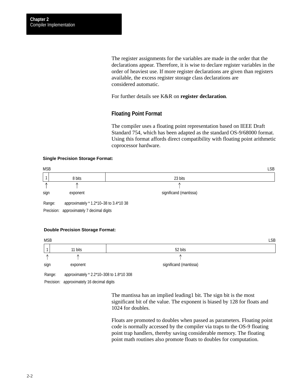The register assignments for the variables are made in the order that the declarations appear. Therefore, it is wise to declare register variables in the order of heaviest use. If more register declarations are given than registers available, the excess register storage class declarations are considered automatic.

For further details see K&R on **register declaration***.*

### **Floating Point Format**

The compiler uses a floating point representation based on IEEE Draft Standard 754, which has been adapted as the standard OS-9/68000 format. Using this format affords direct compatibility with floating point arithmetic coprocessor hardware.

#### **Single Precision Storage Format:**



#### **Double Precision Storage Format:**

| <b>MSB</b> |                                          |                        | <b>LSB</b> |
|------------|------------------------------------------|------------------------|------------|
|            | 11 bits                                  | 52 bits                |            |
| ∧          | $\sqrt{2}$                               |                        |            |
| sign       | exponent                                 | significand (mantissa) |            |
| Range:     | approximately * 2.2*10-308 to 1.8*10 308 |                        |            |

Precision: approximately 16 decimal digits

The mantissa has an implied leading1 bit. The sign bit is the most significant bit of the value. The exponent is biased by 128 for floats and 1024 for doubles.

Floats are promoted to doubles when passed as parameters. Floating point code is normally accessed by the compiler via traps to the OS-9 floating point trap handlers, thereby saving considerable memory. The floating point math routines also promote floats to doubles for computation.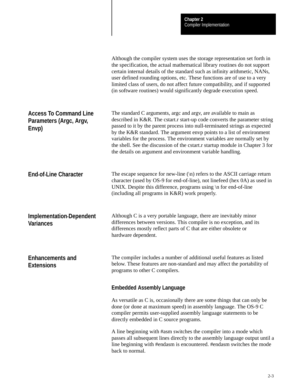<span id="page-29-0"></span>

|                                                                   | Although the compiler system uses the storage representation set forth in<br>the specification, the actual mathematical library routines do not support<br>certain internal details of the standard such as infinity arithmetic, NANs,<br>user defined rounding options, etc. These functions are of use to a very<br>limited class of users, do not affect future compatibility, and if supported<br>(in software routines) would significantly degrade execution speed.                                                           |
|-------------------------------------------------------------------|-------------------------------------------------------------------------------------------------------------------------------------------------------------------------------------------------------------------------------------------------------------------------------------------------------------------------------------------------------------------------------------------------------------------------------------------------------------------------------------------------------------------------------------|
| <b>Access To Command Line</b><br>Parameters (Argc, Argv,<br>Envp) | The standard C arguments, argc and argv, are available to main as<br>described in K&R. The cstart.r start-up code converts the parameter string<br>passed to it by the parent process into null-terminated strings as expected<br>by the K&R standard. The argument envp points to a list of environment<br>variables for the process. The environment variables are normally set by<br>the shell. See the discussion of the cstart.r startup module in Chapter 3 for<br>the details on argument and environment variable handling. |
| <b>End-of-Line Character</b>                                      | The escape sequence for new-line $(\n\ln)$ refers to the ASCII carriage return<br>character (used by OS-9 for end-of-line), not linefeed (hex 0A) as used in<br>UNIX. Despite this difference, programs using \n for end-of-line<br>(including all programs in K&R) work properly.                                                                                                                                                                                                                                                  |
| <b>Implementation-Dependent</b><br><b>Variances</b>               | Although C is a very portable language, there are inevitably minor<br>differences between versions. This compiler is no exception, and its<br>differences mostly reflect parts of C that are either obsolete or<br>hardware dependent.                                                                                                                                                                                                                                                                                              |
| <b>Enhancements and</b><br><b>Extensions</b>                      | The compiler includes a number of additional useful features as listed<br>below. These features are non-standard and may affect the portability of<br>programs to other C compilers.                                                                                                                                                                                                                                                                                                                                                |
|                                                                   | <b>Embedded Assembly Language</b>                                                                                                                                                                                                                                                                                                                                                                                                                                                                                                   |
|                                                                   | As versatile as C is, occasionally there are some things that can only be<br>done (or done at maximum speed) in assembly language. The OS-9 C<br>compiler permits user-supplied assembly language statements to be<br>directly embedded in C source programs.                                                                                                                                                                                                                                                                       |
|                                                                   | A line beginning with #asm switches the compiler into a mode which<br>passes all subsequent lines directly to the assembly language output until a<br>line beginning with #endasm is encountered. #endasm switches the mode<br>back to normal.                                                                                                                                                                                                                                                                                      |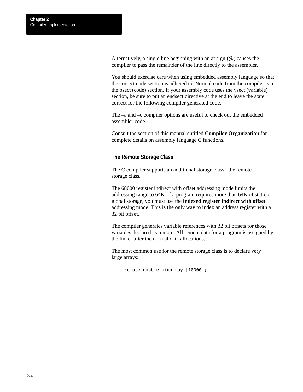Alternatively, a single line beginning with an at sign (@) causes the compiler to pass the remainder of the line directly to the assembler.

You should exercise care when using embedded assembly language so that the correct code section is adhered to. Normal code from the compiler is in the psect (code) section. If your assembly code uses the vsect (variable) section, be sure to put an endsect directive at the end to leave the state correct for the following compiler generated code.

The –a and –c compiler options are useful to check out the embedded assembler code.

Consult the section of this manual entitled **Compiler Organization** for complete details on assembly language C functions.

### **The Remote Storage Class**

The C compiler supports an additional storage class: the remote storage class.

The 68000 register indirect with offset addressing mode limits the addressing range to 64K. If a program requires more than 64K of static or global storage, you must use the **indexed register indirect with offset** addressing mode. This is the only way to index an address register with a 32 bit offset.

The compiler generates variable references with 32 bit offsets for those variables declared as remote. All remote data for a program is assigned by the linker after the normal data allocations.

The most common use for the remote storage class is to declare very large arrays:

remote double bigarray [10000];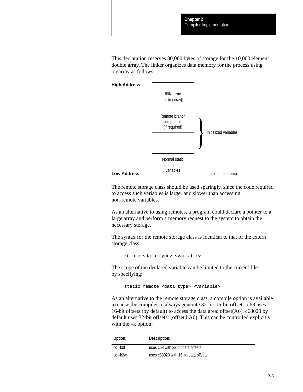This declaration reserves 80,000 bytes of storage for the 10,000 element double array. The linker organizes data memory for the process using bigarray as follows:



The remote storage class should be used sparingly, since the code required to access such variables is larger and slower than accessing non-remote variables.

As an alternative to using remotes, a program could declare a pointer to a large array and perform a memory request to the system to obtain the necessary storage.

The syntax for the remote storage class is identical to that of the extern storage class:

remote <data type> <variable>

The scope of the declared variable can be limited to the current file by specifying:

static remote <data type> <variable>

As an alternative to the remote storage class, a compile option is available to cause the compiler to always generate 32- or 16-bit offsets. c68 uses 16-bit offsets (by default) to access the data area: offset(A6). c68020 by default uses 32-bit offsets: (offset.l,A6). This can be controlled explicitly with the  $-k$  option:

| Option:    | Description:                         |  |
|------------|--------------------------------------|--|
| $cc - k01$ | uses c68 with 32-bit data offsets    |  |
| $cc - k2w$ | uses c68020 with 16-bit data offsets |  |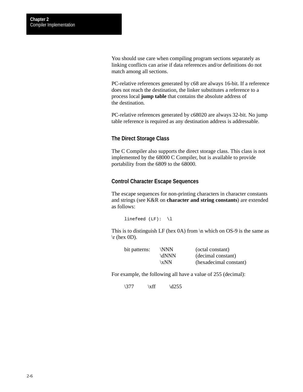You should use care when compiling program sections separately as linking conflicts can arise if data references and/or definitions do not match among all sections.

PC-relative references generated by c68 are always 16-bit. If a reference does not reach the destination, the linker substitutes a reference to a process local **jump table** that contains the absolute address of the destination.

PC-relative references generated by c68020 are always 32-bit. No jump table reference is required as any destination address is addressable.

### **The Direct Storage Class**

The C Compiler also supports the direct storage class. This class is not implemented by the 68000 C Compiler, but is available to provide portability from the 6809 to the 68000.

#### **Control Character Escape Sequences**

The escape sequences for non-printing characters in character constants and strings (see K&R on **character and string constants**) are extended as follows:

linefeed (LF): \l

This is to distinguish LF (hex 0A) from  $\ln$  which on OS-9 is the same as  $\trth$  (hex 0D).

| bit patterns: | <b>NNN</b> | (octal constant)       |
|---------------|------------|------------------------|
|               | $\d{NNN}$  | (decimal constant)     |
|               | \x $NN$    | (hexadecimal constant) |

For example, the following all have a value of 255 (decimal):

 $\chi\text{f} \quad \text{d}255$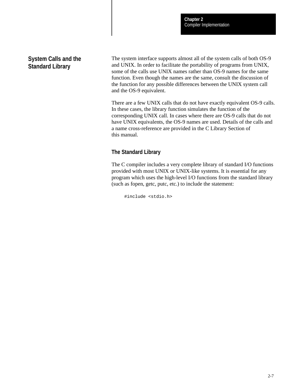### <span id="page-33-0"></span>**System Calls and the Standard Library**

The system interface supports almost all of the system calls of both OS-9 and UNIX. In order to facilitate the portability of programs from UNIX, some of the calls use UNIX names rather than OS-9 names for the same function. Even though the names are the same, consult the discussion of the function for any possible differences between the UNIX system call and the OS-9 equivalent.

There are a few UNIX calls that do not have exactly equivalent OS-9 calls. In these cases, the library function simulates the function of the corresponding UNIX call. In cases where there are OS-9 calls that do not have UNIX equivalents, the OS-9 names are used. Details of the calls and a name cross-reference are provided in the C Library Section of this manual.

### **The Standard Library**

The C compiler includes a very complete library of standard I/O functions provided with most UNIX or UNIX-like systems. It is essential for any program which uses the high-level I/O functions from the standard library (such as fopen, getc, putc, etc.) to include the statement:

#include <stdio.h>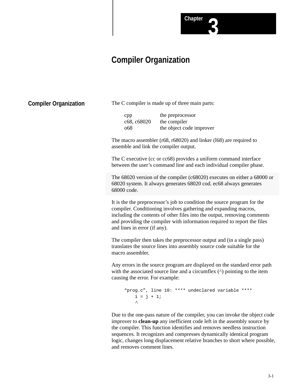

<span id="page-34-0"></span>**Compiler Organization**

The C compiler is made up of three main parts:

| cpp         | the preprocessor         |
|-------------|--------------------------|
| c68, c68020 | the compiler             |
| 068         | the object code improver |

The macro assembler (r68, r68020) and linker (l68) are required to assemble and link the compiler output.

The C executive (cc or cc68) provides a uniform command interface between the user's command line and each individual compiler phase.

The 68020 version of the compiler (c68020) executes on either a 68000 or 68020 system. It always generates 68020 cod. ec68 always generates 68000 code.

**Chapter 3**

It is the the preprocessor's job to condition the source program for the compiler. Conditioning involves gathering and expanding macros, including the contents of other files into the output, removing comments and providing the compiler with information required to report the files and lines in error (if any).

The compiler then takes the preprocessor output and (in a single pass) translates the source lines into assembly source code suitable for the macro assembler.

Any errors in the source program are displayed on the standard error path with the associated source line and a circumflex ( $\land$ ) pointing to the item causing the error. For example:

```
"prog.c", line 10: **** undeclared variable ****
    i = j + 1;\boldsymbol{\wedge}
```
Due to the one-pass nature of the compiler, you can invoke the object code improver to **clean-up** any inefficient code left in the assembly source by the compiler. This function identifies and removes needless instruction sequences. It recognizes and compresses dynamically identical program logic, changes long displacement relative branches to short where possible, and removes comment lines.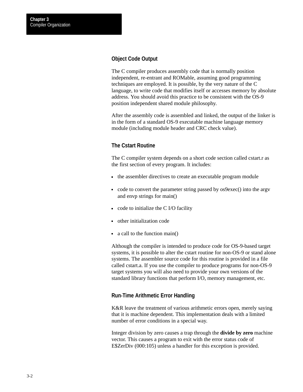### **Object Code Output**

The C compiler produces assembly code that is normally position independent, re-entrant and ROMable, assuming good programming techniques are employed. It is possible, by the very nature of the C language, to write code that modifies itself or accesses memory by absolute address. You should avoid this practice to be consistent with the OS-9 position independent shared module philosophy.

After the assembly code is assembled and linked, the output of the linker is in the form of a standard OS-9 executable machine language memory module (including module header and CRC check value).

### **The Cstart Routine**

The C compiler system depends on a short code section called cstart.r as the first section of every program. It includes:

- the assembler directives to create an executable program module
- code to convert the parameter string passed by os9exec() into the argv and envp strings for main()
- $\bullet$  code to initialize the C I/O facility
- other initialization code
- a call to the function main()

Although the compiler is intended to produce code for OS-9-based target systems, it is possible to alter the cstart routine for non-OS-9 or stand alone systems. The assembler source code for this routine is provided in a file called cstart.a. If you use the compiler to produce programs for non-OS-9 target systems you will also need to provide your own versions of the standard library functions that perform I/O, memory management, etc.

### **Run-Time Arithmetic Error Handling**

K&R leave the treatment of various arithmetic errors open, merely saying that it is machine dependent. This implementation deals with a limited number of error conditions in a special way.

Integer division by zero causes a trap through the **divide by zero** machine vector. This causes a program to exit with the error status code of E\$ZerDiv (000:105) unless a handler for this exception is provided.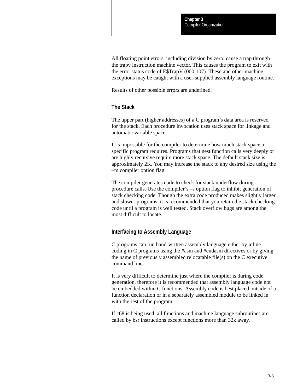All floating point errors, including division by zero, cause a trap through the trapv instruction machine vector. This causes the program to exit with the error status code of E\$TrapV (000:107). These and other machine exceptions may be caught with a user-supplied assembly language routine.

Results of other possible errors are undefined.

## **The Stack**

The upper part (higher addresses) of a C program's data area is reserved for the stack. Each procedure invocation uses stack space for linkage and automatic variable space.

It is impossible for the compiler to determine how much stack space a specific program requires. Programs that nest function calls very deeply or are highly recursive require more stack space. The default stack size is approximately 2K. You may increase the stack to any desired size using the –m compiler option flag.

The compiler generates code to check for stack underflow during procedure calls. Use the compiler's –s option flag to inhibit generation of stack checking code. Though the extra code produced makes slightly larger and slower programs, it is recommended that you retain the stack checking code until a program is well tested. Stack overflow bugs are among the most difficult to locate.

#### **Interfacing to Assembly Language**

C programs can run hand-written assembly language either by inline coding in C programs using the #asm and #endasm directives or by giving the name of previously assembled relocatable file(s) on the C executive command line.

It is very difficult to determine just where the compiler is during code generation, therefore it is recommended that assembly language code not be embedded within C functions. Assembly code is best placed outside of a function declaration or in a separately assembled module to be linked in with the rest of the program.

If c68 is being used, all functions and machine language subroutines are called by bsr instructions except functions more than 32k away.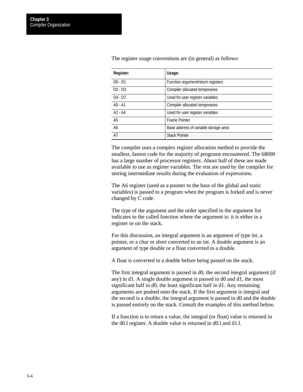| <b>Register:</b> | Usage:                                |
|------------------|---------------------------------------|
| $D0 - D1$        | Function argument/return registers    |
| $D2 - D3$        | Compiler allocated temporaries        |
| $D4 - D7$        | Used for user register variables      |
| $AO - A1$        | Compiler allocated temporaries        |
| $A2 - A4$        | Used for user register variables      |
| A <sub>5</sub>   | <b>Frame Pointer</b>                  |
| A <sub>6</sub>   | Base address of variable storage area |
| A7               | <b>Stack Pointer</b>                  |

The register usage conventions are (in general) as follows:

The compiler uses a complex register allocation method to provide the smallest, fastest code for the majority of programs encountered. The 68000 has a large number of processor registers. About half of these are made available to use as register variables. The rest are used by the compiler for storing intermediate results during the evaluation of expressions.

The A6 register (used as a pointer to the base of the global and static variables) is passed to a program when the program is forked and is never changed by C code.

The type of the argument and the order specified in the argument list indicates to the called function where the argument is: it is either in a register or on the stack.

For this discussion, an integral argument is an argument of type int, a pointer, or a char or short converted to an int. A double argument is an argument of type double or a float converted to a double.

A float is converted to a double before being passed on the stack.

The first integral argument is passed in d0, the second integral argument (if any) in d1. A single double argument is passed in d0 and d1, the most significant half in d0, the least significant half in d1. Any remaining arguments are pushed onto the stack. If the first argument is integral and the second is a double, the integral argument is passed in d0 and the double is passed entirely on the stack. Consult the examples of this method below.

If a function is to return a value, the integral (or float) value is returned in the d0.l register. A double value is returned in d0.l and d1.l.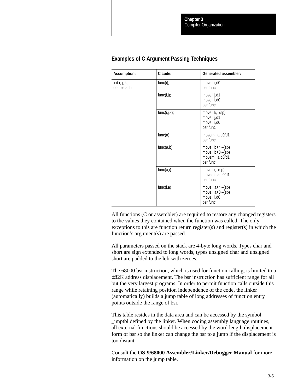| <b>Assumption:</b>               | C code:      | <b>Generated assembler:</b>                                                  |
|----------------------------------|--------------|------------------------------------------------------------------------------|
| init i, j, k;<br>double a, b, c; | $func(i)$ ;  | move.I i,d0<br>bsr func                                                      |
|                                  | func(i,j);   | move.l j,d1<br>move.l i,d0<br>bsr func                                       |
|                                  | func(i,j,k); | move. $k, -(\text{sp})$<br>move.l j,d1<br>move.I i,d0<br>bsr func            |
|                                  | func(a)      | movem.l a,d0/d1<br>bsr func                                                  |
|                                  | func(a,b)    | move. $l b+4, -(sp)$<br>move. $b+0$ , $-(sp)$<br>movem.l a,d0/d1<br>bsr func |
|                                  | func(a, i)   | move. $i, -(\text{sp})$<br>movem.l a,d0/d1<br>bsr func                       |
|                                  | func(i,a)    | move.l $a+4$ , $-(sp)$<br>move.l $a+0$ , $-(sp)$<br>move.l i,d0<br>bsr func  |

#### **Examples of C Argument Passing Techniques**

All functions (C or assembler) are required to restore any changed registers to the values they contained when the function was called. The only exceptions to this are function return register(s) and register(s) in which the function's argument(s) are passed.

All parameters passed on the stack are 4-byte long words. Types char and short are sign extended to long words, types unsigned char and unsigned short are padded to the left with zeroes.

The 68000 bsr instruction, which is used for function calling, is limited to a ±32K address displacement. The bsr instruction has sufficient range for all but the very largest programs. In order to permit function calls outside this range while retaining position independence of the code, the linker (automatically) builds a jump table of long addresses of function entry points outside the range of bsr.

This table resides in the data area and can be accessed by the symbol \_jmptbl defined by the linker. When coding assembly language routines, all external functions should be accessed by the word length displacement form of bsr so the linker can change the bsr to a jump if the displacement is too distant.

Consult the **OS-9/68000 Assembler/Linker/Debugger Manual** for more information on the jump table.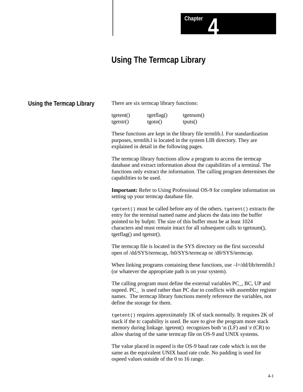# **Using The Termcap Library**

| Using the Termcap Library | There are six termcap library functions:                                                                                                                                                                                                                                                                                                                                                                                                                                                                                                                                                                                                                                                                                                                                                                                                                                                                                                                                                                                                                                 |                       |                      |
|---------------------------|--------------------------------------------------------------------------------------------------------------------------------------------------------------------------------------------------------------------------------------------------------------------------------------------------------------------------------------------------------------------------------------------------------------------------------------------------------------------------------------------------------------------------------------------------------------------------------------------------------------------------------------------------------------------------------------------------------------------------------------------------------------------------------------------------------------------------------------------------------------------------------------------------------------------------------------------------------------------------------------------------------------------------------------------------------------------------|-----------------------|----------------------|
|                           | tgetent()<br>tgetsr()                                                                                                                                                                                                                                                                                                                                                                                                                                                                                                                                                                                                                                                                                                                                                                                                                                                                                                                                                                                                                                                    | tgetflag()<br>tgoto() | tgetnum()<br>tputs() |
|                           | These functions are kept in the library file termlib.l. For standardization<br>purposes, termlib.l is located in the system LIB directory. They are<br>explained in detail in the following pages.                                                                                                                                                                                                                                                                                                                                                                                                                                                                                                                                                                                                                                                                                                                                                                                                                                                                       |                       |                      |
|                           | The termcap library functions allow a program to access the termcap<br>database and extract information about the capabilities of a terminal. The<br>functions only extract the information. The calling program determines the<br>capabilities to be used.                                                                                                                                                                                                                                                                                                                                                                                                                                                                                                                                                                                                                                                                                                                                                                                                              |                       |                      |
|                           | <b>Important:</b> Refer to Using Professional OS-9 for complete information on<br>setting up your termcap database file.                                                                                                                                                                                                                                                                                                                                                                                                                                                                                                                                                                                                                                                                                                                                                                                                                                                                                                                                                 |                       |                      |
|                           | tgetent () must be called before any of the others. tgetent () extracts the<br>entry for the terminal named name and places the data into the buffer<br>pointed to by bufptr. The size of this buffer must be at least 1024<br>characters and must remain intact for all subsequent calls to tgetnum(),<br>tgetflag() and tgetstr().                                                                                                                                                                                                                                                                                                                                                                                                                                                                                                                                                                                                                                                                                                                                     |                       |                      |
|                           | The termcap file is located in the SYS directory on the first successful<br>open of /dd/SYS/termcap, /h0/SYS/termcap or /d0/SYS/termcap.<br>When linking programs containing these functions, use $-l=/dd/lib/termlib.l$<br>(or whatever the appropriate path is on your system).<br>The calling program must define the external variables PC_, BC, UP and<br>ospeed. PC_ is used rather than PC due to conflicts with assembler register<br>names. The termcap library functions merely reference the variables, not<br>define the storage for them.<br>$t$ setent () requires approximately 1K of stack normally. It requires 2K of<br>stack if the tc capability is used. Be sure to give the program more stack<br>memory during linkage. tgetent() recognizes both $\ln$ (LF) and $\Tr$ (CR) to<br>allow sharing of the same termcap file on OS-9 and UNIX systems.<br>The value placed in ospeed is the OS-9 baud rate code which is not the<br>same as the equivalent UNIX baud rate code. No padding is used for<br>ospeed values outside of the 0 to 16 range. |                       |                      |
|                           |                                                                                                                                                                                                                                                                                                                                                                                                                                                                                                                                                                                                                                                                                                                                                                                                                                                                                                                                                                                                                                                                          |                       |                      |
|                           |                                                                                                                                                                                                                                                                                                                                                                                                                                                                                                                                                                                                                                                                                                                                                                                                                                                                                                                                                                                                                                                                          |                       |                      |
|                           |                                                                                                                                                                                                                                                                                                                                                                                                                                                                                                                                                                                                                                                                                                                                                                                                                                                                                                                                                                                                                                                                          |                       |                      |
|                           |                                                                                                                                                                                                                                                                                                                                                                                                                                                                                                                                                                                                                                                                                                                                                                                                                                                                                                                                                                                                                                                                          |                       |                      |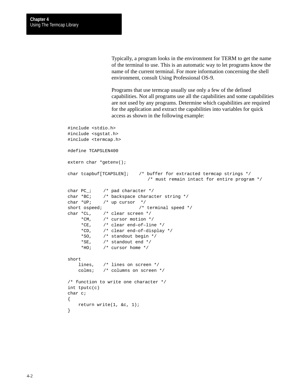Typically, a program looks in the environment for TERM to get the name of the terminal to use. This is an automatic way to let programs know the name of the current terminal. For more information concerning the shell environment, consult Using Professional OS-9.

Programs that use termcap usually use only a few of the defined capabilities. Not all programs use all the capabilities and some capabilities are not used by any programs. Determine which capabilities are required for the application and extract the capabilities into variables for quick access as shown in the following example:

```
#include <stdio.h>
#include <sgstat.h>
#include <termcap.h>
#define TCAPSLEN400
extern char *getenv();
char tcapbuf[TCAPSLEN]; /* buffer for extracted termcap strings */
                              /* must remain intact for entire program */
char PC_i /* pad character */
char *BC; /* backspace character string */
char *UP; /* up cursor */short ospeed; \overline{ } /* terminal speed */
char *CL, /* clear screen */
     *CM, /* cursor motion */
     *CE, /* clear end–of–line */
     *CD, /* clear end–of–display */
     *SO, /* standout begin */
    *SE, /* standout end */ *HO; /* cursor home */
short
    lines, /* lines on screen */
    colms; /* columns on screen */
/* function to write one character */
int tputc(c)
char c;
{
    return write(1, &c, 1);
```
}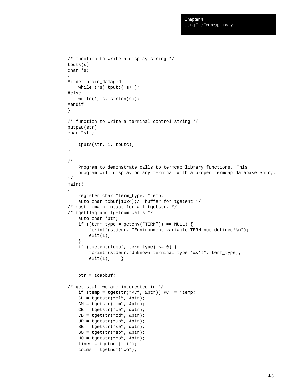```
/* function to write a display string */
touts(s)
char *s;
{
#ifdef brain_damaged
    while (*s) tputc(*s++);
#else
     write(1, s, strlen(s));
#endif
}
/* function to write a terminal control string */
putpad(str)
char *str;
{
     tputs(str, 1, tputc);
}
/*
     Program to demonstrate calls to termcap library functions. This
     program will display on any terminal with a proper termcap database entry.
*/
main()
{
     register char *term_type, *temp;
     auto char tcbuf[1024];/* buffer for tgetent */
/* must remain intact for all tgetstr, */
/* tgetflag and tgetnum calls */
     auto char *ptr;
    if ((term_type = getenv("TERM")) == NULL) {
         fprintf(stderr, "Environment variable TERM not defined!\n");
        exit(1); }
     if (tgetent(tcbuf, term_type) <= 0) {
         fprintf(stderr,"Unknown terminal type '%s'!", term_type);
        exit(1); }
     ptr = tcapbuf;
/* get stuff we are interested in */
    if (temp = tgetstr("PC", \&pt;ptr)) PC_ = *temp;
     CL = tgetstr("cl", &ptr);
     CM = tgetstr("cm", &ptr);
    CE = tqetstr("ce", \&ptr); CD = tgetstr("cd", &ptr);
     UP = tgetstr("up", &ptr);
     SE = tgetstr("se", &ptr);
     SO = tgetstr("so", &ptr);
     HO = tgetstr("ho", &ptr);
    lines = tqetnum("li"); colms = tgetnum("co");
```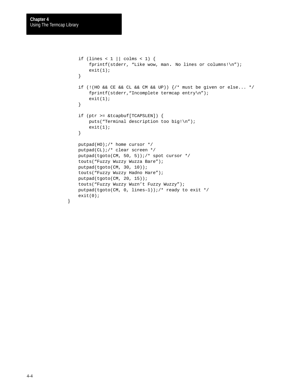```
if (lines < 1 \mid \text{colms} < 1) {
    fprintf(stderr, "Like wow, man. No lines or columns!\n");
    exit(1); }
 if (!(HO && CE && CL && CM && UP)) {/* must be given or else... */
     fprintf(stderr,"Incomplete termcap entry\n");
    exit(1); }
 if (ptr >= &tcapbuf[TCAPSLEN]) {
    puts("Terminal description too big!\n");
    exit(1); }
 putpad(HO);/* home cursor */
 putpad(CL);/* clear screen */
 putpad(tgoto(CM, 50, 5));/* spot cursor */
 touts("Fuzzy Wuzzy Wuzza Bare");
 putpad(tgoto(CM, 30, 10));
 touts("Fuzzy Wuzzy Hadno Hare");
 putpad(tgoto(CM, 20, 15));
 touts("Fuzzy Wuzzy Wuzn't Fuzzy Wuzzy");
 putpad(tgoto(CM, 0, lines–1));/* ready to exit */
 exit(0);
```

```
}
```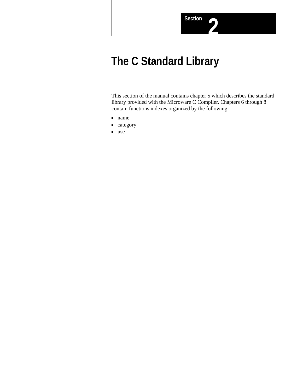

# **The C Standard Library**

This section of the manual contains chapter 5 which describes the standard library provided with the Microware C Compiler. Chapters 6 through 8 contain functions indexes organized by the following:

- name
- category
- use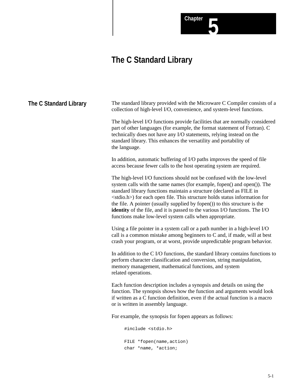# **The C Standard Library**

**Chapter 5**

| The C Standard Library | The standard library provided with the Microware C Compiler consists of a<br>collection of high-level I/O, convenience, and system-level functions.                                                                                                                                                                                                                                                                                                                                                                                                  |
|------------------------|------------------------------------------------------------------------------------------------------------------------------------------------------------------------------------------------------------------------------------------------------------------------------------------------------------------------------------------------------------------------------------------------------------------------------------------------------------------------------------------------------------------------------------------------------|
|                        | The high-level I/O functions provide facilities that are normally considered<br>part of other languages (for example, the format statement of Fortran). C<br>technically does not have any I/O statements, relying instead on the<br>standard library. This enhances the versatility and portability of<br>the language.                                                                                                                                                                                                                             |
|                        | In addition, automatic buffering of I/O paths improves the speed of file<br>access because fewer calls to the host operating system are required.                                                                                                                                                                                                                                                                                                                                                                                                    |
|                        | The high-level I/O functions should not be confused with the low-level<br>system calls with the same names (for example, fopen() and open()). The<br>standard library functions maintain a structure (declared as FILE in<br><stdio.h>) for each open file. This structure holds status information for<br/>the file. A pointer (usually supplied by fopen()) to this structure is the<br/><b>identity</b> of the file, and it is passed to the various I/O functions. The I/O<br/>functions make low-level system calls when appropriate.</stdio.h> |
|                        | Using a file pointer in a system call or a path number in a high-level I/O<br>call is a common mistake among beginners to C and, if made, will at best<br>crash your program, or at worst, provide unpredictable program behavior.                                                                                                                                                                                                                                                                                                                   |
|                        | In addition to the C I/O functions, the standard library contains functions to<br>perform character classification and conversion, string manipulation,<br>memory management, mathematical functions, and system<br>related operations.                                                                                                                                                                                                                                                                                                              |
|                        | Each function description includes a synopsis and details on using the<br>function. The synopsis shows how the function and arguments would look<br>if written as a C function definition, even if the actual function is a macro<br>or is written in assembly language.                                                                                                                                                                                                                                                                             |
|                        | For example, the synopsis for fopen appears as follows:                                                                                                                                                                                                                                                                                                                                                                                                                                                                                              |
|                        | #include <stdio.h></stdio.h>                                                                                                                                                                                                                                                                                                                                                                                                                                                                                                                         |
|                        | FILE *fopen(name, action)<br>char *name, *action;                                                                                                                                                                                                                                                                                                                                                                                                                                                                                                    |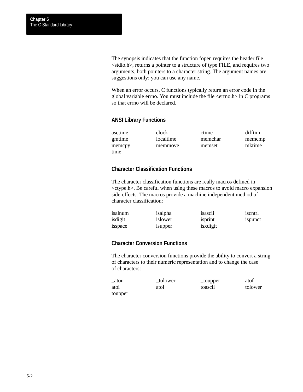The synopsis indicates that the function fopen requires the header file <stdio.h>, returns a pointer to a structure of type FILE, and requires two arguments, both pointers to a character string. The argument names are suggestions only; you can use any name.

When an error occurs, C functions typically return an error code in the global variable errno. You must include the file <errno.h> in C programs so that errno will be declared.

#### **ANSI Library Functions**

| asctime | clock     | ctime   | difftim |
|---------|-----------|---------|---------|
| gmtime  | localtime | memchar | memcmp  |
| memcpy  | memmove   | memset  | mktime  |
| time    |           |         |         |

#### **Character Classification Functions**

The character classification functions are really macros defined in <ctype.h>. Be careful when using these macros to avoid macro expansion side-effects. The macros provide a machine independent method of character classification:

| isalnum | isalpha | $\cdot\cdot$<br>1Sasc11 | iscntrl |
|---------|---------|-------------------------|---------|
| isdigit | islower | isprint                 | ispunct |
| 1sspace | isupper | isxdigit                |         |

## **Character Conversion Functions**

The character conversion functions provide the ability to convert a string of characters to their numeric representation and to change the case of characters:

| _atou   | tolower | _toupper            | atof    |
|---------|---------|---------------------|---------|
| atoi    | atol    | toasc <sub>11</sub> | tolower |
| toupper |         |                     |         |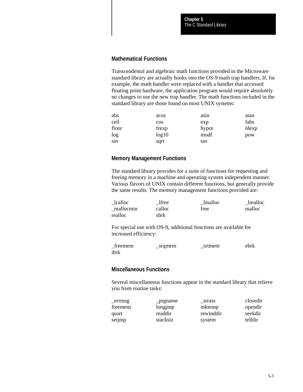#### **Mathematical Functions**

Transcendental and algebraic math functions provided in the Microware standard library are actually hooks into the OS-9 math trap handlers. If, for example, the math handler were replaced with a handler that accessed floating point hardware, the application program would require absolutely no changes to use the new trap handler. The math functions included in the standard library are those found on most UNIX systems:

| abs   | acos   | asin  | atan  |
|-------|--------|-------|-------|
| ceil  | $\cos$ | exp   | fabs  |
| floor | frexp  | hypot | ldexp |
| log   | log10  | modf  | pow   |
| sin   | sqrt   | tan   |       |

#### **Memory Management Functions**

The standard library provides for a suite of functions for requesting and freeing memory in a machine and operating system independent manner. Various flavors of UNIX contain different functions, but generally provide the same results. The memory management functions provided are:

| _lcalloc  | lfree  | lmalloc | <b>Irealloc</b> |
|-----------|--------|---------|-----------------|
| mallocmin | calloc | free    | malloc          |
| realloc   | sbrk   |         |                 |

For special use with OS-9, additional functions are available for increased efficiency:

| treemem | _srqmem | srtmem | ebrk |
|---------|---------|--------|------|
| ibrk    |         |        |      |

#### **Miscellaneous Functions**

Several miscellaneous functions appear in the standard library that relieve you from routine tasks:

| errmsg  | _prgname | strass    | closedir |
|---------|----------|-----------|----------|
| freemem | longjmp  | mktemp    | opendir  |
| gsort   | readdir  | rewinddir | seekdir  |
| setjmp  | stacksiz | system    | telldir  |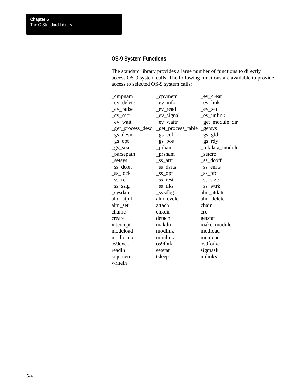## **OS-9 System Functions**

The standard library provides a large number of functions to directly access OS-9 system calls. The following functions are available to provide access to selected OS-9 system calls:

| $\_cmpnam$             | $_{\rm \_2}$                                 | _ev_creat       |
|------------------------|----------------------------------------------|-----------------|
| _ev_delete             | _ev_info                                     | $ev_{link}$     |
| _ev_pulse              | _ev_read                                     | $ev$ _set       |
| $ev$ _setr             | _ev_signal                                   | _ev_unlink      |
| _ev_wait               | _ev_waitr                                    | _get_module_dir |
|                        | _get_process_desc _get_process_table _getsys |                 |
| _gs_devn               | $_{gs_c}$ eof                                | $gs_gfd$        |
| $_{gs\_opt}$           | $g_s$ pos                                    | $gs_rdy$        |
| $_{gs_size}$           | _julian                                      | _mkdata_module  |
| $_{\text{p}}$ arsepath | prsnam                                       | setcrc          |
| _setsys                | _ss_attr                                     | _ss_dcoff       |
| $\_ss\_dcon$           | _ss_dsrts                                    | _ss_enrts       |
| $\_ss\_lock$           | $\_ss\_opt$                                  | $\_ss\_pfd$     |
| _ss_rel                | _ss_rest                                     | _ss_size        |
| $\_ss\_ssig$           | _ss_tiks                                     | _ss_wtrk        |
| _sysdate               | $\_{sysdbg}$                                 | alm_atdate      |
| alm_atjul              | alm_cycle                                    | alm_delete      |
| alm_set                | attach                                       | chain           |
| chainc                 | chxdir                                       | crc             |
| create                 | detach                                       | getstat         |
| intercept              | makdir                                       | make_module     |
| modcload               | modlink                                      | modload         |
| modloadp               | munlink                                      | munload         |
| os9exec                | os9fork                                      | os9forkc        |
| readln                 | setstat                                      | sigmask         |
| srqcmem                | tsleep                                       | unlinkx         |
| writeln                |                                              |                 |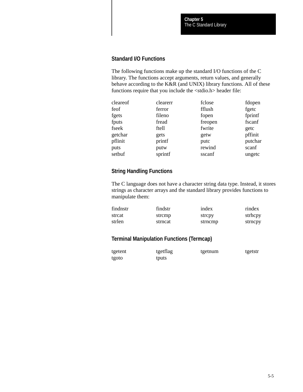## **Standard I/O Functions**

The following functions make up the standard I/O functions of the C library. The functions accept arguments, return values, and generally behave according to the K&R (and UNIX) library functions. All of these functions require that you include the <stdio.h> header file:

| cleareof | clearerr | fclose  | fdopen  |
|----------|----------|---------|---------|
| feof     | ferror   | fflush  | fgetc   |
| fgets    | fileno   | fopen   | fprintf |
| fputs    | fread    | freopen | fscanf  |
| fseek    | ftell    | fwrite  | getc    |
| getchar  | gets     | getw    | pffinit |
| pflinit  | printf   | putc    | putchar |
| puts     | putw     | rewind  | scanf   |
| setbuf   | sprintf  | sscanf  | ungetc  |

## **String Handling Functions**

The C language does not have a character string data type. Instead, it stores strings as character arrays and the standard library provides functions to manipulate them:

| findnstr | findstr | index   | rindex  |
|----------|---------|---------|---------|
| strcat   | strcmp  | strepy  | strhcpy |
| strlen   | strncat | strncmp | strncpy |

## **Terminal Manipulation Functions (Termcap)**

| tgetent | tgetflag | tgetnum | tgetstr |
|---------|----------|---------|---------|
| tgoto   | tputs    |         |         |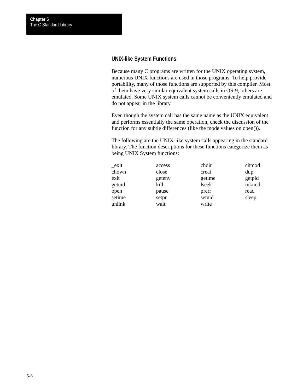## **UNIX-like System Functions**

Because many C programs are written for the UNIX operating system, numerous UNIX functions are used in those programs. To help provide portability, many of those functions are supported by this compiler. Most of them have very similar equivalent system calls in OS-9, others are emulated. Some UNIX system calls cannot be conveniently emulated and do not appear in the library.

Even though the system call has the same name as the UNIX equivalent and performs essentially the same operation, check the discussion of the function for any subtle differences (like the mode values on open()).

The following are the UNIX-like system calls appearing in the standard library. The function descriptions for these functions categorize them as being UNIX System functions:

| exit   | access | chdir  | chmod  |
|--------|--------|--------|--------|
| chown  | close  | creat  | dup    |
| exit   | geteny | getime | getpid |
| getuid | kill   | lseek  | mknod  |
| open   | pause  | prerr  | read   |
| setime | setpr  | setuid | sleep  |
| unlink | wait   | write  |        |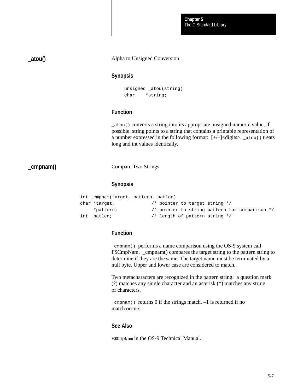The C Standard Library **Chapter 5**

**\_atou()**

#### Alpha to Unsigned Conversion

#### **Synopsis**

```
unsigned _atou(string)
char *string;
```
## **Function**

\_atou() converts a string into its appropriate unsigned numeric value, if possible. string points to a string that contains a printable representation of a number expressed in the following format:  $[+/-]$  < digits>. \_atou() treats long and int values identically.

**\_cmpnam()**

Compare Two Strings

#### **Synopsis**

```
int _cmpnam(target, pattern, patlen)
char *target, \sqrt{\frac{4}{\pi}} pointer to target string */
     *pattern; /* pointer to string pattern for comparison */
int patlen; /* length of pattern string */
```
### **Function**

\_cmpnam() performs a name comparison using the OS-9 system call F\$CmpNam. \_cmpnam() compares the target string to the pattern string to determine if they are the same. The target name must be terminated by a null byte. Upper and lower case are considered to match.

Two metacharacters are recognized in the pattern string: a question mark (?) matches any single character and an asterisk (\*) matches any string of characters.

 $\epsilon$  =  $\epsilon$  =  $\epsilon$  0 if the strings match.  $\epsilon$  1 is returned if no match occurs.

#### **See Also**

F\$CmpNam in the OS-9 Technical Manual.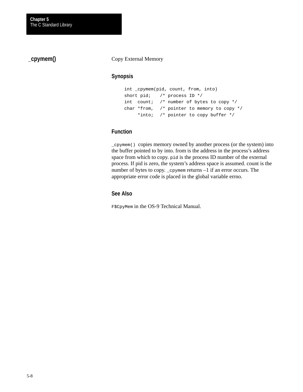## **\_cpymem()**

#### Copy External Memory

#### **Synopsis**

```
int _cpymem(pid, count, from, into)
short pid; /* process ID */
int count; /* number of bytes to copy */
char *from, /* pointer to memory to copy */
     *into; /* pointer to copy buffer */
```
## **Function**

\_cpymem() copies memory owned by another process (or the system) into the buffer pointed to by into. from is the address in the process's address space from which to copy. pid is the process ID number of the external process. If pid is zero, the system's address space is assumed. count is the number of bytes to copy. \_cpymem returns -1 if an error occurs. The appropriate error code is placed in the global variable errno.

## **See Also**

F\$CpyMem in the OS-9 Technical Manual.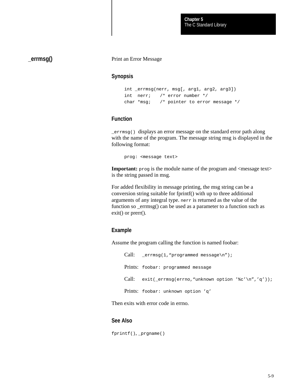The C Standard Library **Chapter 5**

**\_errmsg()**

#### Print an Error Message

## **Synopsis**

```
int _errmsg(nerr, msg[, arg1, arg2, arg3])
int nerr; /* error number */
char *msg; /* pointer to error message */
```
#### **Function**

\_errmsg() displays an error message on the standard error path along with the name of the program. The message string msg is displayed in the following format:

prog: <message text>

**Important:** prog is the module name of the program and <message text> is the string passed in msg.

For added flexibility in message printing, the msg string can be a conversion string suitable for fprintf() with up to three additional arguments of any integral type. nerr is returned as the value of the function so \_errmsg() can be used as a parameter to a function such as exit() or prerr().

#### **Example**

Assume the program calling the function is named foobar:

```
Call: _errmsg(1, "programmed message\n");
Prints: foobar: programmed message
Call: exit(_errmsg(errno,"unknown option '%c'\n",'q'));
Prints: foobar: unknown option 'q'
```
Then exits with error code in errno.

#### **See Also**

fprintf(), \_prgname()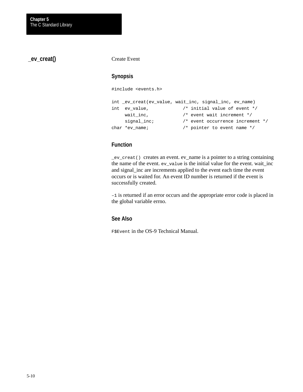**\_ev\_creat()**

#### Create Event

#### **Synopsis**

#include <events.h>

```
int _ev_creat(ev_value, wait_inc, signal_inc, ev_name)
int ev_value, /* initial value of event */
    wait_inc, \frac{1}{2} /* event wait increment */
    signal_inc; <br> /* event occurrence increment */
char *ev_name; /* pointer to event name */
```
## **Function**

\_ev\_creat() creates an event. ev\_name is a pointer to a string containing the name of the event. ev\_value is the initial value for the event. wait\_inc and signal\_inc are increments applied to the event each time the event occurs or is waited for. An event ID number is returned if the event is successfully created.

–1 is returned if an error occurs and the appropriate error code is placed in the global variable errno.

#### **See Also**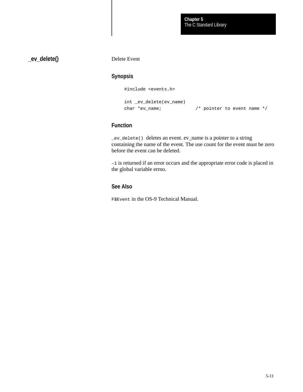**\_ev\_delete()**

Delete Event

## **Synopsis**

#include <events.h>

```
int _ev_delete(ev_name)
char *ev_name; /* pointer to event name */
```
## **Function**

\_ev\_delete() deletes an event. ev\_name is a pointer to a string containing the name of the event. The use count for the event must be zero before the event can be deleted.

–1 is returned if an error occurs and the appropriate error code is placed in the global variable errno.

## **See Also**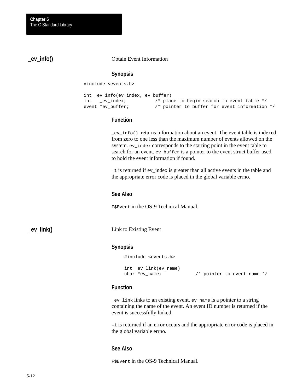**\_ev\_info()**

#### Obtain Event Information

#### **Synopsis**

#include <events.h>

```
int _ev_info(ev_index, ev_buffer)
int _ev_index; /* place to begin search in event table */
event *ev_buffer; /* pointer to buffer for event information */
```
#### **Function**

\_ev\_info() returns information about an event. The event table is indexed from zero to one less than the maximum number of events allowed on the system. ev\_index corresponds to the starting point in the event table to search for an event. ev\_buffer is a pointer to the event struct buffer used to hold the event information if found.

–1 is returned if ev\_index is greater than all active events in the table and the appropriate error code is placed in the global variable errno.

#### **See Also**

F\$Event in the OS-9 Technical Manual.

**\_ev\_link()**

Link to Existing Event

#### **Synopsis**

#include <events.h>

int \_ev\_link(ev\_name)

char \*ev\_name;  $4 *$  pointer to event name \*/

#### **Function**

\_ev\_link links to an existing event. ev\_name is a pointer to a string containing the name of the event. An event ID number is returned if the event is successfully linked.

–1 is returned if an error occurs and the appropriate error code is placed in the global variable errno.

#### **See Also**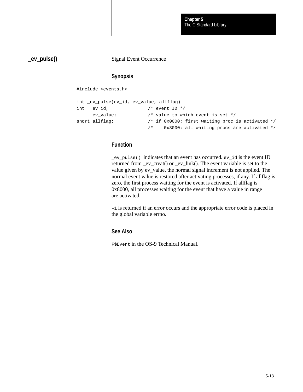**\_ev\_pulse()**

Signal Event Occurrence

## **Synopsis**

#include <events.h>

```
int _ev_pulse(ev_id, ev_value, allflag)
int ev_id, / event ID */ ev_value; /* value to which event is set */
short allflag; \frac{1}{2} /* if 0x0000: first waiting proc is activated */
                       /* 0x8000: all waiting procs are activated */
```
## **Function**

\_ev\_pulse() indicates that an event has occurred. ev\_id is the event ID returned from \_ev\_creat() or \_ev\_link(). The event variable is set to the value given by ev\_value, the normal signal increment is not applied. The normal event value is restored after activating processes, if any. If allflag is zero, the first process waiting for the event is activated. If allflag is 0x8000, all processes waiting for the event that have a value in range are activated.

–1 is returned if an error occurs and the appropriate error code is placed in the global variable errno.

#### **See Also**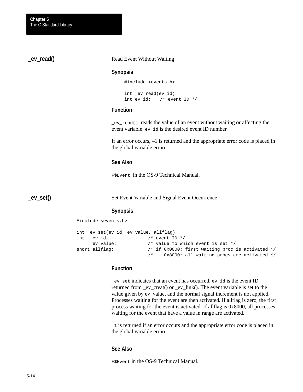**\_ev\_read()**

#### Read Event Without Waiting

#### **Synopsis**

#include <events.h>

int \_ev\_read(ev\_id) int ev\_id; /\* event ID \*/

#### **Function**

\_ev\_read() reads the value of an event without waiting or affecting the event variable. ev\_id is the desired event ID number.

If an error occurs, –1 is returned and the appropriate error code is placed in the global variable errno.

#### **See Also**

F\$Event in the OS-9 Technical Manual.

**\_ev\_set()**

Set Event Variable and Signal Event Occurrence

#### **Synopsis**

#include <events.h>

```
int _ev_set(ev_id, ev_value, allflag)
int ev_id, /* event ID */ ev_value; /* value to which event is set */
short allflag; \frac{1}{2} /* if 0x0000: first waiting proc is activated */
                       /* 0x8000: all waiting procs are activated */
```
#### **Function**

\_ev\_set indicates that an event has occurred. ev\_id is the event ID returned from \_ev\_creat() or \_ev\_link(). The event variable is set to the value given by ev\_value, and the normal signal increment is not applied. Processes waiting for the event are then activated. If allflag is zero, the first process waiting for the event is activated. If allflag is 0x8000, all processes waiting for the event that have a value in range are activated.

–1 is returned if an error occurs and the appropriate error code is placed in the global variable errno.

## **See Also**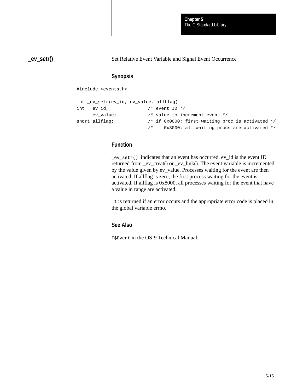**\_ev\_setr()**

Set Relative Event Variable and Signal Event Occurrence

## **Synopsis**

#include <events.h>

```
int _ev_setr(ev_id, ev_value, allflag)
int ev_id, / event ID */ ev_value; /* value to increment event */
short allflag; \frac{1}{2} /* if 0x0000: first waiting proc is activated */
                       /* 0x8000: all waiting procs are activated */
```
## **Function**

\_ev\_setr() indicates that an event has occurred. ev\_id is the event ID returned from \_ev\_creat() or \_ev\_link(). The event variable is incremented by the value given by ev\_value. Processes waiting for the event are then activated. If allflag is zero, the first process waiting for the event is activated. If allflag is 0x8000, all processes waiting for the event that have a value in range are activated.

–1 is returned if an error occurs and the appropriate error code is placed in the global variable errno.

## **See Also**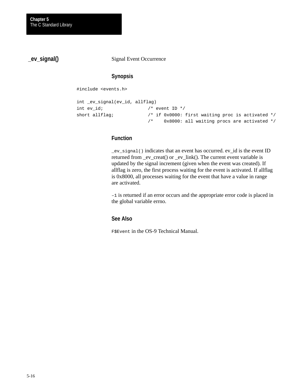**\_ev\_signal()**

Signal Event Occurrence

## **Synopsis**

#include <events.h>

```
int _ev_signal(ev_id, allflag)
int ev_id; \frac{1}{x} /* event ID */
short allflag; \frac{1}{2} /* if 0x0000: first waiting proc is activated */
                          /* 0x8000: all waiting procs are activated */
```
## **Function**

\_ev\_signal() indicates that an event has occurred. ev\_id is the event ID returned from \_ev\_creat() or \_ev\_link(). The current event variable is updated by the signal increment (given when the event was created). If allflag is zero, the first process waiting for the event is activated. If allflag is 0x8000, all processes waiting for the event that have a value in range are activated.

–1 is returned if an error occurs and the appropriate error code is placed in the global variable errno.

## **See Also**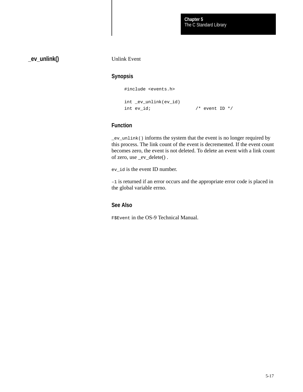**\_ev\_unlink()**

Unlink Event

#### **Synopsis**

#include <events.h>

```
int _ev_unlink(ev_id)
int ev_id; \frac{1}{x} /* event ID */
```
#### **Function**

\_ev\_unlink() informs the system that the event is no longer required by this process. The link count of the event is decremented. If the event count becomes zero, the event is not deleted. To delete an event with a link count of zero, use \_ev\_delete() .

ev\_id is the event ID number.

–1 is returned if an error occurs and the appropriate error code is placed in the global variable errno.

## **See Also**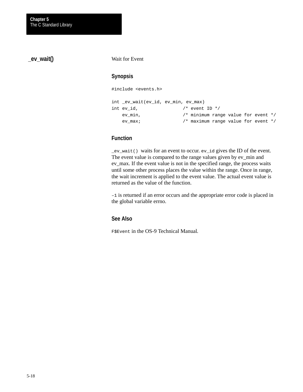**\_ev\_wait()**

#### Wait for Event

## **Synopsis**

#include <events.h>

```
int _ev_wait(ev_id, ev_min, ev_max)
int ev_id, / * event ID * ev_min, /* minimum range value for event */
   ev_max; /* maximum range value for event */
```
## **Function**

\_ev\_wait() waits for an event to occur. ev\_id gives the ID of the event. The event value is compared to the range values given by ev\_min and ev\_max. If the event value is not in the specified range, the process waits until some other process places the value within the range. Once in range, the wait increment is applied to the event value. The actual event value is returned as the value of the function.

–1 is returned if an error occurs and the appropriate error code is placed in the global variable errno.

#### **See Also**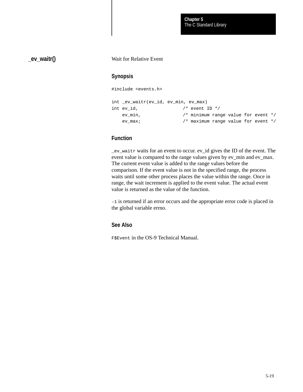## **\_ev\_waitr()**

#### Wait for Relative Event

#### **Synopsis**

#include <events.h>

| int ev waitr(ev_id, ev min, ev max) |                                       |  |  |  |
|-------------------------------------|---------------------------------------|--|--|--|
| int ev id,                          | $/*$ event ID $*/$                    |  |  |  |
| ev min,                             | /* minimum range value for event $*/$ |  |  |  |
| ev max;                             | /* maximum range value for event $*/$ |  |  |  |

## **Function**

\_ev\_waitr waits for an event to occur. ev\_id gives the ID of the event. The event value is compared to the range values given by ev\_min and ev\_max. The current event value is added to the range values before the comparison. If the event value is not in the specified range, the process waits until some other process places the value within the range. Once in range, the wait increment is applied to the event value. The actual event value is returned as the value of the function.

–1 is returned if an error occurs and the appropriate error code is placed in the global variable errno.

#### **See Also**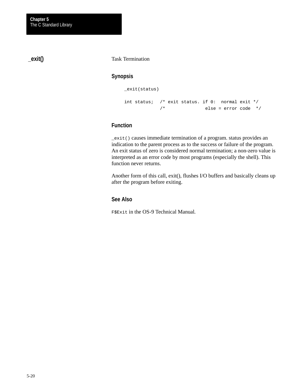**\_exit()**

#### Task Termination

#### **Synopsis**

```
_exit(status)
int status; /* exit status. if 0: normal exit */
          /* else = error code */
```
## **Function**

\_exit() causes immediate termination of a program. status provides an indication to the parent process as to the success or failure of the program. An exit status of zero is considered normal termination; a non-zero value is interpreted as an error code by most programs (especially the shell). This function never returns.

Another form of this call, exit(), flushes I/O buffers and basically cleans up after the program before exiting.

## **See Also**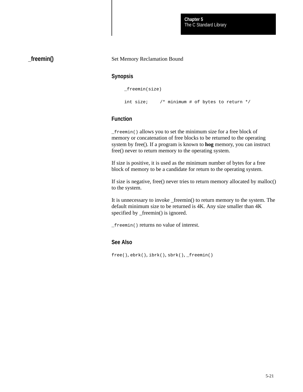## **\_freemin()**

#### Set Memory Reclamation Bound

#### **Synopsis**

```
_freemin(size)
```
int size; /\* minimum # of bytes to return \*/

#### **Function**

\_freemin() allows you to set the minimum size for a free block of memory or concatenation of free blocks to be returned to the operating system by free(). If a program is known to **hog** memory, you can instruct free() never to return memory to the operating system.

If size is positive, it is used as the minimum number of bytes for a free block of memory to be a candidate for return to the operating system.

If size is negative, free() never tries to return memory allocated by malloc() to the system.

It is unnecessary to invoke \_freemin() to return memory to the system. The default minimum size to be returned is 4K. Any size smaller than 4K specified by \_freemin() is ignored.

\_freemin() returns no value of interest.

#### **See Also**

free(), ebrk(), ibrk(), sbrk(), \_freemin()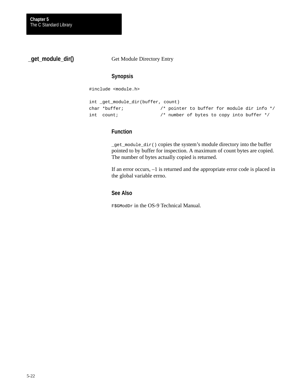**\_get\_module\_dir()**

Get Module Directory Entry

## **Synopsis**

#include <module.h>

```
int _get_module_dir(buffer, count)
char *buffer; /* pointer to buffer for module dir info */
int count; /* number of bytes to copy into buffer */
```
#### **Function**

\_get\_module\_dir() copies the system's module directory into the buffer pointed to by buffer for inspection. A maximum of count bytes are copied. The number of bytes actually copied is returned.

If an error occurs, –1 is returned and the appropriate error code is placed in the global variable errno.

#### **See Also**

F\$GModDr in the OS-9 Technical Manual.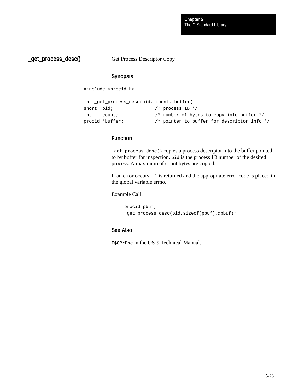The C Standard Library **Chapter 5**

**\_get\_process\_desc()**

Get Process Descriptor Copy

#### **Synopsis**

#include <procid.h>

```
int _get_process_desc(pid, count, buffer)
short pid; / process ID */
int count; /* number of bytes to copy into buffer */
procid *buffer; /* pointer to buffer for descriptor info */
```
#### **Function**

\_get\_process\_desc() copies a process descriptor into the buffer pointed to by buffer for inspection. pid is the process ID number of the desired process. A maximum of count bytes are copied.

If an error occurs, –1 is returned and the appropriate error code is placed in the global variable errno.

Example Call:

```
procid pbuf;
_get_process_desc(pid,sizeof(pbuf),&pbuf);
```
## **See Also**

F\$GPrDsc in the OS-9 Technical Manual.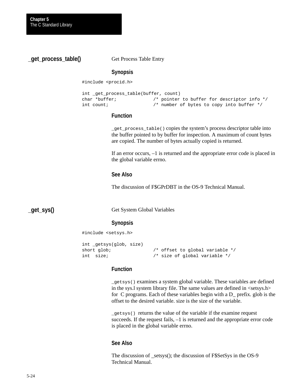**\_get\_process\_table()**

Get Process Table Entry

#### **Synopsis**

#include <procid.h>

```
int _get_process_table(buffer, count)
char *buffer; /* pointer to buffer for descriptor info */
int count; /* number of bytes to copy into buffer */
```
#### **Function**

\_get\_process\_table() copies the system's process descriptor table into the buffer pointed to by buffer for inspection. A maximum of count bytes are copied. The number of bytes actually copied is returned.

If an error occurs, –1 is returned and the appropriate error code is placed in the global variable errno.

#### **See Also**

The discussion of F\$GPrDBT in the OS-9 Technical Manual.

**\_get\_sys()**

Get System Global Variables

## **Synopsis**

#include <setsys.h>

```
int _getsys(glob, size)
short glob; \frac{1}{2} /* offset to global variable */
int size; /* size of global variable */
```
#### **Function**

\_getsys() examines a system global variable. These variables are defined in the sys.l system library file. The same values are defined in <setsys.h> for C programs. Each of these variables begin with a D\_ prefix. glob is the offset to the desired variable. size is the size of the variable.

\_getsys() returns the value of the variable if the examine request succeeds. If the request fails, –1 is returned and the appropriate error code is placed in the global variable errno.

#### **See Also**

The discussion of \_setsys(); the discussion of F\$SetSys in the OS-9 Technical Manual.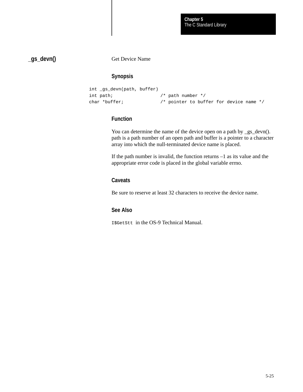**\_gs\_devn()**

Get Device Name

## **Synopsis**

```
int _gs_devn(path, buffer)
int path; /* path number */
char *buffer; /* pointer to buffer for device name */
```
## **Function**

You can determine the name of the device open on a path by \_gs\_devn(). path is a path number of an open path and buffer is a pointer to a character array into which the null-terminated device name is placed.

If the path number is invalid, the function returns  $-1$  as its value and the appropriate error code is placed in the global variable errno.

## **Caveats**

Be sure to reserve at least 32 characters to receive the device name.

## **See Also**

I\$GetStt in the OS-9 Technical Manual.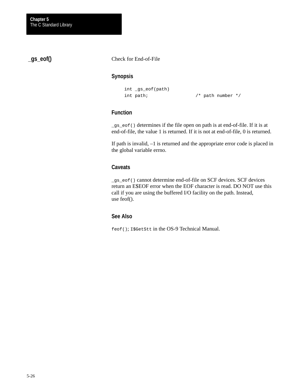**\_gs\_eof()**

Check for End-of-File

## **Synopsis**

```
int _gs_eof(path)
int path; /* path number */
```
## **Function**

\_gs\_eof() determines if the file open on path is at end-of-file. If it is at end-of-file, the value 1 is returned. If it is not at end-of-file, 0 is returned.

If path is invalid, –1 is returned and the appropriate error code is placed in the global variable errno.

## **Caveats**

\_gs\_eof() cannot determine end-of-file on SCF devices. SCF devices return an E\$EOF error when the EOF character is read. DO NOT use this call if you are using the buffered I/O facility on the path. Instead, use feof().

## **See Also**

feof(); I\$GetStt in the OS-9 Technical Manual.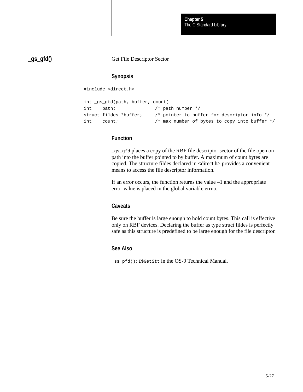The C Standard Library **Chapter 5**

**\_gs\_gfd()**

Get File Descriptor Sector

#### **Synopsis**

#include <direct.h>

```
int _gs_gfd(path, buffer, count)
int path; /* path number */
struct fildes *buffer; /* pointer to buffer for descriptor info */
int count; \frac{1}{x} max number of bytes to copy into buffer */
```
### **Function**

\_gs\_gfd places a copy of the RBF file descriptor sector of the file open on path into the buffer pointed to by buffer. A maximum of count bytes are copied. The structure fildes declared in <direct.h> provides a convenient means to access the file descriptor information.

If an error occurs, the function returns the value –1 and the appropriate error value is placed in the global variable errno.

#### **Caveats**

Be sure the buffer is large enough to hold count bytes. This call is effective only on RBF devices. Declaring the buffer as type struct fildes is perfectly safe as this structure is predefined to be large enough for the file descriptor.

#### **See Also**

\_ss\_pfd(); I\$GetStt in the OS-9 Technical Manual.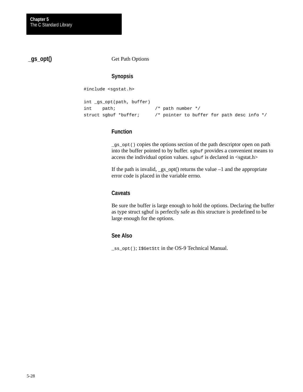**\_gs\_opt()**

Get Path Options

## **Synopsis**

#include <sgstat.h>

```
int _gs_opt(path, buffer)
int path; /* path number */
struct sgbuf *buffer; /* pointer to buffer for path desc info */
```
#### **Function**

\_gs\_opt() copies the options section of the path descriptor open on path into the buffer pointed to by buffer. sgbuf provides a convenient means to access the individual option values. sgbuf is declared in  $\langle$ sgstat.h $\rangle$ 

If the path is invalid,  $\text{gs\_opt}()$  returns the value  $-1$  and the appropriate error code is placed in the variable errno.

#### **Caveats**

Be sure the buffer is large enough to hold the options. Declaring the buffer as type struct sgbuf is perfectly safe as this structure is predefined to be large enough for the options.

#### **See Also**

\_ss\_opt(); I\$GetStt in the OS-9 Technical Manual.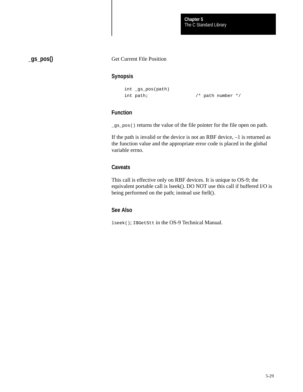**\_gs\_pos()**

#### Get Current File Position

### **Synopsis**

```
int _gs_pos(path)
int path; /* path number */
```
### **Function**

\_gs\_pos() returns the value of the file pointer for the file open on path.

If the path is invalid or the device is not an RBF device, –1 is returned as the function value and the appropriate error code is placed in the global variable errno.

### **Caveats**

This call is effective only on RBF devices. It is unique to OS-9; the equivalent portable call is lseek(). DO NOT use this call if buffered I/O is being performed on the path; instead use ftell().

## **See Also**

lseek(); I\$GetStt in the OS-9 Technical Manual.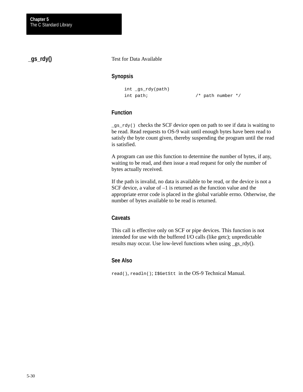# **\_gs\_rdy()**

Test for Data Available

## **Synopsis**

```
int _gs_rdy(path)
```
int path; /\* path number \*/

## **Function**

 $_{gs\_rdy()}$  checks the SCF device open on path to see if data is waiting to be read. Read requests to OS-9 wait until enough bytes have been read to satisfy the byte count given, thereby suspending the program until the read is satisfied.

A program can use this function to determine the number of bytes, if any, waiting to be read, and then issue a read request for only the number of bytes actually received.

If the path is invalid, no data is available to be read, or the device is not a SCF device, a value of  $-1$  is returned as the function value and the appropriate error code is placed in the global variable errno. Otherwise, the number of bytes available to be read is returned.

## **Caveats**

This call is effective only on SCF or pipe devices. This function is not intended for use with the buffered I/O calls (like getc); unpredictable results may occur. Use low-level functions when using \_gs\_rdy().

## **See Also**

read(), readln(); I\$GetStt in the OS-9 Technical Manual.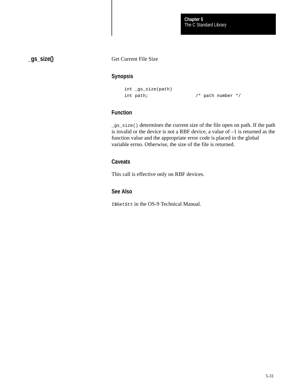# **\_gs\_size()**

### Get Current File Size

### **Synopsis**

```
int _gs_size(path)
int path; \frac{1}{2} /* path number */
```
# **Function**

\_gs\_size() determines the current size of the file open on path. If the path is invalid or the device is not a RBF device, a value of –1 is returned as the function value and the appropriate error code is placed in the global variable errno. Otherwise, the size of the file is returned.

## **Caveats**

This call is effective only on RBF devices.

## **See Also**

I\$GetStt in the OS-9 Technical Manual.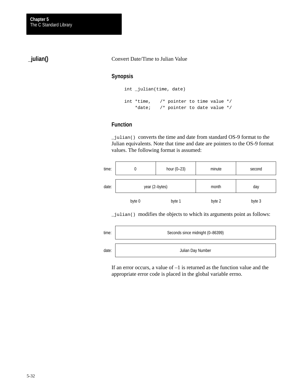# **\_julian()**

#### Convert Date/Time to Julian Value

## **Synopsis**

```
int _julian(time, date)
int *time, /* pointer to time value */
    *date; /* pointer to date value */
```
### **Function**

\_julian() converts the time and date from standard OS-9 format to the Julian equivalents. Note that time and date are pointers to the OS-9 format values. The following format is assumed:

| time: | υ              | hour $(0-23)$ | minute | second |  |
|-------|----------------|---------------|--------|--------|--|
| date: | year (2-bytes) |               | month  | day    |  |
|       | byte 0         | byte 1        | byte 2 | byte 3 |  |

\_julian() modifies the objects to which its arguments point as follows:

| time: | Seconds since midnight (0-86399) |
|-------|----------------------------------|
| date: | Julian Day Number                |

If an error occurs, a value of –1 is returned as the function value and the appropriate error code is placed in the global variable errno.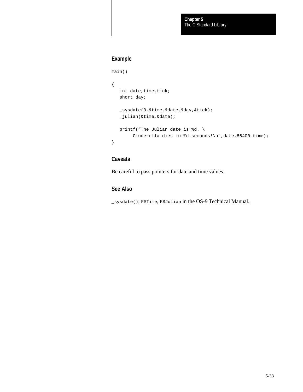# **Example**

```
main()
{
   int date, time, tick;
    short day;
    _sysdate(0,&time,&date,&day,&tick);
    _julian(&time,&date);
    printf("The Julian date is %d. \
         Cinderella dies in %d seconds!\n",date,86400–time);
}
```
## **Caveats**

Be careful to pass pointers for date and time values.

## **See Also**

\_sysdate(); F\$Time, F\$Julian in the OS-9 Technical Manual.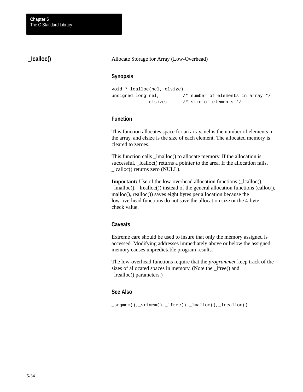# **\_Icalloc()**

Allocate Storage for Array (Low-Overhead)

### **Synopsis**

```
void *_lcalloc(nel, elsize)
unsigned long nel, \frac{1}{2} /* number of elements in array */
               elsize; /* size of elements */
```
### **Function**

This function allocates space for an array. nel is the number of elements in the array, and elsize is the size of each element. The allocated memory is cleared to zeroes.

This function calls \_lmalloc() to allocate memory. If the allocation is successful, \_lcalloc() returns a pointer to the area. If the allocation fails, \_lcalloc() returns zero (NULL).

**Important:** Use of the low-overhead allocation functions ( $\text{\_}lcal{C}$ ), \_lmalloc(), \_lrealloc()) instead of the general allocation functions (calloc(), malloc(), realloc()) saves eight bytes per allocation because the low-overhead functions do not save the allocation size or the 4-byte check value.

### **Caveats**

Extreme care should be used to insure that only the memory assigned is accessed. Modifying addresses immediately above or below the assigned memory causes unpredictable program results.

The low-overhead functions require that the *programmer* keep track of the sizes of allocated spaces in memory. (Note the \_lfree() and \_lrealloc() parameters.)

## **See Also**

\_srqmem(), \_srtmem(), \_lfree(), \_lmalloc(), \_lrealloc()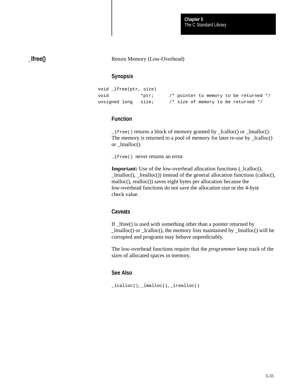## **\_lfree()**

#### Return Memory (Low-Overhead)

## **Synopsis**

```
void _lfree(ptr, size)
void *ptr; /* pointer to memory to be returned */
unsigned long size; \frac{1}{3} /* size of memory to be returned */
```
### **Function**

\_lfree() returns a block of memory granted by \_lcalloc() or \_lmalloc(). The memory is returned to a pool of memory for later re-use by \_lcalloc() or \_lmalloc().

\_lfree() never returns an error.

**Important:** Use of the low-overhead allocation functions (\_lcalloc(), \_lmalloc(), \_lrealloc()) instead of the general allocation functions (calloc(), malloc(), realloc()) saves eight bytes per allocation because the low-overhead functions do not save the allocation size or the 4-byte check value.

### **Caveats**

If \_lfree() is used with something other than a pointer returned by \_lmalloc() or \_lcalloc(), the memory lists maintained by \_lmalloc() will be corrupted and programs may behave unpredictably.

The low-overhead functions require that the *programmer* keep track of the sizes of allocated spaces in memory.

## **See Also**

\_lcalloc(), \_lmalloc(), \_lrealloc()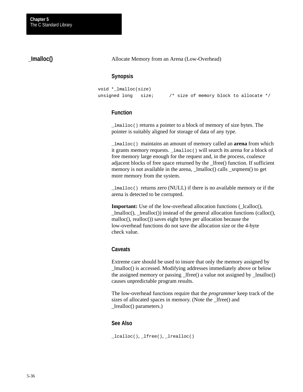## **\_Imalloc()**

Allocate Memory from an Arena (Low-Overhead)

## **Synopsis**

```
void *_lmalloc(size)
unsigned long size; /* size of memory block to allocate */
```
#### **Function**

\_lmalloc() returns a pointer to a block of memory of size bytes. The pointer is suitably aligned for storage of data of any type.

\_lmalloc() maintains an amount of memory called an **arena** from which it grants memory requests. \_lmalloc() will search its arena for a block of free memory large enough for the request and, in the process, coalesce adjacent blocks of free space returned by the \_lfree() function. If sufficient memory is not available in the arena,  $\text{Imalloc}()$  calls  $\text{sqrt}()$  to get more memory from the system.

\_lmalloc() returns zero (NULL) if there is no available memory or if the arena is detected to be corrupted.

**Important:** Use of the low-overhead allocation functions (\_lcalloc(),  $lmalloc()$ ,  $lrealloc()$  instead of the general allocation functions (calloc(), malloc(), realloc()) saves eight bytes per allocation because the low-overhead functions do not save the allocation size or the 4-byte check value.

#### **Caveats**

Extreme care should be used to insure that only the memory assigned by \_lmalloc() is accessed. Modifying addresses immediately above or below the assigned memory or passing \_lfree() a value not assigned by \_lmalloc() causes unpredictable program results.

The low-overhead functions require that the *programmer* keep track of the sizes of allocated spaces in memory. (Note the \_lfree() and \_lrealloc() parameters.)

#### **See Also**

\_lcalloc(), \_lfree(), \_lrealloc()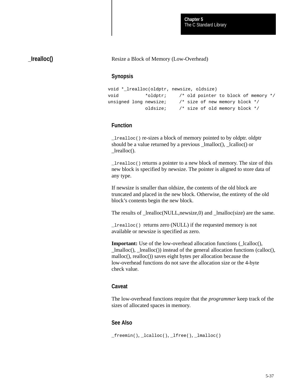## **\_Irealloc()**

Resize a Block of Memory (Low-Overhead)

## **Synopsis**

```
void *_lrealloc(oldptr, newsize, oldsize)
void *oldptr; /* old pointer to block of memory */
unsigned long newsize; /* size of new memory block */
             oldsize; /* size of old memory block */
```
## **Function**

\_lrealloc() re-sizes a block of memory pointed to by oldptr. oldptr should be a value returned by a previous \_lmalloc(), \_lcalloc() or lrealloc().

\_lrealloc() returns a pointer to a new block of memory. The size of this new block is specified by newsize. The pointer is aligned to store data of any type.

If newsize is smaller than oldsize, the contents of the old block are truncated and placed in the new block. Otherwise, the entirety of the old block's contents begin the new block.

The results of \_lrealloc(NULL,newsize,0) and \_lmalloc(size) are the same.

 $\lnot$  lrealloc() returns zero (NULL) if the requested memory is not available or newsize is specified as zero.

**Important:** Use of the low-overhead allocation functions (\_lcalloc(), \_lmalloc(), \_lrealloc()) instead of the general allocation functions (calloc(), malloc(), realloc()) saves eight bytes per allocation because the low-overhead functions do not save the allocation size or the 4-byte check value.

### **Caveat**

The low-overhead functions require that the *programmer* keep track of the sizes of allocated spaces in memory.

### **See Also**

```
_freemin(), _lcalloc(), _lfree(), _lmalloc()
```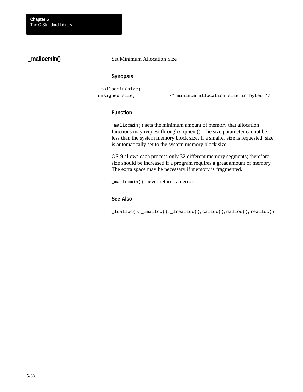# **\_mallocmin()**

#### Set Minimum Allocation Size

## **Synopsis**

```
_mallocmin(size)
```
unsigned size;  $\frac{1}{2}$  /\* minimum allocation size in bytes \*/

## **Function**

\_mallocmin() sets the minimum amount of memory that allocation functions may request through srqmem(). The size parameter cannot be less than the system memory block size. If a smaller size is requested, size is automatically set to the system memory block size.

OS-9 allows each process only 32 different memory segments; therefore, size should be increased if a program requires a great amount of memory. The extra space may be necessary if memory is fragmented.

\_mallocmin() never returns an error.

## **See Also**

\_lcalloc(), \_lmalloc(), \_lrealloc(), calloc(), malloc(), realloc()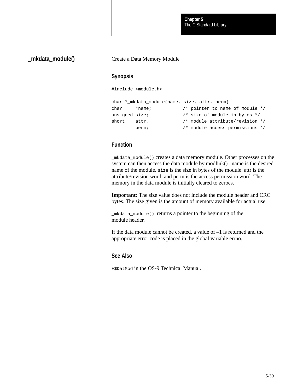The C Standard Library **Chapter 5**

## **\_mkdata\_module()**

#### Create a Data Memory Module

### **Synopsis**

#include <module.h>

|                | char *_mkdata_module(name, size, attr, perm) |                                   |
|----------------|----------------------------------------------|-----------------------------------|
| char           | *name;                                       | /* pointer to name of module $*/$ |
| unsigned size; |                                              | /* size of module in bytes $*/$   |
| short attr.    |                                              | /* module attribute/revision */   |
|                | perm;                                        | /* module access permissions */   |

## **Function**

\_mkdata\_module() creates a data memory module. Other processes on the system can then access the data module by modlink() . name is the desired name of the module. size is the size in bytes of the module. attr is the attribute/revision word, and perm is the access permission word. The memory in the data module is initially cleared to zeroes.

**Important:** The size value does not include the module header and CRC bytes. The size given is the amount of memory available for actual use.

\_mkdata\_module() returns a pointer to the beginning of the module header.

If the data module cannot be created, a value of –1 is returned and the appropriate error code is placed in the global variable errno.

## **See Also**

F\$DatMod in the OS-9 Technical Manual.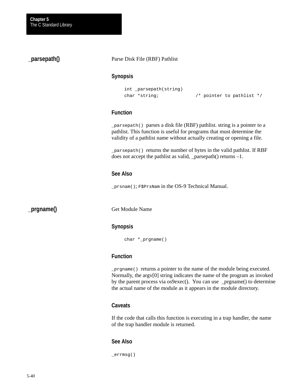## **\_parsepath()**

#### Parse Disk File (RBF) Pathlist

#### **Synopsis**

```
int _parsepath(string)
char *string; \sqrt{a} /* pointer to pathlist */
```
## **Function**

\_parsepath() parses a disk file (RBF) pathlist. string is a pointer to a pathlist. This function is useful for programs that must determine the validity of a pathlist name without actually creating or opening a file.

\_parsepath() returns the number of bytes in the valid pathlist. If RBF does not accept the pathlist as valid, \_parsepath() returns –1.

#### **See Also**

\_prsnam(); F\$PrsNam in the OS-9 Technical Manual.

**\_prgname()**

Get Module Name

## **Synopsis**

char \*\_prgname()

## **Function**

\_prgname() returns a pointer to the name of the module being executed. Normally, the argv[0] string indicates the name of the program as invoked by the parent process via os9exec(). You can use \_prgname() to determine the actual name of the module as it appears in the module directory.

## **Caveats**

If the code that calls this function is executing in a trap handler, the name of the trap handler module is returned.

### **See Also**

\_errmsg()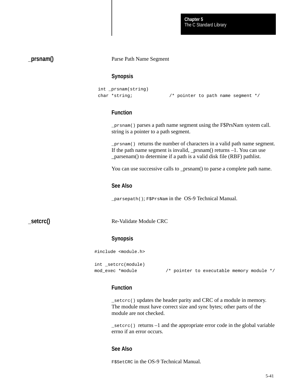### **\_prsnam()**

Parse Path Name Segment

### **Synopsis**

```
int _prsnam(string)
char *string; /* pointer to path name segment */
```
## **Function**

\_prsnam() parses a path name segment using the F\$PrsNam system call. string is a pointer to a path segment.

\_prsnam() returns the number of characters in a valid path name segment. If the path name segment is invalid,  $_{\rm prsnam}$ () returns  $-1$ . You can use \_parsenam() to determine if a path is a valid disk file (RBF) pathlist.

You can use successive calls to \_prsnam() to parse a complete path name.

#### **See Also**

\_parsepath(); F\$PrsNam in the OS-9 Technical Manual.

**\_setcrc()**

Re-Validate Module CRC

#### **Synopsis**

#include <module.h>

```
int _setcrc(module)
```
mod exec \*module /\* pointer to executable memory module \*/

### **Function**

\_setcrc() updates the header parity and CRC of a module in memory. The module must have correct size and sync bytes; other parts of the module are not checked.

 $S<sub>0</sub>$  setcrc() returns –1 and the appropriate error code in the global variable errno if an error occurs.

### **See Also**

F\$SetCRC in the OS-9 Technical Manual*.*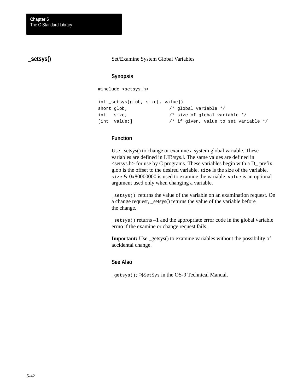**\_setsys()**

Set/Examine System Global Variables

## **Synopsis**

#include <setsys.h>

```
int _setsys(glob, size[, value])
short glob; \frac{1}{100} /* global variable */
int size; /* size of global variable */
[int value;] /* if given, value to set variable */
```
### **Function**

Use \_setsys() to change or examine a system global variable. These variables are defined in LIB/sys.l. The same values are defined in  $\le$ setsys.h for use by C programs. These variables begin with a D\_ prefix. glob is the offset to the desired variable. size is the size of the variable. size  $& 0x80000000$  is used to examine the variable. value is an optional argument used only when changing a variable.

\_setsys() returns the value of the variable on an examination request. On a change request, \_setsys() returns the value of the variable before the change.

\_setsys() returns –1 and the appropriate error code in the global variable errno if the examine or change request fails.

**Important:** Use \_getsys() to examine variables without the possibility of accidental change.

### **See Also**

\_getsys(); F\$SetSys in the OS-9 Technical Manual.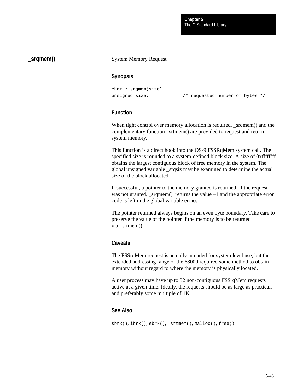## **\_srqmem()**

#### System Memory Request

#### **Synopsis**

```
char *_srqmem(size)
unsigned size; \frac{1}{2} /* requested number of bytes */
```
## **Function**

When tight control over memory allocation is required, \_srqmem() and the complementary function \_srtmem() are provided to request and return system memory.

This function is a direct hook into the OS-9 F\$SRqMem system call. The specified size is rounded to a system-defined block size. A size of 0xffffffff obtains the largest contiguous block of free memory in the system. The global unsigned variable \_srqsiz may be examined to determine the actual size of the block allocated.

If successful, a pointer to the memory granted is returned. If the request was not granted, \_srqmem() returns the value –1 and the appropriate error code is left in the global variable errno.

The pointer returned always begins on an even byte boundary. Take care to preserve the value of the pointer if the memory is to be returned via \_srtmem().

### **Caveats**

The F\$SrqMem request is actually intended for system level use, but the extended addressing range of the 68000 required some method to obtain memory without regard to where the memory is physically located.

A user process may have up to 32 non-contiguous F\$SrqMem requests active at a given time. Ideally, the requests should be as large as practical, and preferably some multiple of 1K.

### **See Also**

sbrk(), ibrk(), ebrk(), \_srtmem(), malloc(), free()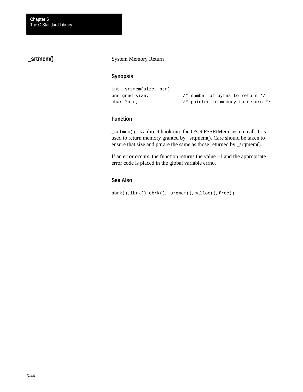# **\_srtmem()**

#### System Memory Return

### **Synopsis**

```
int _srtmem(size, ptr)
unsigned size; \frac{1}{2} /* number of bytes to return */
char *ptr; \frac{1}{2} /* pointer to memory to return */
```
## **Function**

\_srtmem() is a direct hook into the OS-9 F\$SRtMem system call. It is used to return memory granted by \_srqmem(). Care should be taken to ensure that size and ptr are the same as those returned by \_srqmem().

If an error occurs, the function returns the value –1 and the appropriate error code is placed in the global variable errno.

## **See Also**

sbrk(), ibrk(), ebrk(), \_srqmem(), malloc(), free()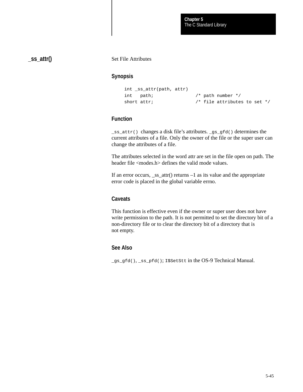## **\_ss\_attr()**

#### Set File Attributes

### **Synopsis**

```
int _ss_attr(path, attr)
int path; /* path number */
short attr; \frac{1}{4} /* file attributes to set */
```
## **Function**

\_ss\_attr() changes a disk file's attributes. \_gs\_gfd() determines the current attributes of a file. Only the owner of the file or the super user can change the attributes of a file.

The attributes selected in the word attr are set in the file open on path. The header file <modes.h> defines the valid mode values.

If an error occurs, ss  $\text{attr}()$  returns –1 as its value and the appropriate error code is placed in the global variable errno.

### **Caveats**

This function is effective even if the owner or super user does not have write permission to the path. It is not permitted to set the directory bit of a non-directory file or to clear the directory bit of a directory that is not empty.

### **See Also**

\_gs\_gfd(), \_ss\_pfd(); I\$SetStt in the OS-9 Technical Manual.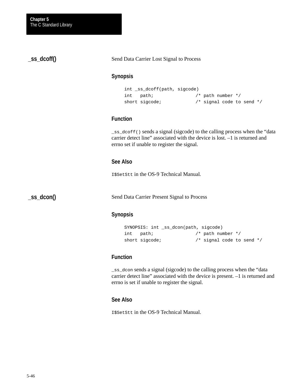## **\_ss\_dcoff()**

Send Data Carrier Lost Signal to Process

### **Synopsis**

```
int _ss_dcoff(path, sigcode)
int path; /* path number */
short sigcode; \frac{1}{2} /* signal code to send */
```
## **Function**

\_ss\_dcoff() sends a signal (sigcode) to the calling process when the "data carrier detect line" associated with the device is lost. –1 is returned and errno set if unable to register the signal.

## **See Also**

I\$SetStt in the OS-9 Technical Manual*.*

**\_ss\_dcon()**

Send Data Carrier Present Signal to Process

#### **Synopsis**

```
SYNOPSIS: int _ss_dcon(path, sigcode)
int path; /* path number */
short sigcode; \frac{1}{2} /* signal code to send */
```
### **Function**

\_ss\_dcon sends a signal (sigcode) to the calling process when the "data carrier detect line" associated with the device is present. –1 is returned and errno is set if unable to register the signal.

#### **See Also**

I\$SetStt in the OS-9 Technical Manual.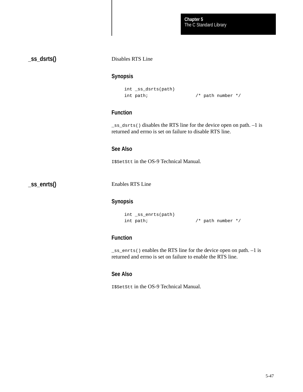**\_ss\_dsrts()**

#### Disables RTS Line

### **Synopsis**

```
int _ss_dsrts(path)
int path; /* path number */
```
## **Function**

\_ss\_dsrts() disables the RTS line for the device open on path. –1 is returned and errno is set on failure to disable RTS line.

## **See Also**

I\$SetStt in the OS-9 Technical Manual*.*

**\_ss\_enrts()**

Enables RTS Line

### **Synopsis**

```
int _ss_enrts(path)
int path; /* path number */
```
## **Function**

\_ss\_enrts() enables the RTS line for the device open on path. –1 is returned and errno is set on failure to enable the RTS line.

## **See Also**

I\$SetStt in the OS-9 Technical Manual.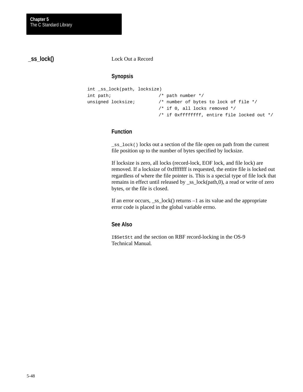**\_ss\_lock()**

Lock Out a Record

## **Synopsis**

```
int _ss_lock(path, locksize)
int path; \frac{1}{2} /* path number */
unsigned locksize; \frac{1}{2} /* number of bytes to lock of file */
                          /* if 0, all locks removed */
                          /* if 0xffffffff, entire file locked out */
```
## **Function**

\_ss\_lock() locks out a section of the file open on path from the current file position up to the number of bytes specified by locksize.

If locksize is zero, all locks (record-lock, EOF lock, and file lock) are removed. If a locksize of 0xffffffff is requested, the entire file is locked out regardless of where the file pointer is. This is a special type of file lock that remains in effect until released by \_ss\_lock(path,0), a read or write of zero bytes, or the file is closed.

If an error occurs,  $\text{Lss}_2$  lock() returns  $-1$  as its value and the appropriate error code is placed in the global variable errno.

### **See Also**

I\$SetStt and the section on RBF record-locking in the OS-9 Technical Manual*.*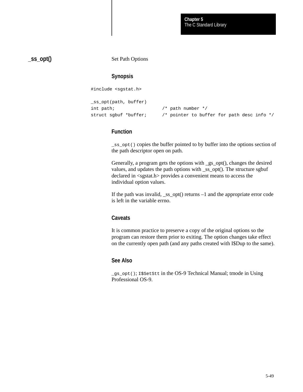**\_ss\_opt()**

Set Path Options

## **Synopsis**

#include <sgstat.h>

```
_ss_opt(path, buffer)
int path; /* path number */
struct sgbuf *buffer; /* pointer to buffer for path desc info */
```
### **Function**

\_ss\_opt() copies the buffer pointed to by buffer into the options section of the path descriptor open on path.

Generally, a program gets the options with \_gs\_opt(), changes the desired values, and updates the path options with \_ss\_opt(). The structure sgbuf declared in <sgstat.h> provides a convenient means to access the individual option values.

If the path was invalid, \_ss\_opt() returns –1 and the appropriate error code is left in the variable errno.

### **Caveats**

It is common practice to preserve a copy of the original options so the program can restore them prior to exiting. The option changes take effect on the currently open path (and any paths created with I\$Dup to the same).

#### **See Also**

\_gs\_opt(); I\$SetStt in the OS-9 Technical Manual; tmode in Using Professional OS-9.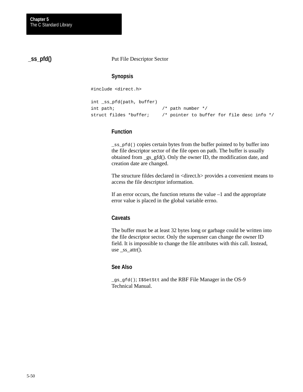**\_ss\_pfd()**

Put File Descriptor Sector

### **Synopsis**

#include <direct.h>

```
int _ss_pfd(path, buffer)
int path; /* path number */
struct fildes *buffer; /* pointer to buffer for file desc info */
```
## **Function**

\_ss\_pfd() copies certain bytes from the buffer pointed to by buffer into the file descriptor sector of the file open on path. The buffer is usually obtained from \_gs\_gfd(). Only the owner ID, the modification date, and creation date are changed.

The structure fildes declared in <direct.h> provides a convenient means to access the file descriptor information.

If an error occurs, the function returns the value  $-1$  and the appropriate error value is placed in the global variable errno.

### **Caveats**

The buffer must be at least 32 bytes long or garbage could be written into the file descriptor sector. Only the superuser can change the owner ID field. It is impossible to change the file attributes with this call. Instead, use \_ss\_attr().

### **See Also**

\_gs\_gfd(); I\$SetStt and the RBF File Manager in the OS-9 Technical Manual.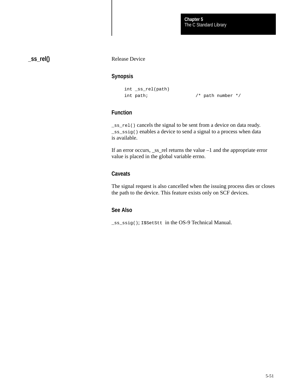**\_ss\_rel()**

Release Device

## **Synopsis**

```
int _ss_rel(path)
int path; \frac{1}{x} /* path number */
```
## **Function**

\_ss\_rel() cancels the signal to be sent from a device on data ready. \_ss\_ssig() enables a device to send a signal to a process when data is available.

If an error occurs, \_ss\_rel returns the value –1 and the appropriate error value is placed in the global variable errno.

## **Caveats**

The signal request is also cancelled when the issuing process dies or closes the path to the device. This feature exists only on SCF devices.

## **See Also**

\_ss\_ssig(); I\$SetStt in the OS-9 Technical Manual.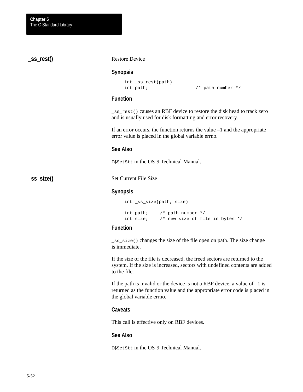Restore Device **Synopsis** int \_ss\_rest(path) int path; /\* path number \*/ **Function** \_ss\_rest() causes an RBF device to restore the disk head to track zero and is usually used for disk formatting and error recovery. If an error occurs, the function returns the value  $-1$  and the appropriate error value is placed in the global variable errno. **See Also** I\$SetStt in the OS-9 Technical Manual. Set Current File Size **Synopsis** int \_ss\_size(path, size) int path; /\* path number \*/ int size; /\* new size of file in bytes \*/ **Function**  $\text{Lss\_size}$  () changes the size of the file open on path. The size change is immediate. If the size of the file is decreased, the freed sectors are returned to the system. If the size is increased, sectors with undefined contents are added to the file. **\_ss\_rest() \_ss\_size()**

> If the path is invalid or the device is not a RBF device, a value of  $-1$  is returned as the function value and the appropriate error code is placed in the global variable errno.

#### **Caveats**

This call is effective only on RBF devices.

### **See Also**

I\$SetStt in the OS-9 Technical Manual.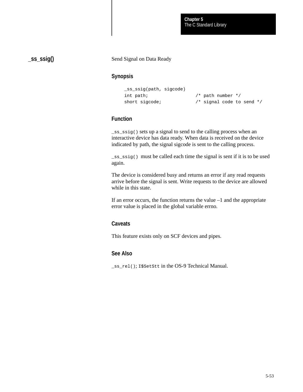**\_ss\_ssig()**

#### Send Signal on Data Ready

### **Synopsis**

```
_ss_ssig(path, sigcode)
int path; \frac{1}{2} /* path number */
short sigcode; \frac{1}{2} /* signal code to send */
```
## **Function**

\_ss\_ssig() sets up a signal to send to the calling process when an interactive device has data ready. When data is received on the device indicated by path, the signal sigcode is sent to the calling process.

\_ss\_ssig() must be called each time the signal is sent if it is to be used again.

The device is considered busy and returns an error if any read requests arrive before the signal is sent. Write requests to the device are allowed while in this state.

If an error occurs, the function returns the value –1 and the appropriate error value is placed in the global variable errno.

#### **Caveats**

This feature exists only on SCF devices and pipes.

## **See Also**

\_ss\_rel(); I\$SetStt in the OS-9 Technical Manual.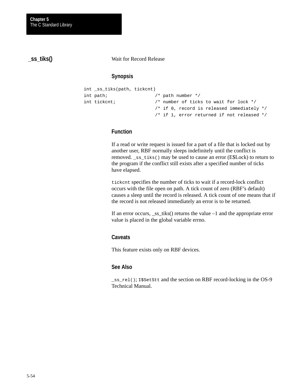**\_ss\_tiks()**

Wait for Record Release

## **Synopsis**

```
int _ss_tiks(path, tickcnt)
int path; \frac{1}{2} /* path number */
int tickcnt; /* number of ticks to wait for lock */
                        /* if 0, record is released immediately */
                        /* if 1, error returned if not released */
```
## **Function**

If a read or write request is issued for a part of a file that is locked out by another user, RBF normally sleeps indefinitely until the conflict is removed. \_ss\_tiks() may be used to cause an error (E\$Lock) to return to the program if the conflict still exists after a specified number of ticks have elapsed.

tickcnt specifies the number of ticks to wait if a record-lock conflict occurs with the file open on path. A tick count of zero (RBF's default) causes a sleep until the record is released. A tick count of one means that if the record is not released immediately an error is to be returned.

If an error occurs, \_ss\_tiks() returns the value –1 and the appropriate error value is placed in the global variable errno.

### **Caveats**

This feature exists only on RBF devices.

### **See Also**

\_ss\_rel(); I\$SetStt and the section on RBF record-locking in the OS-9 Technical Manual.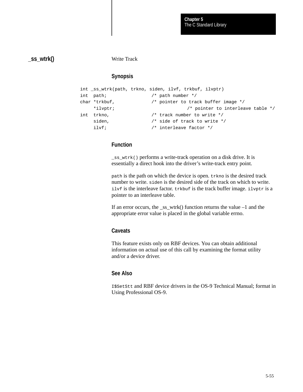## **\_ss\_wtrk()**

Write Track

## **Synopsis**

```
int _ss_wtrk(path, trkno, siden, ilvf, trkbuf, ilvptr)
int path; /* path number */
char *trkbuf, /* pointer to track buffer image */
    *ilvptr; /* pointer to interleave table */
int trkno, /* track number to write */
   siden, \frac{1}{1 + \text{side of track to write *}} ilvf; /* interleave factor */
```
## **Function**

\_ss\_wtrk() performs a write-track operation on a disk drive. It is essentially a direct hook into the driver's write-track entry point.

path is the path on which the device is open. trkno is the desired track number to write. siden is the desired side of the track on which to write. ilvf is the interleave factor. trkbuf is the track buffer image. ilvptr is a pointer to an interleave table.

If an error occurs, the ss wtrk() function returns the value  $-1$  and the appropriate error value is placed in the global variable errno.

### **Caveats**

This feature exists only on RBF devices. You can obtain additional information on actual use of this call by examining the format utility and/or a device driver.

### **See Also**

I\$SetStt and RBF device drivers in the OS-9 Technical Manual; format in Using Professional OS-9.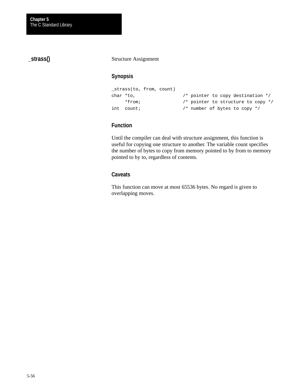# **\_strass()**

#### Structure Assignment

### **Synopsis**

```
_strass(to, from, count)
char *to, 4* pointer to copy destination */
    *from; /* pointer to structure to copy */
int count; /* number of bytes to copy */
```
## **Function**

Until the compiler can deal with structure assignment, this function is useful for copying one structure to another. The variable count specifies the number of bytes to copy from memory pointed to by from to memory pointed to by to, regardless of contents.

### **Caveats**

This function can move at most 65536 bytes. No regard is given to overlapping moves.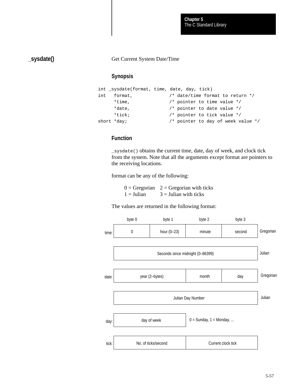# **\_sysdate()**

#### Get Current System Date/Time

### **Synopsis**

```
int _sysdate(format, time, date, day, tick)
int format, /* date/time format to return */
     *time, /* pointer to time value */ 
     *date, /* pointer to date value */
     *tick; /* pointer to tick value */
short *day; 4/ pointer to day of week value */
```
## **Function**

\_sysdate() obtains the current time, date, day of week, and clock tick from the system. Note that all the arguments except format are pointers to the receiving locations.

format can be any of the following:

|              | $0 = Gregorian$ 2 = Gregorian with ticks |
|--------------|------------------------------------------|
| $1 =$ Julian | $3 =$ Julian with ticks                  |

The values are returned in the following format:

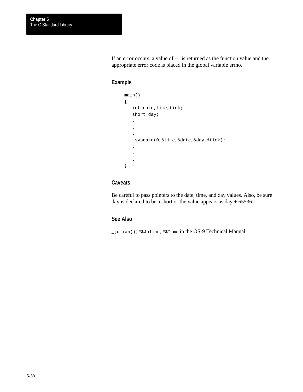If an error occurs, a value of  $-1$  is returned as the function value and the appropriate error code is placed in the global variable errno.

### **Example**

```
main()
{
   int date, time, tick;
    short day;
    .
     .
     .
    _sysdate(0,&time,&date,&day,&tick);
    .
    .
     .
}
```
## **Caveats**

Be careful to pass pointers to the date, time, and day values. Also, be sure day is declared to be a short or the value appears as  $day + 65536!$ 

## **See Also**

\_julian(); F\$Julian, F\$Time in the OS-9 Technical Manual.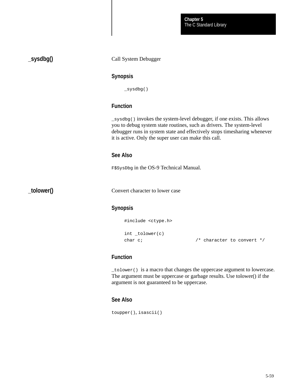The C Standard Library **Chapter 5**

Call System Debugger **Synopsis** \_sysdbg() **Function** \_sysdbg() invokes the system-level debugger, if one exists. This allows you to debug system state routines, such as drivers. The system-level debugger runs in system state and effectively stops timesharing whenever it is active. Only the super user can make this call. **See Also** F\$SysDbg in the OS-9 Technical Manual. Convert character to lower case **Synopsis** #include <ctype.h> int \_tolower(c)

## **Function**

**\_sysdbg()**

**\_tolower()**

\_tolower() is a macro that changes the uppercase argument to lowercase. The argument must be uppercase or garbage results. Use tolower() if the argument is not guaranteed to be uppercase.

char c;  $\frac{1}{2}$  /\* character to convert \*/

#### **See Also**

toupper(), isascii()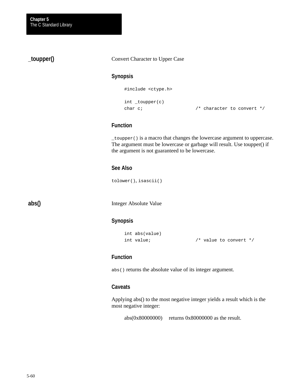# **\_toupper()**

#### Convert Character to Upper Case

### **Synopsis**

#include <ctype.h>

```
int _toupper(c)
```
char c;  $\frac{1}{2}$  /\* character to convert \*/

## **Function**

\_toupper() is a macro that changes the lowercase argument to uppercase. The argument must be lowercase or garbage will result. Use toupper() if the argument is not guaranteed to be lowercase.

### **See Also**

tolower(), isascii()

**abs()**

Integer Absolute Value

## **Synopsis**

```
int abs(value)
```
int value; /\* value to convert \*/

### **Function**

abs() returns the absolute value of its integer argument.

### **Caveats**

Applying abs() to the most negative integer yields a result which is the most negative integer:

abs(0x80000000) returns 0x80000000 as the result.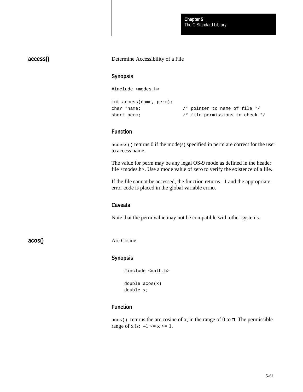The C Standard Library **Chapter 5**

**access()**

#### Determine Accessibility of a File

### **Synopsis**

#include <modes.h>

```
int access(name, perm);
char *name; /* pointer to name of file */
short perm; \frac{1}{2} /* file permissions to check */
```
### **Function**

access() returns 0 if the mode(s) specified in perm are correct for the user to access name.

The value for perm may be any legal OS-9 mode as defined in the header file <modes.h>. Use a mode value of zero to verify the existence of a file.

If the file cannot be accessed, the function returns –1 and the appropriate error code is placed in the global variable errno.

#### **Caveats**

Note that the perm value may not be compatible with other systems.

**acos()**

Arc Cosine

#### **Synopsis**

```
#include <math.h>
double acos(x)
```

```
double x;
```
## **Function**

 $\alpha$ cos() returns the arc cosine of x, in the range of 0 to  $\pi$ . The permissible range of x is:  $-1 \le x \le 1$ .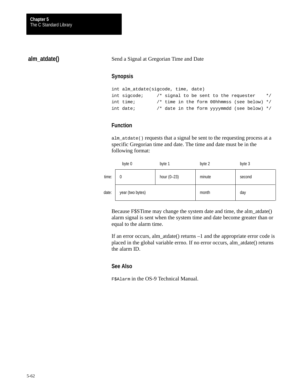## **alm\_atdate()**

Send a Signal at Gregorian Time and Date

### **Synopsis**

```
int alm_atdate(sigcode, time, date)
int sigcode; \frac{1}{3} /* signal to be sent to the requester */
int time; /* time in the form 00hhmmss (see below) */
int date; /* date in the form yyyymmdd (see below) */
```
## **Function**

alm\_atdate() requests that a signal be sent to the requesting process at a specific Gregorian time and date. The time and date must be in the following format:

|       | byte 0           | byte 1        | byte 2 | byte 3 |
|-------|------------------|---------------|--------|--------|
| time: | 0                | hour $(0-23)$ | minute | second |
| date: | year (two bytes) |               | month  | day    |

Because F\$STime may change the system date and time, the alm\_atdate() alarm signal is sent when the system time and date become greater than or equal to the alarm time.

If an error occurs, alm\_atdate() returns –1 and the appropriate error code is placed in the global variable errno. If no error occurs, alm\_atdate() returns the alarm ID.

#### **See Also**

F\$Alarm in the OS-9 Technical Manual.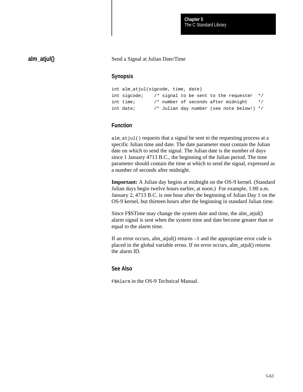## **alm\_atjul()**

Send a Signal at Julian Date/Time

## **Synopsis**

| int alm atjul(sigcode, time, date) |  |  |                                               |           |
|------------------------------------|--|--|-----------------------------------------------|-----------|
| int sigcode;                       |  |  | $\prime$ * signal to be sent to the requester | $\star$ / |
| int time;                          |  |  | /* number of seconds after midnight           | $\star$ / |
| int date;                          |  |  | /* Julian day number (see note below!) */     |           |

## **Function**

alm\_atjul() requests that a signal be sent to the requesting process at a specific Julian time and date. The date parameter must contain the Julian date on which to send the signal. The Julian date is the number of days since 1 January 4713 B.C., the beginning of the Julian period. The time parameter should contain the time at which to send the signal, expressed as a number of seconds after midnight.

**Important:** A Julian day begins at midnight on the OS-9 kernel. (Standard Julian days begin twelve hours earlier, at noon.) For example, 1:00 a.m. January 2, 4713 B.C. is one hour after the beginning of Julian Day 1 on the OS-9 kernel, but thirteen hours after the beginning in standard Julian time.

Since F\$STime may change the system date and time, the alm\_atjul() alarm signal is sent when the system time and date become greater than or equal to the alarm time.

If an error occurs, alm\_atjul() returns –1 and the appropriate error code is placed in the global variable errno. If no error occurs, alm\_atjul() returns the alarm ID.

## **See Also**

F\$Alarm in the OS-9 Technical Manual.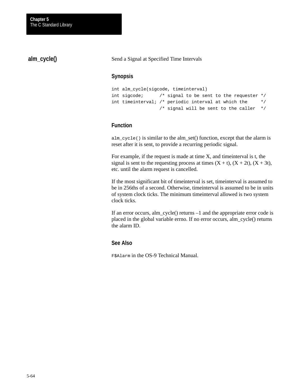# **alm\_cycle()**

Send a Signal at Specified Time Intervals

## **Synopsis**

```
int alm_cycle(sigcode, timeinterval)
int sigcode; /* signal to be sent to the requester */
int timeinterval; /* periodic interval at which the */
                  /* signal will be sent to the caller */
```
## **Function**

alm\_cycle() is similar to the alm\_set() function, except that the alarm is reset after it is sent, to provide a recurring periodic signal.

For example, if the request is made at time X, and timeinterval is t, the signal is sent to the requesting process at times  $(X + t)$ ,  $(X + 2t)$ ,  $(X + 3t)$ , etc. until the alarm request is cancelled.

If the most significant bit of timeinterval is set, timeinterval is assumed to be in 256ths of a second. Otherwise, timeinterval is assumed to be in units of system clock ticks. The minimum timeinterval allowed is two system clock ticks.

If an error occurs, alm cycle() returns –1 and the appropriate error code is placed in the global variable errno. If no error occurs, alm\_cycle() returns the alarm ID.

## **See Also**

F\$Alarm in the OS-9 Technical Manual.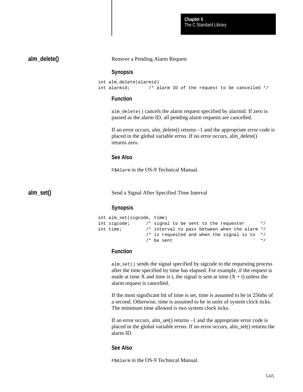The C Standard Library **Chapter 5**

**alm\_delete()**

Remove a Pending Alarm Request

#### **Synopsis**

```
int alm_delete(alarmid)
int alarmid; /* alarm ID of the request to be cancelled */
```
### **Function**

alm\_delete() cancels the alarm request specified by alarmid. If zero is passed as the alarm ID, all pending alarm requests are cancelled.

If an error occurs, alm\_delete() returns –1 and the appropriate error code is placed in the global variable errno. If no error occurs, alm\_delete() returns zero.

#### **See Also**

F\$Alarm in the OS-9 Technical Manual.

**alm\_set()**

Send a Signal After Specified Time Interval

#### **Synopsis**

| int alm set(sigcode, time) |  |                                                 |           |
|----------------------------|--|-------------------------------------------------|-----------|
| int sigcode;               |  | $/*$ signal to be sent to the requester         | $\star$ / |
| int time;                  |  | /* interval to pass between when the alarm $*/$ |           |
|                            |  | /* is requested and when the signal is to $*/$  |           |
|                            |  | $/*$ be sent                                    | $\star$ / |

#### **Function**

alm\_set() sends the signal specified by sigcode to the requesting process after the time specified by time has elapsed. For example, if the request is made at time X and time is t, the signal is sent at time  $(X + t)$  unless the alarm request is cancelled.

If the most significant bit of time is set, time is assumed to be in 256ths of a second. Otherwise, time is assumed to be in units of system clock ticks. The minimum time allowed is two system clock ticks.

If an error occurs, alm\_set() returns –1 and the appropriate error code is placed in the global variable errno. If no error occurs, alm\_set() returns the alarm ID.

#### **See Also**

F\$Alarm in the OS-9 Technical Manual.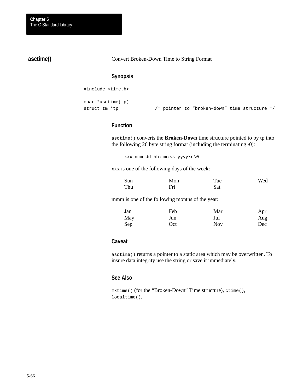# **asctime()**

Convert Broken-Down Time to String Format

## **Synopsis**

#include <time.h>

```
char *asctime(tp)
struct tm *tp /* pointer to "broken–down" time structure */
```
# **Function**

asctime() converts the **Broken-Down** time structure pointed to by tp into the following 26 byte string format (including the terminating  $\setminus 0$ ):

xxx mmm dd hh:mm:ss yyyy\n\0

xxx is one of the following days of the week:

| Sun | Mon | Tue | Wed |
|-----|-----|-----|-----|
| Thu | Fri | Sat |     |

mmm is one of the following months of the year:

| Jan | Feb | Mar        | Apr |
|-----|-----|------------|-----|
| May | Jun | Jul        | Aug |
| Sep | Oct | <b>Nov</b> | Dec |

#### **Caveat**

asctime() returns a pointer to a static area which may be overwritten. To insure data integrity use the string or save it immediately.

# **See Also**

mktime() (for the "Broken-Down" Time structure), ctime(), localtime().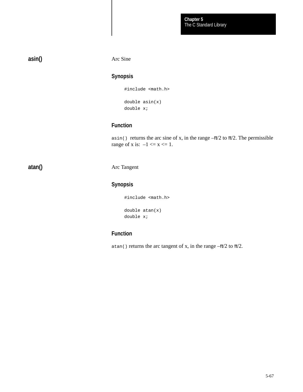# **asin()**

Arc Sine

# **Synopsis**

#include <math.h>

double asin(x) double x;

# **Function**

asin() returns the arc sine of x, in the range  $-\pi/2$  to  $\pi/2$ . The permissible range of x is:  $-1 \le x \le 1$ .

**atan()**

#### Arc Tangent

# **Synopsis**

#include <math.h> double atan(x)

double x;

# **Function**

atan() returns the arc tangent of x, in the range  $-\pi/2$  to  $\pi/2$ .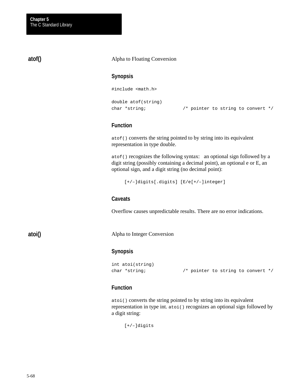# **atof()**

#### Alpha to Floating Conversion

#### **Synopsis**

#include <math.h>

```
double atof(string)
```
char \*string; /\* pointer to string to convert \*/

### **Function**

atof() converts the string pointed to by string into its equivalent representation in type double.

atof() recognizes the following syntax: an optional sign followed by a digit string (possibly containing a decimal point), an optional e or E, an optional sign, and a digit string (no decimal point):

```
[+/–]digits[.digits] [E/e[+/–]integer]
```
### **Caveats**

Overflow causes unpredictable results. There are no error indications.

**atoi()**

Alpha to Integer Conversion

#### **Synopsis**

```
int atoi(string)
char *string; /* pointer to string to convert */
```
#### **Function**

atoi() converts the string pointed to by string into its equivalent representation in type int. atoi() recognizes an optional sign followed by a digit string:

[+/–]digits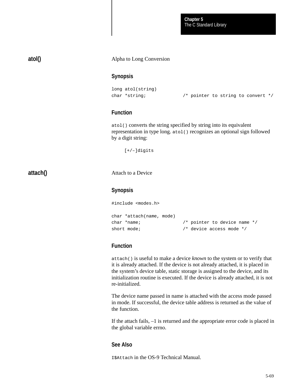The C Standard Library **Chapter 5**

# **atol()**

#### Alpha to Long Conversion

#### **Synopsis**

```
long atol(string)
char *string; \sqrt{ } /* pointer to string to convert */
```
## **Function**

atol() converts the string specified by string into its equivalent representation in type long. atol() recognizes an optional sign followed by a digit string:

[+/–]digits

**attach()**

Attach to a Device

### **Synopsis**

```
#include <modes.h>
char *attach(name, mode)
char *name; /* pointer to device name */
short mode; \frac{1}{2} /* device access mode */
```
## **Function**

attach() is useful to make a device *known* to the system or to verify that it is already attached. If the device is not already attached, it is placed in the system's device table, static storage is assigned to the device, and its initialization routine is executed. If the device is already attached, it is not re-initialized.

The device name passed in name is attached with the access mode passed in mode. If successful, the device table address is returned as the value of the function.

If the attach fails, –1 is returned and the appropriate error code is placed in the global variable errno.

#### **See Also**

I\$Attach in the OS-9 Technical Manual.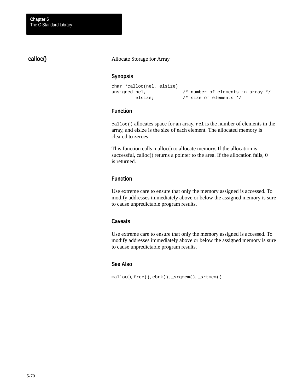# **calloc()**

Allocate Storage for Array

## **Synopsis**

```
char *calloc(nel, elsize)
unsigned nel, \frac{1}{4} mumber of elements in array \frac{*}{4} elsize; /* size of elements */
```
## **Function**

calloc() allocates space for an array. nel is the number of elements in the array, and elsize is the size of each element. The allocated memory is cleared to zeroes.

This function calls malloc() to allocate memory. If the allocation is successful, calloc() returns a pointer to the area. If the allocation fails, 0 is returned.

## **Function**

Use extreme care to ensure that only the memory assigned is accessed. To modify addresses immediately above or below the assigned memory is sure to cause unpredictable program results.

#### **Caveats**

Use extreme care to ensure that only the memory assigned is accessed. To modify addresses immediately above or below the assigned memory is sure to cause unpredictable program results.

## **See Also**

malloc(), free(), ebrk(), \_srqmem(), \_srtmem()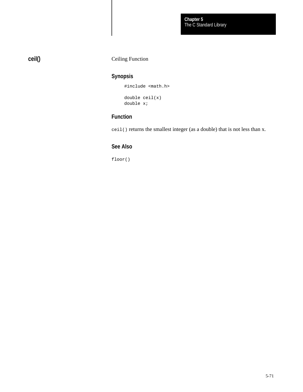# **ceil()**

# Ceiling Function

# **Synopsis**

#include <math.h> double ceil(x) double x;

# **Function**

ceil() returns the smallest integer (as a double) that is not less than x.

# **See Also**

floor()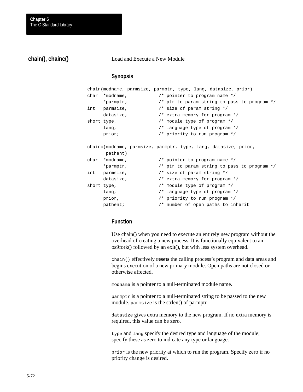# **chain(), chainc()**

Load and Execute a New Module

#### **Synopsis**

```
chain(modname, parmsize, parmptr, type, lang, datasize, prior)
char *modname, /* pointer to program name */
      *parmptr; /* ptr to param string to pass to program */
int parmsize, /* size of param string */
     datasize; \frac{1}{2} /* extra memory for program */
short type, \frac{1}{2} /* module type of program */
      lang, /* language type of program */
      prior; /* priority to run program */
chainc(modname, parmsize, parmptr, type, lang, datasize, prior, 
       pathent)
char *modname, /* pointer to program name */
      *parmptr; /* ptr to param string to pass to program */
int parmsize, /* size of param string */
     datasize; \frac{1}{2} /* extra memory for program */
short type, \frac{1}{2} /* module type of program */
      lang, /* language type of program */
     prior, \frac{1}{2} /* priority to run program */
      pathent; /* number of open paths to inherit
```
# **Function**

Use chain() when you need to execute an entirely new program without the overhead of creating a new process. It is functionally equivalent to an os9fork() followed by an exit(), but with less system overhead.

chain() effectively **resets** the calling process's program and data areas and begins execution of a new primary module. Open paths are not closed or otherwise affected.

modname is a pointer to a null-terminated module name.

parmptr is a pointer to a null-terminated string to be passed to the new module. parmsize is the strlen() of parmptr.

datasize gives extra memory to the new program. If no extra memory is required, this value can be zero.

type and lang specify the desired type and language of the module; specify these as zero to indicate any type or language.

prior is the new priority at which to run the program. Specify zero if no priority change is desired.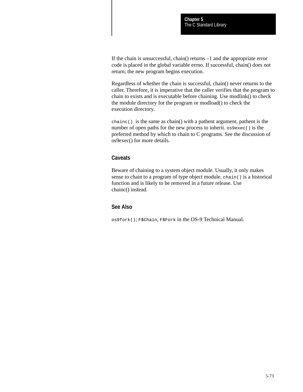If the chain is unsuccessful, chain() returns –1 and the appropriate error code is placed in the global variable errno. If successful, chain() does not return; the new program begins execution.

Regardless of whether the chain is successful, chain() never returns to the caller. Therefore, it is imperative that the caller verifies that the program to chain to exists and is executable before chaining. Use modlink() to check the module directory for the program or modload() to check the execution directory.

chainc() is the same as chain() with a pathent argument. pathent is the number of open paths for the new process to inherit. os9exec() is the preferred method by which to chain to C programs. See the discussion of os9exec() for more details.

## **Caveats**

Beware of chaining to a system object module. Usually, it only makes sense to chain to a program of type object module. chain() is a historical function and is likely to be removed in a future release. Use chainc() instead.

### **See Also**

os9fork(); F\$Chain, F\$Fork in the OS-9 Technical Manual.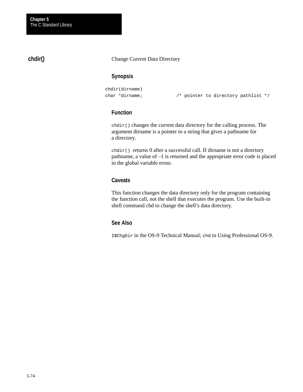# **chdir()**

#### Change Current Data Directory

# **Synopsis**

```
chdir(dirname)
char *dirname; /* pointer to directory pathlist */
```
# **Function**

chdir() changes the current data directory for the calling process. The argument dirname is a pointer to a string that gives a pathname for a directory.

chdir() returns 0 after a successful call. If dirname is not a directory pathname, a value of –1 is returned and the appropriate error code is placed in the global variable errno.

# **Caveats**

This function changes the data directory only for the program containing the function call, not the shell that executes the program. Use the built-in shell command chd to change the shell's data directory.

## **See Also**

I\$ChgDir in the OS-9 Technical Manual; chd in Using Professional OS-9.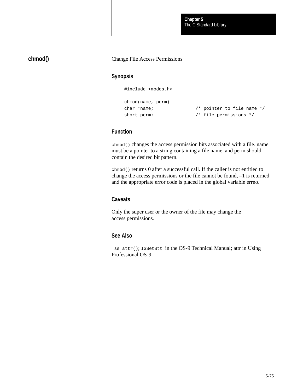# **chmod()**

#### Change File Access Permissions

### **Synopsis**

#include <modes.h>

```
chmod(name, perm)
char *name; /* pointer to file name */
short perm; \frac{1}{2} /* file permissions */
```
# **Function**

chmod() changes the access permission bits associated with a file. name must be a pointer to a string containing a file name, and perm should contain the desired bit pattern.

chmod() returns 0 after a successful call. If the caller is not entitled to change the access permissions or the file cannot be found, –1 is returned and the appropriate error code is placed in the global variable errno.

### **Caveats**

Only the super user or the owner of the file may change the access permissions.

### **See Also**

\_ss\_attr(); I\$SetStt in the OS-9 Technical Manual; attr in Using Professional OS-9.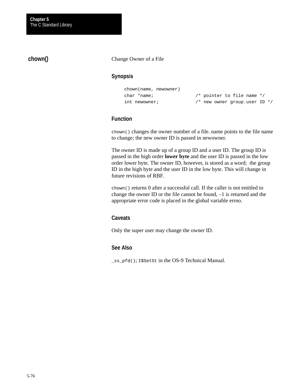# **chown()**

#### Change Owner of a File

### **Synopsis**

```
chown(name, newowner)
char *name; /* pointer to file name */
```

```
int newowner; /* new owner group.user ID */
```
### **Function**

chown() changes the owner number of a file. name points to the file name to change; the new owner ID is passed in newowner.

The owner ID is made up of a group ID and a user ID. The group ID is passed in the high order **lower byte** and the user ID is passed in the low order lower byte. The owner ID, however, is stored as a word; the group ID in the high byte and the user ID in the low byte. This will change in future revisions of RBF.

chown() returns 0 after a successful call. If the caller is not entitled to change the owner ID or the file cannot be found, –1 is returned and the appropriate error code is placed in the global variable errno.

#### **Caveats**

Only the super user may change the owner ID.

### **See Also**

\_ss\_pfd(); I\$SetSt in the OS-9 Technical Manual.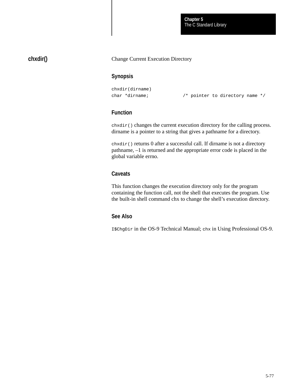The C Standard Library **Chapter 5**

# **chxdir()**

#### Change Current Execution Directory

### **Synopsis**

```
chxdir(dirname)
char *dirname; /* pointer to directory name */
```
# **Function**

chxdir() changes the current execution directory for the calling process. dirname is a pointer to a string that gives a pathname for a directory.

chxdir() returns 0 after a successful call. If dirname is not a directory pathname, –1 is returned and the appropriate error code is placed in the global variable errno.

#### **Caveats**

This function changes the execution directory only for the program containing the function call, not the shell that executes the program. Use the built-in shell command chx to change the shell's execution directory.

## **See Also**

I\$ChgDir in the OS-9 Technical Manual; chx in Using Professional OS-9.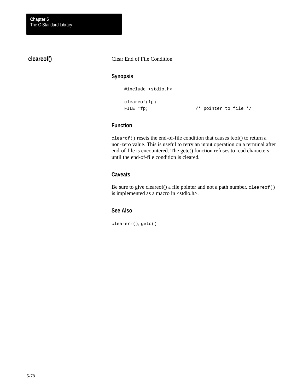**cleareof()**

Clear End of File Condition

## **Synopsis**

#include <stdio.h>

cleareof(fp)

FILE \*fp;  $\sqrt{ }$  /\* pointer to file \*/

### **Function**

clearof() resets the end-of-file condition that causes feof() to return a non-zero value. This is useful to retry an input operation on a terminal after end-of-file is encountered. The getc() function refuses to read characters until the end-of-file condition is cleared.

## **Caveats**

Be sure to give cleareof() a file pointer and not a path number. cleareof() is implemented as a macro in <stdio.h>.

# **See Also**

clearerr(), getc()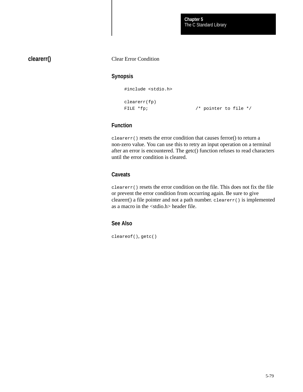# **clearerr()**

#### Clear Error Condition

### **Synopsis**

#include <stdio.h>

clearerr(fp)

FILE \*fp;  $\sqrt{ }$  /\* pointer to file \*/

# **Function**

clearerr() resets the error condition that causes ferror() to return a non-zero value. You can use this to retry an input operation on a terminal after an error is encountered. The getc() function refuses to read characters until the error condition is cleared.

## **Caveats**

clearerr() resets the error condition on the file. This does not fix the file or prevent the error condition from occurring again. Be sure to give clearerr() a file pointer and not a path number. clearerr() is implemented as a macro in the <stdio.h> header file.

# **See Also**

cleareof(), getc()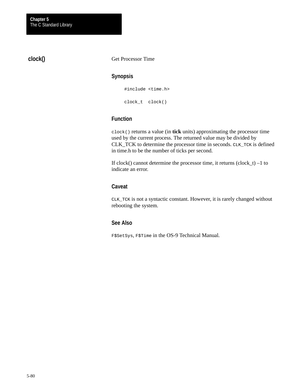# **clock()**

#### Get Processor Time

#### **Synopsis**

#include <time.h>

clock\_t clock()

# **Function**

clock() returns a value (in **tick** units) approximating the processor time used by the current process. The returned value may be divided by CLK\_TCK to determine the processor time in seconds. CLK\_TCK is defined in time.h to be the number of ticks per second.

If clock() cannot determine the processor time, it returns  $(clock_t) -1$  to indicate an error.

### **Caveat**

CLK\_TCK is not a syntactic constant. However, it is rarely changed without rebooting the system.

## **See Also**

F\$SetSys, F\$Time in the OS-9 Technical Manual*.*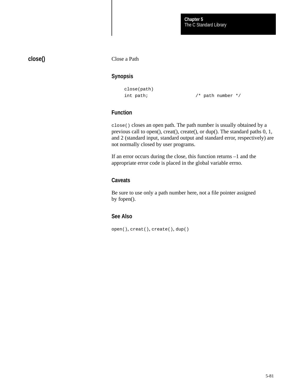# **close()**

Close a Path

## **Synopsis**

```
close(path)
```
int path;  $\frac{1}{2}$  /\* path number \*/

# **Function**

close() closes an open path. The path number is usually obtained by a previous call to open(), creat(), create(), or dup(). The standard paths 0, 1, and 2 (standard input, standard output and standard error, respectively) are not normally closed by user programs.

If an error occurs during the close, this function returns –1 and the appropriate error code is placed in the global variable errno.

# **Caveats**

Be sure to use only a path number here, not a file pointer assigned by fopen().

## **See Also**

open(), creat(), create(), dup()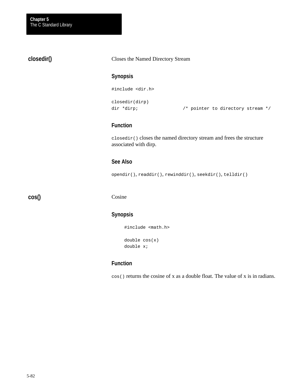# **closedir()**

Closes the Named Directory Stream

## **Synopsis**

```
#include <dir.h>
```

```
closedir(dirp)
```
dir \*dirp;  $\sqrt{a}$  /\* pointer to directory stream \*/

## **Function**

closedir() closes the named directory stream and frees the structure associated with dirp.

# **See Also**

opendir(), readdir(), rewinddir(), seekdir(), telldir()

**cos()**

#### Cosine

# **Synopsis**

#include <math.h> double cos(x)

```
double x;
```
# **Function**

cos() returns the cosine of x as a double float. The value of x is in radians.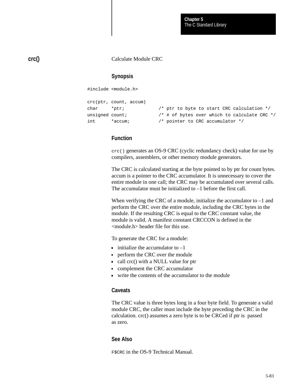#### Calculate Module CRC

#### **Synopsis**

#include <module.h>

```
crc(ptr, count, accum)
char *ptr; /* ptr to byte to start CRC calculation */
unsigned count; \frac{1}{x} \frac{1}{x} of bytes over which to calculate CRC \frac{x}{x}int *accum; /* pointer to CRC accumulator */
```
### **Function**

crc() generates an OS-9 CRC (cyclic redundancy check) value for use by compilers, assemblers, or other memory module generators.

The CRC is calculated starting at the byte pointed to by ptr for count bytes. accum is a pointer to the CRC accumulator. It is unnecessary to cover the entire module in one call; the CRC may be accumulated over several calls. The accumulator must be initialized to –1 before the first call.

When verifying the CRC of a module, initialize the accumulator to  $-1$  and perform the CRC over the entire module, including the CRC bytes in the module. If the resulting CRC is equal to the CRC constant value, the module is valid. A manifest constant CRCCON is defined in the <module.h> header file for this use.

To generate the CRC for a module:

- initialize the accumulator to  $-1$
- perform the CRC over the module
- call crc() with a NULL value for ptr
- complement the CRC accumulator
- write the contents of the accumulator to the module

#### **Caveats**

The CRC value is three bytes long in a four byte field. To generate a valid module CRC, the caller must include the byte preceding the CRC in the calculation. crc() assumes a zero byte is to be CRCed if ptr is passed as zero.

#### **See Also**

F\$CRC in the OS-9 Technical Manual.

**crc()**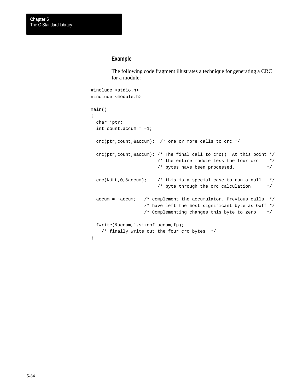#### **Example**

The following code fragment illustrates a technique for generating a CRC for a module:

```
#include <stdio.h>
#include <module.h>
main()
{
   char *ptr;
  int count, \text{accum} = -1;
   crc(ptr,count,&accum); /* one or more calls to crc */
   crc(ptr,count,&accum); /* The final call to crc(). At this point */
                         /* the entire module less the four crc * /* bytes have been processed. */
  \text{crc}(\text{NULL},0,\text{&}\text{accum}); /* this is a special case to run a null */
                          /* byte through the crc calculation. */
   accum = ~accum; /* complement the accumulator. Previous calls */
                     /* have left the most significant byte as Oxff */
                     /* Complementing changes this byte to zero */
   fwrite(&accum,1,sizeof accum,fp);
     /* finally write out the four crc bytes */
}
```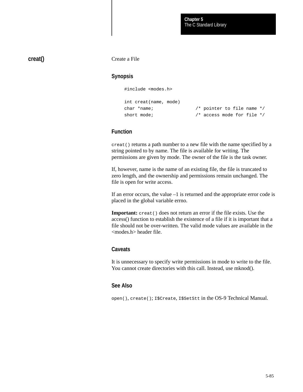# **creat()**

Create a File

# **Synopsis**

#include <modes.h>

```
int creat(name, mode)
```
char \*name; /\* pointer to file name \*/ short mode;  $\frac{1}{2}$  /\* access mode for file \*/

## **Function**

creat() returns a path number to a new file with the name specified by a string pointed to by name. The file is available for writing. The permissions are given by mode. The owner of the file is the task owner.

If, however, name is the name of an existing file, the file is truncated to zero length, and the ownership and permissions remain unchanged. The file is open for write access.

If an error occurs, the value –1 is returned and the appropriate error code is placed in the global variable errno.

**Important:** creat() does not return an error if the file exists. Use the access() function to establish the existence of a file if it is important that a file should not be over-written. The valid mode values are available in the <modes.h> header file.

#### **Caveats**

It is unnecessary to specify write permissions in mode to write to the file. You cannot create directories with this call. Instead, use mknod().

### **See Also**

open(), create(); I\$Create, I\$SetStt in the OS-9 Technical Manual.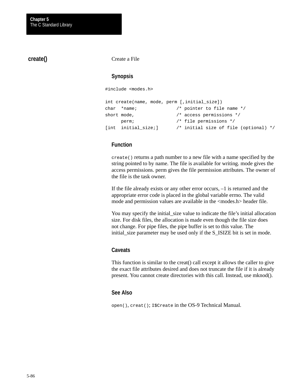### **create()**

Create a File

### **Synopsis**

#include <modes.h>

```
int create(name, mode, perm [,initial_size])
char *name; /* pointer to file name */
short mode, \frac{1}{2} /* access permissions */
     perm; /* file permissions */
[int initial_size;] /* initial size of file (optional) */
```
# **Function**

create() returns a path number to a new file with a name specified by the string pointed to by name. The file is available for writing. mode gives the access permissions. perm gives the file permission attributes. The owner of the file is the task owner.

If the file already exists or any other error occurs, –1 is returned and the appropriate error code is placed in the global variable errno. The valid mode and permission values are available in the <modes.h> header file.

You may specify the initial\_size value to indicate the file's initial allocation size. For disk files, the allocation is made even though the file size does not change. For pipe files, the pipe buffer is set to this value. The initial\_size parameter may be used only if the S\_ISIZE bit is set in mode.

#### **Caveats**

This function is similar to the creat() call except it allows the caller to give the exact file attributes desired and does not truncate the file if it is already present. You cannot create directories with this call. Instead, use mknod().

#### **See Also**

open(), creat(); I\$Create in the OS-9 Technical Manual*.*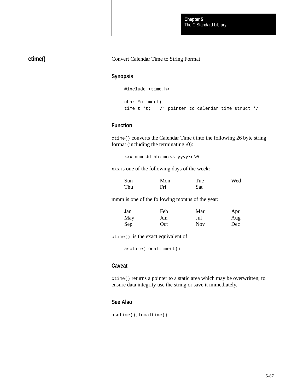The C Standard Library **Chapter 5**

# **ctime()**

#### Convert Calendar Time to String Format

#### **Synopsis**

```
#include <time.h>
```

```
char *ctime(t)
time_t *t; /* pointer to calendar time struct */
```
### **Function**

ctime() converts the Calendar Time t into the following 26 byte string format (including the terminating  $\setminus 0$ ):

xxx mmm dd hh:mm:ss yyyy\n\0

xxx is one of the following days of the week:

| Sun | Mon | Tue | Wed |
|-----|-----|-----|-----|
| Thu | Fri | Sat |     |

mmm is one of the following months of the year:

| Jan | Feb | Mar        | Apr |
|-----|-----|------------|-----|
| May | Jun | Jul        | Aug |
| Sep | Oct | <b>Nov</b> | Dec |

ctime() is the exact equivalent of:

asctime(localtime(t))

#### **Caveat**

ctime() returns a pointer to a static area which may be overwritten; to ensure data integrity use the string or save it immediately.

#### **See Also**

asctime(), localtime()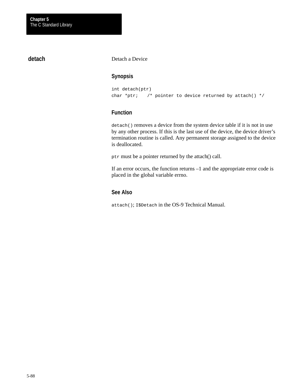# **detach**

Detach a Device

# **Synopsis**

```
int detach(ptr)
char *ptr; /* pointer to device returned by attach() */
```
# **Function**

detach() removes a device from the system device table if it is not in use by any other process. If this is the last use of the device, the device driver's termination routine is called. Any permanent storage assigned to the device is deallocated.

ptr must be a pointer returned by the attach() call.

If an error occurs, the function returns –1 and the appropriate error code is placed in the global variable errno.

# **See Also**

attach(); I\$Detach in the OS-9 Technical Manual.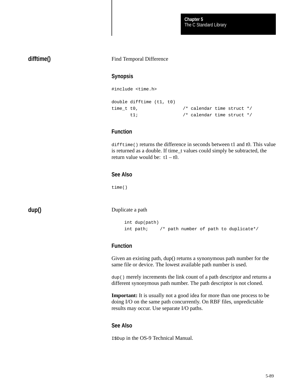The C Standard Library **Chapter 5**

### **difftime()**

#### Find Temporal Difference

#### **Synopsis**

```
#include <time.h>
double difftime (t1, t0)
time_t t0, \frac{1}{2} /* calendar time struct */
       t1; /* calendar time struct */
```
## **Function**

difftime() returns the difference in seconds between t1 and t0. This value is returned as a double. If time\_t values could simply be subtracted, the return value would be:  $t1 - t0$ .

### **See Also**

time()

**dup()**

Duplicate a path

```
int dup(path)
int path; /* path number of path to duplicate*/
```
## **Function**

Given an existing path, dup() returns a synonymous path number for the same file or device. The lowest available path number is used.

dup() merely increments the link count of a path descriptor and returns a different synonymous path number. The path descriptor is not cloned.

**Important:** It is usually not a good idea for more than one process to be doing I/O on the same path concurrently. On RBF files, unpredictable results may occur. Use separate I/O paths.

#### **See Also**

I\$Dup in the OS-9 Technical Manual.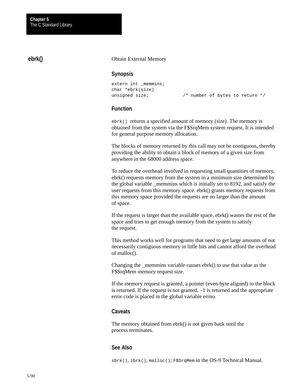# **ebrk()**

#### Obtain External Memory

#### **Synopsis**

```
extern int _memmins;
char *ebrk(size)
```
unsigned size;  $\frac{1}{2}$  /\* number of bytes to return \*/

### **Function**

ebrk() returns a specified amount of memory (size). The memory is obtained from the system via the F\$SrqMem system request. It is intended for general purpose memory allocation.

The blocks of memory returned by this call may not be contiguous, thereby providing the ability to obtain a block of memory of a given size from anywhere in the 68000 address space.

To reduce the overhead involved in requesting small quantities of memory, ebrk() requests memory from the system in a minimum size determined by the global variable \_memmins which is initially set to 8192, and satisfy the user requests from this memory space. ebrk() grants memory requests from this memory space provided the requests are no larger than the amount of space.

If the request is larger than the available space, ebrk() wastes the rest of the space and tries to get enough memory from the system to satisfy the request.

This method works well for programs that need to get large amounts of not necessarily contiguous memory in little bits and cannot afford the overhead of malloc().

Changing the \_memmins variable causes ebrk() to use that value as the F\$SrqMem memory request size.

If the memory request is granted, a pointer (even-byte aligned) to the block is returned. If the request is not granted, –1 is returned and the appropriate error code is placed in the global variable errno.

#### **Caveats**

The memory obtained from ebrk() is not given back until the process terminates.

#### **See Also**

sbrk(), ibrk(), malloc(); F\$SrqMem in the OS-9 Technical Manual.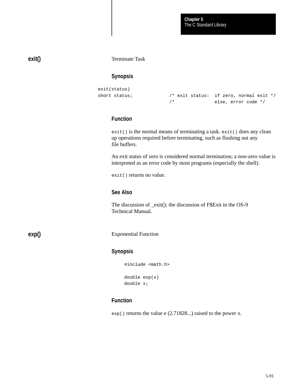# **exit()**

Terminate Task

## **Synopsis**

```
exit(status)
short status; \sqrt{*} exit status: if zero, normal exit */
                      /* else, error code */
```
# **Function**

exit() is the normal means of terminating a task. exit() does any clean up operations required before terminating, such as flushing out any file buffers.

An exit status of zero is considered normal termination; a non-zero value is interpreted as an error code by most programs (especially the shell).

exit() returns no value.

# **See Also**

The discussion of \_exit(); the discussion of F\$Exit in the OS-9 Technical Manual.

**exp()**

Exponential Function

# **Synopsis**

#include <math.h>

```
double exp(x)
double x;
```
# **Function**

exp() returns the value e (2.71828...) raised to the power x.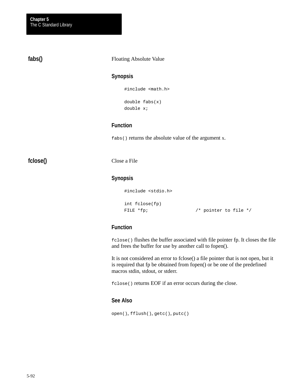**fabs()**

#### Floating Absolute Value

### **Synopsis**

#include <math.h>

double fabs(x) double x;

# **Function**

fabs() returns the absolute value of the argument x.

**fclose()**

Close a File

# **Synopsis**

```
#include <stdio.h>
int fclose(fp)
FILE *fp; \sqrt{p} /* pointer to file */
```
# **Function**

fclose() flushes the buffer associated with file pointer fp. It closes the file and frees the buffer for use by another call to fopen().

It is not considered an error to fclose() a file pointer that is not open, but it is required that fp be obtained from fopen() or be one of the predefined macros stdin, stdout, or stderr.

fclose() returns EOF if an error occurs during the close.

# **See Also**

open(), fflush(), getc(), putc()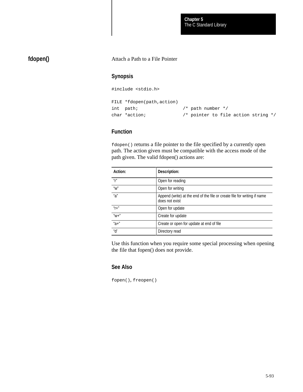The C Standard Library **Chapter 5**

# **fdopen()**

#### Attach a Path to a File Pointer

### **Synopsis**

#include <stdio.h>

```
FILE *fdopen(path,action)
int path; /* path number */
char *action; /* pointer to file action string */
```
# **Function**

fdopen() returns a file pointer to the file specified by a currently open path. The action given must be compatible with the access mode of the path given. The valid fdopen() actions are:

| Action:                               | Description:                                                                               |
|---------------------------------------|--------------------------------------------------------------------------------------------|
| $^{\prime\prime}$ r $^{\prime\prime}$ | Open for reading                                                                           |
| "W"                                   | Open for writing                                                                           |
| "a"                                   | Append (write) at the end of the file or create file for writing if name<br>does not exist |
| $''f+''$                              | Open for update                                                                            |
| $"W +"$                               | Create for update                                                                          |
| $"a+"$                                | Create or open for update at end of file                                                   |
| "d"                                   | Directory read                                                                             |

Use this function when you require some special processing when opening the file that fopen() does not provide.

#### **See Also**

fopen(), freopen()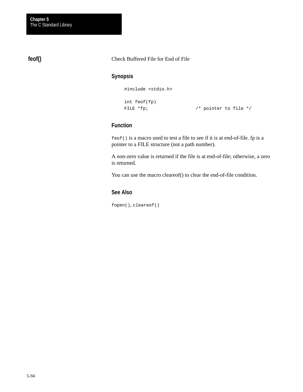# **feof()**

Check Buffered File for End of File

## **Synopsis**

#include <stdio.h>

```
int feof(fp)
FILE *fp; \sqrt{ } /* pointer to file */
```
# **Function**

feof() is a macro used to test a file to see if it is at end-of-file. fp is a pointer to a FILE structure (not a path number).

A non-zero value is returned if the file is at end-of-file; otherwise, a zero is returned.

You can use the macro cleareof() to clear the end-of-file condition.

# **See Also**

fopen(), cleareof()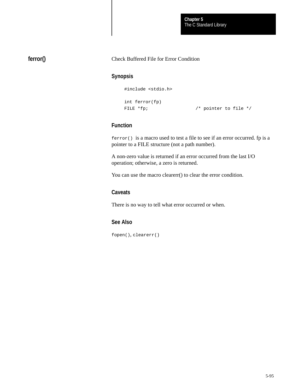The C Standard Library **Chapter 5**

# **ferror()**

#### Check Buffered File for Error Condition

### **Synopsis**

#include <stdio.h>

```
int ferror(fp)
FILE *fp; \sqrt{ } /* pointer to file */
```
# **Function**

ferror() is a macro used to test a file to see if an error occurred. fp is a pointer to a FILE structure (not a path number).

A non-zero value is returned if an error occurred from the last I/O operation; otherwise, a zero is returned.

You can use the macro clearerr() to clear the error condition.

# **Caveats**

There is no way to tell what error occurred or when.

# **See Also**

fopen(), clearerr()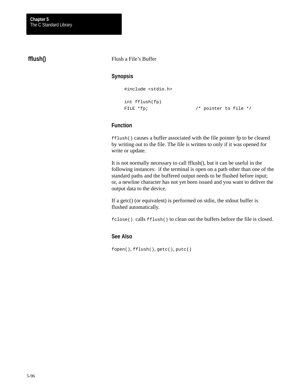# **fflush()**

Flush a File's Buffer

## **Synopsis**

#include <stdio.h>

```
int fflush(fp)
FILE *fp; \sqrt{ } /* pointer to file */
```
## **Function**

fflush() causes a buffer associated with the file pointer fp to be cleared by writing out to the file. The file is written to only if it was opened for write or update.

It is not normally necessary to call fflush(), but it can be useful in the following instances: if the terminal is open on a path other than one of the standard paths and the buffered output needs to be flushed before input; or, a newline character has not yet been issued and you want to deliver the output data to the device.

If a getc() (or equivalent) is performed on stdin, the stdout buffer is flushed automatically.

fclose() calls fflush() to clean out the buffers before the file is closed.

## **See Also**

fopen(), fflush(), getc(), putc()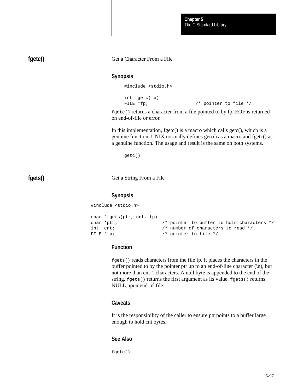| fgetc() | Get a Character From a File            |                                                                                                                                                                                                                                |
|---------|----------------------------------------|--------------------------------------------------------------------------------------------------------------------------------------------------------------------------------------------------------------------------------|
|         | <b>Synopsis</b>                        |                                                                                                                                                                                                                                |
|         | #include <stdio.h></stdio.h>           |                                                                                                                                                                                                                                |
|         | $int$ $f$ qetc $(f$ p $)$<br>FILE *fp; | /* pointer to file */                                                                                                                                                                                                          |
|         | on end-of-file or error.               | fgetc() returns a character from a file pointed to by fp. EOF is returned                                                                                                                                                      |
|         |                                        | In this implementation, fgetc() is a macro which calls getc(), which is a<br>genuine function. UNIX normally defines getc() as a macro and fgetc() as<br>a genuine function. The usage and result is the same on both systems. |

getc()

**fgets()**

Get a String From a File

### **Synopsis**

#include <stdio.h>

```
char *fgets(ptr, cnt, fp)
char *ptr; \sqrt{ } /* pointer to buffer to hold characters */
int cnt; \frac{1}{2} /* number of characters to read */
FILE *fp; \frac{1}{2} /* pointer to file */
```
## **Function**

fgets() reads characters from the file fp. It places the characters in the buffer pointed to by the pointer ptr up to an end-of-line character  $(\n\cdot n)$ , but not more than cnt-1 characters. A null byte is appended to the end of the string. fgets() returns the first argument as its value. fgets() returns NULL upon end-of-file.

## **Caveats**

It is the responsibility of the caller to ensure ptr points to a buffer large enough to hold cnt bytes.

## **See Also**

fgetc()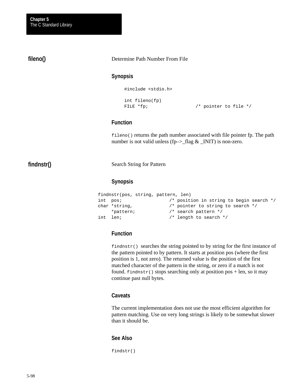# **fileno()**

#### Determine Path Number From File

#### **Synopsis**

```
#include <stdio.h>
int fileno(fp)
```

```
FILE *fp; \sqrt{ } /* pointer to file */
```
## **Function**

fileno() returns the path number associated with file pointer fp. The path number is not valid unless (fp- $>\_$ flag &  $\_$ INIT) is non-zero.

# **findnstr()**

Search String for Pattern

#### **Synopsis**

```
findnstr(pos, string, pattern, len)
int pos; <br> /* position in string to begin search */<br> char *string, <br> /* pointer to string to search */
                            /* pointer to string to search */ *pattern; /* search pattern */
int len; \frac{1}{x} /* length to search */
```
### **Function**

 $findingtr()$  searches the string pointed to by string for the first instance of the pattern pointed to by pattern. It starts at position pos (where the first position is 1, not zero). The returned value is the position of the first matched character of the pattern in the string, or zero if a match is not found. findnstr() stops searching only at position pos + len, so it may continue past null bytes.

## **Caveats**

The current implementation does not use the most efficient algorithm for pattern matching. Use on very long strings is likely to be somewhat slower than it should be.

## **See Also**

findstr()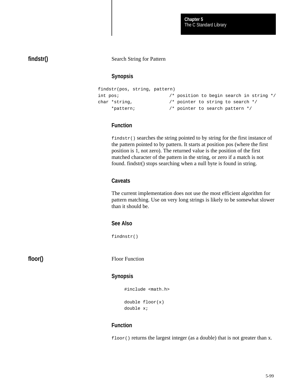# **findstr()**

#### Search String for Pattern

### **Synopsis**

```
findstr(pos, string, pattern)
int pos; /* position to begin search in string */
char *string, /* pointer to string to search */
     *pattern; /* pointer to search pattern */
```
## **Function**

findstr() searches the string pointed to by string for the first instance of the pattern pointed to by pattern. It starts at position pos (where the first position is 1, not zero). The returned value is the position of the first matched character of the pattern in the string, or zero if a match is not found. findstr() stops searching when a null byte is found in string.

### **Caveats**

The current implementation does not use the most efficient algorithm for pattern matching. Use on very long strings is likely to be somewhat slower than it should be.

#### **See Also**

findnstr()

**floor()**

Floor Function

#### **Synopsis**

#include <math.h> double floor(x) double x;

## **Function**

floor() returns the largest integer (as a double) that is not greater than x.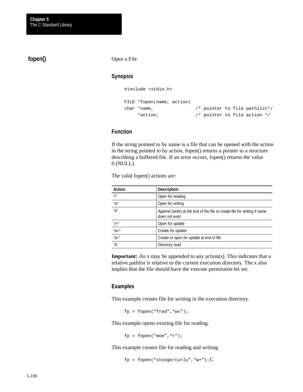# **fopen()**

Open a File

### **Synopsis**

#include <stdio.h>

```
FILE *fopen(name, action)
char *name, /* pointer to file pathlist*/
    *action; /* pointer to file action */
```
## **Function**

If the string pointed to by name is a file that can be opened with the action in the string pointed to by action, fopen() returns a pointer to a structure describing a buffered file. If an error occurs, fopen() returns the value 0 (NULL).

| Action:                               | Description:                                                                               |
|---------------------------------------|--------------------------------------------------------------------------------------------|
| $^{\mu}$ r                            | Open for reading                                                                           |
| $^{\prime\prime}$ W $^{\prime\prime}$ | Open for writing                                                                           |
| "a"                                   | Append (write) at the end of the file or create file for writing if name<br>does not exist |
| $''f+''$                              | Open for update                                                                            |
| $"W +"$                               | Create for update                                                                          |
| $"a+"$                                | Create or open for update at end of file                                                   |
| "d'                                   | Directory read                                                                             |

The valid fopen() actions are:

**Important:** An x may be appended to any action(s). This indicates that a relative pathlist is relative to the current execution directory. The x also implies that the file should have the execute permission bit set.

#### **Examples**

This example creates file for writing in the execution directory.

fp = fopen("fred","wx");

This example opens existing file for reading.

fp = fopen("moe"," $r$ ");

This example creates file for reading and writing.

fp = fopen("stooge/curly", "w+"); $C$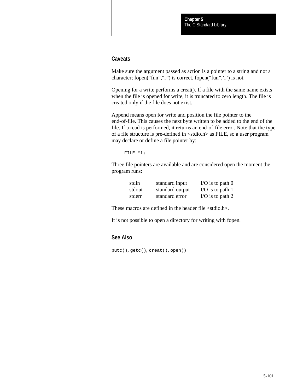#### **Caveats**

Make sure the argument passed as action is a pointer to a string and not a character; fopen("fun","r") is correct, fopen("fun",'r') is not.

Opening for a write performs a creat(). If a file with the same name exists when the file is opened for write, it is truncated to zero length. The file is created only if the file does not exist.

Append means open for write and position the file pointer to the end-of-file. This causes the next byte written to be added to the end of the file. If a read is performed, it returns an end-of-file error. Note that the type of a file structure is pre-defined in <stdio.h> as FILE, so a user program may declare or define a file pointer by:

FILE \*f;

Three file pointers are available and are considered open the moment the program runs:

| stdin  | standard input  | I/O is to path $0$ |
|--------|-----------------|--------------------|
| stdout | standard output | I/O is to path $1$ |
| stderr | standard error  | I/O is to path $2$ |

These macros are defined in the header file <stdio.h>.

It is not possible to open a directory for writing with fopen.

# **See Also**

putc(), getc(), creat(), open()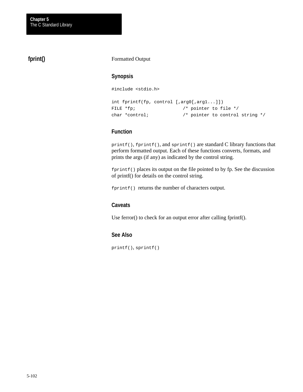# **fprint()**

#### Formatted Output

## **Synopsis**

#include <stdio.h>

```
int fprintf(fp, control [,arg0[,arg1...]])
FILE *fp; \sqrt{ } /* pointer to file */
char *control; /* pointer to control string */
```
### **Function**

printf(), fprintf(), and sprintf() are standard C library functions that perform formatted output. Each of these functions converts, formats, and prints the args (if any) as indicated by the control string.

 $fprint()$  places its output on the file pointed to by fp. See the discussion of printf() for details on the control string.

fprintf() returns the number of characters output.

### **Caveats**

Use ferror() to check for an output error after calling fprintf().

### **See Also**

printf(), sprintf()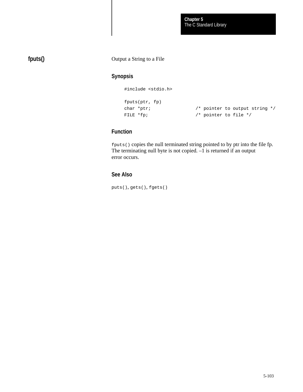# **fputs()**

### Output a String to a File

# **Synopsis**

#include <stdio.h>

```
fputs(ptr, fp)
char *ptr; \frac{1}{2} /* pointer to output string */
FILE *fp; \sqrt{p} /* pointer to file */
```
# **Function**

fputs() copies the null terminated string pointed to by ptr into the file fp. The terminating null byte is not copied. –1 is returned if an output error occurs.

### **See Also**

puts(), gets(), fgets()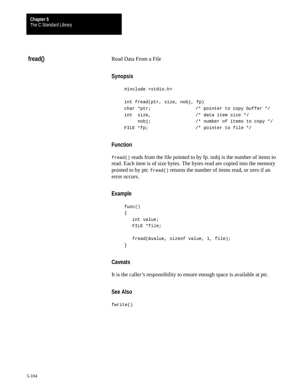# **fread()**

#### Read Data From a File

### **Synopsis**

```
#include <stdio.h>
```

```
int fread(ptr, size, nobj, fp)
char *ptr; \frac{1}{2} /* pointer to copy buffer */
int size, /* data item size */
    nobj; \frac{1}{2} /* number of items to copy */
FILE *fp; \sqrt{ } /* pointer to file */
```
# **Function**

fread() reads from the file pointed to by fp. nobj is the number of items to read. Each item is of size bytes. The bytes read are copied into the memory pointed to by ptr. fread() returns the number of items read, or zero if an error occurs.

### **Example**

```
func()
{
    int value;
   FILE *file;
    fread(&value, sizeof value, 1, file);
}
```
### **Caveats**

It is the caller's responsibility to ensure enough space is available at ptr.

#### **See Also**

fwrite()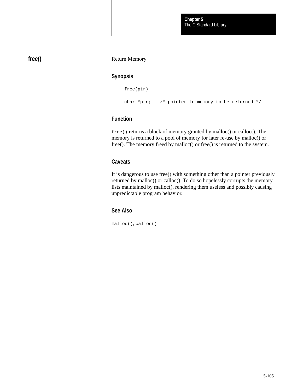# **free()**

#### Return Memory

### **Synopsis**

```
free(ptr)
char *ptr; /* pointer to memory to be returned */
```
# **Function**

free() returns a block of memory granted by malloc() or calloc(). The memory is returned to a pool of memory for later re-use by malloc() or free(). The memory freed by malloc() or free() is returned to the system.

## **Caveats**

It is dangerous to use free() with something other than a pointer previously returned by malloc() or calloc(). To do so hopelessly corrupts the memory lists maintained by malloc(), rendering them useless and possibly causing unpredictable program behavior.

### **See Also**

malloc(), calloc()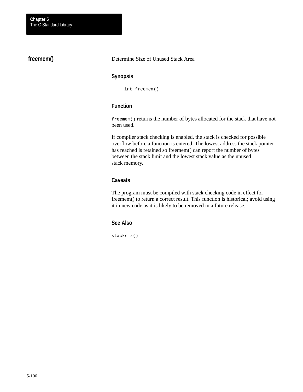# **freemem()**

Determine Size of Unused Stack Area

## **Synopsis**

int freemem()

# **Function**

freemem() returns the number of bytes allocated for the stack that have not been used.

If compiler stack checking is enabled, the stack is checked for possible overflow before a function is entered. The lowest address the stack pointer has reached is retained so freemem() can report the number of bytes between the stack limit and the lowest stack value as the unused stack memory.

# **Caveats**

The program must be compiled with stack checking code in effect for freemem() to return a correct result. This function is historical; avoid using it in new code as it is likely to be removed in a future release.

### **See Also**

stacksiz()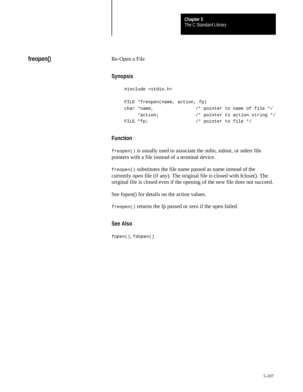# **freopen()**

Re-Open a File

## **Synopsis**

#include <stdio.h>

```
FILE *freopen(name, action, fp)
char *name, /* pointer to name of file */
     *action; /* pointer to action string */
FILE *fp; \sqrt{ } /* pointer to file */
```
# **Function**

freopen() is usually used to associate the stdin, stdout, or stderr file pointers with a file instead of a terminal device.

freopen() substitutes the file name passed as name instead of the currently open file (if any). The original file is closed with fclose(). The original file is closed even if the opening of the new file does not succeed.

See fopen() for details on the action values.

freopen() returns the fp passed or zero if the open failed.

## **See Also**

fopen(), fdopen()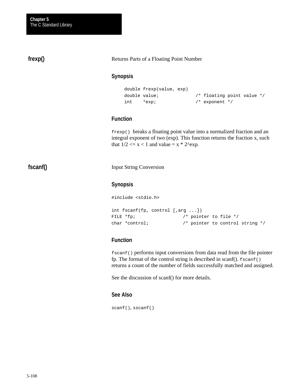# **frexp()**

#### Returns Parts of a Floating Point Number

### **Synopsis**

```
double frexp(value, exp)
double value; \frac{1}{10} /* floating point value */
int *_{exp}; /* exponent */
```
# **Function**

frexp() breaks a floating point value into a normalized fraction and an integral exponent of two (exp). This function returns the fraction x, such that  $1/2 \le x \le 1$  and value =  $x * 2^{\text{deg}}$ .

# **fscanf()**

Input String Conversion

### **Synopsis**

#include <stdio.h>

```
int fscanf(fp, control [,arg ...])
FILE *fp; \sqrt{p} /* pointer to file */
char *control; /* pointer to control string */
```
# **Function**

fscanf() performs input conversions from data read from the file pointer fp. The format of the control string is described in scanf().  $f \text{seanf}$ () returns a count of the number of fields successfully matched and assigned.

See the discussion of scanf() for more details.

## **See Also**

scanf(), sscanf()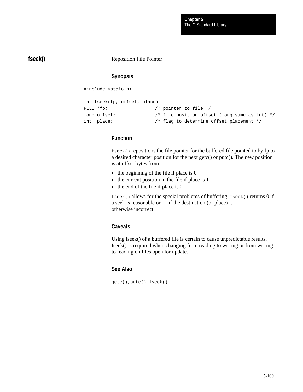## **fseek()**

Reposition File Pointer

# **Synopsis**

#include <stdio.h>

```
int fseek(fp, offset, place)
FILE *fp; \frac{1}{2} /* pointer to file */
long offset; \frac{1}{2} /* file position offset (long same as int) */
int place; \frac{1}{2} /* flag to determine offset placement */
```
### **Function**

fseek() repositions the file pointer for the buffered file pointed to by fp to a desired character position for the next getc() or putc(). The new position is at offset bytes from:

- $\blacksquare$  the beginning of the file if place is 0
- $\blacksquare$  the current position in the file if place is 1
- $\blacksquare$  the end of the file if place is 2

fseek() allows for the special problems of buffering. fseek() returns 0 if a seek is reasonable or  $-1$  if the destination (or place) is otherwise incorrect.

### **Caveats**

Using lseek() of a buffered file is certain to cause unpredictable results. fseek() is required when changing from reading to writing or from writing to reading on files open for update.

### **See Also**

getc(), putc(), lseek()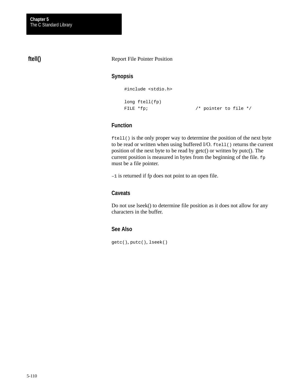# **ftell()**

#### Report File Pointer Position

### **Synopsis**

#include <stdio.h>

```
long ftell(fp)
FILE *fp; \sqrt{ } /* pointer to file */
```
# **Function**

ftell() is the only proper way to determine the position of the next byte to be read or written when using buffered I/O. ftell() returns the current position of the next byte to be read by getc() or written by putc(). The current position is measured in bytes from the beginning of the file. fp must be a file pointer.

–1 is returned if fp does not point to an open file.

### **Caveats**

Do not use lseek() to determine file position as it does not allow for any characters in the buffer.

### **See Also**

getc(), putc(), lseek()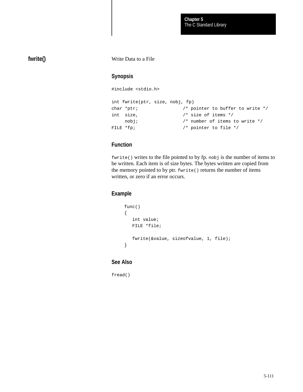# **fwrite()**

Write Data to a File

# **Synopsis**

```
#include <stdio.h>
int fwrite(ptr, size, nobj, fp)
char *ptr; \sqrt{ } /* pointer to buffer to write */
int size, /* size of items */
    nobj; \frac{1}{2} /* number of items to write */
FILE *fp; \sqrt{ } /* pointer to file */
```
# **Function**

fwrite() writes to the file pointed to by fp. nobj is the number of items to be written. Each item is of size bytes. The bytes written are copied from the memory pointed to by ptr. fwrite() returns the number of items written, or zero if an error occurs.

### **Example**

```
func()
{
    int value;
   FILE *file;
    fwrite(&value, sizeofvalue, 1, file);
}
```
### **See Also**

fread()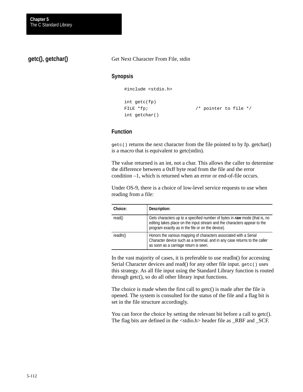**getc(), getchar()**

Get Next Character From File, stdin

### **Synopsis**

#include <stdio.h>

```
int getc(fp)
FILE *fp; \sqrt{ } /* pointer to file */
int getchar()
```
### **Function**

getc() returns the next character from the file pointed to by fp. getchar() is a macro that is equivalent to getc(stdin).

The value returned is an int, not a char. This allows the caller to determine the difference between a 0xff byte read from the file and the error condition –1, which is returned when an error or end-of-file occurs.

Under OS-9, there is a choice of low-level service requests to use when reading from a file:

| Choice:  | Description:                                                                                                                                                                                                |
|----------|-------------------------------------------------------------------------------------------------------------------------------------------------------------------------------------------------------------|
| read()   | Gets characters up to a specified number of bytes in raw mode (that is, no<br>editing takes place on the input stream and the characters appear to the<br>program exactly as in the file or on the device). |
| readln() | Honors the various mapping of characters associated with a Serial<br>Character device such as a terminal, and in any case returns to the caller<br>as soon as a carriage return is seen.                    |

In the vast majority of cases, it is preferable to use readln() for accessing Serial Character devices and read() for any other file input. getc() uses this strategy. As all file input using the Standard Library function is routed through getc(), so do all other library input functions.

The choice is made when the first call to getc() is made after the file is opened. The system is consulted for the status of the file and a flag bit is set in the file structure accordingly.

You can force the choice by setting the relevant bit before a call to getc(). The flag bits are defined in the <stdio.h> header file as \_RBF and \_SCF.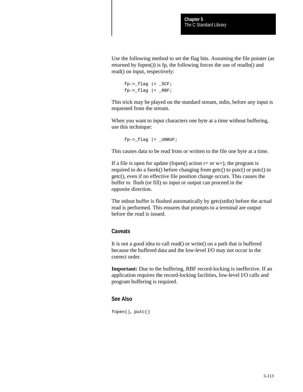Use the following method to set the flag bits. Assuming the file pointer (as returned by fopen()) is fp, the following forces the use of readln() and read() on input, respectively:

```
fp->_flag |= _SCF;
fp->_flag |= _RBF;
```
This trick may be played on the standard stream, stdin, before any input is requested from the stream.

When you want to input characters one byte at a time without buffering, use this technique:

 $fp->_flag$  |= \_UNBUF;

This causes data to be read from or written to the file one byte at a time.

If a file is open for update (fopen() action  $r+$  or  $w+$ ), the program is required to do a fseek() before changing from getc() to putc() or putc() to getc(), even if no effective file position change occurs. This causes the buffer to flush (or fill) so input or output can proceed in the opposite direction.

The stdout buffer is flushed automatically by getc(stdin) before the actual read is performed. This ensures that prompts to a terminal are output before the read is issued.

#### **Caveats**

It is not a good idea to call read() or write() on a path that is buffered because the buffered data and the low-level I/O may not occur in the correct order.

**Important:** Due to the buffering, RBF record-locking is ineffective. If an application requires the record-locking facilities, low-level I/O calls and program buffering is required.

#### **See Also**

fopen(), putc()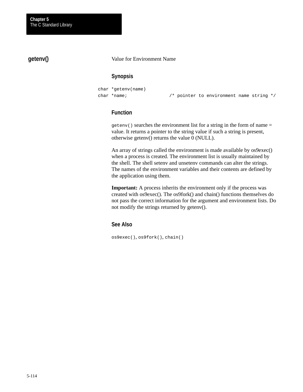# **getenv()**

Value for Environment Name

## **Synopsis**

```
char *getenv(name)
char *name; /* pointer to environment name string */
```
# **Function**

 $getenv()$  searches the environment list for a string in the form of name = value. It returns a pointer to the string value if such a string is present, otherwise getenv() returns the value 0 (NULL).

An array of strings called the environment is made available by os9exec() when a process is created. The environment list is usually maintained by the shell. The shell setenv and unsetenv commands can alter the strings. The names of the environment variables and their contents are defined by the application using them.

**Important:** A process inherits the environment only if the process was created with os9exec(). The os9fork() and chain() functions themselves do not pass the correct information for the argument and environment lists. Do not modify the strings returned by getenv().

### **See Also**

os9exec(), os9fork(), chain()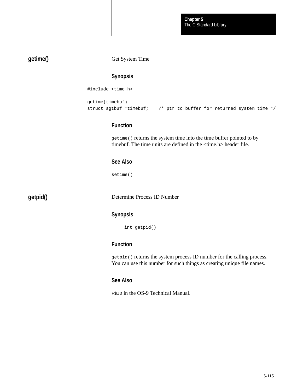# **getime()**

Get System Time

### **Synopsis**

#include <time.h>

```
getime(timebuf)
struct sgtbuf *timebuf; /* ptr to buffer for returned system time */
```
## **Function**

getime() returns the system time into the time buffer pointed to by timebuf. The time units are defined in the <time.h> header file.

# **See Also**

setime()

**getpid()**

Determine Process ID Number

# **Synopsis**

int getpid()

### **Function**

getpid() returns the system process ID number for the calling process. You can use this number for such things as creating unique file names.

#### **See Also**

F\$ID in the OS-9 Technical Manual.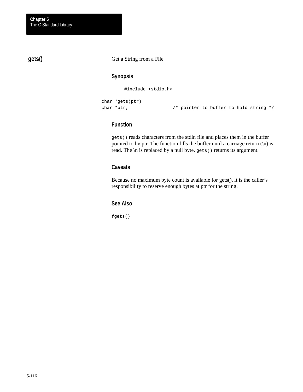# **gets()**

Get a String from a File

## **Synopsis**

#include <stdio.h>

```
char *gets(ptr)
```
char \*ptr;  $\sqrt{ }$  /\* pointer to buffer to hold string \*/

## **Function**

gets() reads characters from the stdin file and places them in the buffer pointed to by ptr. The function fills the buffer until a carriage return  $(\n)$  is read. The \n is replaced by a null byte. gets() returns its argument.

### **Caveats**

Because no maximum byte count is available for gets(), it is the caller's responsibility to reserve enough bytes at ptr for the string.

### **See Also**

fgets()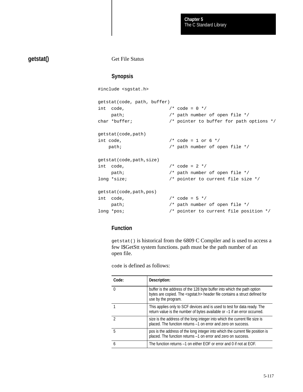# **getstat()**

Get File Status

### **Synopsis**

#include <sgstat.h>

```
getstat(code, path, buffer)
int code, /* code = 0 */ path; /* path number of open file */
char *buffer; /* pointer to buffer for path options */
getstat(code,path)
int code, /* code = 1 or 6 */path; \frac{1}{2} /* path number of open file */
getstat(code,path,size)
int code, / /* code = 2 */
   path; \frac{1}{2} /* path number of open file */
long *size; 4 \times 2 = 1 /* pointer to current file size */
getstat(code,path,pos)
int code, / \sim / \sim code = 5 \star/
    path; /* path number of open file */
long *pos; \frac{1}{2} /* pointer to current file position */
```
### **Function**

getstat() is historical from the 6809 C Compiler and is used to access a few I\$GetStt system functions. path must be the path number of an open file.

code is defined as follows:

| Code:        | Description:                                                                                                                                                                             |
|--------------|------------------------------------------------------------------------------------------------------------------------------------------------------------------------------------------|
| <sup>0</sup> | buffer is the address of the 128 byte buffer into which the path option<br>bytes are copied. The <sgstat.h> header file contains a struct defined for<br/>use by the program.</sgstat.h> |
|              | This applies only to SCF devices and is used to test for data ready. The<br>return value is the number of bytes available or -1 if an error occurred.                                    |
|              | size is the address of the long integer into which the current file size is<br>placed. The function returns -1 on error and zero on success.                                             |
| 5            | pos is the address of the long integer into which the current file position is<br>placed. The function returns -1 on error and zero on success.                                          |
|              | The function returns -1 on either EOF or error and 0 if not at EOF.                                                                                                                      |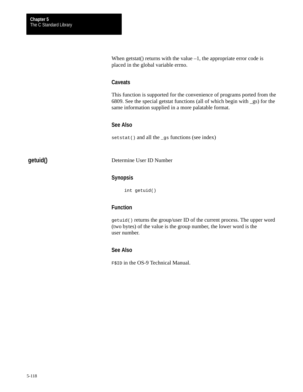When getstat() returns with the value  $-1$ , the appropriate error code is placed in the global variable errno.

#### **Caveats**

This function is supported for the convenience of programs ported from the 6809. See the special getstat functions (all of which begin with \_gs) for the same information supplied in a more palatable format.

### **See Also**

setstat() and all the \_gs functions (see index)

# **getuid()**

Determine User ID Number

#### **Synopsis**

int getuid()

# **Function**

getuid() returns the group/user ID of the current process. The upper word (two bytes) of the value is the group number, the lower word is the user number.

### **See Also**

F\$ID in the OS-9 Technical Manual.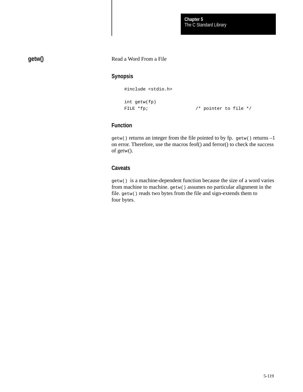# **getw()**

### Read a Word From a File

### **Synopsis**

#include <stdio.h>

```
int getw(fp)
```
FILE \*fp;  $\sqrt{ }$  /\* pointer to file \*/

# **Function**

getw() returns an integer from the file pointed to by fp. getw() returns –1 on error. Therefore, use the macros feof() and ferror() to check the success of getw().

### **Caveats**

getw() is a machine-dependent function because the size of a word varies from machine to machine. getw() assumes no particular alignment in the file. getw() reads two bytes from the file and sign-extends them to four bytes.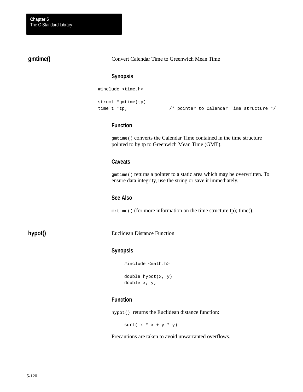# **gmtime()**

Convert Calendar Time to Greenwich Mean Time

### **Synopsis**

#include <time.h>

struct \*gmtime(tp)

time\_t \*tp; /\* pointer to Calendar Time structure \*/

### **Function**

gmtime() converts the Calendar Time contained in the time structure pointed to by tp to Greenwich Mean Time (GMT).

# **Caveats**

gmtime() returns a pointer to a static area which may be overwritten. To ensure data integrity, use the string or save it immediately.

#### **See Also**

mktime() (for more information on the time structure tp); time().

**hypot()**

Euclidean Distance Function

### **Synopsis**

#include <math.h>

```
double hypot(x, y)
double x, y;
```
### **Function**

hypot() returns the Euclidean distance function:

sqrt $(x * x + y * y)$ 

Precautions are taken to avoid unwarranted overflows.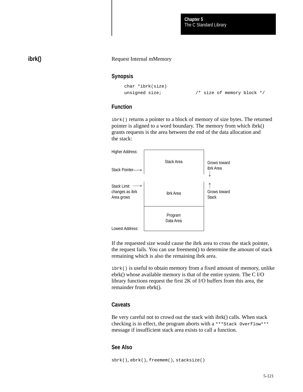The C Standard Library **Chapter 5**

# **ibrk()**

#### Request Internal mMemory

#### **Synopsis**

```
char *ibrk(size)
```
unsigned size;  $\frac{1}{2}$  /\* size of memory block \*/

### **Function**

ibrk() returns a pointer to a block of memory of size bytes. The returned pointer is aligned to a word boundary. The memory from which ibrk() grants requests is the area between the end of the data allocation and the stack:



If the requested size would cause the ibrk area to cross the stack pointer, the request fails. You can use freemem() to determine the amount of stack remaining which is also the remaining ibrk area.

ibrk() is useful to obtain memory from a fixed amount of memory, unlike ebrk() whose available memory is that of the entire system. The C I/O library functions request the first 2K of I/O buffers from this area, the remainder from ebrk().

### **Caveats**

Be very careful not to crowd out the stack with ibrk() calls. When stack checking is in effect, the program aborts with a \*\*\*Stack Overflow\*\*\* message if insufficient stack area exists to call a function.

#### **See Also**

```
sbrk(), ebrk(), freemem(), stacksize()
```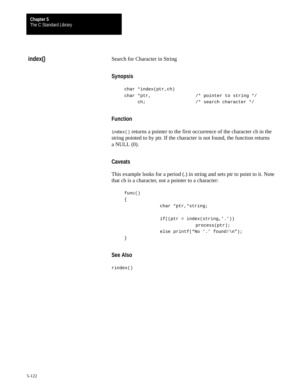# **index()**

Search for Character in String

# **Synopsis**

```
char *index(ptr,ch)
char *ptr, \frac{1}{2} /* pointer to string */
     ch; /* search character */
```
# **Function**

index() returns a pointer to the first occurrence of the character ch in the string pointed to by ptr. If the character is not found, the function returns a NULL (0).

# **Caveats**

This example looks for a period (.) in string and sets ptr to point to it. Note that ch is a character, not a pointer to a character:

```
func()
{
             char *ptr,*string;
             if((ptr = index(string, '.'))process(ptr);
             else printf("No '.' found!\n");
}
```
**See Also**

rindex()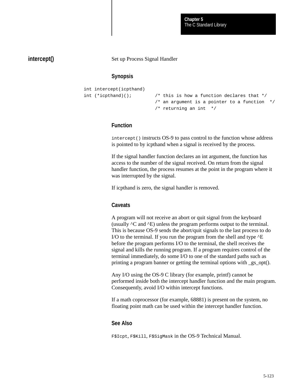The C Standard Library **Chapter 5**

### **intercept()**

Set up Process Signal Handler

#### **Synopsis**

```
int intercept(icpthand)
int (*icpthand)(); /* this is how a function declares that *//* an argument is a pointer to a function *//* returning an int */
```
### **Function**

intercept() instructs OS-9 to pass control to the function whose address is pointed to by icpthand when a signal is received by the process.

If the signal handler function declares an int argument, the function has access to the number of the signal received. On return from the signal handler function, the process resumes at the point in the program where it was interrupted by the signal.

If icpthand is zero, the signal handler is removed.

#### **Caveats**

A program will not receive an abort or quit signal from the keyboard (usually ^C and ^E) unless the program performs output to the terminal. This is because OS-9 sends the abort/quit signals to the last process to do I/O to the terminal. If you run the program from the shell and type  $AE$ before the program performs I/O to the terminal, the shell receives the signal and kills the running program. If a program requires control of the terminal immediately, do some I/O to one of the standard paths such as printing a program banner or getting the terminal options with \_gs\_opt().

Any I/O using the OS-9 C library (for example, printf) cannot be performed inside both the intercept handler function and the main program. Consequently, avoid I/O within intercept functions.

If a math coprocessor (for example, 68881) is present on the system, no floating point math can be used within the intercept handler function.

#### **See Also**

F\$Icpt, F\$Kill, F\$SigMask in the OS-9 Technical Manual.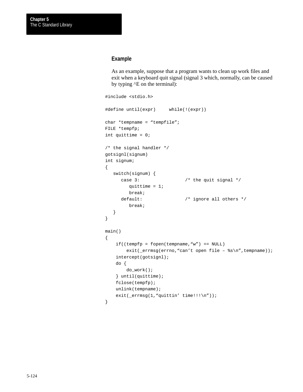### **Example**

As an example, suppose that a program wants to clean up work files and exit when a keyboard quit signal (signal 3 which, normally, can be caused by typing ^E on the terminal):

```
#include <stdio.h>
#define until(expr) while(!(expr))
char *tempname = "tempfile";
FILE *tempfp;
int quittime = 0;
/* the signal handler */
gotsignl(signum)
int signum;
{
    switch(signum) {
      case 3: \frac{1}{2} /* the quit signal */
         quittime = 1;
         break;
     default: <br> /* ignore all others */
         break;
    }
}
main()
{
    if((tempfp = fopen(tempname, "w") == NULL)exit(_errmsg(errno,"can't open file - %s\n",tempname));
     intercept(gotsignl);
    do {
         do_work();
     } until(quittime);
     fclose(tempfp);
    unlink(tempname);
    exit(_errmsg(1,"quittin' time!!!\n"));
}
```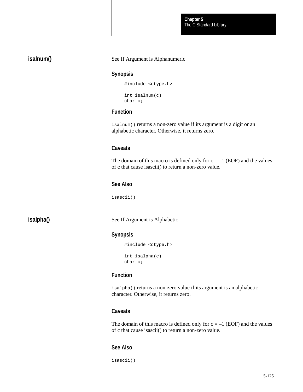| isalnum() |
|-----------|
|-----------|

#### See If Argument is Alphanumeric

#### **Synopsis**

```
#include <ctype.h>
int isalnum(c)
char c;
```
### **Function**

isalnum() returns a non-zero value if its argument is a digit or an alphabetic character. Otherwise, it returns zero.

### **Caveats**

The domain of this macro is defined only for  $c = -1$  (EOF) and the values of c that cause isascii() to return a non-zero value.

#### **See Also**

isascii()

# **isalpha()**

See If Argument is Alphabetic

#### **Synopsis**

```
#include <ctype.h>
int isalpha(c)
char c;
```
# **Function**

isalpha() returns a non-zero value if its argument is an alphabetic character. Otherwise, it returns zero.

### **Caveats**

The domain of this macro is defined only for  $c = -1$  (EOF) and the values of c that cause isascii() to return a non-zero value.

#### **See Also**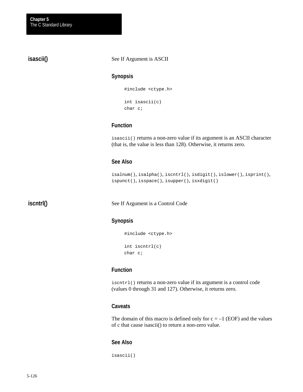**isascii()**

See If Argument is ASCII

### **Synopsis**

#include <ctype.h> int isascii(c)

char c;

### **Function**

isascii() returns a non-zero value if its argument is an ASCII character (that is, the value is less than 128). Otherwise, it returns zero.

# **See Also**

```
isalnum(), isalpha(), iscntrl(), isdigit(), islower(), isprint(),
ispunct(), isspace(), isupper(), isxdigit()
```
**iscntrl()**

See If Argument is a Control Code

### **Synopsis**

```
#include <ctype.h>
int iscntrl(c)
char c;
```
## **Function**

iscntrl() returns a non-zero value if its argument is a control code (values 0 through 31 and 127). Otherwise, it returns zero.

### **Caveats**

The domain of this macro is defined only for  $c = -1$  (EOF) and the values of c that cause isascii() to return a non-zero value.

### **See Also**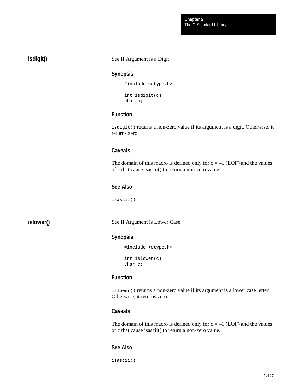# **isdigit()**

#### See If Argument is a Digit

#### **Synopsis**

```
#include <ctype.h>
int isdigit(c)
char c;
```
### **Function**

isdigit() returns a non-zero value if its argument is a digit. Otherwise, it returns zero.

### **Caveats**

The domain of this macro is defined only for  $c = -1$  (EOF) and the values of c that cause isascii() to return a non-zero value.

### **See Also**

isascii()

# **islower()**

See If Argument is Lower Case

#### **Synopsis**

```
#include <ctype.h>
int islower(c)
char c;
```
### **Function**

islower() returns a non-zero value if its argument is a lower case letter. Otherwise, it returns zero.

### **Caveats**

The domain of this macro is defined only for  $c = -1$  (EOF) and the values of c that cause isascii() to return a non-zero value.

### **See Also**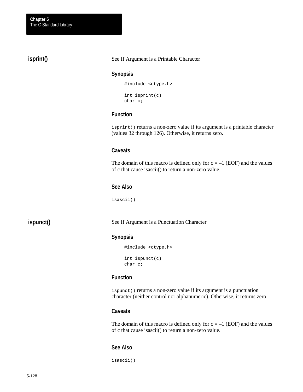**isprint()**

#### See If Argument is a Printable Character

#### **Synopsis**

```
#include <ctype.h>
int isprint(c)
char c;
```
### **Function**

isprint() returns a non-zero value if its argument is a printable character (values 32 through 126). Otherwise, it returns zero.

### **Caveats**

The domain of this macro is defined only for  $c = -1$  (EOF) and the values of c that cause isascii() to return a non-zero value.

#### **See Also**

isascii()

# **ispunct()**

See If Argument is a Punctuation Character

#### **Synopsis**

```
#include <ctype.h>
int ispunct(c)
char c;
```
### **Function**

ispunct() returns a non-zero value if its argument is a punctuation character (neither control nor alphanumeric). Otherwise, it returns zero.

#### **Caveats**

The domain of this macro is defined only for  $c = -1$  (EOF) and the values of c that cause isascii() to return a non-zero value.

#### **See Also**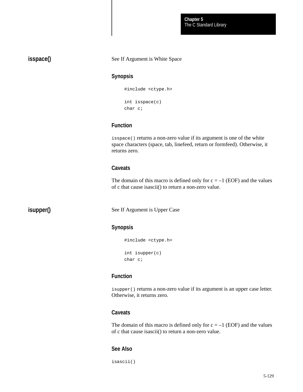# **isspace()**

**isupper()**

#### See If Argument is White Space

### **Synopsis**

```
#include <ctype.h>
int isspace(c)
```

```
char c;
```
### **Function**

isspace() returns a non-zero value if its argument is one of the white space characters (space, tab, linefeed, return or formfeed). Otherwise, it returns zero.

### **Caveats**

The domain of this macro is defined only for  $c = -1$  (EOF) and the values of c that cause isascii() to return a non-zero value.

See If Argument is Upper Case

### **Synopsis**

#include <ctype.h> int isupper(c) char c;

# **Function**

isupper() returns a non-zero value if its argument is an upper case letter. Otherwise, it returns zero.

#### **Caveats**

The domain of this macro is defined only for  $c = -1$  (EOF) and the values of c that cause isascii() to return a non-zero value.

### **See Also**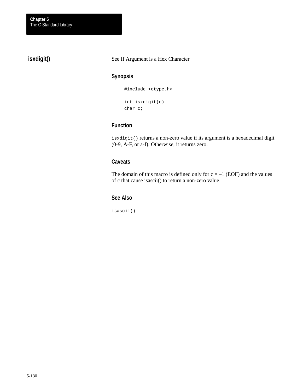# **isxdigit()**

#### See If Argument is a Hex Character

### **Synopsis**

```
#include <ctype.h>
int isxdigit(c)
char c;
```
## **Function**

isxdigit() returns a non-zero value if its argument is a hexadecimal digit (0-9, A-F, or a-f). Otherwise, it returns zero.

# **Caveats**

The domain of this macro is defined only for  $c = -1$  (EOF) and the values of c that cause isascii() to return a non-zero value.

### **See Also**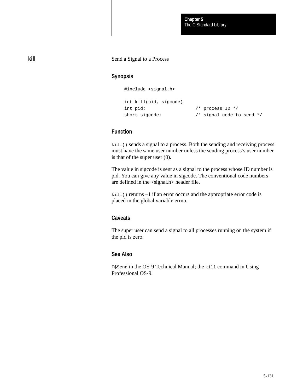#### Send a Signal to a Process

### **Synopsis**

#include <signal.h>

```
int kill(pid, sigcode)
int pid; / /* process ID */
short sigcode; \frac{1}{2} /* signal code to send */
```
## **Function**

kill() sends a signal to a process. Both the sending and receiving process must have the same user number unless the sending process's user number is that of the super user (0).

The value in sigcode is sent as a signal to the process whose ID number is pid. You can give any value in sigcode. The conventional code numbers are defined in the <signal.h> header file.

kill() returns –1 if an error occurs and the appropriate error code is placed in the global variable errno.

#### **Caveats**

The super user can send a signal to all processes running on the system if the pid is zero.

## **See Also**

F\$Send in the OS-9 Technical Manual; the kill command in Using Professional OS-9.

**kill**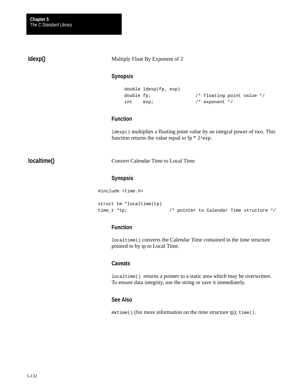**Idexp()**

#### Multiply Float By Exponent of 2

#### **Synopsis**

```
double ldexp(fp, exp)
int exp; /* exponent */
```
double fp;  $\frac{1}{2}$  /\* floating point value \*/

## **Function**

ldexp() multiplies a floating point value by an integral power of two. This function returns the value equal to  $fp * 2^{\wedge} exp$ .

# **localtime()**

Convert Calendar Time to Local Time

# **Synopsis**

#include <time.h>

```
struct tm *localtime(tp)
time_t *tp; /* pointer to Calendar Time structure */
```
### **Function**

localtime() converts the Calendar Time contained in the time structure pointed to by tp to Local Time.

### **Caveats**

localtime() returns a pointer to a static area which may be overwritten. To ensure data integrity, use the string or save it immediately.

#### **See Also**

mktime() (for more information on the time structure tp); time().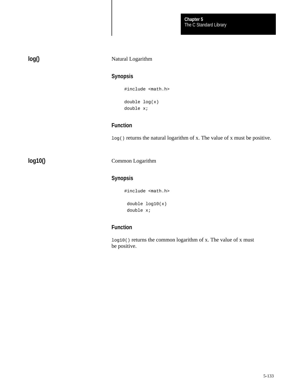#### Natural Logarithm

# **Synopsis**

#include <math.h>

double log(x) double x;

# **Function**

log() returns the natural logarithm of x. The value of x must be positive.

**log10()**

Common Logarithm

# **Synopsis**

#include <math.h>

 double log10(x) double x;

# **Function**

log10() returns the common logarithm of x. The value of x must be positive.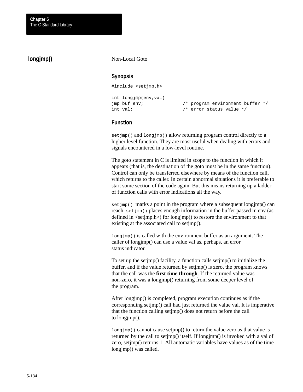# **longjmp()**

#### Non-Local Goto

### **Synopsis**

#include <setjmp.h>

```
int longjmp(env,val)
```
jmp\_buf env; /\* program environment buffer \*/ int val;  $\frac{1}{x}$  /\* error status value \*/

## **Function**

set jmp() and longjmp() allow returning program control directly to a higher level function. They are most useful when dealing with errors and signals encountered in a low-level routine.

The goto statement in C is limited in scope to the function in which it appears (that is, the destination of the goto must be in the same function). Control can only be transferred elsewhere by means of the function call, which returns to the caller. In certain abnormal situations it is preferable to start some section of the code again. But this means returning up a ladder of function calls with error indications all the way.

set  $\text{Jmp}($ ) marks a point in the program where a subsequent longjmp() can reach. set  $\text{imp}(\cdot)$  places enough information in the buffer passed in env (as defined in <setjmp.h>) for longjmp() to restore the environment to that existing at the associated call to setjmp().

longjmp() is called with the environment buffer as an argument. The caller of longjmp() can use a value val as, perhaps, an error status indicator.

To set up the setjmp() facility, a function calls setjmp() to initialize the buffer, and if the value returned by setjmp() is zero, the program knows that the call was the **first time through**. If the returned value was non-zero, it was a longjmp() returning from some deeper level of the program.

After longjmp() is completed, program execution continues as if the corresponding setjmp() call had just returned the value val. It is imperative that the function calling setjmp() does not return before the call to longjmp().

longjmp() cannot cause setjmp() to return the value zero as that value is returned by the call to setjmp() itself. If longjmp() is invoked with a val of zero, setjmp() returns 1. All automatic variables have values as of the time longjmp() was called.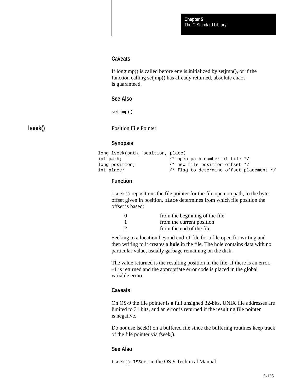#### **Caveats**

If longjmp() is called before env is initialized by setjmp(), or if the function calling setjmp() has already returned, absolute chaos is guaranteed.

#### **See Also**

setjmp()

### **lseek()**

Position File Pointer

# **Synopsis**

```
long lseek(path, position, place)
int path; \frac{1}{2} /* open path number of file */
long position; \frac{1}{2} /* new file position offset */
int place; /* flag to determine offset placement */
```
# **Function**

lseek() repositions the file pointer for the file open on path, to the byte offset given in position. place determines from which file position the offset is based:

| $\Omega$      | from the beginning of the file |
|---------------|--------------------------------|
|               | from the current position      |
| $\mathcal{D}$ | from the end of the file       |
|               |                                |

Seeking to a location beyond end-of-file for a file open for writing and then writing to it creates a **hole** in the file. The hole contains data with no particular value, usually garbage remaining on the disk.

The value returned is the resulting position in the file. If there is an error, –1 is returned and the appropriate error code is placed in the global variable errno.

#### **Caveats**

On OS-9 the file pointer is a full unsigned 32-bits. UNIX file addresses are limited to 31 bits, and an error is returned if the resulting file pointer is negative.

Do not use lseek() on a buffered file since the buffering routines keep track of the file pointer via fseek().

### **See Also**

fseek(); I\$Seek in the OS-9 Technical Manual.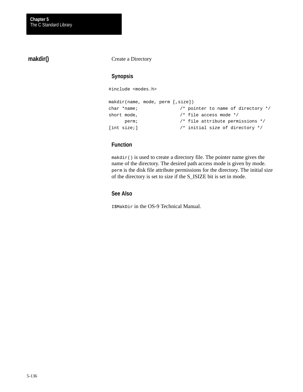# **makdir()**

#### Create a Directory

### **Synopsis**

#include <modes.h>

```
makdir(name, mode, perm [,size])
char *name; /* pointer to name of directory */
short mode, \frac{1}{2} /* file access mode */
     perm; /* file attribute permissions */
[int size;] \frac{1}{2} /* initial size of directory */
```
# **Function**

makdir() is used to create a directory file. The pointer name gives the name of the directory. The desired path access mode is given by mode. perm is the disk file attribute permissions for the directory. The initial size of the directory is set to size if the S\_ISIZE bit is set in mode.

# **See Also**

I\$MakDir in the OS-9 Technical Manual.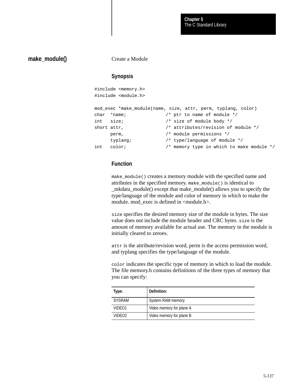### **make\_module()**

Create a Module

### **Synopsis**

```
#include <memory.h> 
#include <module.h>
mod_exec *make_module(name, size, attr, perm, typlang, color)
```

```
char *name; /* ptr to name of module */
int size; /* size of module body */
short attr, \frac{1}{1 + \frac{1}{1 + \frac{1}{1 + \frac{1}{1 + \frac{1}{1 + \frac{1}{1 + \frac{1}{1 + \frac{1}{1 + \frac{1}{1 + \frac{1}{1 + \frac{1}{1 + \frac{1}{1 + \frac{1}{1 + \frac{1}{1 + \frac{1}{1 + \frac{1}{1 + \frac{1}{1 + \frac{1}{1 + \frac{1}{1 + \frac{1}{1 + \frac{1}{1 + \frac{1}{1 + \frac{1}{1 + \frac{1}{1 + \frac{1}{1 + \frac{1}{1 + \frac{1}{1 + \frac{1}{1 + \frac{1}{1 + \frac{1}{1 perm, /* module permissions */
           typlang; /* type/language of module */
int color; /* memory type in which to make module */
```
### **Function**

make\_module() creates a memory module with the specified name and attributes in the specified memory. make\_module() is identical to \_mkdata\_module() except that make\_module() allows you to specify the type/language of the module and color of memory in which to make the module. mod\_exec is defined in <module.h>.

size specifies the desired memory size of the module in bytes. The size value does not include the module header and CRC bytes. size is the amount of memory available for actual use. The memory in the module is initially cleared to zeroes.

attr is the attribute/revision word, perm is the access permission word, and typlang specifies the type/language of the module.

color indicates the specific type of memory in which to load the module. The file memory.h contains definitions of the three types of memory that you can specify:

| Type:              | Definition:              |
|--------------------|--------------------------|
| SYSRAM             | System RAM memory        |
| VIDEO1             | Video memory for plane A |
| VIDEO <sub>2</sub> | Video memory for plane B |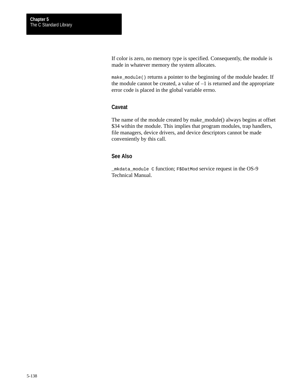If color is zero, no memory type is specified. Consequently, the module is made in whatever memory the system allocates.

make\_module() returns a pointer to the beginning of the module header. If the module cannot be created, a value of  $-1$  is returned and the appropriate error code is placed in the global variable errno.

### **Caveat**

The name of the module created by make\_module() always begins at offset \$34 within the module. This implies that program modules, trap handlers, file managers, device drivers, and device descriptors cannot be made conveniently by this call.

### **See Also**

\_mkdata\_module C function; F\$DatMod service request in the OS-9 Technical Manual.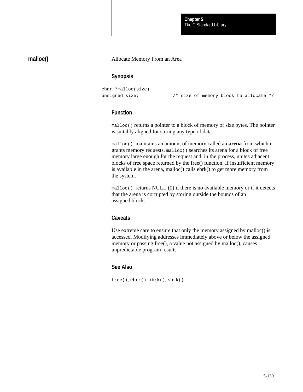The C Standard Library **Chapter 5**

### **malloc()**

#### Allocate Memory From an Area

#### **Synopsis**

```
char *malloc(size)
unsigned size; \frac{1}{2} /* size of memory block to allocate */
```
### **Function**

malloc() returns a pointer to a block of memory of size bytes. The pointer is suitably aligned for storing any type of data.

malloc() maintains an amount of memory called an **arena** from which it grants memory requests. malloc() searches its arena for a block of free memory large enough for the request and, in the process, unites adjacent blocks of free space returned by the free() function. If insufficient memory is available in the arena, malloc() calls ebrk() to get more memory from the system.

 $m$ alloc() returns NULL (0) if there is no available memory or if it detects that the arena is corrupted by storing outside the bounds of an assigned block.

#### **Caveats**

Use extreme care to ensure that only the memory assigned by malloc() is accessed. Modifying addresses immediately above or below the assigned memory or passing free(), a value not assigned by malloc(), causes unpredictable program results.

#### **See Also**

free(), ebrk(), ibrk(), sbrk()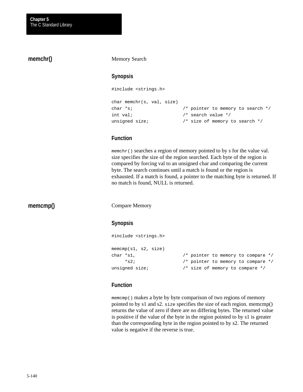## **memchr()**

#### Memory Search

### **Synopsis**

#include <strings.h>

```
char memchr(s, val, size)
char *s; \gamma /* pointer to memory to search */
int val; \frac{1}{2} /* search value */
unsigned size; \frac{1}{2} /* size of memory to search */
```
### **Function**

memchr() searches a region of memory pointed to by s for the value val. size specifies the size of the region searched. Each byte of the region is compared by forcing val to an unsigned char and comparing the current byte. The search continues until a match is found or the region is exhausted. If a match is found, a pointer to the matching byte is returned. If no match is found, NULL is returned.

### **memcmp()**

Compare Memory

#### **Synopsis**

```
#include <strings.h>
memcmp(s1, s2, size)
char *s1, \frac{1}{2} /* pointer to memory to compare */
     *s2; /* pointer to memory to compare */
unsigned size; \frac{1}{2} /* size of memory to compare */
```
## **Function**

memcmp() makes a byte by byte comparison of two regions of memory pointed to by s1 and s2. size specifies the size of each region. memcmp() returns the value of zero if there are no differing bytes. The returned value is positive if the value of the byte in the region pointed to by s1 is greater than the corresponding byte in the region pointed to by s2. The returned value is negative if the reverse is true.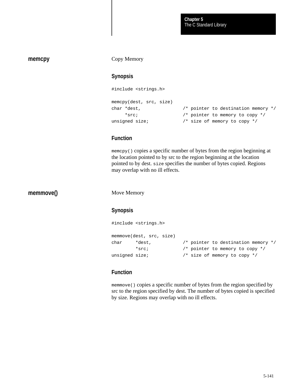#### **memcpy**

#### Copy Memory

### **Synopsis**

```
#include <strings.h>
memcpy(dest, src, size)
char *dest, /* pointer to destination memory */
     *src; /* pointer to memory to copy */
unsigned size; \frac{1}{2} /* size of memory to copy */
```
### **Function**

memcpy() copies a specific number of bytes from the region beginning at the location pointed to by src to the region beginning at the location pointed to by dest. size specifies the number of bytes copied. Regions may overlap with no ill effects.

**memmove()**

Move Memory

#### **Synopsis**

```
#include <strings.h>
memmove(dest, src, size)
char *dest, /* pointer to destination memory */
         *src; /* pointer to memory to copy */
unsigned size; \frac{1}{2} /* size of memory to copy */
```
### **Function**

memmove() copies a specific number of bytes from the region specified by src to the region specified by dest. The number of bytes copied is specified by size. Regions may overlap with no ill effects.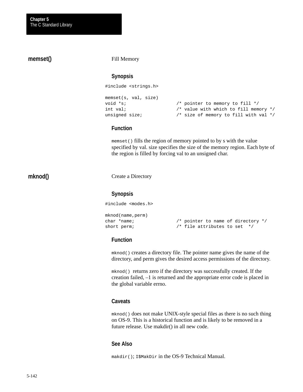# Fill Memory **Synopsis** #include <strings.h> memset(s, val, size) void \*s;  $\frac{1}{1}$  /\* pointer to memory to fill \*/ int val;  $\frac{1}{x}$  /\* value with which to fill memory \*/ unsigned size;  $\frac{1}{2}$  /\* size of memory to fill with val \*/ **Function** memset() fills the region of memory pointed to by s with the value specified by val. size specifies the size of the memory region. Each byte of the region is filled by forcing val to an unsigned char. Create a Directory **Synopsis** #include <modes.h> mknod(name,perm) char \*name; /\* pointer to name of directory \*/ short perm;  $\frac{1}{2}$  /\* file attributes to set \*/ **memset() mknod()**

### **Function**

mknod() creates a directory file. The pointer name gives the name of the directory, and perm gives the desired access permissions of the directory.

mknod() returns zero if the directory was successfully created. If the creation failed, –1 is returned and the appropriate error code is placed in the global variable errno.

#### **Caveats**

mknod() does not make UNIX-style special files as there is no such thing on OS-9. This is a historical function and is likely to be removed in a future release. Use makdir() in all new code.

### **See Also**

makdir(); I\$MakDir in the OS-9 Technical Manual.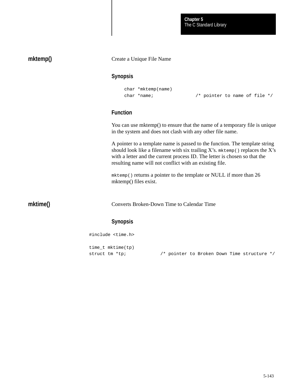| mktemp() | Create a Unique File Name  |                                                                                                                                                                                                                                                                                                            |
|----------|----------------------------|------------------------------------------------------------------------------------------------------------------------------------------------------------------------------------------------------------------------------------------------------------------------------------------------------------|
|          | <b>Synopsis</b>            |                                                                                                                                                                                                                                                                                                            |
|          |                            | char *mktemp(name)                                                                                                                                                                                                                                                                                         |
|          | char *name;                | $/*$ pointer to name of file */                                                                                                                                                                                                                                                                            |
|          | <b>Function</b>            |                                                                                                                                                                                                                                                                                                            |
|          |                            | You can use mktemp() to ensure that the name of a temporary file is unique<br>in the system and does not clash with any other file name.                                                                                                                                                                   |
|          |                            | A pointer to a template name is passed to the function. The template string<br>should look like a filename with six trailing $X$ 's. mktemp() replaces the $X$ 's<br>with a letter and the current process ID. The letter is chosen so that the<br>resulting name will not conflict with an existing file. |
|          | mktemp() files exist.      | mktemp() returns a pointer to the template or NULL if more than 26                                                                                                                                                                                                                                         |
| mktime() |                            | <b>Converts Broken-Down Time to Calendar Time</b>                                                                                                                                                                                                                                                          |
|          | <b>Synopsis</b>            |                                                                                                                                                                                                                                                                                                            |
|          | #include <time.h></time.h> |                                                                                                                                                                                                                                                                                                            |
|          | time_t mktime(tp)          |                                                                                                                                                                                                                                                                                                            |
|          | struct tm *tp;             | /* pointer to Broken Down Time structure */                                                                                                                                                                                                                                                                |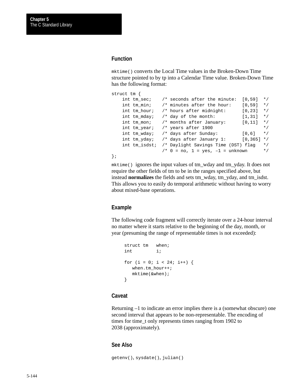#### **Function**

mktime() converts the Local Time values in the Broken-Down Time structure pointed to by tp into a Calendar Time value. Broken-Down Time has the following format:

```
struct tm {
    int tm_sec; /* seconds after the minute: [0,59] */
    int tm_min; /* minutes after the hour: [0,59] */
   int tm_hour; /* hours after midnight: [0,23] */
   int tm_mday; \prime^* day of the month: [1,31] */<br>int tm_mon; \prime^* months after January: [0,11] */
   int tm_mon; \prime* months after January: [0,11]
   int tm\_year; /* years after 1900 */
   int tm_wday; /* days after Sunday: [0,6] */
   int tm_yday; /* days after January 1: [0,365] */
    int tm_isdst; /* Daylight Savings Time (DST) flag */
                  /* 0 = no, 1 = yes, -1 = unknown */
};
```
mktime() ignores the input values of tm\_wday and tm\_yday. It does not require the other fields of tm to be in the ranges specified above, but instead **normalizes** the fields and sets tm\_wday, tm\_yday, and tm\_isdst. This allows you to easily do temporal arithmetic without having to worry about mixed-base operations.

#### **Example**

The following code fragment will correctly iterate over a 24-hour interval no matter where it starts relative to the beginning of the day, month, or year (presuming the range of representable times is not exceeded):

```
struct tm when;
int i;
for (i = 0; i < 24; i++) {
  when.tm hour++;
   mktime(&when);
}
```
#### **Caveat**

Returning –1 to indicate an error implies there is a (somewhat obscure) one second interval that appears to be non-representable. The encoding of times for time\_t only represents times ranging from 1902 to 2038 (approximately).

#### **See Also**

getenv(), sysdate(), julian()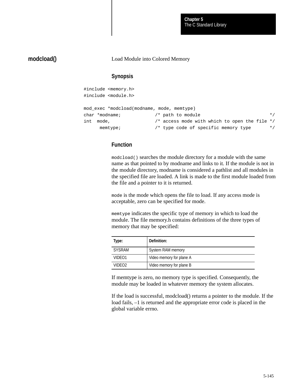The C Standard Library **Chapter 5**

## **modcload()**

#### Load Module into Colored Memory

#### **Synopsis**

|     | #include <memory.h></memory.h>             |                                                 |           |
|-----|--------------------------------------------|-------------------------------------------------|-----------|
|     | #include <module.h></module.h>             |                                                 |           |
|     | mod exec *modcload(modname, mode, memtype) |                                                 |           |
|     | $char *modname;$                           | /* path to module                               | $\star$ / |
| int | mode,                                      | /* access mode with which to open the file $*/$ |           |
|     | member                                     | /* type code of specific memory type            | $\star$ / |

### **Function**

modcload() searches the module directory for a module with the same name as that pointed to by modname and links to it. If the module is not in the module directory, modname is considered a pathlist and all modules in the specified file are loaded. A link is made to the first module loaded from the file and a pointer to it is returned.

mode is the mode which opens the file to load. If any access mode is acceptable, zero can be specified for mode.

memtype indicates the specific type of memory in which to load the module. The file memory.h contains definitions of the three types of memory that may be specified:

| Type:              | Definition:              |
|--------------------|--------------------------|
| <b>SYSRAM</b>      | System RAM memory        |
| VIDEO1             | Video memory for plane A |
| VIDEO <sub>2</sub> | Video memory for plane B |

If memtype is zero, no memory type is specified. Consequently, the module may be loaded in whatever memory the system allocates.

If the load is successful, modcload() returns a pointer to the module. If the load fails, –1 is returned and the appropriate error code is placed in the global variable errno.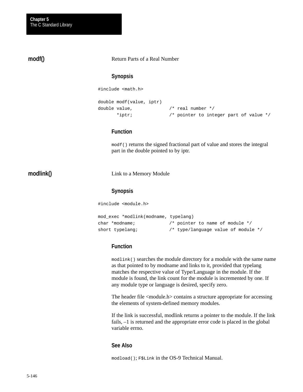### **modf()**

#### Return Parts of a Real Number

#### **Synopsis**

#include <math.h>

```
double modf(value, iptr)
double value, /* real number */
      *iptr; /* pointer to integer part of value */
```
### **Function**

modf() returns the signed fractional part of value and stores the integral part in the double pointed to by iptr.

### **modlink()**

Link to a Memory Module

#### **Synopsis**

#include <module.h>

```
mod_exec *modlink(modname, typelang)
char *modname; /* pointer to name of module */
short typelang; \frac{1}{2} /* type/language value of module */
```
### **Function**

modlink() searches the module directory for a module with the same name as that pointed to by modname and links to it, provided that typelang matches the respective value of Type/Language in the module. If the module is found, the link count for the module is incremented by one. If any module type or language is desired, specify zero.

The header file <module.h> contains a structure appropriate for accessing the elements of system-defined memory modules.

If the link is successful, modlink returns a pointer to the module. If the link fails, –1 is returned and the appropriate error code is placed in the global variable errno.

#### **See Also**

modload(); F\$Link in the OS-9 Technical Manual.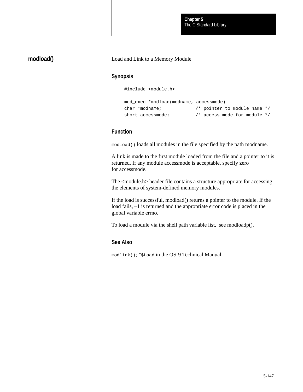## **modload()**

#### Load and Link to a Memory Module

### **Synopsis**

#include <module.h>

```
mod_exec *modload(modname, accessmode)
char *modname; /* pointer to module name */
short accessmode; \frac{1}{4} access mode for module */
```
### **Function**

modload() loads all modules in the file specified by the path modname.

A link is made to the first module loaded from the file and a pointer to it is returned. If any module accessmode is acceptable, specify zero for accessmode.

The <module.h> header file contains a structure appropriate for accessing the elements of system-defined memory modules.

If the load is successful, modload() returns a pointer to the module. If the load fails, –1 is returned and the appropriate error code is placed in the global variable errno.

To load a module via the shell path variable list, see modloadp().

#### **See Also**

modlink(); F\$Load in the OS-9 Technical Manual.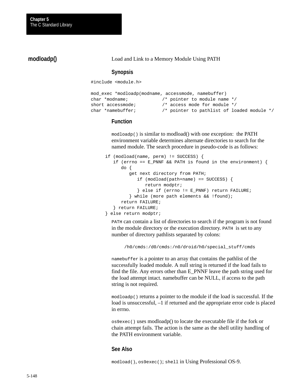### **modloadp()**

Load and Link to a Memory Module Using PATH

#### **Synopsis**

#include <module.h>

```
mod_exec *modloadp(modname, accessmode, namebuffer)
char *modname; /* pointer to module name */
short accessmode; \frac{1}{4} access mode for module */
char *namebuffer; /* pointer to pathlist of loaded module */
```
#### **Function**

modloadp() is similar to modload() with one exception: the PATH environment variable determines alternate directories to search for the named module. The search procedure in pseudo-code is as follows:

```
if (modload(name, perm) != SUCCESS) {
   if (errno == E_PNNF && PATH is found in the environment) {
       do {
          get next directory from PATH;
             if (modload(path+name) == SUCCESS) {
                return modptr;
             } else if (errno != E_PNNF) return FAILURE;
          } while (more path elements && !found);
       return FAILURE;
    } return FAILURE;
} else return modptr;
```
PATH can contain a list of directories to search if the program is not found in the module directory or the execution directory. PATH is set to any number of directory pathlists separated by colons:

/h0/cmds:/d0/cmds:/n0/droid/h0/special\_stuff/cmds

namebuffer is a pointer to an array that contains the pathlist of the successfully loaded module. A null string is returned if the load fails to find the file. Any errors other than E\_PNNF leave the path string used for the load attempt intact. namebuffer can be NULL, if access to the path string is not required.

modloadp() returns a pointer to the module if the load is successful. If the load is unsuccessful, –1 if returned and the appropriate error code is placed in errno.

os9exec() uses modloadp() to locate the executable file if the fork or chain attempt fails. The action is the same as the shell utility handling of the PATH environment variable.

#### **See Also**

modload(), os9exec(); shell in Using Professional OS-9.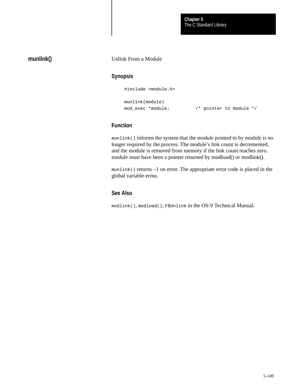## **munlink()**

#### Unlink From a Module

### **Synopsis**

#include <module.h>

```
munlink(module)
```
mod\_exec \*module; /\* pointer to module \*/

### **Function**

munlink() informs the system that the module pointed to by module is no longer required by the process. The module's link count is decremented, and the module is removed from memory if the link count reaches zero. module must have been a pointer returned by modload() or modlink().

munlink() returns –1 on error. The appropriate error code is placed in the global variable errno.

### **See Also**

modlink(), modload(); F\$Unlink in the OS-9 Technical Manual.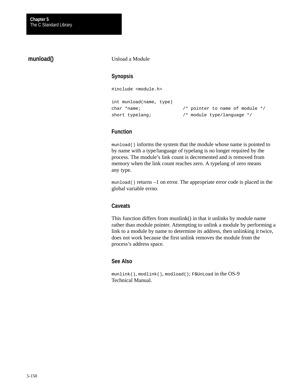### **munload()**

#### Unload a Module

### **Synopsis**

#include <module.h>

```
int munload(name, type)
char *name; /* pointer to name of module */
short typelang; \frac{1}{4} /* module type/language */
```
### **Function**

munload() informs the system that the module whose name is pointed to by name with a type/language of typelang is no longer required by the process. The module's link count is decremented and is removed from memory when the link count reaches zero. A typelang of zero means any type.

munload() returns –1 on error. The appropriate error code is placed in the global variable errno.

#### **Caveats**

This function differs from munlink() in that it unlinks by module name rather than module pointer. Attempting to unlink a module by performing a link to a module by name to determine its address, then unlinking it twice, does not work because the first unlink removes the module from the process's address space.

### **See Also**

munlink(), modlink(), modload(); F\$UnLoad in the OS-9 Technical Manual.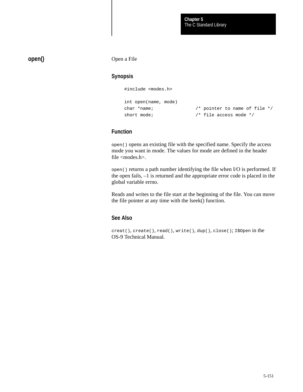## **open()**

Open a File

### **Synopsis**

#include <modes.h>

```
int open(name, mode)
char *name; /* pointer to name of file */
short mode; \frac{1}{2} /* file access mode */
```
## **Function**

open() opens an existing file with the specified name. Specify the access mode you want in mode. The values for mode are defined in the header file  $<$ modes.h $>$ .

open() returns a path number identifying the file when I/O is performed. If the open fails, –1 is returned and the appropriate error code is placed in the global variable errno.

Reads and writes to the file start at the beginning of the file. You can move the file pointer at any time with the lseek() function.

### **See Also**

creat(), create(), read(), write(), dup(), close(); I\$Open in the OS-9 Technical Manual.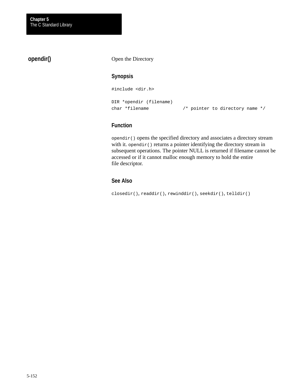## **opendir()**

#### Open the Directory

### **Synopsis**

#include <dir.h>

```
DIR *opendir (filename)
char *filename /* pointer to directory name */
```
### **Function**

opendir() opens the specified directory and associates a directory stream with it. opendir() returns a pointer identifying the directory stream in subsequent operations. The pointer NULL is returned if filename cannot be accessed or if it cannot malloc enough memory to hold the entire file descriptor.

## **See Also**

closedir(), readdir(), rewinddir(), seekdir(), telldir()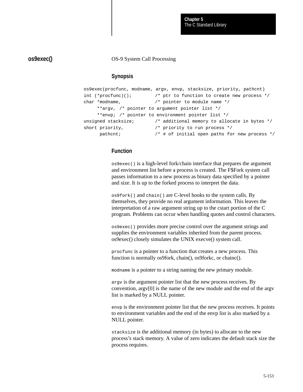**os9exec()**

OS-9 System Call Processing

### **Synopsis**

|                       | os9exec(procfunc, modname, argy, envp, stacksize, priority, pathcnt) |
|-----------------------|----------------------------------------------------------------------|
| int $(*procfunc)()$ ; | /* ptr to function to create new process $*/$                        |
| char *modname,        | /* pointer to module name $*/$                                       |
|                       | **argy, /* pointer to argument pointer list */                       |
|                       | **envp; /* pointer to environment pointer list */                    |
| unsigned stacksize;   | /* additional memory to allocate in bytes */                         |
| short priority,       | /* priority to run process $*/$                                      |
| pathcnt;              | $/*$ # of initial open paths for new process $*/$                    |

### **Function**

os9exec() is a high-level fork/chain interface that prepares the argument and environment list before a process is created. The F\$Fork system call passes information to a new process as binary data specified by a pointer and size. It is up to the forked process to interpret the data.

os9fork() and chain() are C-level hooks to the system calls. By themselves, they provide no real argument information. This leaves the interpretation of a raw argument string up to the cstart portion of the C program. Problems can occur when handling quotes and control characters.

os9exec() provides more precise control over the argument strings and supplies the environment variables inherited from the parent process. os9exec() closely simulates the UNIX execve() system call.

procfunc is a pointer to a function that creates a new process. This function is normally os9fork, chain(), os9forkc, or chainc().

modname is a pointer to a string naming the new primary module.

argv is the argument pointer list that the new process receives. By convention, argv[0] is the name of the new module and the end of the argv list is marked by a NULL pointer.

envp is the environment pointer list that the new process receives. It points to environment variables and the end of the envp list is also marked by a NULL pointer.

stacksize is the additional memory (in bytes) to allocate to the new process's stack memory. A value of zero indicates the default stack size the process requires.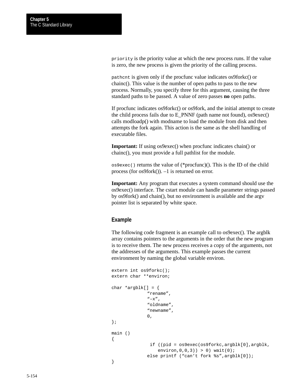priority is the priority value at which the new process runs. If the value is zero, the new process is given the priority of the calling process.

pathcnt is given only if the procfunc value indicates os9forkc() or chainc(). This value is the number of open paths to pass to the new process. Normally, you specify three for this argument, causing the three standard paths to be passed. A value of zero passes **no** open paths.

If procfunc indicates os9forkc() or os9fork, and the initial attempt to create the child process fails due to E\_PNNF (path name not found), os9exec() calls modloadp() with modname to load the module from disk and then attempts the fork again. This action is the same as the shell handling of executable files.

**Important:** If using os9exec() when procfunc indicates chain() or chainc(), you must provide a full pathlist for the module.

os9exec() returns the value of (\*procfunc)(). This is the ID of the child process (for os9fork()). –1 is returned on error.

**Important:** Any program that executes a system command should use the os9exec() interface. The cstart module can handle parameter strings passed by os9fork() and chain(), but no environment is available and the argv pointer list is separated by white space.

#### **Example**

The following code fragment is an example call to os9exec(). The argblk array contains pointers to the arguments in the order that the new program is to receive them. The new process receives a copy of the arguments, not the addresses of the arguments. This example passes the current environment by naming the global variable environ.

```
extern int os9forkc();
extern char **environ;
char *argblk[] = {"rename",
              "–x",
              "oldname",
              "newname",
              0,};
main ()
{
                if ((pid = os9exec(os9forkc,argblk[0],argblk,
                   environ,0,0,3)) > 0) wait(0);
              else printf ("can't fork %s",argblk[0]);
}
```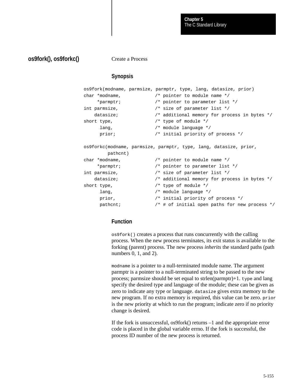### **os9fork(), os9forkc()**

Create a Process

### **Synopsis**

```
os9fork(modname, parmsize, parmptr, type, lang, datasize, prior)
char *modname, /* pointer to module name */
     *parmptr; /* pointer to parameter list */
int parmsize, /* size of parameter list */
    datasize; /* additional memory for process in bytes */
short type, \frac{1}{2} /* type of module */
     lang, \frac{1}{2} /* module language */
    prior; \frac{1}{2} /* initial priority of process */
os9forkc(modname, parmsize, parmptr, type, lang, datasize, prior,
        pathcnt)
char *modname, /* pointer to module name */
     *parmptr; /* pointer to parameter list */
int parmsize, /* size of parameter list */
    datasize; /* additional memory for process in bytes */
short type, \frac{1}{2} /* type of module */
     lang, /* module language */
     prior, /* initial priority of process */
     pathcnt; /* # of initial open paths for new process */
```
### **Function**

os9fork() creates a process that runs concurrently with the calling process. When the new process terminates, its exit status is available to the forking (parent) process. The new process *inherits* the standard paths (path numbers 0, 1, and 2).

modname is a pointer to a null-terminated module name. The argument parmptr is a pointer to a null-terminated string to be passed to the new process; parmsize should be set equal to strlen(parmptr)+1. type and lang specify the desired type and language of the module; these can be given as zero to indicate any type or language. datasize gives extra memory to the new program. If no extra memory is required, this value can be zero. prior is the new priority at which to run the program; indicate zero if no priority change is desired.

If the fork is unsuccessful, os9fork() returns –1 and the appropriate error code is placed in the global variable errno. If the fork is successful, the process ID number of the new process is returned.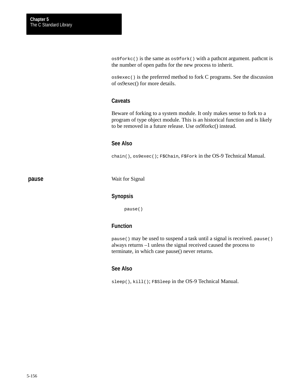os9forkc() is the same as os9fork() with a pathcnt argument. pathcnt is the number of open paths for the new process to inherit.

os9exec() is the preferred method to fork C programs. See the discussion of os9exec() for more details.

#### **Caveats**

Beware of forking to a system module. It only makes sense to fork to a program of type object module. This is an historical function and is likely to be removed in a future release. Use os9forkc() instead.

#### **See Also**

chain(), os9exec(); F\$Chain, F\$Fork in the OS-9 Technical Manual.

**pause**

Wait for Signal

#### **Synopsis**

pause()

### **Function**

pause() may be used to suspend a task until a signal is received. pause() always returns –1 unless the signal received caused the process to terminate, in which case pause() never returns.

#### **See Also**

sleep(), kill(); F\$Sleep in the OS-9 Technical Manual.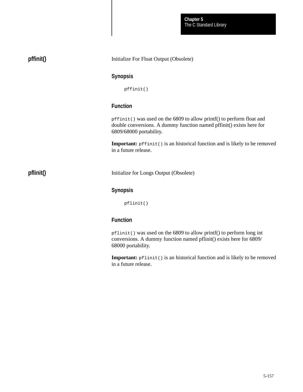The C Standard Library **Chapter 5**

| pffinit() | Initialize For Float Output (Obsolete)                                                                                                                                   |
|-----------|--------------------------------------------------------------------------------------------------------------------------------------------------------------------------|
|           | <b>Synopsis</b>                                                                                                                                                          |
|           | pffinit()                                                                                                                                                                |
|           | <b>Function</b>                                                                                                                                                          |
|           | pffinit() was used on the 6809 to allow printf() to perform float and<br>double conversions. A dummy function named pffinit() exists here for<br>6809/68000 portability. |
|           | <b>Important:</b> pffinit() is an historical function and is likely to be removed<br>in a future release.                                                                |
| pflinit() | Initialize for Longs Output (Obsolete)                                                                                                                                   |
|           | <b>Synopsis</b>                                                                                                                                                          |
|           | pflinit()                                                                                                                                                                |
|           | <b>Function</b>                                                                                                                                                          |
|           | $pflimit()$ was used on the 6809 to allow printf() to perform long int<br>conversions. A dummy function named pflinit() exists here for 6809/<br>68000 portability.      |

**Important:**  $pflimit()$  is an historical function and is likely to be removed in a future release.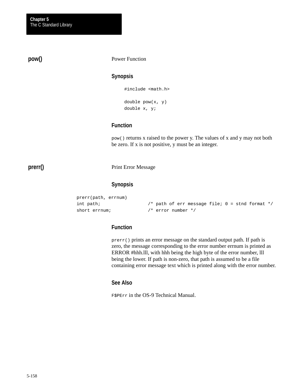**pow()**

#### Power Function

#### **Synopsis**

#include <math.h>

double pow(x, y) double x, y;

### **Function**

pow() returns x raised to the power y. The values of x and y may not both be zero. If x is not positive, y must be an integer.

**prerr()**

#### Print Error Message

#### **Synopsis**

prerr(path, errnum) int path; /\* path of err message file; 0 = stnd format \*/ short errnum;  $\frac{1}{2}$  /\* error number \*/

### **Function**

prerr() prints an error message on the standard output path. If path is zero, the message corresponding to the error number errnum is printed as ERROR #hhh.lll, with hhh being the high byte of the error number, lll being the lower. If path is non-zero, that path is assumed to be a file containing error message text which is printed along with the error number.

#### **See Also**

F\$PErr in the OS-9 Technical Manual.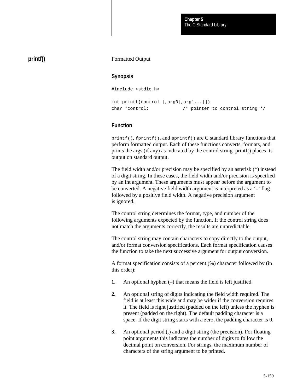## **printf()**

#### Formatted Output

#### **Synopsis**

#include <stdio.h>

```
int printf(control [,arg0[,arg1...]])
char *control; /* pointer to control string */
```
#### **Function**

printf(), fprintf(), and sprintf() are C standard library functions that perform formatted output. Each of these functions converts, formats, and prints the args (if any) as indicated by the control string. printf() places its output on standard output.

The field width and/or precision may be specified by an asterisk (\*) instead of a digit string. In these cases, the field width and/or precision is specified by an int argument. These arguments must appear before the argument to be converted. A negative field width argument is interpreted as a '**–**' flag followed by a positive field width. A negative precision argument is ignored.

The control string determines the format, type, and number of the following arguments expected by the function. If the control string does not match the arguments correctly, the results are unpredictable.

The control string may contain characters to copy directly to the output, and/or format conversion specifications. Each format specification causes the function to take the next successive argument for output conversion.

A format specification consists of a percent (%) character followed by (in this order):

- **1.** An optional hyphen (–) that means the field is left justified.
- **2.** An optional string of digits indicating the field width required. The field is at least this wide and may be wider if the conversion requires it. The field is right justified (padded on the left) unless the hyphen is present (padded on the right). The default padding character is a space. If the digit string starts with a zero, the padding character is 0.
- **3.** An optional period (.) and a digit string (the precision). For floating point arguments this indicates the number of digits to follow the decimal point on conversion. For strings, the maximum number of characters of the string argument to be printed.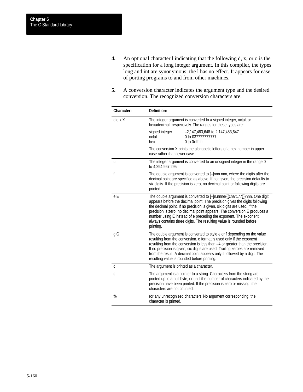- **4.** An optional character l indicating that the following d, x, or o is the specification for a long integer argument. In this compiler, the types long and int are synonymous; the l has no effect. It appears for ease of porting programs to and from other machines.
- **5.** A conversion character indicates the argument type and the desired conversion. The recognized conversion characters are:

| Character:   | Definition:                                                                                                                                                                                                                                                                                                                                                                                                                                                            |  |
|--------------|------------------------------------------------------------------------------------------------------------------------------------------------------------------------------------------------------------------------------------------------------------------------------------------------------------------------------------------------------------------------------------------------------------------------------------------------------------------------|--|
| d, o, x, X   | The integer argument is converted to a signed integer, octal, or<br>hexadecimal, respectively. The ranges for these types are:                                                                                                                                                                                                                                                                                                                                         |  |
|              | signed integer<br>-2,147,483,648 to 2,147,483,647<br>octal<br>0 to 037777777777<br>hex<br>0 to 0xffffffff                                                                                                                                                                                                                                                                                                                                                              |  |
|              | The conversion X prints the alphabetic letters of a hex number in upper<br>case rather than lower case.                                                                                                                                                                                                                                                                                                                                                                |  |
| u            | The integer argument is converted to an unsigned integer in the range 0<br>to 4,294,967,295.                                                                                                                                                                                                                                                                                                                                                                           |  |
| $\mathsf{f}$ | The double argument is converted to [-]nnn.nnn, where the digits after the<br>decimal point are specified as above. If not given, the precision defaults to<br>six digits. If the precision is zero, no decimal point or following digits are<br>printed.                                                                                                                                                                                                              |  |
| e,E          | The double argument is converted to [-]n.nnne({{char177}})nnn. One digit<br>appears before the decimal point. The precision gives the digits following<br>the decimal point. If no precision is given, six digits are used. If the<br>precision is zero, no decimal point appears. The conversion E produces a<br>number using E instead of e preceding the exponent. The exponent<br>always contains three digits. The resulting value is rounded before<br>printing. |  |
| g,G          | The double argument is converted to style e or f depending on the value<br>resulting from the conversion. e format is used only if the exponent<br>resulting from the conversion is less than -4 or greater than the precision.<br>If no precision is given, six digits are used. Trailing zeroes are removed<br>from the result. A decimal point appears only if followed by a digit. The<br>resulting value is rounded before printing.                              |  |
| C            | The argument is printed as a character.                                                                                                                                                                                                                                                                                                                                                                                                                                |  |
| S            | The argument is a pointer to a string. Characters from the string are<br>printed up to a null byte, or until the number of characters indicated by the<br>precision have been printed. If the precision is zero or missing, the<br>characters are not counted.                                                                                                                                                                                                         |  |
| %            | (or any unrecognized character) No argument corresponding; the<br>character is printed.                                                                                                                                                                                                                                                                                                                                                                                |  |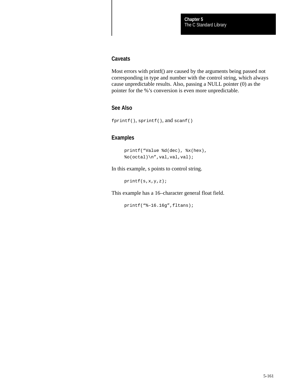#### **Caveats**

Most errors with printf() are caused by the arguments being passed not corresponding in type and number with the control string, which always cause unpredictable results. Also, passing a NULL pointer (0) as the pointer for the %'s conversion is even more unpredictable.

### **See Also**

```
fprintf(), sprintf(), and scanf()
```
## **Examples**

```
printf("Value %d(dec), %x(hex),
\bullet (octal)\n",val,val,val);
```
In this example, s points to control string.

printf(s,x,y,z);

This example has a 16–character general float field.

 $printf("8-16.16g", filters);$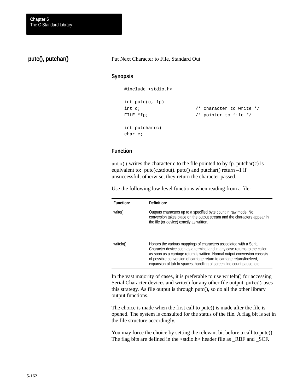**putc(), putchar()**

Put Next Character to File, Standard Out

#### **Synopsis**

#include <stdio.h>

```
int putc(c, fp)
int c; \frac{1}{2} /* character to write */
FILE *fp; \sqrt{p} /* pointer to file */
int putchar(c)
char c;
```
#### **Function**

putc() writes the character c to the file pointed to by fp. putchar(c) is equivalent to: putc(c,stdout). putc() and putchar() return  $-1$  if unsuccessful; otherwise, they return the character passed.

Use the following low-level functions when reading from a file:

| <b>Function:</b> | Definition:                                                                                                                                                                                                                                                                                                                                                                      |
|------------------|----------------------------------------------------------------------------------------------------------------------------------------------------------------------------------------------------------------------------------------------------------------------------------------------------------------------------------------------------------------------------------|
| write()          | Outputs characters up to a specified byte count in raw mode. No<br>conversion takes place on the output stream and the characters appear in<br>the file (or device) exactly as written.                                                                                                                                                                                          |
| writeln()        | Honors the various mappings of characters associated with a Serial<br>Character device such as a terminal and in any case returns to the caller<br>as soon as a carriage return is written. Normal output conversion consists<br>of possible conversion of carriage return to carriage return/linefeed,<br>expansion of tab to spaces, handling of screen line count pause, etc. |

In the vast majority of cases, it is preferable to use writeln() for accessing Serial Character devices and write() for any other file output. putc() uses this strategy. As file output is through putc(), so do all the other library output functions.

The choice is made when the first call to putc() is made after the file is opened. The system is consulted for the status of the file. A flag bit is set in the file structure accordingly.

You may force the choice by setting the relevant bit before a call to putc(). The flag bits are defined in the <stdio.h> header file as \_RBF and \_SCF.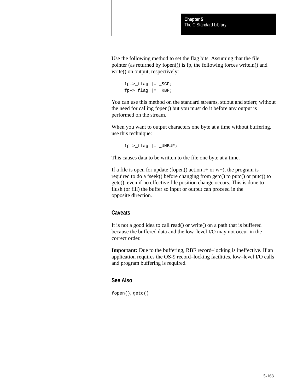Use the following method to set the flag bits. Assuming that the file pointer (as returned by fopen()) is fp, the following forces writeln() and write() on output, respectively:

```
fp->_flag |= _SCF;
fp->_flag |= _RBF;
```
You can use this method on the standard streams, stdout and stderr, without the need for calling fopen() but you must do it before any output is performed on the stream.

When you want to output characters one byte at a time without buffering, use this technique:

 $fp->_flag$  |= \_UNBUF;

This causes data to be written to the file one byte at a time.

If a file is open for update (fopen() action  $r$ + or w+), the program is required to do a fseek() before changing from getc() to putc() or putc() to getc(), even if no effective file position change occurs. This is done to flush (or fill) the buffer so input or output can proceed in the opposite direction.

### **Caveats**

It is not a good idea to call read() or write() on a path that is buffered because the buffered data and the low–level I/O may not occur in the correct order.

**Important:** Due to the buffering, RBF record–locking is ineffective. If an application requires the OS-9 record–locking facilities, low–level I/O calls and program buffering is required.

### **See Also**

fopen(), getc()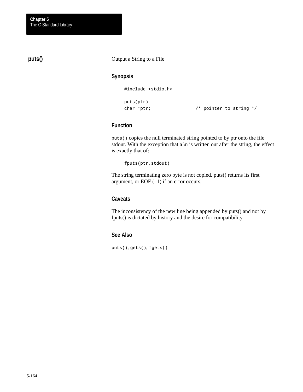## **puts()**

Output a String to a File

### **Synopsis**

#include <stdio.h>

```
puts(ptr)
```
char \*ptr;  $\frac{1}{2}$  /\* pointer to string \*/

### **Function**

puts() copies the null terminated string pointed to by ptr onto the file stdout. With the exception that a  $\ln$  is written out after the string, the effect is exactly that of:

fputs(ptr,stdout)

The string terminating zero byte is not copied. puts() returns its first argument, or EOF  $(-1)$  if an error occurs.

#### **Caveats**

The inconsistency of the new line being appended by puts() and not by fputs() is dictated by history and the desire for compatibility.

### **See Also**

puts(), gets(), fgets()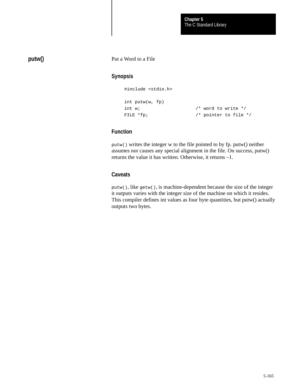## **putw()**

Put a Word to a File

### **Synopsis**

#include <stdio.h>

```
int putw(w, fp)
int w; /* word to write */
FILE *fp; \frac{1}{2} /* pointer to file */
```
## **Function**

putw() writes the integer w to the file pointed to by fp. putw() neither assumes nor causes any special alignment in the file. On success, putw() returns the value it has written. Otherwise, it returns –1.

### **Caveats**

putw(), like getw(), is machine-dependent because the size of the integer it outputs varies with the integer size of the machine on which it resides. This compiler defines int values as four byte quantities, but putw() actually outputs two bytes.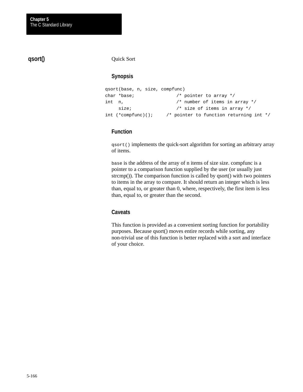## **qsort()**

#### Quick Sort

## **Synopsis**

```
qsort(base, n, size, compfunc)
char *base; /* pointer to array */
int n, /* number of items in array */
   size; \frac{1}{2} /* size of items in array */
int (*complex) \langle ; /* pointer to function returning int */
```
### **Function**

qsort() implements the quick-sort algorithm for sorting an arbitrary array of items.

base is the address of the array of n items of size size. compfunc is a pointer to a comparison function supplied by the user (or usually just strcmp()). The comparison function is called by qsort() with two pointers to items in the array to compare. It should return an integer which is less than, equal to, or greater than 0, where, respectively, the first item is less than, equal to, or greater than the second.

### **Caveats**

This function is provided as a convenient sorting function for portability purposes. Because qsort() moves entire records while sorting, any non-trivial use of this function is better replaced with a sort and interface of your choice.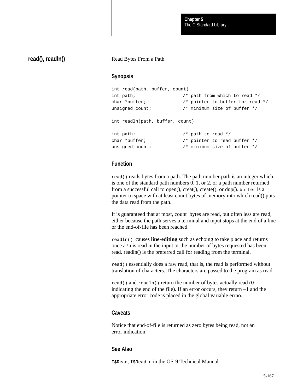### **read(), readln()**

#### Read Bytes From a Path

#### **Synopsis**

```
int read(path, buffer, count)
int path; \frac{1}{2} /* path from which to read */
char *buffer; /* pointer to buffer for read */
unsigned count; \frac{1}{2} /* minimum size of buffer */
int readln(path, buffer, count)
```

```
int path; /* path to read */
char *buffer; \sqrt{ } /* pointer to read buffer */
unsigned count; \frac{1}{2} /* minimum size of buffer */
```
### **Function**

read() reads bytes from a path. The path number path is an integer which is one of the standard path numbers 0, 1, or 2, or a path number returned from a successful call to open $($ ), creat $($ ), create $($ ), or dup $($ ). buffer is a pointer to space with at least count bytes of memory into which read() puts the data read from the path.

It is guaranteed that at most, count bytes are read, but often less are read, either because the path serves a terminal and input stops at the end of a line or the end-of-file has been reached.

readln() causes **line-editing** such as echoing to take place and returns once a  $\ln$  is read in the input or the number of bytes requested has been read. readln() is the preferred call for reading from the terminal.

read() essentially does a raw read, that is, the read is performed without translation of characters. The characters are passed to the program as read.

read() and readln() return the number of bytes actually read (0 indicating the end of the file). If an error occurs, they return –1 and the appropriate error code is placed in the global variable errno.

#### **Caveats**

Notice that end-of-file is returned as zero bytes being read, not an error indication.

#### **See Also**

I\$Read, I\$ReadLn in the OS-9 Technical Manual.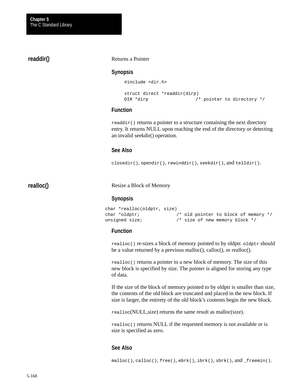### **readdir()**

#### Returns a Pointer

#### **Synopsis**

#include <dir.h>

```
struct direct *readdir(dirp)
DIR *dirp \frac{1}{2} /* pointer to directory */
```
#### **Function**

readdir() returns a pointer to a structure containing the next directory entry. It returns NULL upon reaching the end of the directory or detecting an invalid seekdir() operation.

#### **See Also**

closedir(), opendir(), rewinddir(), seekdir(), and telldir().

**realloc()**

Resize a Block of Memory

#### **Synopsis**

```
char *realloc(oldptr, size)
char *oldptr; /* old pointer to block of memory */
unsigned size; \frac{1}{2} /* size of new memory block */
```
#### **Function**

realloc() re-sizes a block of memory pointed to by oldptr. oldptr should be a value returned by a previous malloc(), calloc(), or realloc().

realloc() returns a pointer to a new block of memory. The size of this new block is specified by size. The pointer is aligned for storing any type of data.

If the size of the block of memory pointed to by oldptr is smaller than size, the contents of the old block are truncated and placed in the new block. If size is larger, the entirety of the old block's contents begin the new block.

realloc(NULL,size) returns the same result as malloc(size).

realloc() returns NULL if the requested memory is not available or is size is specified as zero.

### **See Also**

 $malloc(), calloc(), free(), ebrk(), ibrk(), sbrk(), and_freenin().$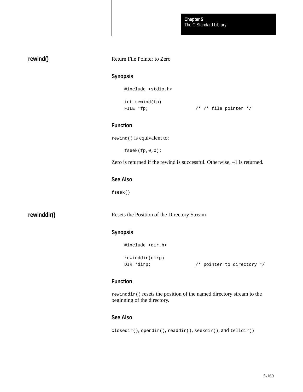## **rewind()**

#### Return File Pointer to Zero

### **Synopsis**

#include <stdio.h>

int rewind(fp)

FILE \*fp;  $\frac{1}{2}$  /\* /\* file pointer \*/

## **Function**

rewind() is equivalent to:

fseek(fp,0,0);

Zero is returned if the rewind is successful. Otherwise, –1 is returned.

#### **See Also**

fseek()

**rewinddir()**

Resets the Position of the Directory Stream

### **Synopsis**

```
#include <dir.h>
rewinddir(dirp)
DIR *dirp; \frac{1}{2} /* pointer to directory */
```
### **Function**

rewinddir() resets the position of the named directory stream to the beginning of the directory.

## **See Also**

```
closedir(), opendir(), readdir(), seekdir(), and telldir()
```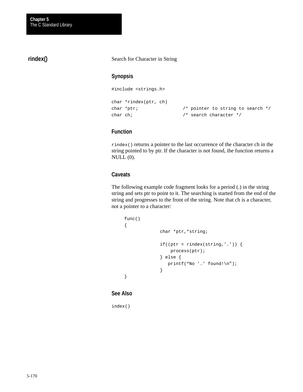## **rindex()**

Search for Character in String

### **Synopsis**

#include <strings.h>

```
char *rindex(ptr, ch)
char *ptr; \frac{1}{2} /* pointer to string to search */
char ch; \frac{1}{2} /* search character */
```
### **Function**

rindex() returns a pointer to the last occurrence of the character ch in the string pointed to by ptr. If the character is not found, the function returns a NULL (0).

### **Caveats**

The following example code fragment looks for a period (.) in the string string and sets ptr to point to it. The searching is started from the end of the string and progresses to the front of the string. Note that ch is a character, not a pointer to a character:

```
func()
{
              char *ptr,*string;
              if((ptr = rindex(string, '.')) {
                   process(ptr);
              } else {
                 printf("No '.' found!\n");
              }
}
```
#### **See Also**

index()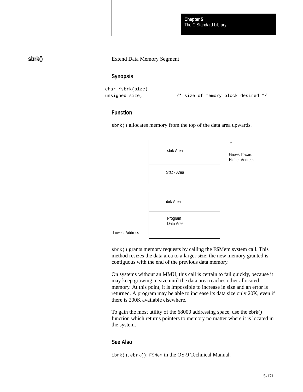The C Standard Library **Chapter 5**

**sbrk()**

#### Extend Data Memory Segment

#### **Synopsis**

```
char *sbrk(size)
unsigned size; \frac{1}{2} /* size of memory block desired */
```
### **Function**

sbrk() allocates memory from the top of the data area upwards.



sbrk() grants memory requests by calling the F\$Mem system call. This method resizes the data area to a larger size; the new memory granted is contiguous with the end of the previous data memory.

On systems without an MMU, this call is certain to fail quickly, because it may keep growing in size until the data area reaches other allocated memory. At this point, it is impossible to increase in size and an error is returned. A program may be able to increase its data size only 20K, even if there is 200K available elsewhere.

To gain the most utility of the 68000 addressing space, use the ebrk() function which returns pointers to memory no matter where it is located in the system.

### **See Also**

ibrk(), ebrk(); F\$Mem in the OS-9 Technical Manual.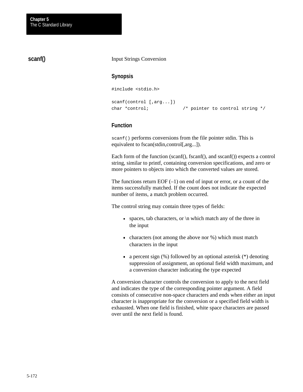### **scanf()**

#### Input Strings Conversion

#### **Synopsis**

```
#include <stdio.h>
scanf(control [,arg...])
char *control; /* pointer to control string */
```
#### **Function**

scanf() performs conversions from the file pointer stdin. This is equivalent to fscan(stdin,control[,arg...]).

Each form of the function (scanf(), fscanf(), and sscanf()) expects a control string, similar to printf, containing conversion specifications, and zero or more pointers to objects into which the converted values are stored.

The functions return EOF  $(-1)$  on end of input or error, or a count of the items successfully matched. If the count does not indicate the expected number of items, a match problem occurred.

The control string may contain three types of fields:

- spaces, tab characters, or  $\ln$  which match any of the three in the input
- characters (not among the above nor %) which must match characters in the input
- a percent sign  $(\%)$  followed by an optional asterisk  $(*)$  denoting suppression of assignment, an optional field width maximum, and a conversion character indicating the type expected

A conversion character controls the conversion to apply to the next field and indicates the type of the corresponding pointer argument. A field consists of consecutive non-space characters and ends when either an input character is inappropriate for the conversion or a specified field width is exhausted. When one field is finished, white space characters are passed over until the next field is found.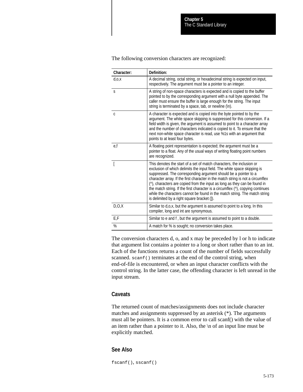| Character:   | Definition:                                                                                                                                                                                                                                                                                                                                                                                                                                                                                                                                                                                         |  |
|--------------|-----------------------------------------------------------------------------------------------------------------------------------------------------------------------------------------------------------------------------------------------------------------------------------------------------------------------------------------------------------------------------------------------------------------------------------------------------------------------------------------------------------------------------------------------------------------------------------------------------|--|
| $d_{,0,X}$   | A decimal string, octal string, or hexadecimal string is expected on input,<br>respectively. The argument must be a pointer to an integer.                                                                                                                                                                                                                                                                                                                                                                                                                                                          |  |
| S            | A string of non-space characters is expected and is copied to the buffer<br>pointed to by the corresponding argument with a null byte appended. The<br>caller must ensure the buffer is large enough for the string. The input<br>string is terminated by a space, tab, or newline (\n).                                                                                                                                                                                                                                                                                                            |  |
| $\mathsf{C}$ | A character is expected and is copied into the byte pointed to by the<br>argument. The white space skipping is suppressed for this conversion. If a<br>field width is given, the argument is assumed to point to a character array<br>and the number of characters indicated is copied to it. To ensure that the<br>next non-white space character is read, use %1s with an argument that<br>points to at least four bytes.                                                                                                                                                                         |  |
| e,f          | A floating point representation is expected; the argument must be a<br>pointer to a float. Any of the usual ways of writing floating point numbers<br>are recognized.                                                                                                                                                                                                                                                                                                                                                                                                                               |  |
|              | This denotes the start of a set of match characters, the inclusion or<br>exclusion of which delimits the input field. The white space skipping is<br>suppressed. The corresponding argument should be a pointer to a<br>character array. If the first character in the match string is not a circumflex<br>(^), characters are copied from the input as long as they can be found in<br>the match string. If the first character is a circumflex (^), copying continues<br>while the characters cannot be found in the match string. The match string<br>is delimited by a right square bracket (). |  |
| D, O, X      | Similar to d,o,x, but the argument is assumed to point to a long. In this<br>compiler, long and int are synonymous.                                                                                                                                                                                                                                                                                                                                                                                                                                                                                 |  |
| E,F          | Similar to e and f, but the argument is assumed to point to a double.                                                                                                                                                                                                                                                                                                                                                                                                                                                                                                                               |  |
| %            | A match for % is sought; no conversion takes place.                                                                                                                                                                                                                                                                                                                                                                                                                                                                                                                                                 |  |

The following conversion characters are recognized:

The conversion characters d, o, and x may be preceded by l or h to indicate that argument list contains a pointer to a long or short rather than to an int. Each of the functions returns a count of the number of fields successfully scanned. scanf() terminates at the end of the control string, when end-of-file is encountered, or when an input character conflicts with the control string. In the latter case, the offending character is left unread in the input stream.

#### **Caveats**

The returned count of matches/assignments does not include character matches and assignments suppressed by an asterisk (\*). The arguments must all be pointers. It is a common error to call scanf() with the value of an item rather than a pointer to it. Also, the \n of an input line must be explicitly matched.

#### **See Also**

fscanf(), sscanf()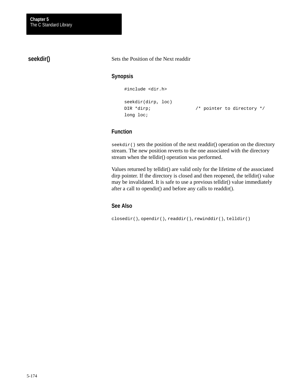**seekdir()**

Sets the Position of the Next readdir

# **Synopsis**

```
#include <dir.h>
seekdir(dirp, loc)
```
DIR \*dirp;  $\frac{1}{2}$  /\* pointer to directory \*/

# **Function**

long loc;

seekdir() sets the position of the next readdir() operation on the directory stream. The new position reverts to the one associated with the directory stream when the telldir() operation was performed.

Values returned by telldir() are valid only for the lifetime of the associated dirp pointer. If the directory is closed and then reopened, the telldir() value may be invalidated. It is safe to use a previous telldir() value immediately after a call to opendir() and before any calls to readdir().

#### **See Also**

closedir(), opendir(), readdir(), rewinddir(), telldir()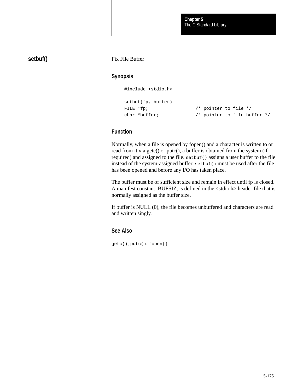# **setbuf()**

Fix File Buffer

## **Synopsis**

#include <stdio.h>

```
setbuf(fp, buffer)
```
FILE \*fp;  $\sqrt{ }$  /\* pointer to file \*/ char \*buffer; /\* pointer to file buffer \*/

# **Function**

Normally, when a file is opened by fopen() and a character is written to or read from it via getc() or putc(), a buffer is obtained from the system (if required) and assigned to the file. setbuf() assigns a user buffer to the file instead of the system-assigned buffer. setbuf() must be used after the file has been opened and before any I/O has taken place.

The buffer must be of sufficient size and remain in effect until fp is closed. A manifest constant, BUFSIZ, is defined in the <stdio.h> header file that is normally assigned as the buffer size.

If buffer is NULL (0), the file becomes unbuffered and characters are read and written singly.

#### **See Also**

getc(), putc(), fopen()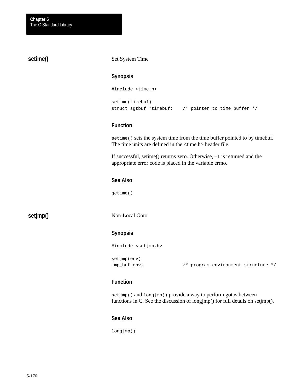# **setime()**

#### Set System Time

#### **Synopsis**

```
#include <time.h>
setime(timebuf)
struct sgtbuf *timebuf; /* pointer to time buffer */
```
#### **Function**

setime() sets the system time from the time buffer pointed to by timebuf. The time units are defined in the <time.h> header file.

If successful, setime() returns zero. Otherwise, –1 is returned and the appropriate error code is placed in the variable errno.

# **See Also**

getime()

**setjmp()**

Non-Local Goto

#### **Synopsis**

```
#include <setjmp.h>
setjmp(env)
```
jmp\_buf env; /\* program environment structure \*/

# **Function**

set jmp() and longjmp() provide a way to perform gotos between functions in C. See the discussion of longjmp() for full details on setjmp().

#### **See Also**

longjmp()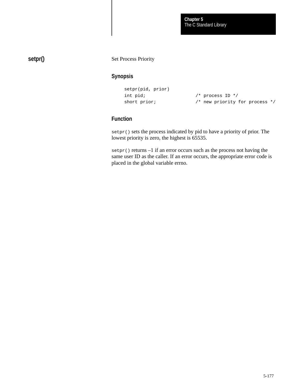# **setpr()**

#### Set Process Priority

# **Synopsis**

```
setpr(pid, prior)
```
int pid;  $/$ \* process ID \*/ short prior;  $\frac{1}{2}$  /\* new priority for process \*/

# **Function**

setpr() sets the process indicated by pid to have a priority of prior. The lowest priority is zero, the highest is 65535.

setpr() returns –1 if an error occurs such as the process not having the same user ID as the caller. If an error occurs, the appropriate error code is placed in the global variable errno.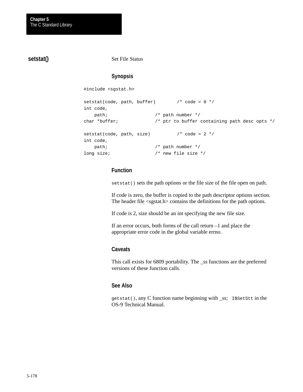# **setstat()**

Set File Status

# **Synopsis**

#include <sgstat.h>

```
setstat(code, path, buffer) /* code = 0 * /int code,
    path; /* path number */
char *buffer; \sqrt{ } the ptr to buffer containing path desc opts */
setstat(code, path, size) \frac{1}{2} /* code = 2 */
int code,
   path; \frac{1}{4} /* path number */
long size; \frac{1}{2} /* new file size */
```
# **Function**

setstat() sets the path options or the file size of the file open on path.

If code is zero, the buffer is copied to the path descriptor options section. The header file <sgstat.h> contains the definitions for the path options.

If code is 2, size should be an int specifying the new file size.

If an error occurs, both forms of the call return –1 and place the appropriate error code in the global variable errno.

#### **Caveats**

This call exists for 6809 portability. The \_ss functions are the preferred versions of these function calls.

## **See Also**

getstat(), any C function name beginning with \_ss; I\$SetStt in the OS-9 Technical Manual.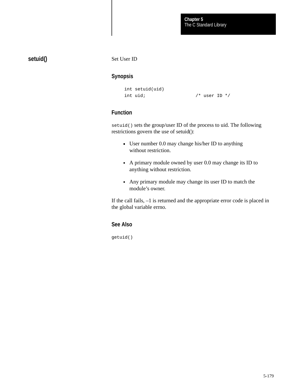# **setuid()**

Set User ID

# **Synopsis**

```
int setuid(uid)
int uid; \frac{1}{2} /* user ID */
```
# **Function**

setuid() sets the group/user ID of the process to uid. The following restrictions govern the use of setuid():

- User number 0.0 may change his/her ID to anything without restriction.
- A primary module owned by user 0.0 may change its ID to anything without restriction.
- Any primary module may change its user ID to match the module's owner.

If the call fails, –1 is returned and the appropriate error code is placed in the global variable errno.

# **See Also**

getuid()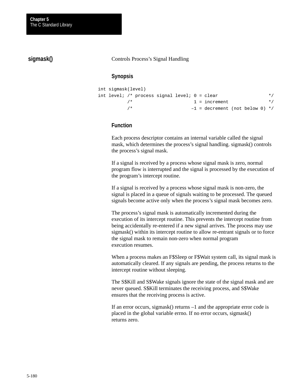# **sigmask()**

#### Controls Process's Signal Handling

#### **Synopsis**

```
int sigmask(level)
int level; /* process signal level; 0 = clear * /\frac{1}{1} = increment \frac{1}{1} = increment \frac{1}{1}/* -1 = \text{decrement} \text{ (not below 0) } */
```
## **Function**

Each process descriptor contains an internal variable called the signal mask, which determines the process's signal handling. sigmask() controls the process's signal mask.

If a signal is received by a process whose signal mask is zero, normal program flow is interrupted and the signal is processed by the execution of the program's intercept routine.

If a signal is received by a process whose signal mask is non-zero, the signal is placed in a queue of signals waiting to be processed. The queued signals become active only when the process's signal mask becomes zero.

The process's signal mask is automatically incremented during the execution of its intercept routine. This prevents the intercept routine from being accidentally re-entered if a new signal arrives. The process may use sigmask() within its intercept routine to allow re-entrant signals or to force the signal mask to remain non-zero when normal program execution resumes.

When a process makes an F\$Sleep or F\$Wait system call, its signal mask is automatically cleared. If any signals are pending, the process returns to the intercept routine without sleeping.

The S\$Kill and S\$Wake signals ignore the state of the signal mask and are never queued. S\$Kill terminates the receiving process, and S\$Wake ensures that the receiving process is active.

If an error occurs, sigmask() returns –1 and the appropriate error code is placed in the global variable errno. If no error occurs, sigmask() returns zero.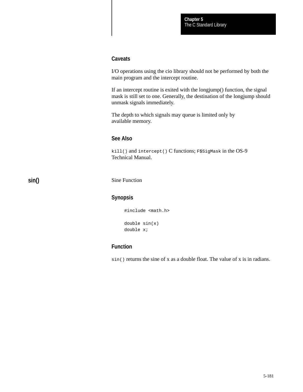#### **Caveats**

I/O operations using the cio library should not be performed by both the main program and the intercept routine.

If an intercept routine is exited with the longjump() function, the signal mask is still set to one. Generally, the destination of the longjump should unmask signals immediately.

The depth to which signals may queue is limited only by available memory.

# **See Also**

kill() and intercept() C functions; F\$SigMask in the OS-9 Technical Manual.

**sin()**

Sine Function

#### **Synopsis**

#include <math.h> double sin(x) double x;

# **Function**

sin() returns the sine of x as a double float. The value of x is in radians.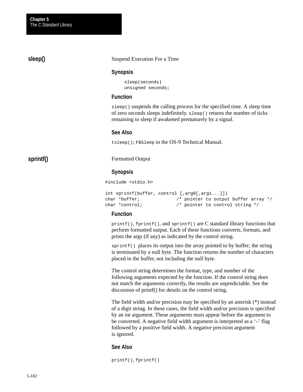#### Suspend Execution For a Time

#### **Synopsis**

sleep(seconds) unsigned seconds;

#### **Function**

sleep() suspends the calling process for the specified time. A sleep time of zero seconds sleeps indefinitely. sleep() returns the number of ticks remaining to sleep if awakened prematurely by a signal.

#### **See Also**

tsleep(); F\$Sleep in the OS-9 Technical Manual.

# **sprintf()**

**sleep()**

Formatted Output

#### **Synopsis**

#include <stdio.h>

```
int sprintf(buffer, control [,arg0[,arg1...]])
char *buffer; /* pointer to output buffer array */
char *control; /* pointer to control string */
```
#### **Function**

printf(), fprintf(), and sprintf() are C standard library functions that perform formatted output. Each of these functions converts, formats, and prints the args (if any) as indicated by the control string.

sprintf() places its output into the array pointed to by buffer; the string is terminated by a null byte. The function returns the number of characters placed in the buffer, not including the null byte.

The control string determines the format, type, and number of the following arguments expected by the function. If the control string does not match the arguments correctly, the results are unpredictable. See the discussion of printf() for details on the control string.

The field width and/or precision may be specified by an asterisk (\*) instead of a digit string. In these cases, the field width and/or precision is specified by an int argument. These arguments must appear before the argument to be converted. A negative field width argument is interpreted as a '**–**' flag followed by a positive field width. A negative precision argument is ignored.

#### **See Also**

printf(), fprintf()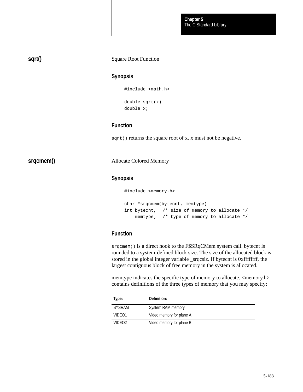#### Square Root Function **sqrt()**

# **Synopsis**

#include <math.h>

double sqrt(x) double x;

#### **Function**

sqrt() returns the square root of x. x must not be negative.

**srqcmem()**

Allocate Colored Memory

#### **Synopsis**

#include <memory.h>

char \*srqcmem(bytecnt, memtype) int bytecnt, /\* size of memory to allocate \*/ memtype; /\* type of memory to allocate \*/

# **Function**

srqcmem() is a direct hook to the F\$SRqCMem system call. bytecnt is rounded to a system-defined block size. The size of the allocated block is stored in the global integer variable \_srqcsiz. If bytecnt is 0xffffffff, the largest contiguous block of free memory in the system is allocated.

memtype indicates the specific type of memory to allocate. <memory.h> contains definitions of the three types of memory that you may specify:

| Type:              | Definition:              |  |
|--------------------|--------------------------|--|
| <b>SYSRAM</b>      | System RAM memory        |  |
| VIDEO1             | Video memory for plane A |  |
| VIDEO <sub>2</sub> | Video memory for plane B |  |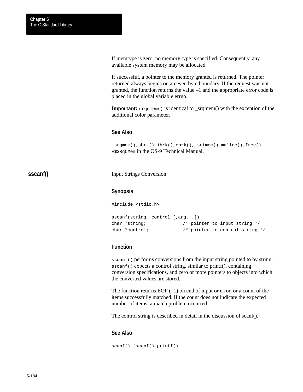**sscanf()**

If memtype is zero, no memory type is specified. Consequently, any available system memory may be allocated.

If successful, a pointer to the memory granted is returned. The pointer returned always begins on an even byte boundary. If the request was not granted, the function returns the value –1 and the appropriate error code is placed in the global variable errno.

**Important:**  $\text{srqcmem}()$  is identical to \_srqmem() with the exception of the additional color parameter.

#### **See Also**

\_srqmem(), sbrk(), ibrk(), ebrk(), \_srtmem(), malloc(), free(); F\$SRqCMem in the OS-9 Technical Manual.

#### Input Strings Conversion

#### **Synopsis**

#include <stdio.h>

```
sscanf(string, control [,arg...])
char *string; /* pointer to input string */
char *control; /* pointer to control string */
```
#### **Function**

sscanf() performs conversions from the input string pointed to by string. sscanf() expects a control string, similar to printf(), containing conversion specifications, and zero or more pointers to objects into which the converted values are stored.

The function returns  $EOF(-1)$  on end of input or error, or a count of the items successfully matched. If the count does not indicate the expected number of items, a match problem occurred.

The control string is described in detail in the discussion of scanf().

#### **See Also**

scanf(), fscanf(), printf()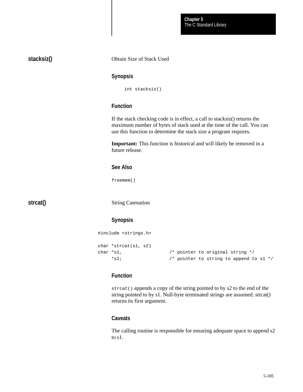The C Standard Library **Chapter 5**

| stacksiz() |                                  | Obtain Size of Stack Used                                                                                                                                                                                                |  |  |
|------------|----------------------------------|--------------------------------------------------------------------------------------------------------------------------------------------------------------------------------------------------------------------------|--|--|
|            |                                  | <b>Synopsis</b>                                                                                                                                                                                                          |  |  |
|            |                                  | int stacksiz()                                                                                                                                                                                                           |  |  |
|            |                                  | <b>Function</b>                                                                                                                                                                                                          |  |  |
|            |                                  | If the stack checking code is in effect, a call to stacksiz() returns the<br>maximum number of bytes of stack used at the time of the call. You can<br>use this function to determine the stack size a program requires. |  |  |
|            |                                  | <b>Important:</b> This function is historical and will likely be removed in a<br>future release.                                                                                                                         |  |  |
|            |                                  | <b>See Also</b>                                                                                                                                                                                                          |  |  |
|            |                                  | freemem()                                                                                                                                                                                                                |  |  |
| strcat()   |                                  | <b>String Catenation</b>                                                                                                                                                                                                 |  |  |
|            |                                  | <b>Synopsis</b>                                                                                                                                                                                                          |  |  |
|            | #include <strings.h></strings.h> |                                                                                                                                                                                                                          |  |  |
|            | char *s1,<br>$*$ s2;             | char *strcat( $sl$ , $sl$ )<br>$/*$ pointer to original string $*/$<br>/* pointer to string to append to s1 */                                                                                                           |  |  |
|            |                                  | <b>Function</b>                                                                                                                                                                                                          |  |  |
|            |                                  | streat () appends a copy of the string pointed to by s2 to the end of the<br>string pointed to by s1. Null-byte terminated strings are assumed. strcat()<br>returns its first argument.                                  |  |  |
|            |                                  | <b>Caveats</b>                                                                                                                                                                                                           |  |  |

The calling routine is responsible for ensuring adequate space to append s2 to s1.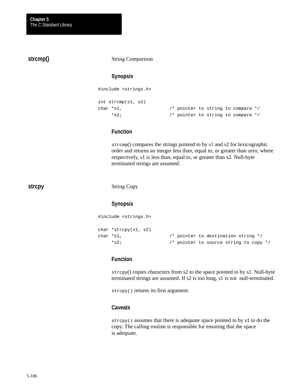String Comparison **Synopsis** #include <strings.h> int strcmp(s1, s2) char \*s1,  $\sqrt{ }$  pointer to string to compare \*/ \*s2; /\* pointer to string to compare \*/ **Function** strcmp() compares the strings pointed to by s1 and s2 for lexicographic order and returns an integer less than, equal to, or greater than zero, where respectively, s1 is less than, equal to, or greater than s2. Null-byte terminated strings are assumed. String Copy **Synopsis** #include <strings.h> char \*strcpy(s1, s2) char \*s1,  $\frac{1}{2}$  /\* pointer to destination string \*/ \*s2; /\* pointer to source string to copy \*/ **strcmp() strcpy**

## **Function**

strcpy() copies characters from s2 to the space pointed to by s1. Null-byte terminated strings are assumed. If s2 is too long, s1 is not null-terminated.

strcpy() returns its first argument.

#### **Caveats**

strcpy() assumes that there is adequate space pointed to by s1 to do the copy. The calling routine is responsible for ensuring that the space is adequate.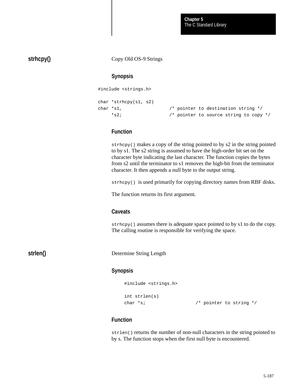The C Standard Library **Chapter 5**

# **strhcpy()**

Copy Old OS-9 Strings

#### **Synopsis**

#include <strings.h>

```
char *strhcpy(s1, s2)
char *s1, /* pointer to destination string */
    *s2; /* pointer to source string to copy */
```
#### **Function**

strhcpy() makes a copy of the string pointed to by s2 in the string pointed to by s1. The s2 string is assumed to have the high-order bit set on the character byte indicating the last character. The function copies the bytes from s2 until the terminator to s1 removes the high-bit from the terminator character. It then appends a null byte to the output string.

strhcpy() is used primarily for copying directory names from RBF disks.

The function returns its first argument.

#### **Caveats**

strhcpy() assumes there is adequate space pointed to by s1 to do the copy. The calling routine is responsible for verifying the space.

**strlen()**

Determine String Length

#### **Synopsis**

#include <strings.h>

```
int strlen(s)
```
char  $*_{S}$ ;  $/$  /\* pointer to string  $*/$ 

# **Function**

strlen() returns the number of non-null characters in the string pointed to by s. The function stops when the first null byte is encountered.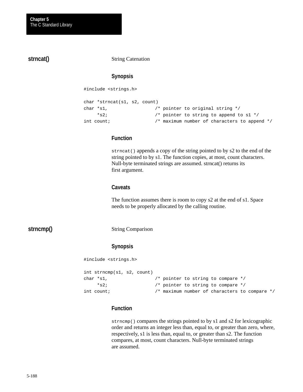**strncat()**

String Catenation

# **Synopsis**

#include <strings.h>

```
char *strncat(s1, s2, count)
char *s1, /* pointer to original string */
     *s2; /* pointer to string to append to s1 */
int count; \frac{1}{2} /* maximum number of characters to append */
```
#### **Function**

strncat() appends a copy of the string pointed to by s2 to the end of the string pointed to by s1. The function copies, at most, count characters. Null-byte terminated strings are assumed. strncat() returns its first argument.

#### **Caveats**

The function assumes there is room to copy s2 at the end of s1. Space needs to be properly allocated by the calling routine.

# **strncmp()**

#### String Comparison

#### **Synopsis**

```
#include <strings.h>
```

```
int strncmp(s1, s2, count)
char *s1, \frac{1}{2} /* pointer to string to compare */
     *s2; /* pointer to string to compare */
int count; /* maximum number of characters to compare */
```
## **Function**

strncmp() compares the strings pointed to by s1 and s2 for lexicographic order and returns an integer less than, equal to, or greater than zero, where, respectively, s1 is less than, equal to, or greater than s2. The function compares, at most, count characters. Null-byte terminated strings are assumed.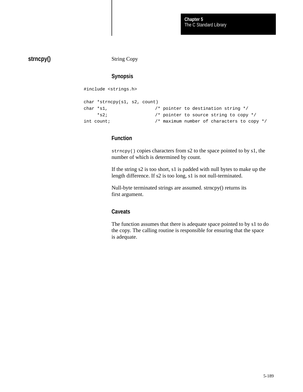# **strncpy()**

String Copy

# **Synopsis**

#include <strings.h>

```
char *strncpy(s1, s2, count)
char *s1, /* pointer to destination string */
    *s2; /* pointer to source string to copy */
int count; /* maximum number of characters to copy */
```
# **Function**

strncpy() copies characters from s2 to the space pointed to by s1, the number of which is determined by count.

If the string s2 is too short, s1 is padded with null bytes to make up the length difference. If s2 is too long, s1 is not null-terminated.

Null-byte terminated strings are assumed. strncpy() returns its first argument.

#### **Caveats**

The function assumes that there is adequate space pointed to by s1 to do the copy. The calling routine is responsible for ensuring that the space is adequate.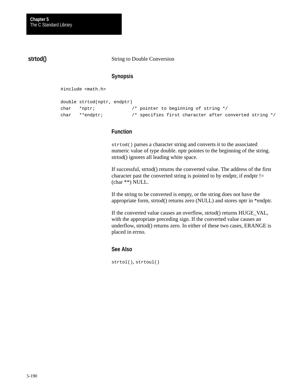# **strtod()**

String to Double Conversion

# **Synopsis**

#include <math.h>

```
double strtod(nptr, endptr) 
char *nptr; /* pointer to beginning of string */
char **endptr; /* specifies first character after converted string */
```
# **Function**

strtod() parses a character string and converts it to the associated numeric value of type double. nptr pointes to the beginning of the string. strtod() ignores all leading white space.

If successful, strtod() returns the converted value. The address of the first character past the converted string is pointed to by endptr, if endptr  $!=$ (char \*\*) NULL.

If the string to be converted is empty, or the string does not have the appropriate form, strtod() returns zero (NULL) and stores nptr in \*endptr.

If the converted value causes an overflow, strtod() returns HUGE\_VAL, with the appropriate preceding sign. If the converted value causes an underflow, strtod() returns zero. In either of these two cases, ERANGE is placed in errno.

#### **See Also**

strtol(), strtoul()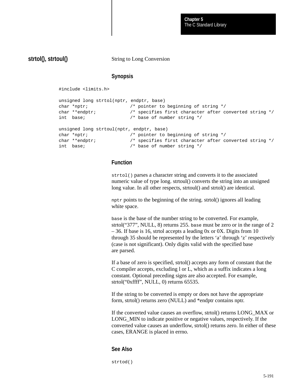# **strtol(), strtoul()**

String to Long Conversion

#### **Synopsis**

#include <limits.h> unsigned long strtol(nptr, endptr, base) char \*nptr; /\* pointer to beginning of string \*/ char \*\*endptr;  $\hspace{1cm}$  /\* specifies first character after converted string \*/ int base; /\* base of number string \*/ unsigned long strtoul(nptr, endptr, base) char \*nptr;  $\sqrt{ }$  pointer to beginning of string \*/ char \*\*endptr; /\* specifies first character after converted string \*/ int base; /\* base of number string \*/

#### **Function**

strtol() parses a character string and converts it to the associated numeric value of type long. strtoul() converts the string into an unsigned long value. In all other respects, strtoul() and strtol() are identical.

nptr points to the beginning of the string. strtol() ignores all leading white space.

base is the base of the number string to be converted. For example, strtol("377", NULL, 8) returns 255. base must be zero or in the range of 2 – 36. If base is 16, strtol accepts a leading 0x or 0X. Digits from 10 through 35 should be represented by the letters 'a' through 'z' respectively (case is not significant). Only digits valid with the specified base are parsed.

If a base of zero is specified, strtol() accepts any form of constant that the C compiler accepts, excluding l or L, which as a suffix indicates a long constant. Optional preceding signs are also accepted. For example, strtol("0xffff", NULL, 0) returns 65535.

If the string to be converted is empty or does not have the appropriate form, strtol() returns zero (NULL) and \*endptr contains nptr.

If the converted value causes an overflow, strtol() returns LONG\_MAX or LONG MIN to indicate positive or negative values, respectively. If the converted value causes an underflow, strtol() returns zero. In either of these cases, ERANGE is placed in errno.

#### **See Also**

strtod()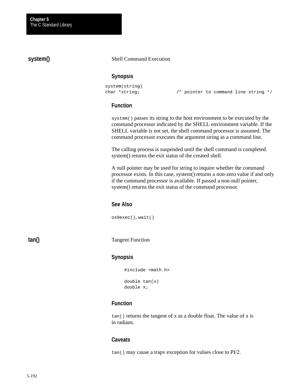# **system()**

#### Shell Command Execution

#### **Synopsis**

```
system(string)
```
char \*string; /\* pointer to command line string \*/

#### **Function**

system() passes its string to the host environment to be executed by the command processor indicated by the SHELL environment variable. If the SHELL variable is not set, the shell command processor is assumed. The command processor executes the argument string as a command line.

The calling process is suspended until the shell command is completed. system() returns the exit status of the created shell.

A null pointer may be used for string to inquire whether the command processor exists. In this case, system() returns a non-zero value if and only if the command processor is available. If passed a non-null pointer, system() returns the exit status of the command processor.

## **See Also**

os9exec(), wait()

**tan()**

Tangent Function

#### **Synopsis**

```
#include <math.h>
double tan(x)
double x;
```
#### **Function**

tan() returns the tangent of x as a double float. The value of x is in radians.

#### **Caveats**

tan() may cause a trapv exception for values close to PI/2.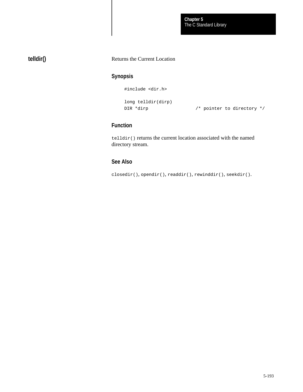The C Standard Library **Chapter 5**

# **telldir()**

#### Returns the Current Location

# **Synopsis**

#include <dir.h>

```
long telldir(dirp)
```
DIR \*dirp  $\frac{1}{4}$  /\* pointer to directory \*/

# **Function**

telldir() returns the current location associated with the named directory stream.

# **See Also**

closedir(), opendir(), readdir(), rewinddir(), seekdir().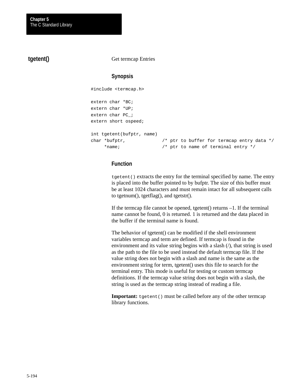# **tgetent()**

Get termcap Entries

# **Synopsis**

#include <termcap.h>

```
extern char *BC;
extern char *UP;
extern char PC_;
extern short ospeed;
int tgetent(bufptr, name)
char *bufptr, /* ptr to buffer for termcap entry data */
     *name; /* ptr to name of terminal entry */
```
# **Function**

tgetent() extracts the entry for the terminal specified by name. The entry is placed into the buffer pointed to by bufptr. The size of this buffer must be at least 1024 characters and must remain intact for all subsequent calls to tgetnum(), tgetflag(), and tgetstr().

If the termcap file cannot be opened, tgetent $()$  returns  $-1$ . If the terminal name cannot be found, 0 is returned. 1 is returned and the data placed in the buffer if the terminal name is found.

The behavior of tgetent() can be modified if the shell environment variables termcap and term are defined. If termcap is found in the environment and its value string begins with a slash  $($ ), that string is used as the path to the file to be used instead the default termcap file. If the value string does not begin with a slash and name is the same as the environment string for term, tgetent() uses this file to search for the terminal entry. This mode is useful for testing or custom termcap definitions. If the termcap value string does not begin with a slash, the string is used as the termcap string instead of reading a file.

**Important:**  $t$  getent() must be called before any of the other termcap library functions.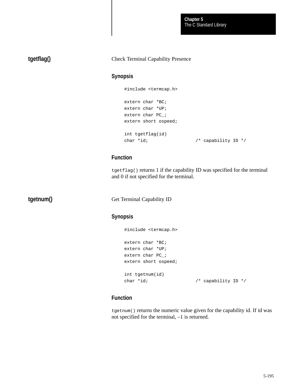The C Standard Library **Chapter 5**

# **tgetflag()**

#### Check Terminal Capability Presence

#### **Synopsis**

#include <termcap.h> extern char \*BC; extern char \*UP; extern char PC\_; extern short ospeed; int tgetflag(id) char \*id;  $\frac{1}{2}$  /\* capability ID \*/

# **Function**

tgetflag() returns 1 if the capability ID was specified for the terminal and 0 if not specified for the terminal.

**tgetnum()**

Get Terminal Capability ID

# **Synopsis**

```
#include <termcap.h>
extern char *BC;
extern char *UP;
extern char PC_;
extern short ospeed;
int tgetnum(id)
char *id; \frac{1}{2} /* capability ID */
```
# **Function**

tgetnum() returns the numeric value given for the capability id. If id was not specified for the terminal, –1 is returned.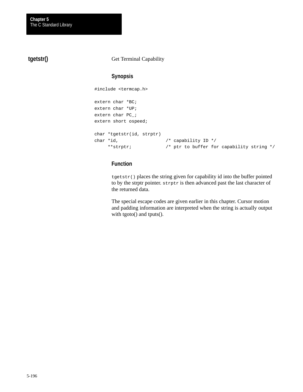# **tgetstr()**

#### Get Terminal Capability

# **Synopsis**

```
#include <termcap.h>
extern char *BC;
extern char *UP;
extern char PC_;
extern short ospeed;
char *tgetstr(id, strptr)
char *id, \frac{1}{2} /* capability ID */
     **strptr; /* ptr to buffer for capability string */
```
# **Function**

tgetstr() places the string given for capability id into the buffer pointed to by the strptr pointer. strptr is then advanced past the last character of the returned data.

The special escape codes are given earlier in this chapter. Cursor motion and padding information are interpreted when the string is actually output with tgoto() and tputs().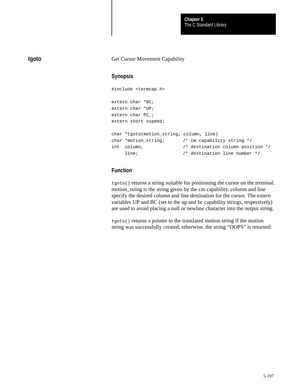The C Standard Library **Chapter 5**

## Get Cursor Movement Capability

**tgoto**

#### **Synopsis**

```
#include <termcap.h>
extern char *BC;
extern char *UP;
extern char PC_;
extern short ospeed;
char *tgoto(motion_string, column, line)
char *motion_string; /* cm capability string */
int column, /* destination column position */
     line; /* destination line number */
```
# **Function**

tgoto() returns a string suitable for positioning the cursor on the terminal. motion\_string is the string given by the cm capability. column and line specify the desired column and line destination for the cursor. The extern variables UP and BC (set to the up and bc capability strings, respectively) are used to avoid placing a null or newline character into the output string.

tgoto() returns a pointer to the translated motion string if the motion string was successfully created, otherwise, the string "OOPS" is returned.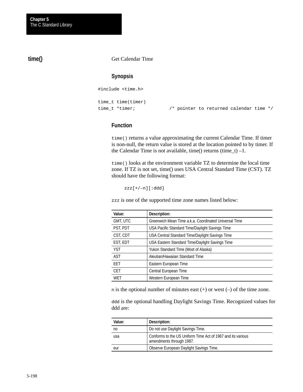# **time()**

#### Get Calendar Time

#### **Synopsis**

#include <time.h>

time\_t time(timer)

time\_t \*timer; /\* pointer to returned calendar time \*/

# **Function**

time() returns a value approximating the current Calendar Time. If timer is non-null, the return value is stored at the location pointed to by timer. If the Calendar Time is not available, time() returns (time\_t)  $-1$ .

time() looks at the environment variable TZ to determine the local time zone. If TZ is not set, time() uses USA Central Standard Time (CST). TZ should have the following format:

zzz[+/–n][:ddd]

zzz is one of the supported time zone names listed below:

| Value:     | Description:                                          |
|------------|-------------------------------------------------------|
| GMT, UTC   | Greenwich Mean Time a.k.a. Coordinated Universal Time |
| PST, PDT   | USA Pacific Standard Time/Daylight Savings Time       |
| CST, CDT   | USA Central Standard Time/Daylight Savings Time       |
| EST, EDT   | USA Eastern Standard Time/Daylight Savings Time       |
| <b>YST</b> | Yukon Standard Time (Most of Alaska)                  |
| AST        | Aleutian/Hawaiian Standard Time                       |
| <b>FFT</b> | Eastern European Time                                 |
| <b>CET</b> | Central European Time                                 |
| WET        | Western European Time                                 |

n is the optional number of minutes east  $(+)$  or west  $(-)$  of the time zone.

ddd is the optional handling Daylight Savings Time. Recognized values for ddd are:

| Value: | Description:                                                                            |
|--------|-----------------------------------------------------------------------------------------|
| no     | Do not use Daylight Savings Time.                                                       |
| usa    | Conforms to the US Uniform Time Act of 1967 and its various<br>amendments through 1987. |
| eur    | Observe European Daylight Savings Time.                                                 |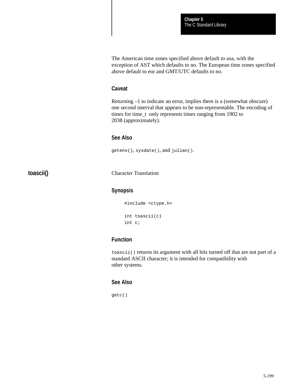The American time zones specified above default to usa, with the exception of AST which defaults to no. The European time zones specified above default to eur and GMT/UTC defaults to no.

#### **Caveat**

Returning –1 to indicate an error, implies there is a (somewhat obscure) one second interval that appears to be non-representable. The encoding of times for time\_t only represents times ranging from 1902 to 2038 (approximately).

#### **See Also**

getenv(), sysdate(), and julian().

**toascii()**

Character Translation

#### **Synopsis**

```
#include <ctype.h>
int toascii(c)
int c;
```
# **Function**

toascii() returns its argument with all bits turned off that are not part of a standard ASCII character; it is intended for compatibility with other systems.

#### **See Also**

getc()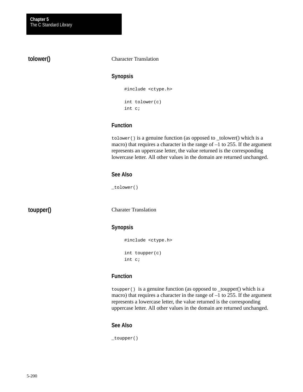# **tolower()**

#### Character Translation

#### **Synopsis**

#include <ctype.h> int tolower(c) int c;

## **Function**

tolower() is a genuine function (as opposed to \_tolower() which is a macro) that requires a character in the range of  $-1$  to 255. If the argument represents an uppercase letter, the value returned is the corresponding lowercase letter. All other values in the domain are returned unchanged.

#### **See Also**

\_tolower()

**toupper()**

Charater Translation

## **Synopsis**

#include <ctype.h> int toupper(c) int c;

# **Function**

toupper() is a genuine function (as opposed to \_toupper() which is a macro) that requires a character in the range of  $-1$  to 255. If the argument represents a lowercase letter, the value returned is the corresponding uppercase letter. All other values in the domain are returned unchanged.

#### **See Also**

\_toupper()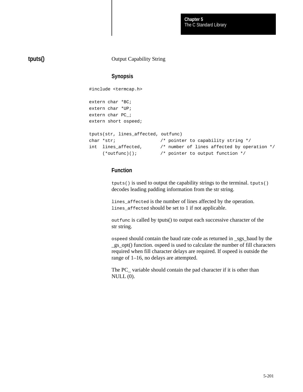The C Standard Library **Chapter 5**

# **tputs()**

Output Capability String

# **Synopsis**

#include <termcap.h>

```
extern char *BC;
extern char *UP;
extern char PC_;
extern short ospeed;
tputs(str, lines_affected, outfunc)
char *str; \sqrt{ } /* pointer to capability string */
int lines_affected, /* number of lines affected by operation */
     (*outfunc)(); /* pointer to output function */
```
# **Function**

tputs() is used to output the capability strings to the terminal. tputs() decodes leading padding information from the str string.

lines\_affected is the number of lines affected by the operation. lines\_affected should be set to 1 if not applicable.

outfunc is called by tputs() to output each successive character of the str string.

ospeed should contain the baud rate code as returned in \_sgs\_baud by the \_gs\_opt() function. ospeed is used to calculate the number of fill characters required when fill character delays are required. If ospeed is outside the range of 1–16, no delays are attempted.

The PC variable should contain the pad character if it is other than  $NULL(0).$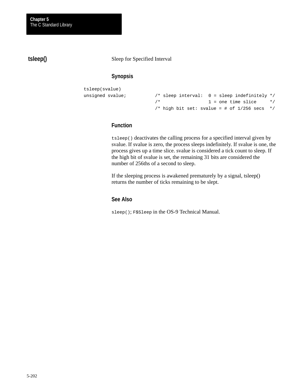**tsleep()**

Sleep for Specified Interval

# **Synopsis**

```
tsleep(svalue)
unsigned svalue; \frac{1}{3} /* sleep interval: 0 = sleep indefinitely */
                          \frac{1}{1} = one time slice \frac{1}{1}/* high bit set: svalue = # of 1/256 secs */
```
## **Function**

tsleep() deactivates the calling process for a specified interval given by svalue. If svalue is zero, the process sleeps indefinitely. If svalue is one, the process gives up a time slice. svalue is considered a tick count to sleep. If the high bit of svalue is set, the remaining 31 bits are considered the number of 256ths of a second to sleep.

If the sleeping process is awakened prematurely by a signal, tsleep() returns the number of ticks remaining to be slept.

## **See Also**

sleep(); F\$Sleep in the OS-9 Technical Manual.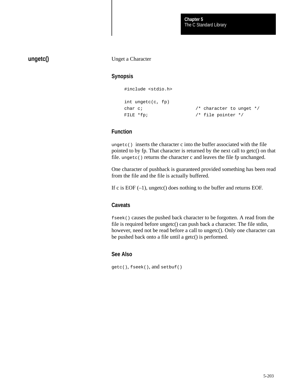# **ungetc()**

Unget a Character

### **Synopsis**

#include <stdio.h>

```
int ungetc(c, fp)
char c; \frac{1}{4} /* character to unget */
FILE *fp; \overline{y} /* file pointer */
```
#### **Function**

ungetc() inserts the character c into the buffer associated with the file pointed to by fp. That character is returned by the next call to getc() on that file. ungetc() returns the character c and leaves the file fp unchanged.

One character of pushback is guaranteed provided something has been read from the file and the file is actually buffered.

If c is EOF  $(-1)$ , ungetc() does nothing to the buffer and returns EOF.

#### **Caveats**

fseek() causes the pushed back character to be forgotten. A read from the file is required before ungetc() can push back a character. The file stdin, however, need not be read before a call to ungetc(). Only one character can be pushed back onto a file until a getc() is performed.

## **See Also**

getc(), fseek(), and setbuf()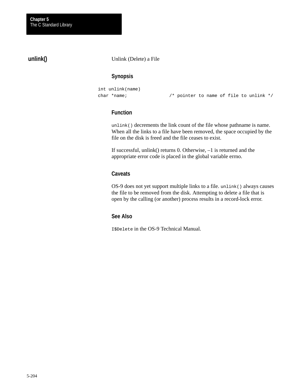# **unlink()**

#### Unlink (Delete) a File

# **Synopsis**

int unlink(name)

char \*name; /\* pointer to name of file to unlink \*/

# **Function**

unlink() decrements the link count of the file whose pathname is name. When all the links to a file have been removed, the space occupied by the file on the disk is freed and the file ceases to exist.

If successful, unlink() returns 0. Otherwise, –1 is returned and the appropriate error code is placed in the global variable errno.

#### **Caveats**

OS-9 does not yet support multiple links to a file. unlink() always causes the file to be removed from the disk. Attempting to delete a file that is open by the calling (or another) process results in a record-lock error.

#### **See Also**

I\$Delete in the OS-9 Technical Manual.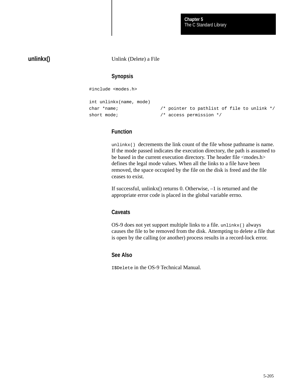The C Standard Library **Chapter 5**

#### **unlinkx()**

Unlink (Delete) a File

#### **Synopsis**

#include <modes.h>

```
int unlinkx(name, mode)
char *name; /* pointer to pathlist of file to unlink */
short mode; \frac{1}{2} /* access permission */
```
#### **Function**

unlinkx() decrements the link count of the file whose pathname is name. If the mode passed indicates the execution directory, the path is assumed to be based in the current execution directory. The header file <modes.h> defines the legal mode values. When all the links to a file have been removed, the space occupied by the file on the disk is freed and the file ceases to exist.

If successful, unlinkx() returns 0. Otherwise, –1 is returned and the appropriate error code is placed in the global variable errno.

#### **Caveats**

OS-9 does not yet support multiple links to a file. unlinkx() always causes the file to be removed from the disk. Attempting to delete a file that is open by the calling (or another) process results in a record-lock error.

## **See Also**

I\$Delete in the OS-9 Technical Manual.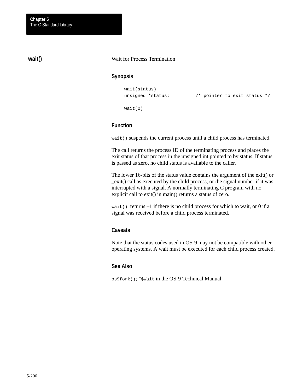# **wait()**

#### Wait for Process Termination

#### **Synopsis**

```
wait(status)
```
unsigned \*status;  $\sqrt{\ }}$  pointer to exit status \*/

wait(0)

#### **Function**

wait() suspends the current process until a child process has terminated.

The call returns the process ID of the terminating process and places the exit status of that process in the unsigned int pointed to by status. If status is passed as zero, no child status is available to the caller.

The lower 16-bits of the status value contains the argument of the exit() or \_exit() call as executed by the child process, or the signal number if it was interrupted with a signal. A normally terminating C program with no explicit call to exit() in main() returns a status of zero.

wait() returns  $-1$  if there is no child process for which to wait, or 0 if a signal was received before a child process terminated.

#### **Caveats**

Note that the status codes used in OS-9 may not be compatible with other operating systems. A wait must be executed for each child process created.

#### **See Also**

os9fork(); F\$Wait in the OS-9 Technical Manual.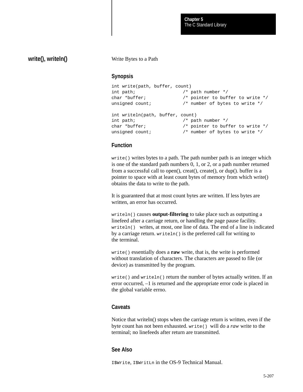# **write(), writeln()**

#### Write Bytes to a Path

#### **Synopsis**

| int write(path, buffer, count)   |                                    |
|----------------------------------|------------------------------------|
| int path;                        | $/*$ path number $*/$              |
| char *buffer;                    | /* pointer to buffer to write $*/$ |
| unsigned count;                  | /* number of bytes to write */     |
|                                  |                                    |
| int writeln(path, buffer, count) |                                    |
| int path;                        | $/*$ path number $*/$              |
| char *buffer;                    | /* pointer to buffer to write $*/$ |
| unsigned count;                  | /* number of bytes to write */     |
|                                  |                                    |

#### **Function**

write() writes bytes to a path. The path number path is an integer which is one of the standard path numbers 0, 1, or 2, or a path number returned from a successful call to open $($ ), creat $($ ), create $($ ), or dup $($ ). buffer is a pointer to space with at least count bytes of memory from which write() obtains the data to write to the path.

It is guaranteed that at most count bytes are written. If less bytes are written, an error has occurred.

writeln() causes **output-filtering** to take place such as outputting a linefeed after a carriage return, or handling the page pause facility. writeln() writes, at most, one line of data. The end of a line is indicated by a carriage return. writeln() is the preferred call for writing to the terminal.

write() essentially does a **raw** write, that is, the write is performed without translation of characters. The characters are passed to file (or device) as transmitted by the program.

write() and writeln() return the number of bytes actually written. If an error occurred, –1 is returned and the appropriate error code is placed in the global variable errno.

#### **Caveats**

Notice that writeln() stops when the carriage return is written, even if the byte count has not been exhausted. write() will do a *raw* write to the terminal; no linefeeds after return are transmitted.

#### **See Also**

I\$Write, I\$WritLn in the OS-9 Technical Manual.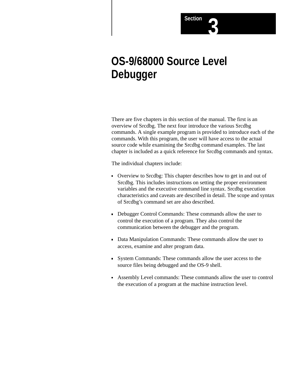

There are five chapters in this section of the manual. The first is an overview of Srcdbg. The next four introduce the various Srcdbg commands. A single example program is provided to introduce each of the commands. With this program, the user will have access to the actual source code while examining the Srcdbg command examples. The last chapter is included as a quick reference for Srcdbg commands and syntax.

**Section** 

The individual chapters include:

- Overview to Srcdbg: This chapter describes how to get in and out of Srcdbg. This includes instructions on setting the proper environment variables and the executive command line syntax. Srcdbg execution characteristics and caveats are described in detail. The scope and syntax of Srcdbg's command set are also described.
- Debugger Control Commands: These commands allow the user to control the execution of a program. They also control the communication between the debugger and the program.
- Data Manipulation Commands: These commands allow the user to access, examine and alter program data.
- System Commands: These commands allow the user access to the source files being debugged and the OS-9 shell.
- Assembly Level commands: These commands allow the user to control the execution of a program at the machine instruction level.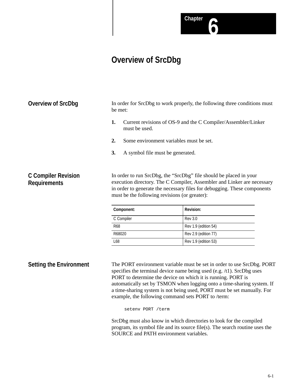**Chapter 6**

## **Overview of SrcDbg**

In order for SrcDbg to work properly, the following three conditions must be met: **1.** Current revisions of OS-9 and the C Compiler/Assembler/Linker must be used. **Overview of SrcDbg**

- **2.** Some environment variables must be set.
- **3.** A symbol file must be generated.

## **C Compiler Revision Requirements**

In order to run SrcDbg, the "SrcDbg" file should be placed in your execution directory. The C Compiler, Assembler and Linker are necessary in order to generate the necessary files for debugging. These components must be the following revisions (or greater):

| Component: | <b>Revision:</b>     |
|------------|----------------------|
| C Compiler | <b>Rev 3.0</b>       |
| <b>R68</b> | Rev 1.9 (edition 54) |
| R68020     | Rev 2.9 (edition 77) |
| L68        | Rev 1.9 (edition 53) |

## **Setting the Environment**

The PORT environment variable must be set in order to use SrcDbg. PORT specifies the terminal device name being used (e.g. /t1). SrcDbg uses PORT to determine the device on which it is running. PORT is automatically set by TSMON when logging onto a time-sharing system. If a time-sharing system is not being used, PORT must be set manually. For example, the following command sets PORT to /term:

setenv PORT /term

SrcDbg must also know in which directories to look for the compiled program, its symbol file and its source file(s). The search routine uses the SOURCE and PATH environment variables.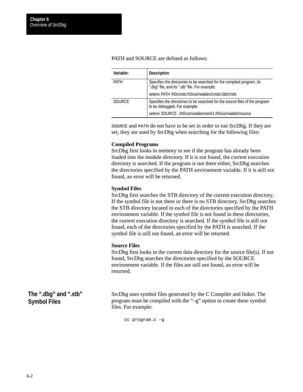| Variable:     | <b>Description</b>                                                                                                       |
|---------------|--------------------------------------------------------------------------------------------------------------------------|
| <b>PATH</b>   | Specifies the directories to be searched for the compiled program, its<br>".dbg" file, and its ".stb" file. For example: |
|               | seteny PATH /h0/cmds:/h0/usr/walden/cmds:/dd/cmds                                                                        |
| <b>SOURCE</b> | Specifies the directories to be searched for the source files of the program<br>to be debugged. For example:             |
|               | seteny SOURCE .:/h0/usr/walden/work1:/h0/usr/walden/source                                                               |

PATH and SOURCE are defined as follows:

SOURCE and PATH do not have to be set in order to run SrcDbg. If they are set, they are used by SrcDbg when searching for the following files:

#### **Compiled Programs**

SrcDbg first looks in memory to see if the program has already been loaded into the module directory. If it is not found, the current execution directory is searched. If the program is not there either, SrcDbg searches the directories specified by the PATH environment variable. If it is still not found, an error will be returned.

#### **Symbol Files**

SrcDbg first searches the STB directory of the current execution directory. If the symbol file is not there or there is no STB directory, SrcDbg searches the STB directory located in each of the directories specified by the PATH environment variable. If the symbol file is not found in these directories, the current execution directory is searched. If the symbol file is still not found, each of the directories specified by the PATH is searched. If the symbol file is still not found, an error will be returned.

#### **Source Files**

SrcDbg first looks in the current data directory for the source file(s). If not found, SrcDbg searches the directories specified by the SOURCE environment variable. If the files are still not found, an error will be returned.

**The ".dbg" and ".stb" Symbol Files**

SrcDbg uses symbol files generated by the C Compiler and linker. The program must be compiled with the "–g" option to create these symbol files. For example:

cc program.c –g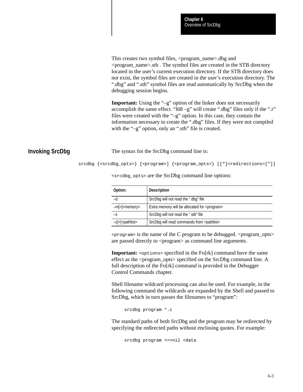This creates two symbol files, <program\_name>.dbg and <program\_name>.stb . The symbol files are created in the STB directory located in the user's current execution directory. If the STB directory does not exist, the symbol files are created in the user's execution directory. The ".dbg" and ".stb" symbol files are read automatically by SrcDbg when the debugging session begins.

**Important:** Using the "–g" option of the linker does not necessarily accomplish the same effect. "l68 –g" will create ".dbg" files only if the ".r" files were created with the "–g" option. In this case, they contain the information necessary to create the ".dbg" files. If they were not compiled with the "–g" option, only an ".stb" file is created.

## **Invoking SrcDbg**

The syntax for the SrcDbg command line is:

srcdbg {<srcdbg\_opts>} [<program>] {<program\_opts>} [["]<redirections>["]]

| Option:                        | <b>Description</b>                                     |
|--------------------------------|--------------------------------------------------------|
|                                | SrcDbg will not read the ".dbg" file                   |
| $-m$ = $\leq$ memory           | Extra memory will be allocated for <program></program> |
| -S                             | SrcDbg will not read the ".stb" file                   |
| $-z$ [=] <pathlist></pathlist> | SrcDbg will read commands from <pathlist></pathlist>   |

<srcdbg\_opts> are the SrcDbg command line options:

 $<$ program> is the name of the C program to be debugged.  $<$ program\_opts> are passed directly to  $\langle$ program $\rangle$  as command line arguments.

**Important:** <options> specified in the Fo[rk] command have the same effect as the <program\_opts> specified on the SrcDbg command line. A full description of the Fo[rk] command is provided in the Debugger Control Commands chapter.

Shell filename wildcard processing can also be used. For example, in the following command the wildcards are expanded by the Shell and passed to SrcDbg, which in turn passes the filenames to "program":

srcdbg program \*.c

The standard paths of both SrcDbg and the program may be redirected by specifying the redirected paths without enclosing quotes. For example:

```
srcdbg program >>>nil <data
```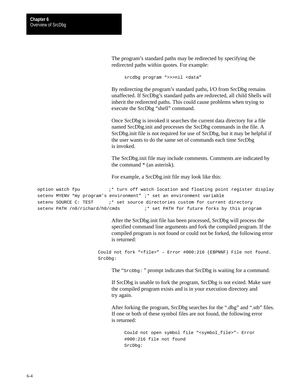The program's standard paths may be redirected by specifying the redirected paths within quotes. For example:

srcdbg program ">>>nil <data"

By redirecting the program's standard paths, I/O from SrcDbg remains unaffected. If SrcDbg's standard paths are redirected, all child Shells will inherit the redirected paths. This could cause problems when trying to execute the SrcDbg "shell" command.

Once SrcDbg is invoked it searches the current data directory for a file named SrcDbg.init and processes the SrcDbg commands in the file. A SrcDbg.init file is not required for use of SrcDbg, but it may be helpful if the user wants to do the same set of commands each time SrcDbg is invoked.

The SrcDbg.init file may include comments. Comments are indicated by the command \* (an asterisk).

For example, a SrcDbg.init file may look like this:

option watch fpu ;\* turn off watch location and floating point register display setenv MYENV "my program's environment" ;\* set an environment variable setenv SOURCE C: TEST :\* set source directories custom for current directory setenv PATH /n0/richard/h0/cmds ;\* set PATH for future forks by this program

> After the SrcDbg.init file has been processed, SrcDbg will process the specified command line arguments and fork the compiled program. If the compiled program is not found or could not be forked, the following error is returned:

Could not fork "<file>" – Error #000:216 (E\$PNNF) File not found. SrcDbg:

The "SrcDbg: " prompt indicates that SrcDbg is waiting for a command.

If SrcDbg is unable to fork the program, SrcDbg is not exited. Make sure the compiled program exists and is in your execution directory and try again.

After forking the program, SrcDbg searches for the ".dbg" and ".stb" files. If one or both of these symbol files are not found, the following error is returned:

Could not open symbol file "<symbol\_file>"– Error #000:216 file not found SrcDbg: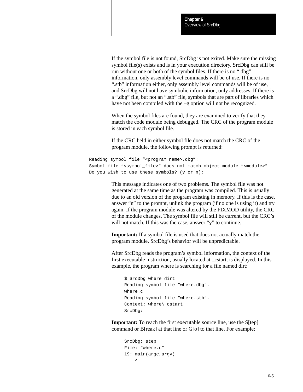If the symbol file is not found, SrcDbg is not exited. Make sure the missing symbol file(s) exists and is in your execution directory. SrcDbg can still be run without one or both of the symbol files. If there is no ".dbg" information, only assembly level commands will be of use. If there is no ".stb" information either, only assembly level commands will be of use, and SrcDbg will not have symbolic information, only addresses. If there is a ".dbg" file, but not an ".stb" file, symbols that are part of libraries which have not been compiled with the –g option will not be recognized.

When the symbol files are found, they are examined to verify that they match the code module being debugged. The CRC of the program module is stored in each symbol file.

If the CRC held in either symbol file does not match the CRC of the program module, the following prompt is returned:

```
Reading symbol file "<program name>.dbg":
Symbol file "<symbol_file>" does not match object module "<module>"
Do you wish to use these symbols? (y or n):
```
This message indicates one of two problems. The symbol file was not generated at the same time as the program was compiled. This is usually due to an old version of the program existing in memory. If this is the case, answer "n" to the prompt, unlink the program (if no one is using it) and try again. If the program module was altered by the FIXMOD utility, the CRC of the module changes. The symbol file will still be current, but the CRC's will not match. If this was the case, answer "**y**" to continue.

**Important:** If a symbol file is used that does not actually match the program module, SrcDbg's behavior will be unpredictable.

After SrcDbg reads the program's symbol information, the context of the first executable instruction, usually located at \_cstart, is displayed. In this example, the program where is searching for a file named dirt:

```
$ SrcDbg where dirt
Reading symbol file "where.dbg".
where.c
Reading symbol file "where.stb".
Context: where\_cstart
SrcDbg:
```
**Important:** To reach the first executable source line, use the S[tep] command or B[reak] at that line or G[o] to that line. For example:

```
SrcDbg: step
File: "where.c"
19: main(argc,argv)
\sim
```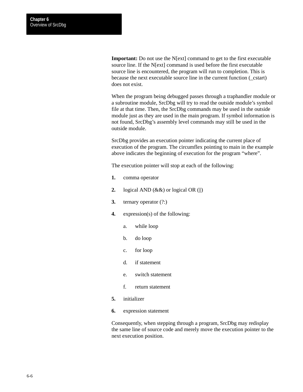**Important:** Do not use the N[ext] command to get to the first executable source line. If the N[ext] command is used before the first executable source line is encountered, the program will run to completion. This is because the next executable source line in the current function (\_cstart) does not exist.

When the program being debugged passes through a traphandler module or a subroutine module, SrcDbg will try to read the outside module's symbol file at that time. Then, the SrcDbg commands may be used in the outside module just as they are used in the main program. If symbol information is not found, SrcDbg's assembly level commands may still be used in the outside module.

SrcDbg provides an execution pointer indicating the current place of execution of the program. The circumflex pointing to main in the example above indicates the beginning of execution for the program "where".

The execution pointer will stop at each of the following:

- **1.** comma operator
- **2.** logical AND (&&) or logical OR (||)
- **3.** ternary operator (?:)
- **4.** expression(s) of the following:
	- a. while loop
	- b. do loop
	- c. for loop
	- d. if statement
	- e. switch statement
	- f. return statement
- **5.** initializer
- **6.** expression statement

Consequently, when stepping through a program, SrcDbg may redisplay the same line of source code and merely move the execution pointer to the next execution position.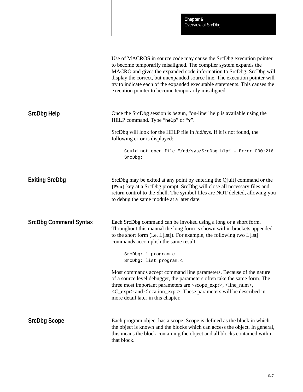|                              | Use of MACROS in source code may cause the SrcDbg execution pointer<br>to become temporarily misaligned. The compiler system expands the<br>MACRO and gives the expanded code information to SrcDbg. SrcDbg will<br>display the correct, but unexpanded source line. The execution pointer will<br>try to indicate each of the expanded executable statements. This causes the<br>execution pointer to become temporarily misaligned. |
|------------------------------|---------------------------------------------------------------------------------------------------------------------------------------------------------------------------------------------------------------------------------------------------------------------------------------------------------------------------------------------------------------------------------------------------------------------------------------|
| <b>SrcDbg Help</b>           | Once the SrcDbg session is begun, "on-line" help is available using the<br>HELP command. Type "help" or "?".                                                                                                                                                                                                                                                                                                                          |
|                              | SrcDbg will look for the HELP file in /dd/sys. If it is not found, the<br>following error is displayed:                                                                                                                                                                                                                                                                                                                               |
|                              | Could not open file "/dd/sys/SrcDbg.hlp" - Error 000:216<br>SrcDbg:                                                                                                                                                                                                                                                                                                                                                                   |
| <b>Exiting SrcDbg</b>        | SrcDbg may be exited at any point by entering the Q[uit] command or the<br>[Esc] key at a SrcDbg prompt. SrcDbg will close all necessary files and<br>return control to the Shell. The symbol files are NOT deleted, allowing you<br>to debug the same module at a later date.                                                                                                                                                        |
| <b>SrcDbg Command Syntax</b> | Each SrcDbg command can be invoked using a long or a short form.<br>Throughout this manual the long form is shown within brackets appended<br>to the short form (i.e. L[ist]). For example, the following two L[ist]<br>commands accomplish the same result:                                                                                                                                                                          |
|                              | SrcDbg: 1 program.c<br>SrcDbg: list program.c                                                                                                                                                                                                                                                                                                                                                                                         |
|                              | Most commands accept command line parameters. Because of the nature<br>of a source level debugger, the parameters often take the same form. The<br>three most important parameters are <scope_expr>, <line_num>,<br/><c_expr> and <location_expr>. These parameters will be described in<br/>more detail later in this chapter.</location_expr></c_expr></line_num></scope_expr>                                                      |
| <b>SrcDbg Scope</b>          | Each program object has a scope. Scope is defined as the block in which<br>the object is known and the blocks which can access the object. In general,<br>this means the block containing the object and all blocks contained within<br>that block.                                                                                                                                                                                   |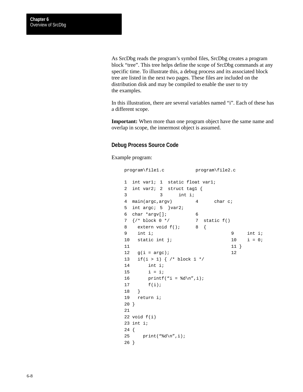As SrcDbg reads the program's symbol files, SrcDbg creates a program block "tree". This tree helps define the scope of SrcDbg commands at any specific time. To illustrate this, a debug process and its associated block tree are listed in the next two pages. These files are included on the distribution disk and may be compiled to enable the user to try the examples.

In this illustration, there are several variables named "i". Each of these has a different scope.

**Important:** When more than one program object have the same name and overlap in scope, the innermost object is assumed.

#### **Debug Process Source Code**

Example program:

```
program\file1.c program\file2.c
1 int var1; 1 static float var1;
2 int var2; 2 struct tag1 {
3 3 int i;
4 main(argc,argv) 4 char c;
5 int argc; 5 }var2;
6 char *argv[]; 6
7 \frac{7}{7} \frac{1}{7} static f()
8 extern void f(); 8 {
9 int i; 9 int i;
10 static int j; 10 i = 0;
11 11}
12 g(i = \text{argc}); 12
13 if(i > 1) { /* block 1 */
14 int i;
15 i = i;16 printf("i = %d\nu", i);17 f(i);
18 }
19 return i;
20 }
21
22 void f(i)23 int i;
24 {
25 print("%d\n",i);
26 }
```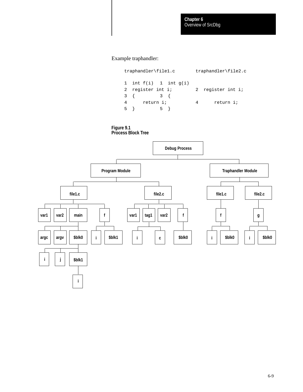Example traphandler:

traphandler\file1.c traphandler\file2.c 1 int  $f(i)$  1 int  $g(i)$ 2 register int i; 2 register int i; 3 { 3 { 4 return i; 4 return i; 5 } 5 }

**Figure 9.1**



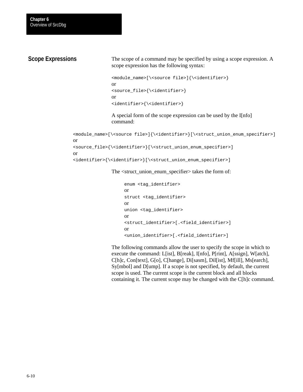## **Scope Expressions**

The scope of a command may be specified by using a scope expression. A scope expression has the following syntax:

```
<module_name>[\<source file>]{\<identifier>}
or
<source_file>{\<identifier>}
or
<identifier>{\<identifier>}
```
A special form of the scope expression can be used by the I[nfo] command:

```
<module_name>[\<source file>]{\<identifier>}[\<struct_union_enum_specifier>]
or
<source_file>{\<identifier>}[\<struct_union_enum_specifier>]
or
<identifier>{\<identifier>}[\<struct_union_enum_specifier>]
```
The <struct\_union\_enum\_specifier> takes the form of:

```
enum <tag_identifier>
or
struct <tag_identifier>
or
union <tag_identifier>
or
<struct_identifier>[.<field_identifier>]
or
<union_identifier>[.<field_identifier>]
```
The following commands allow the user to specify the scope in which to execute the command: L[ist], B[reak], I[nfo], P[rint], A[ssign], W[atch], C[h]c, Con[text], G[o], C[hange], Di[sasm], Dil[ist], Mf[ill], Ms[earch], Sy[mbol] and D[ump]. If a scope is not specified, by default, the current scope is used. The current scope is the current block and all blocks containing it. The current scope may be changed with the C[h]c command.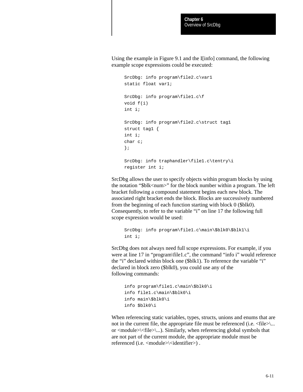Using the example in Figure 9.1 and the I[info] command, the following example scope expressions could be executed:

```
SrcDbg: info program\file2.c\var1
static float var1;
SrcDbg: info program\file1.c\f
void f(i)
int i;
SrcDbg: info program\file2.c\struct tag1
struct tag1 {
int i;
char c;
};
SrcDbg: info traphandler\file1.c\tentry\i
register int i;
```
SrcDbg allows the user to specify objects within program blocks by using the notation "\$blk<num>" for the block number within a program. The left bracket following a compound statement begins each new block. The associated right bracket ends the block. Blocks are successively numbered from the beginning of each function starting with block 0 (\$blk0). Consequently, to refer to the variable "i" on line 17 the following full scope expression would be used:

```
SrcDbg: info program\file1.c\main\$blk0\$blk1\i
int i;
```
SrcDbg does not always need full scope expressions. For example, if you were at line 17 in "program\file1.c", the command "info i" would reference the "i" declared within block one (\$blk1). To reference the variable "i" declared in block zero (\$blk0), you could use any of the following commands:

```
info program\file1.c\main\$blk0\i
info file1.c\main\$blk0\i
info main\$blk0\i
info $blk0\i
```
When referencing static variables, types, structs, unions and enums that are not in the current file, the appropriate file must be referenced (i.e.  $\langle$  file $\rangle$ )... or <module>\<file>\...). Similarly, when referencing global symbols that are not part of the current module, the appropriate module must be referenced (i.e. <module> $\le$ identifier>).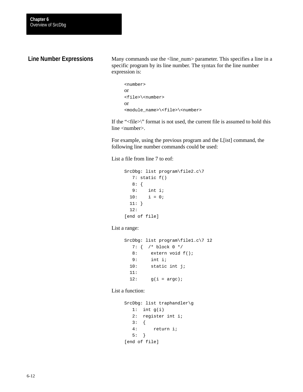## **Line Number Expressions**

Many commands use the <line\_num> parameter. This specifies a line in a specific program by its line number. The syntax for the line number expression is:

```
<number>
or
<file>\<number>
or
<module_name>\<file>\<number>
```
If the "<file>\" format is not used, the current file is assumed to hold this line <number>.

For example, using the previous program and the L[ist] command, the following line number commands could be used:

List a file from line 7 to eof:

```
SrcDbg: list program\file2.c\7
   7: static f()
   8: {
   9: int i;
 10: i = 0; 11: }
  12:
[end of file]
```
List a range:

```
SrcDbg: list program\file1.c\7 12
   7: { /* block 0 */
   8: extern void f();
   9: int i;
  10: static int j;
  11: 
 12: g(i = \text{argc});
```
List a function:

```
SrcDbg: list traphandler\g
  1: int q(i) 2: register int i;
   3: {
   4: return i;
   5: }
[end of file]
```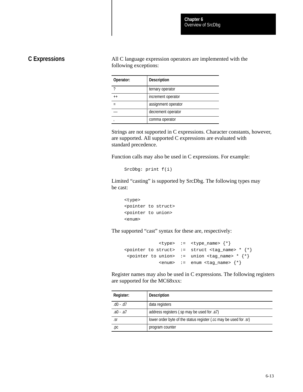## **C Expressions**

All C language expression operators are implemented with the following exceptions:

| Operator: | <b>Description</b>  |
|-----------|---------------------|
|           | ternary operator    |
| $++$      | increment operator  |
|           | assignment operator |
|           | decrement operator  |
|           | comma operator      |

Strings are not supported in C expressions. Character constants, however, are supported. All supported C expressions are evaluated with standard precedence.

Function calls may also be used in C expressions. For example:

```
SrcDbg: print f(i)
```
Limited "casting" is supported by SrcDbg. The following types may be cast:

```
<type>
<pointer to struct>
<pointer to union>
<enum>
```
The supported "cast" syntax for these are, respectively:

```
 <type> := <type_name> {*}
\{*\} <pointer to struct> := struct <tag_name> * * *\{*\} <pointer to union> := union <tag_name> * * *}
             <enum> := enum <tag_name> {*}
```
Register names may also be used in C expressions. The following registers are supported for the MC68xxx:

| Register: | <b>Description</b>                                                |
|-----------|-------------------------------------------------------------------|
| .d0 - .d7 | data registers                                                    |
| .a0 - .a7 | address registers (.sp may be used for .a7)                       |
| .sr       | lower order byte of the status register (.cc may be used for .sr) |
| .pc       | program counter                                                   |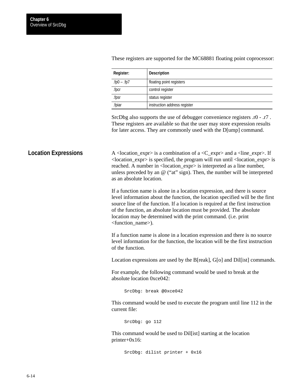| Register:    | <b>Description</b>           |
|--------------|------------------------------|
| $.fp0 -.fp7$ | floating point registers     |
| .fpcr        | control register             |
| .fpsr        | status register              |
| .fpiar       | instruction address register |

These registers are supported for the MC68881 floating point coprocessor:

SrcDbg also supports the use of debugger convenience registers .r0 - .r7 . These registers are available so that the user may store expression results for later access. They are commonly used with the D[ump] command.

A <location  $\exp$  is a combination of a <C  $\exp$  and a <line  $\exp$  >. If <location\_expr> is specified, the program will run until <location\_expr> is reached. A number in <location\_expr> is interpreted as a line number, unless preceded by an @ ("at" sign). Then, the number will be interpreted as an absolute location. **Location Expressions**

> If a function name is alone in a location expression, and there is source level information about the function, the location specified will be the first source line of the function. If a location is required at the first instruction of the function, an absolute location must be provided. The absolute location may be determined with the print command. (i.e. print <function\_name>).

If a function name is alone in a location expression and there is no source level information for the function, the location will be the first instruction of the function.

Location expressions are used by the B[reak], G[o] and Dil[ist] commands.

For example, the following command would be used to break at the absolute location 0xce042:

SrcDbg: break @0xce042

This command would be used to execute the program until line 112 in the current file:

SrcDbg: go 112

This command would be used to Dil[ist] starting at the location printer+0x16:

SrcDbg: dilist printer + 0x16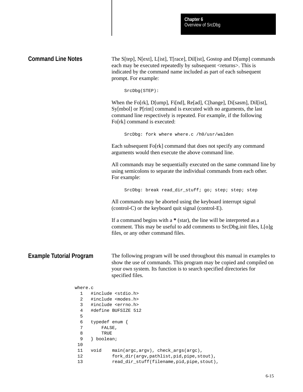|                                 | Chapter 6<br>Overview of SrcDbg                                                                                                                                                                                                                        |
|---------------------------------|--------------------------------------------------------------------------------------------------------------------------------------------------------------------------------------------------------------------------------------------------------|
| <b>Command Line Notes</b>       | The S[tep], N[ext], L[ist], T[race], Dil[ist], Gostop and D[ump] commands<br>each may be executed repeatedly by subsequent <returns>. This is<br/>indicated by the command name included as part of each subsequent<br/>prompt. For example:</returns> |
|                                 | SrcDbg(STEP):                                                                                                                                                                                                                                          |
|                                 | When the Fo[rk], D[ump], Fi[nd], Re[ad], C[hange], Di[sasm], Dil[ist],<br>Sy[mbol] or P[rint] command is executed with no arguments, the last<br>command line respectively is repeated. For example, if the following<br>Fo[rk] command is executed:   |
|                                 | SrcDbg: fork where where.c /h0/usr/walden                                                                                                                                                                                                              |
|                                 | Each subsequent Fo[rk] command that does not specify any command<br>arguments would then execute the above command line.                                                                                                                               |
|                                 | All commands may be sequentially executed on the same command line by<br>using semicolons to separate the individual commands from each other.<br>For example:                                                                                         |
|                                 | SrcDbg: break read_dir_stuff; go; step; step; step                                                                                                                                                                                                     |
|                                 | All commands may be aborted using the keyboard interrupt signal<br>(control-C) or the keyboard quit signal (control-E).                                                                                                                                |
|                                 | If a command begins with $a * (star)$ , the line will be interpreted as a<br>comment. This may be useful to add comments to SrcDbg.init files, L[o]g<br>files, or any other command files.                                                             |
| <b>Example Tutorial Program</b> | The following program will be used throughout this manual in examples to<br>show the use of commands. This program may be copied and compiled on<br>your own system. Its function is to search specified directories for<br>specified files.           |
| where.c                         |                                                                                                                                                                                                                                                        |
| 1                               | #include <stdio.h></stdio.h>                                                                                                                                                                                                                           |
| 2                               | #include <modes.h></modes.h>                                                                                                                                                                                                                           |
| 3                               | #include <errno.h></errno.h>                                                                                                                                                                                                                           |
| 4<br>5                          | #define BUFSIZE 512                                                                                                                                                                                                                                    |
| 6                               | typedef enum {                                                                                                                                                                                                                                         |
| 7                               | FALSE,                                                                                                                                                                                                                                                 |
| 8                               | TRUE                                                                                                                                                                                                                                                   |
| 9                               | } boolean;                                                                                                                                                                                                                                             |
| 10                              |                                                                                                                                                                                                                                                        |
| void<br>11                      | main(argc, argv), check_args(argc),                                                                                                                                                                                                                    |
| 12                              | fork_dir(argv,pathlist,pid,pipe,stout),                                                                                                                                                                                                                |

I

13 read\_dir\_stuff(filename, pid, pipe, stout),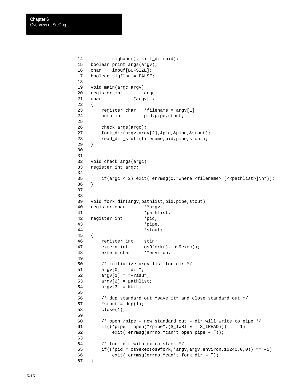```
14 sighand(), kill_dir(pid);
 15 boolean print_args(argv);
 16 char inbuf[BUFSIZE];
 17 boolean sigflag = FALSE;
 18
 19 void main(argc,argv)
20 register int argc;
21 char *argv[];
 22 {
23 register char *filename = argv[1];
24 auto int pid, pipe, stout;
 25
 26 check_args(argc);
 27 fork_dir(argv,argv[2],&pid,&pipe,&stout);
 28 read_dir_stuff(filename,pid,pipe,stout);
 29 }
 30
 31
 32 void check_args(argc)
 33 register int argc;
 34 {
35 if(argc < 2) exit(_errmsg(0,"where <filename> \{\langle\text{sechlists}\rangle\}\;
 36 }
 37
 38
 39 void fork_dir(argv,pathlist,pid,pipe,stout)
40 register char **argv,
41 *pathlist;
 42 register int *pid,
 43 *pipe,
 44 *stout;
 45 {
 46 register int stin;
 47 extern int os9fork(), os9exec();
 48 extern char **environ;
 49
 50 /* initialize argv list for dir */
 51 argv[0] = "dir";
 52 argv[1] = "–rasu";
 53 argv[2] = pathlist;
 54 argv[3] = NULL;
 55
 56 /* dup standard out "save it" and close standard out */
57 *stout = dup(1);
 58 close(1);
 59
 60 /* open /pipe – now standard out – dir will write to pipe */
61 if((*pipe = open("/pipe",(S_IWRITE | S_IIREAD))) == -1)
 62 exit(_errmsg(errno,"can't open pipe – "));
 63
 64 /* fork dir with extra stack */
65 if((\starpid = os9exec(os9fork,\starargv,argv,environ,10240,0,0)) == -1)
 66 exit(_errmsg(errno,"can't fork dir – "));
 67 }
```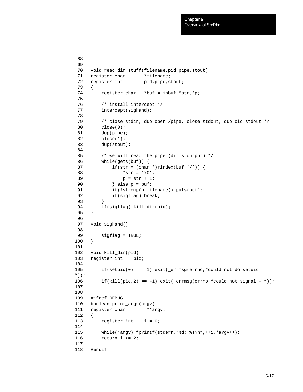```
 68
 69
 70 void read_dir_stuff(filename,pid,pipe,stout)
71 register char *filename;
72 register int pid, pipe, stout;
 73 {
74 register char *buf = inbuf, *str, *p;
 75
 76 /* install intercept */
77 intercept(sighand);
 78
 79 /* close stdin, dup open /pipe, close stdout, dup old stdout */
 80 close(0);
 81 dup(pipe);
 82 close(1);
 83 dup(stout);
 84
 85 /* we will read the pipe (dir's output) */
 86 while(gets(buf)) {
87 if(str = (char *)rindex(buf, '')') {
88 *str = '\\ 0';89 p = str + 1;90 \} else p = buf;
91 if(!strcmp(p,filename)) puts(buf);
 92 if(sigflag) break;
 93 }
94 if(sigflag) kill_dir(pid);
 95 }
 96
 97 void sighand()
 98 {
99 sigflag = TRUE;
100 }
101
102 void kill_dir(pid)
103 register int pid;
104 {
105 if(setuid(0) == –1) exit(_errmsg(errno,"could not do setuid –
\hspace{0.1cm} \lq ) ) ;
106 if(kill(pid, 2) == -1) exit( errmsq(errno, "could not signal - "));
107 }
108
109 #ifdef DEBUG
110 boolean print_args(argv)
111 register char **argv;
112 {
113 register int i = 0;
114
115 while(*argv) fprintf(stderr, "%d: %s\n", ++i, *argv++);
116 return i >= 2;
117 }
118 #endif
```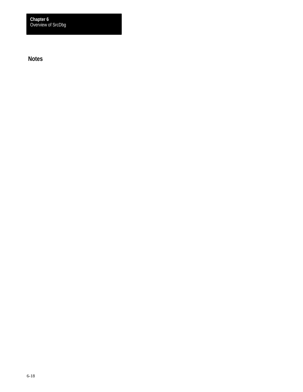Overview of SrcDbg **Chapter 6**

**Notes**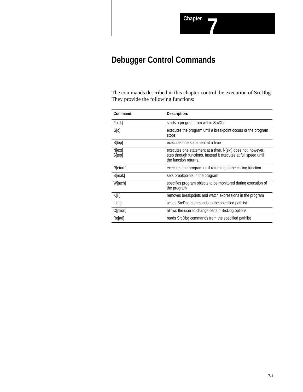# **Debugger Control Commands**

The commands described in this chapter control the execution of SrcDbg. They provide the following functions:

| Command:                 | Description:                                                                                                                                           |
|--------------------------|--------------------------------------------------------------------------------------------------------------------------------------------------------|
| Forrk                    | starts a program from within SrcDbg                                                                                                                    |
| G[0]                     | executes the program until a breakpoint occurs or the program<br>stops                                                                                 |
| S[tep]                   | executes one statement at a time                                                                                                                       |
| N[ext]<br><b>S</b> [tep] | executes one statement at a time. Nextl does not, however,<br>step through functions. Instead it executes at full speed until<br>the function returns. |
| R[eturn]                 | executes the program until returning to the calling function                                                                                           |
| B[reak]                  | sets breakpoints in the program                                                                                                                        |
| W[atch]                  | specifies program objects to be monitored during execution of<br>the program                                                                           |
| K[i]]                    | removes breakpoints and watch expressions in the program                                                                                               |
| $L[0]$ g                 | writes SrcDbg commands to the specified pathlist                                                                                                       |
| O[ption]                 | allows the user to change certain SrcDbg options                                                                                                       |
| Refad]                   | reads SrcDbg commands from the specified pathlist                                                                                                      |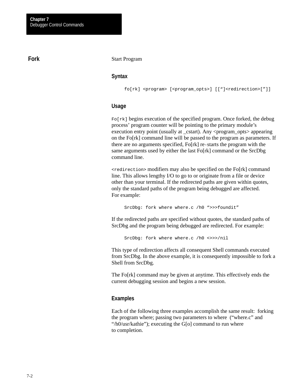#### **Fork**

#### Start Program

#### **Syntax**

fo[rk] <program> [<program\_opts>] [["]<redirection>["]]

#### **Usage**

 $F \circ [rk]$  begins execution of the specified program. Once forked, the debug process' program counter will be pointing to the primary module's execution entry point (usually at  $\text{cstart}$ ). Any  $\text{c program}$  opts $\text{c}$  appearing on the Fo[rk] command line will be passed to the program as parameters. If there are no arguments specified, Fo[rk] re-starts the program with the same arguments used by either the last Fo[rk] command or the SrcDbg command line.

<redirection> modifiers may also be specified on the Fo[rk] command line. This allows lengthy I/O to go to or originate from a file or device other than your terminal. If the redirected paths are given within quotes, only the standard paths of the program being debugged are affected. For example:

SrcDbg: fork where where.c /h0 ">>>foundit"

If the redirected paths are specified without quotes, the standard paths of SrcDbg and the program being debugged are redirected. For example:

SrcDbg: fork where where.c /h0 <>>>/nil

This type of redirection affects all consequent Shell commands executed from SrcDbg. In the above example, it is consequently impossible to fork a Shell from SrcDbg.

The Fo[rk] command may be given at anytime. This effectively ends the current debugging session and begins a new session.

#### **Examples**

Each of the following three examples accomplish the same result: forking the program where; passing two parameters to where ("where.c" and "/h0/usr/kathie"); executing the G[o] command to run where to completion.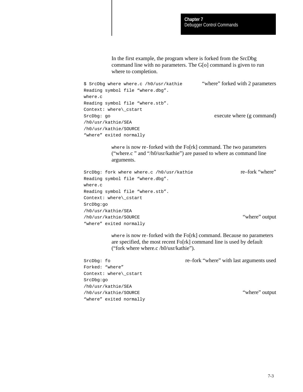In the first example, the program where is forked from the SrcDbg command line with no parameters. The G[o] command is given to run where to completion.

```
$ SrcDbg where where.c /h0/usr/kathie "where" forked with 2 parameters
Reading symbol file "where.dbg". 
where.c
Reading symbol file "where.stb". 
Context: where\_cstart
SrcDbg: go execute where (g command)
/h0/usr/kathie/SEA
/h0/usr/kathie/SOURCE
"where" exited normally
```
where is now re-forked with the Fo[rk] command. The two parameters ("where.c " and "/h0/usr/kathie") are passed to where as command line arguments.

```
SrcDbg: fork where where.c /h0/usr/kathie re–fork "where"
Reading symbol file "where.dbg". 
where.c
Reading symbol file "where.stb". 
Context: where\_cstart
SrcDbg:go
/h0/usr/kathie/SEA
/h0/usr/kathie/SOURCE "where" output
"where" exited normally
```
where is now re-forked with the Fo[rk] command. Because no parameters are specified, the most recent Fo[rk] command line is used by default ("fork where where.c /h0/usr/kathie").

SrcDbg: fo re–fork "where" with last arguments used

Forked: "where" Context: where\\_cstart SrcDbg:go /h0/usr/kathie/SEA /h0/usr/kathie/SOURCE "where" output "where" exited normally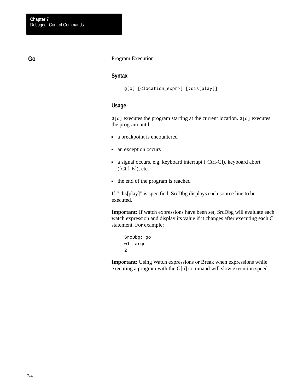#### **Go**

#### Program Execution

#### **Syntax**

```
g[o] [<location_expr>] [:dis[play]]
```
#### **Usage**

G[o] executes the program starting at the current location. G[o] executes the program until:

- a breakpoint is encountered
- an exception occurs
- a signal occurs, e.g. keyboard interrupt ([Ctrl-C]), keyboard abort ([Ctrl-E]), etc.
- $\blacksquare$  the end of the program is reached

If ":dis[play]" is specified, SrcDbg displays each source line to be executed.

**Important:** If watch expressions have been set, SrcDbg will evaluate each watch expression and display its value if it changes after executing each C statement. For example:

```
SrcDbg: go
w1: argc
2
```
**Important:** Using Watch expressions or Break when expressions while executing a program with the G[o] command will slow execution speed.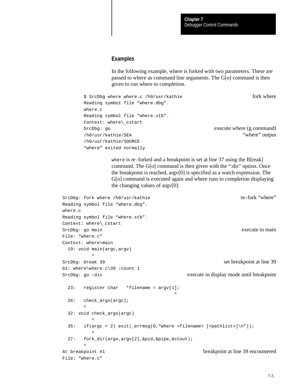#### **Examples**

In the following example, where is forked with two parameters. These are passed to where as command line arguments. The G[o] command is then given to run where to completion.

```
$ SrcDbq where where.c /h0/usr/kathie fork where fork where
Reading symbol file "where.dbg".
where.c
Reading symbol file "where.stb". 
Context: where\_cstart
SrcDbg: go execute where (g command)
/h0/usr/kathie/SEA "where" output
/h0/usr/kathie/SOURCE
"where" exited normally
```
where is re-forked and a breakpoint is set at line 37 using the B[reak] command. The G[o] command is then given with the ":dis" option. Once the breakpoint is reached, argv[0] is specified as a watch expression. The G[o] command is executed again and where runs to completion displaying the changing values of argv[0]:

```
SrcDbg: fork where /h0/usr/kathie re–fork "where"
Reading symbol file "where.dbg". 
where.c
Reading symbol file "where.stb".
Context: where\_cstart
SrcDbg: go main execute to main execute to main
File: "where.c"
Context: where\main
  19: void main(argc,argv)
\simSrcDbg: break 39 set breakpoint at line 39
b1: where\where.c\39 :count 1
SrcDbg: go :dis execute in display mode until breakpoint
 23: register char *filename = \text{argv}[1];
 ^
 26: check args(argc);
\sim \sim 32: void check_args(argc)
\sim35: if(argc < 2) exit(_errmsg(0,"where <filename> [<pathlist>]\n"));
\sim 27: fork_dir(argv,argv[2],&pid,&pipe,&stout); 
\sim \simAt breakpoint #1 breakpoint at line 39 encountered
File: "where.c"
```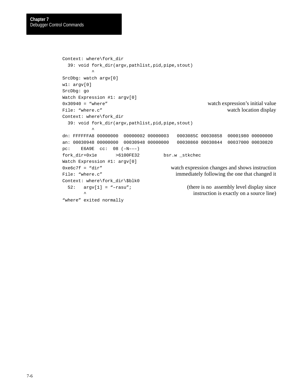```
Context: where\fork_dir
  39: void fork_dir(argv,pathlist,pid,pipe,stout)
\simSrcDbg: watch argv[0]
w1: argv[0]
SrcDbg: go
Watch Expression #1: argv[0]
0x30940 = "where" watch expression's initial value
File: "where.c" watch location display
Context: where\fork_dir
  39: void fork_dir(argv,pathlist,pid,pipe,stout)
\sim \simdn: FFFFFFA8 00000000 00000002 00000003 0003085C 00030858 00001980 00000000
an: 00030948 00000000 00030948 00000000 00030860 00030844 00037000 00030820
pc: E6A9E cc: 08 (–N–––)
fork_dir+0x1e >6100FE32 bsr.w _stkchec
Watch Expression #1: argv[0] 
0 \times 6 \times 7f = "dir" watch expression changes and shows instruction
File: "where.c" immediately following the one that changed it
Context: where\fork_dir\$blk0
  52: argv[1] = "–rasu"; (there is no assembly level display since
                                          instruction is exactly on a source line)
"where" exited normally
```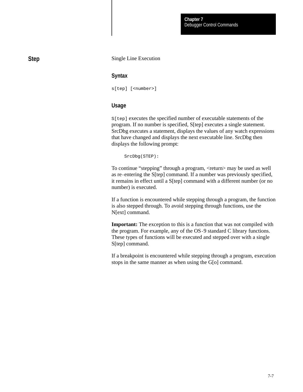#### Single Line Execution

#### **Syntax**

s[tep] [<number>]

#### **Usage**

S[tep] executes the specified number of executable statements of the program. If no number is specified, S[tep] executes a single statement. SrcDbg executes a statement, displays the values of any watch expressions that have changed and displays the next executable line. SrcDbg then displays the following prompt:

SrcDbg(STEP):

To continue "stepping" through a program, <return> may be used as well as re-entering the S[tep] command. If a number was previously specified, it remains in effect until a S[tep] command with a different number (or no number) is executed.

If a function is encountered while stepping through a program, the function is also stepped through. To avoid stepping through functions, use the N[ext] command.

**Important:** The exception to this is a function that was not compiled with the program. For example, any of the OS-9 standard C library functions. These types of functions will be executed and stepped over with a single S[tep] command.

If a breakpoint is encountered while stepping through a program, execution stops in the same manner as when using the G[o] command.

**Step**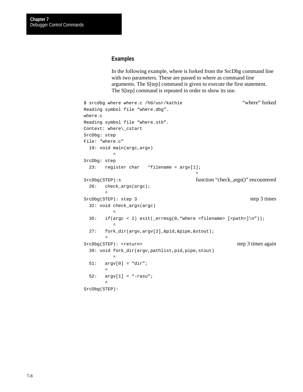#### **Examples**

In the following example, where is forked from the SrcDbg command line with two parameters. These are passed to where as command line arguments. The S[tep] command is given to execute the first statement. The S[tep] command is repeated in order to show its use.

```
$ srcdbg where where.c /h0/usr/kathie "where" forked
Reading symbol file "where.dbg". 
where.c
Reading symbol file "where.stb". 
Context: where\_cstart
SrcDbg: step
File: "where.c"
  19: void main(argc,argv)
\simSrcDbg: step
  23: register char *filename = argv[1];
 ^
SrcDbg(STEP):s function "check_args()" encountered
  26: check_args(argc);
\sim \simSrcDbg(STEP): step 3 times
  32: void check_args(argc)
\sim \sim35: if(argc < 2) exit(_errmsg(0,"where <filename> [<path>]\n\frac{n}{2});
\sim 27: fork_dir(argv,argv[2],&pid,&pipe,&stout); 
\sim \simSrcDbg(STEP): <return> step 3 times again
  39: void fork_dir(argv,pathlist,pid,pipe,stout)
\sim 51: argv[0] = "dir";
\sim \sim 52: argv[1] = "–rasu";
\sim \simSrcDbg(STEP):
```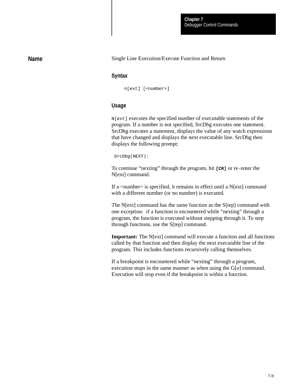#### **Name**

#### Single Line Execution/Execute Function and Return

#### **Syntax**

n[ext] [<number>]

#### **Usage**

N[ext] executes the specified number of executable statements of the program. If a number is not specified, SrcDbg executes one statement. SrcDbg executes a statement, displays the value of any watch expressions that have changed and displays the next executable line. SrcDbg then displays the following prompt:

SrcDbg(NEXT):

To continue "nexting" through the program, hit **[CR]** or re-enter the N[ext] command.

If a  $\langle$  -number  $>$  is specified, it remains in effect until a N[ext] command with a different number (or no number) is executed.

The N[ext] command has the same function as the S[tep] command with one exception: if a function is encountered while "nexting" through a program, the function is executed without stepping through it. To step through functions, use the S[tep] command.

**Important:** The N[ext] command will execute a function and all functions called by that function and then display the next executable line of the program. This includes functions recursively calling themselves.

If a breakpoint is encountered while "nexting" through a program, execution stops in the same manner as when using the G[o] command. Execution will stop even if the breakpoint is within a function.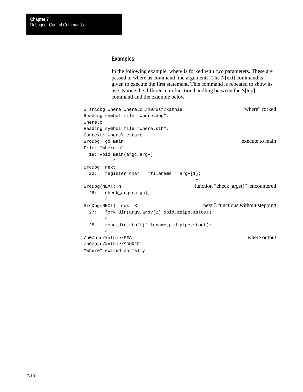#### **Examples**

In the following example, where is forked with two parameters. These are passed to where as command line arguments. The N[ext] command is given to execute the first statement. This command is repeated to show its use. Notice the difference in function handling between the S[tep] command and the example below.

```
$ srcdbg where where.c /h0/usr/kathie "where" forked
Reading symbol file "where.dbg". 
where.c
Reading symbol file "where.stb". 
Context: where\_cstart
SrcDbg: go main execute to main
File: "where.c"
  19: void main(argc,argv)
\simSrcDbg: next
  23: register char *filename = argv[1];
 ^
SrcDbg(NEXT):n function "check_args()" encountered
  26: check_args(argc);
\sim \simSrcDbg(NEXT): next 3 next 3 next 3 functions without stepping
  27: fork_dir(argv,argv[2],&pid,&pipe,&stout);
\sim \sim 28 read_dir_stuff(filename,pid,pipe,stout);
\sim \sim/h0/usr/kathie/SEA where output
/h0/usr/kathie/SOURCE
"where" exited normally
```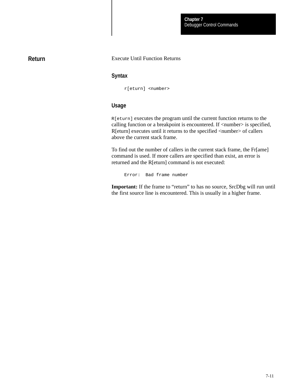## **Return**

#### Execute Until Function Returns

#### **Syntax**

r[eturn] <number>

#### **Usage**

R[eturn] executes the program until the current function returns to the calling function or a breakpoint is encountered. If  $\langle$ number $\rangle$  is specified, R[eturn] executes until it returns to the specified <number> of callers above the current stack frame.

To find out the number of callers in the current stack frame, the Fr[ame] command is used. If more callers are specified than exist, an error is returned and the R[eturn] command is not executed:

Error: Bad frame number

**Important:** If the frame to "return" to has no source, SrcDbg will run until the first source line is encountered. This is usually in a higher frame.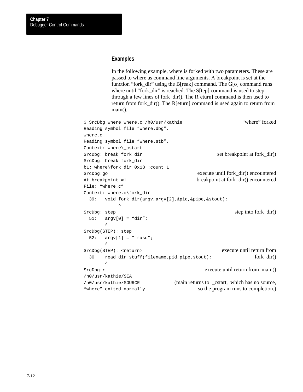#### **Examples**

In the following example, where is forked with two parameters. These are passed to where as command line arguments. A breakpoint is set at the function "fork\_dir" using the B[reak] command. The G[o] command runs where until "fork\_dir" is reached. The S[tep] command is used to step through a few lines of fork\_dir(). The R[eturn] command is then used to return from fork\_dir(). The R[eturn] command is used again to return from main().

```
$ SrcDbg where where.c /h0/usr/kathie "where" forked
Reading symbol file "where.dbg".
where.c
Reading symbol file "where.stb".
Context: where\_cstart
SrcDbg: break fork_dir set breakpoint at fork_dir()
SrcDbg: break fork_dir
b1: where\fork_dir+0x18 :count 1
SrcDbg:go execute until fork_dir() encountered
At breakpoint #1 breakpoint at fork_dir() encountered
File: "where.c"
Context: where.c\fork_dir
  39: void fork_dir(argv,argv[2],&pid,&pipe,&stout);
\mathcal{L}^{\mathcal{A}} and \mathcal{L}^{\mathcal{A}} and \mathcal{L}^{\mathcal{A}}SrcDbg: step step step into fork_dir()
  51: argv[0] = "dir";
\sim \simSrcDbg(STEP): step
 52: \quad \text{arqu}[1] = \text{``-rasu''};\sim \simSrcDbg(STEP): <return> execute until return from
 30 read_dir_stuff(filename,pid,pipe,stout); fork_dir()
\sim \simSrcDbg: r execute until return from main()
/h0/usr/kathie/SEA
/h0/usr/kathie/SOURCE (main returns to _cstart, which has no source,
"where" exited normally so the program runs to completion.)
```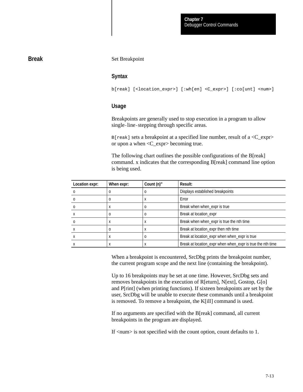#### **Break**

Set Breakpoint

#### **Syntax**

b[reak] [<location\_expr>] [:wh[en] <C\_expr>] [:co[unt] <num>]

#### **Usage**

Breakpoints are generally used to stop execution in a program to allow single-line-stepping through specific areas.

 $B[reak]$  sets a breakpoint at a specified line number, result of a  $\langle C_{\text{ex}}pr \rangle$ or upon a when <C\_expr> becoming true.

The following chart outlines the possible configurations of the B[reak] command. x indicates that the corresponding B[reak] command line option is being used.

| Location expr: | When expr: | Count (n)" | Result:                                                    |
|----------------|------------|------------|------------------------------------------------------------|
|                |            |            | Displays established breakpoints                           |
|                | 0          | х          | Error                                                      |
|                | $\lambda$  |            | Break when when_expr is true                               |
|                | o          |            | Break at location expr                                     |
|                |            |            | Break when when_expr is true the nth time                  |
|                |            |            | Break at location_expr then nth time                       |
|                |            |            | Break at location_expr when when_expr is true              |
|                |            |            | Break at location_expr when when_expr is true the nth time |

When a breakpoint is encountered, SrcDbg prints the breakpoint number, the current program scope and the next line (containing the breakpoint).

Up to 16 breakpoints may be set at one time. However, SrcDbg sets and removes breakpoints in the execution of R[eturn], N[ext], Gostop, G[o] and P[rint] (when printing functions). If sixteen breakpoints are set by the user, SrcDbg will be unable to execute these commands until a breakpoint is removed. To remove a breakpoint, the K[ill] command is used.

If no arguments are specified with the B[reak] command, all current breakpoints in the program are displayed.

If <num> is not specified with the count option, count defaults to 1.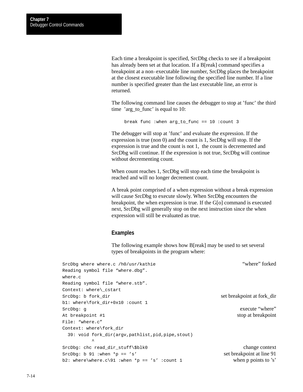Each time a breakpoint is specified, SrcDbg checks to see if a breakpoint has already been set at that location. If a B[reak] command specifies a breakpoint at a non-executable line number, SrcDbg places the breakpoint at the closest executable line following the specified line number. If a line number is specified greater than the last executable line, an error is returned.

The following command line causes the debugger to stop at 'func' the third time 'arg\_to\_func' is equal to 10:

```
break func :when arg_to_func == 10 :count 3
```
The debugger will stop at 'func' and evaluate the expression. If the expression is true (non 0) and the count is 1, SrcDbg will stop. If the expression is true and the count is not 1, the count is decremented and SrcDbg will continue. If the expression is not true, SrcDbg will continue without decrementing count.

When count reaches 1, SrcDbg will stop each time the breakpoint is reached and will no longer decrement count.

A break point comprised of a when expression without a break expression will cause SrcDbg to execute slowly. When SrcDbg encounters the breakpoint, the when expression is true. If the G[o] command is executed next, SrcDbg will generally stop on the next instruction since the when expression will still be evaluated as true.

#### **Examples**

The following example shows how B[reak] may be used to set several types of breakpoints in the program where:

| SrcDbq where where.c /h0/usr/kathie             | "where" forked             |
|-------------------------------------------------|----------------------------|
| Reading symbol file "where.dbg".                |                            |
| where.c                                         |                            |
| Reading symbol file "where.stb".                |                            |
| Context: where\_cstart                          |                            |
| SrcDbq: b fork dir                              | set breakpoint at fork_dir |
| b1: where\fork dir+0x10 :count 1                |                            |
| SrcDbq: q                                       | execute "where"            |
| At breakpoint #1                                | stop at breakpoint         |
| File: "where.c"                                 |                            |
| Context: where\fork dir                         |                            |
| 39: void fork_dir(argv,pathlist,pid,pipe,stout) |                            |
| ᄉ                                               |                            |
| SrcDbq: chc read dir_stuff\\$blk0               | change context             |
| SrcDbq: b 91 :when *p == 's'                    | set breakpoint at line 91  |
| b2: where\where.c\91 :when *p == 's' :count 1   | when $p$ points to $'s'$   |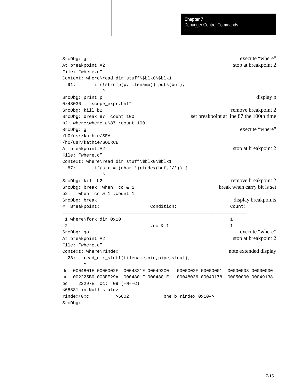```
SrcDbg: g execute "where"
At breakpoint #2 stop at breakpoint 2
File: "where.c"
Context: where\read_dir_stuff\$blk0\$blk1
 91: if(!strcmp(p,filename)) puts(buf);
\sim \sim \sim \simSrcDbg: print p display p
0x48036 = %score-expr.bnf''SrcDbg: kill b2 remove breakpoint 2
SrcDbg: break 87 :count 100 set breakpoint at line 87 the 100th time
b2: where\where.c\87 :count 100
SrcDbg: g execute "where"
/h0/usr/kathie/SEA
/h0/usr/kathie/SOURCE
At breakpoint #2 stop at breakpoint 2
File: "where.c"
Context: where\read_dir_stuff\$blk0\$blk1
 87: if(str = (char *)rindex(buf,'/')) {
\sim \sim \sim \simSrcDbg: kill b2 remove breakpoint 2
SrcDbg: break :when .cc & 1 break when carry bit is set
b2: :when .cc & 1 :count 1
SrcDbg: break display breakpoints
# Breakpoint: Condition: Count:
–––––––––––––––––––––––––––––––––––––––––––––––––––––––––––––––––––––
1 where\fork_dir+0x10 1
2 . \csc 8 1 1
SrcDbg: go execute "where"
At breakpoint #2 stop at breakpoint 2
File: "where.c"
Context: where\rindex note extended display
  28: read_dir_stuff(filename,pid,pipe,stout);
\sim \simdn: 0004801E 0000002F 0004821E 000492C0 0000002F 00000001 00000003 00000000
an: 002225B0 003EE29A 0004801F 0004801E 00048036 00049178 00050000 00049138
pc: 22297E cc: 09 (–N––C)
<68881 in Null state>
rindex+0xc >6602 bne.b rindex+0x10–>
SrcDbg:
```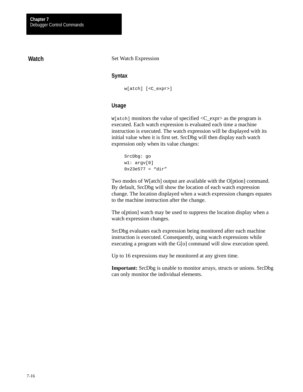## **Watch**

#### Set Watch Expression

#### **Syntax**

w[atch] [<C\_expr>]

#### **Usage**

 $W[atch]$  monitors the value of specified  $\langle C_{\text{ex}} \rangle$  as the program is executed. Each watch expression is evaluated each time a machine instruction is executed. The watch expression will be displayed with its initial value when it is first set. SrcDbg will then display each watch expression only when its value changes:

```
SrcDbg: go
w1: argv[0]
0x23e577 = "dir"
```
Two modes of W[atch] output are available with the O[ption] command. By default, SrcDbg will show the location of each watch expression change. The location displayed when a watch expression changes equates to the machine instruction after the change.

The o[ption] watch may be used to suppress the location display when a watch expression changes.

SrcDbg evaluates each expression being monitored after each machine instruction is executed. Consequently, using watch expressions while executing a program with the G[o] command will slow execution speed.

Up to 16 expressions may be monitored at any given time.

**Important:** SrcDbg is unable to monitor arrays, structs or unions. SrcDbg can only monitor the individual elements.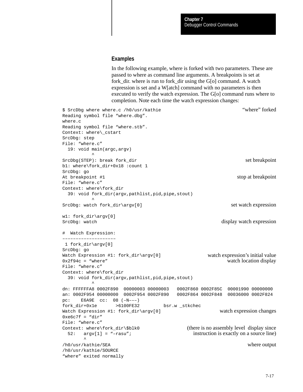#### **Examples**

In the following example, where is forked with two parameters. These are passed to where as command line arguments. A breakpoints is set at fork\_dir. where is run to fork\_dir using the G[o] command. A watch expression is set and a W[atch] command with no parameters is then executed to verify the watch expression. The G[o] command runs where to completion. Note each time the watch expression changes:

```
$ SrcDbg where where.c /h0/usr/kathie "where" forked
Reading symbol file "where.dbg". 
where.c
Reading symbol file "where.stb". 
Context: where\_cstart
SrcDbg: step
File: "where.c"
  19: void main(argc,argv)
\simSrcDbg(STEP): break fork_dir set breakpoint set breakpoint
b1: where\fork_dir+0x18 :count 1
SrcDbg: go
At breakpoint #1 stop at breakpoint \bullet stop at breakpoint
File: "where.c"
Context: where\fork_dir
  39: void fork_dir(argv,pathlist,pid,pipe,stout)
\simSrcDbg: watch fork dir\argv[0] set watch expression
w1: fork_dir\argv[0]
SrcDbg: watch display watch display watch expression
# Watch Expression:
––––––––––––––––––––
 1 fork_dir\argv[0] 
SrcDbg: go
Watch Expression #1: fork_dir\argv[0] watch expression's initial value
0x2f94c = "where" watch location display
File: "where.c"
Context: where\fork_dir
  39: void fork_dir(argv,pathlist,pid,pipe,stout)
\simdn: FFFFFFA8 0002F890 00000003 00000003 0002F860 0002F85C 00001990 00000000
an: 0002F954 00000000 0002F954 0002F890 0002F864 0002F848 00036000 0002F824
pc: E6A9E cc: 08 (–N–––)
fork_dir+0x1e >6100FE32 bsr.w _stkchec
Watch Expression #1: fork_dir\argv[0] watch expression changes
0xe6c7f = "dir"File: "where.c"
Context: where\fork_dir\$blk0 (there is no assembly level display since
  52: argv[1] = "–rasu"; instruction is exactly on a source line)
\sim \sim/h0/usr/kathie/SEA where output
/h0/usr/kathie/SOURCE
"where" exited normally
```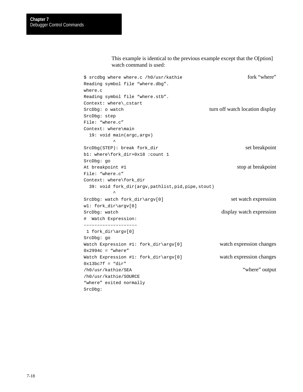#### This example is identical to the previous example except that the O[ption] watch command is used:

| \$ srcdbq where where.c /h0/usr/kathie          | fork "where"                    |
|-------------------------------------------------|---------------------------------|
| Reading symbol file "where.dbg".                |                                 |
| where.c                                         |                                 |
| Reading symbol file "where.stb".                |                                 |
| Context: where\_cstart                          |                                 |
| SrcDbg: o watch                                 | turn off watch location display |
| SrcDbg: step                                    |                                 |
| File: "where.c"                                 |                                 |
| Context: where\main                             |                                 |
| 19: void main(argc, argv)                       |                                 |
|                                                 |                                 |
| $StcDbq(STEP): break for k-dir$                 | set breakpoint                  |
| b1: where\fork_dir+0x18 :count 1                |                                 |
| SrcDbg: go                                      |                                 |
| At breakpoint #1                                | stop at breakpoint              |
| File: "where.c"                                 |                                 |
| Context: where\fork_dir                         |                                 |
| 39: void fork_dir(argv,pathlist,pid,pipe,stout) |                                 |
| $\hat{\phantom{a}}$                             |                                 |
| SrcDbg: watch fork_dir\argv[0]                  | set watch expression            |
| $w1:$ fork_dir\arqv[0]                          |                                 |
| SrcDbg: watch                                   | display watch expression        |
| # Watch Expression:                             |                                 |
| ---------------------                           |                                 |
| 1 fork $dir\arrow [0]$                          |                                 |
| SrcDbg: go                                      |                                 |
| Watch Expression #1: fork_dir\argv[0]           | watch expression changes        |
| $0x2994c = "where"$                             |                                 |
| Watch Expression #1: fork_dir\argv[0]           | watch expression changes        |
| $0x13bc7f = "dir"$                              |                                 |
| /h0/usr/kathie/SEA                              | "where" output                  |
| /h0/usr/kathie/SOURCE                           |                                 |
| "where" exited normally                         |                                 |
| SrcDbq:                                         |                                 |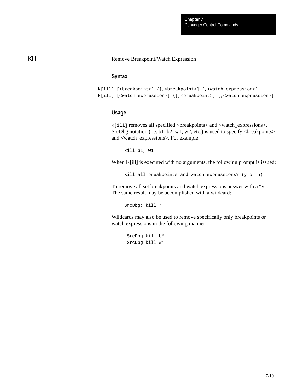#### Remove Breakpoint/Watch Expression

## **Syntax**

```
k[ill] [<br />breakpoint>] {[,<br />breakpoint>] [,<watch_expression>]
k[ill] [<watch_expression>] {[,<br/>cheakpoint>] [,<watch_expression>]
```
#### **Usage**

K[ill] removes all specified <breakpoints> and <watch\_expressions>. SrcDbg notation (i.e. b1, b2, w1, w2, etc.) is used to specify  $\langle$  breakpoints $\rangle$ and <watch\_expressions>. For example:

kill b1, w1

When K[ill] is executed with no arguments, the following prompt is issued:

Kill all breakpoints and watch expressions? (y or n)

To remove all set breakpoints and watch expressions answer with a "y". The same result may be accomplished with a wildcard:

SrcDbg: kill \*

Wildcards may also be used to remove specifically only breakpoints or watch expressions in the following manner:

 SrcDbg kill b\* SrcDbg kill w\*

**Kill**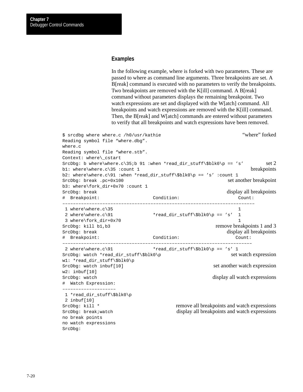#### **Examples**

In the following example, where is forked with two parameters. These are passed to where as command line arguments. Three breakpoints are set. A B[reak] command is executed with no parameters to verify the breakpoints. Two breakpoints are removed with the K[ill] command. A B[reak] command without parameters displays the remaining breakpoint. Two watch expressions are set and displayed with the W[atch] command. All breakpoints and watch expressions are removed with the K[ill] command. Then, the B[reak] and W[atch] commands are entered without parameters to verify that all breakpoints and watch expressions have been removed.

```
$ srcdbg where where.c /h0/usr/kathie "where" forked
Reading symbol file "where.dbg". 
where.c
Reading symbol file "where.stb". 
Context: where\_cstart
SrcDbg: b where\where.c\35;b 91 :when *read_dir_stuff\$blk0\p == 's' set 2
b1: where\where.c\35 :count 1 breakpoints
b2: where\where.c\91 :when *read_dir_stuff\$blk0\p == 's' :count 1
SrcDbg: break .pc+0x100 set another breakpoint
b3: where\fork_dir+0x70 :count 1
SrcDbg: break display all breakpoints
# Breakpoint: Condition: Count:
––––––––––––––––––––––––––––––––––––––––––––––––––––––––––––––––––––––––
1 where\where c\35 1
2 where\where.c\91 *read\_dir\_stuff\$blk0\p == 's' 1 3 where\fork_dir+0x70 1
SrcDbg: kill b1, b3 remove breakpoints 1 and 3
SrcDbg: break display all breakpoints
# Breakpoint: Condition: Count:
–––––––––––––––––––––––––––––––––––––––––––––––––––––––––––––––––––––––
2 where\where.c\91 * \text{read\_dir\_stuff}\$blk0\p = = 's' 1SrcDbg: watch *read_dir_stuff\$blk0\p set watch expression
w1: *read_dir_stuff\$blk0\p
SrcDbg: watch inbuf[10] set another watch expression
w2: inbuf[10]
SrcDbg: watch display all watch display all watch display all watch expressions
# Watch Expression:
––––––––––––––––––––
 1 *read_dir_stuff\$blk0\p
 2 inbuf[10] 
SrcDbq: kill * remove all breakpoints and watch expressions
SrcDbg: break; watch display all breakpoints and watch expressions
no break points
no watch expressions
SrcDbg:
```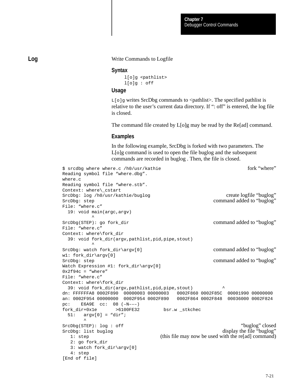#### Write Commands to Logfile

#### **Syntax**

```
l[o]g <pathlist>
l[o]g : off
```
## **Usage**

 $L[\circ]g$  writes SrcDbg commands to  $\leq$  pathlist $\geq$ . The specified pathlist is relative to the user's current data directory. If ": off" is entered, the log file is closed.

The command file created by L[o]g may be read by the Re[ad] command.

#### **Examples**

In the following example, SrcDbg is forked with two parameters. The L[o]g command is used to open the file buglog and the subsequent commands are recorded in buglog . Then, the file is closed.

```
$ srcdbg where where.c /h0/usr/kathie for the form of the form of the form of the form of the form of the state of the form of the state of the state of the state of the state of the state of the state of the state of the 
Reading symbol file "where.dbg". 
where.c
Reading symbol file "where.stb". 
Context: where\_cstart
SrcDbg: log /h0/usr/kathie/buglog create logfile "buglog"
SrcDbg: step command added to "buglog"
File: "where.c"
  19: void main(argc,argv)
\sim \simSrcDbg(STEP): go fork_dir command added to "buglog"
File: "where.c"
Context: where\fork_dir
  39: void fork_dir(argv,pathlist,pid,pipe,stout)
\simSrcDbg: watch fork_dir\argv[0] command added to "buglog"
w1: fork_dir\argv[0]
SrcDbg: step command added to "buglog"
Watch Expression #1: fork_dir\argv[0]
0x2f94c = "where"File: "where.c"
Context: where\fork_dir
  39: void fork_dir(argv,pathlist,pid,pipe,stout) ^
dn: FFFFFFA8 0002F890 00000003 00000003 0002F860 0002F85C 00001990 00000000
an: 0002F954 00000000 0002F954 0002F890 0002F864 0002F848 00036000 0002F824
pc: E6A9E cc: 08 (–N–––)
fork_dir+0x1e >6100FE32 bsr.w _stkchec
 51: \quad \text{arav}[0] = \text{"dir";}\sim \simSrcDbg(STEP): log : off "buglog" closed
SrcDbg: list buglog display the file "buglog"
  1: step (this file may now be used with the re[ad] command)
   2: go fork_dir
   3: watch fork_dir\argv[0]
   4: step
[End of file]
```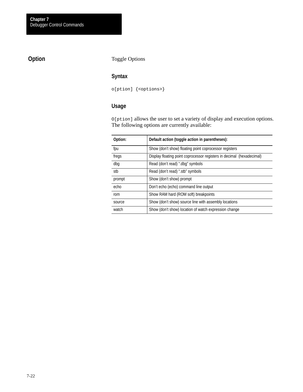## **Option**

Toggle Options

## **Syntax**

o[ption] {<options>}

## **Usage**

O[ption] allows the user to set a variety of display and execution options. The following options are currently available:

| Option: | Default action (toggle action in parentheses):                        |
|---------|-----------------------------------------------------------------------|
| fpu     | Show (don't show) floating point coprocessor registers                |
| fregs   | Display floating point coprocessor registers in decimal (hexadecimal) |
| dbg     | Read (don't read) ".dbg" symbols                                      |
| stb     | Read (don't read) ".stb" symbols                                      |
| prompt  | Show (don't show) prompt                                              |
| echo    | Don't echo (echo) command line output                                 |
| rom     | Show RAM hard (ROM soft) breakpoints                                  |
| source  | Show (don't show) source line with assembly locations                 |
| watch   | Show (don't show) location of watch expression change                 |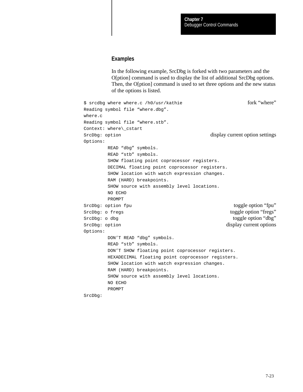#### **Examples**

In the following example, SrcDbg is forked with two parameters and the O[ption] command is used to display the list of additional SrcDbg options. Then, the O[ption] command is used to set three options and the new status of the options is listed.

```
$ srcdbg where where.c /h0/usr/kathie fork "where"
Reading symbol file "where.dbg". 
where.c
Reading symbol file "where.stb". 
Context: where\_cstart
SrcDbg: option display current option settings
Options:
        READ "dbg" symbols.
        READ "stb" symbols.
        SHOW floating point coprocessor registers.
        DECIMAL floating point coprocessor registers.
        SHOW location with watch expression changes.
        RAM (HARD) breakpoints.
        SHOW source with assembly level locations.
        NO ECHO
        PROMPT
SrcDbg: option fpu toggle option "fpu"
SrcDbg: o fregs toggle option "fregs"
SrcDbg: o dbg toggle option "dbg"
SrcDbg: option display current options
Options:
        DON'T READ "dbg" symbols.
        READ "stb" symbols.
        DON'T SHOW floating point coprocessor registers.
        HEXADECIMAL floating point coprocessor registers.
        SHOW location with watch expression changes.
        RAM (HARD) breakpoints.
        SHOW source with assembly level locations.
        NO ECHO
        PROMPT
SrcDbg:
```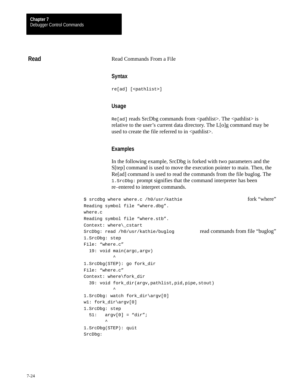## **Read**

#### Read Commands From a File

#### **Syntax**

re[ad] [<pathlist>]

## **Usage**

 $Re[ad]$  reads SrcDbg commands from  $\epsilon$  pathlist  $\epsilon$ . The  $\epsilon$  pathlist is relative to the user's current data directory. The L[o]g command may be used to create the file referred to in  $\epsilon$  pathlists.

#### **Examples**

In the following example, SrcDbg is forked with two parameters and the S[tep] command is used to move the execution pointer to main. Then, the Re[ad] command is used to read the commands from the file buglog. The 1.SrcDbg: prompt signifies that the command interpreter has been re-entered to interpret commands.

```
$ srcdbg where where.c /h0/usr/kathie fork "where"
Reading symbol file "where.dbg". 
where.c
Reading symbol file "where.stb". 
Context: where\_cstart
SrcDbg: read /h0/usr/kathie/buglog read commands from file "buglog"
1.SrcDbg: step
File: "where.c"
  19: void main(argc,argv)
\sim1.SrcDbg(STEP): go fork_dir
File: "where.c"
Context: where\fork_dir
  39: void fork_dir(argv,pathlist,pid,pipe,stout)
\sim1.SrcDbg: watch fork_dir\argv[0]
w1: fork_dir\argv[0]
1.SrcDbg: step
  51: argv[0] = "dir";
\sim \sim1.SrcDbg(STEP): quit
SrcDbg:
```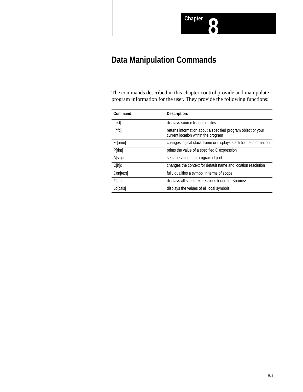# **Data Manipulation Commands**

The commands described in this chapter control provide and manipulate program information for the user. They provide the following functions:

| Command:  | Description:                                                                                        |
|-----------|-----------------------------------------------------------------------------------------------------|
| L[ist]    | displays source listings of files                                                                   |
| I[nfo]    | returns information about a specified program object or your<br>current location within the program |
| Fr[ame]   | changes logical stack frame or displays stack frame information                                     |
| Printl    | prints the value of a specified C expression                                                        |
| A[ssign]  | sets the value of a program object                                                                  |
| C[h]c     | changes the context for default name and location resolution                                        |
| Con[text] | fully qualifies a symbol in terms of scope                                                          |
| Fi[nd]    | displays all scope expressions found for <name></name>                                              |
| Lo[cals]  | displays the values of all local symbols                                                            |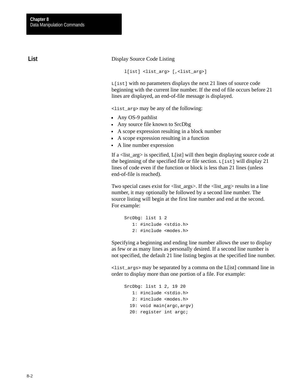**List**

Display Source Code Listing

l[ist] <list\_arg> [,<list\_arg>]

L[ist] with no parameters displays the next 21 lines of source code beginning with the current line number. If the end of file occurs before 21 lines are displayed, an end-of-file message is displayed.

<list\_arg> may be any of the following:

- Any OS-9 pathlist
- Any source file known to SrcDbg
- A scope expression resulting in a block number
- A scope expression resulting in a function
- A line number expression

If a <list\_arg> is specified, L[ist] will then begin displaying source code at the beginning of the specified file or file section.  $L[ist]$  will display 21 lines of code even if the function or block is less than 21 lines (unless end-of-file is reached).

Two special cases exist for <list\_args>. If the <list\_arg> results in a line number, it may optionally be followed by a second line number. The source listing will begin at the first line number and end at the second. For example:

SrcDbg: list 1 2 1: #include <stdio.h> 2: #include <modes.h>

Specifying a beginning and ending line number allows the user to display as few or as many lines as personally desired. If a second line number is not specified, the default 21 line listing begins at the specified line number.

<list\_args> may be separated by a comma on the L[ist] command line in order to display more than one portion of a file. For example:

```
SrcDbg: list 1 2, 19 20
    1: #include <stdio.h>
    2: #include <modes.h>
   19: void main(argc,argv)
   20: register int argc;
```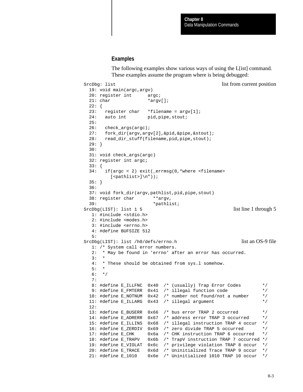#### **Examples**

The following examples show various ways of using the L[ist] command. These examples assume the program where is being debugged:

```
SrcDbg: list list list list list from current position
  19: void main(argc,argv)
  20: register int argc;
 21: char *argv[];
  22: {
  23: register char *filename = argv[1];
 24: auto int pid, pipe, stout;
  25:
  26: check_args(argc);
  27: fork_dir(argv,argv[2],&pid,&pipe,&stout);
  28: read_dir_stuff(filename,pid,pipe,stout);
  29: }
  30:
  31: void check_args(argc)
  32: register int argc;
  33: {
  34: if(argc < 2) exit(_errmsg(0,"where <filename>
         [ <pathlist>]\n\in"));
  35: }
  36:
  37: void fork_dir(argv,pathlist,pid,pipe,stout)
  38: register char **argv,
 39: *pathlist;SrcDbg(LIST): list 1 5 list line 1 through 5
   1: #include <stdio.h>
   2: #include <modes.h>
   3: #include <errno.h>
   4: #define BUFSIZE 512
   5:
SrcDbq(LIST): list /h0/defs/errno.h list an OS-9 file
   1: /* System call error numbers.
   2: * May be found in 'errno' after an error has occurred.
  3: \rightarrow 4: * These should be obtained from sys.l somehow.
  5:6: */
   7:
  8: #define E_ILLFNC 0x40 /* (usually) Trap Error Codes */
   9: #define E_FMTERR 0x41 /* illegal function code */
  10: #define E_NOTNUM 0x42 /* number not found/not a number */
  11: #define E_ILLARG 0x43 /* illegal argument */
  12:
 13: #define E_BUSERR 0x66 /* bus error TRAP 2 occurred */
  14: #define E_ADRERR 0x67 /* address error TRAP 3 occurred */
  15: #define E_ILLINS 0x68 /* illegal instruction TRAP 4 occur */
  16: #define E_ZERDIV 0x69 /* zero divide TRAP 5 occurred */
  17: #define E_CHK 0x6a /* CHK instruction TRAP 6 occurred */
  18: #define E_TRAPV 0x6b /* TrapV instruction TRAP 7 occurred */
  19: #define E_VIOLAT 0x6c /* privilege violation TRAP 8 occur */
  20: #define E_TRACE 0x6d /* Uninitialized Trace TRAP 9 occur */
  21: #define E_1010 0x6e /* Uninitialized 1010 TRAP 10 occur */
```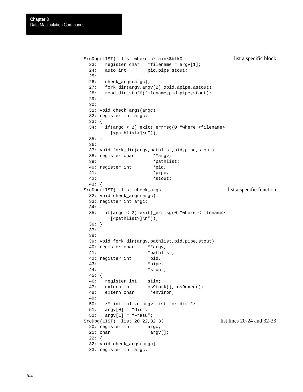```
SrcDbg(LIST): list where.c\main\$blk0 list a specific block
  23: register char *filename = argv[1];
 24: auto int pid, pipe, stout;
  25:
  26: check_args(argc);
  27: fork_dir(argv,argv[2],&pid,&pipe,&stout);
  28: read_dir_stuff(filename,pid,pipe,stout);
  29: }
  30:
  31: void check_args(argc)
  32: register int argc;
  33: {
  34: if(argc < 2) exit(_errmsg(0,"where <filename>
        [ <pathlist>]\n);
  35: }
  36:
  37: void fork_dir(argv,pathlist,pid,pipe,stout)
 38: register char **argv,
  39: *pathlist;
  40: register int *pid,
  41: *pipe,
  42: *stout;
  43: {
SrcDbg(LIST): list check_args list a specific function
  32: void check_args(argc)
  33: register int argc;
  34: {
  35: if(argc < 2) exit(_errmsg(0,"where <filename>
        [\text{spathlist}>]\n"));
  36: }
  37:
  38:
  39: void fork_dir(argv,pathlist,pid,pipe,stout)
  40: register char **argv,
  41: *pathlist;
 42: register int *pid,
  43: *pipe,
  44: *stout;
  45: {
  46: register int stin;
  47: extern int os9fork(), os9exec();
  48: extern char **environ;
  49:
  50: /* initialize argv list for dir */
 51: \quad argv[0] = "dir";52: \arg v[1] = "-rasu";
SrcDbg(LIST): list 20 22,32 33 list lines 20-24 and 32-33
 20: register int argc;
 21: char *argv[];
 22: \{ 32: void check_args(argc)
  33: register int argc;
```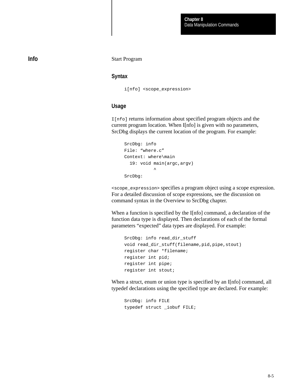## **Info**

#### Start Program

#### **Syntax**

i[nfo] <scope\_expression>

## **Usage**

I[nfo] returns information about specified program objects and the current program location. When I[nfo] is given with no parameters, SrcDbg displays the current location of the program. For example:

```
SrcDbg: info
File: "where.c"
Context: where\main
   19: void main(argc,argv)
\simSrcDbg:
```
<scope\_expression> specifies a program object using a scope expression. For a detailed discussion of scope expressions, see the discussion on command syntax in the Overview to SrcDbg chapter.

When a function is specified by the I[nfo] command, a declaration of the function data type is displayed. Then declarations of each of the formal parameters "expected" data types are displayed. For example:

```
SrcDbg: info read_dir_stuff
void read_dir_stuff(filename,pid,pipe,stout)
register char *filename;
register int pid;
register int pipe;
register int stout;
```
When a struct, enum or union type is specified by an I[nfo] command, all typedef declarations using the specified type are declared. For example:

SrcDbg: info FILE typedef struct \_iobuf FILE;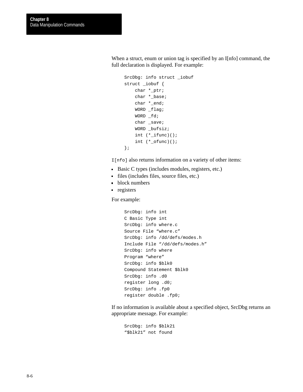When a struct, enum or union tag is specified by an I[nfo] command, the full declaration is displayed. For example:

```
SrcDbg: info struct _iobuf
struct _iobuf {
     char *_ptr;
     char *_base;
     char *_end;
     WORD _flag;
    WORD _fd;
     char _save;
     WORD _bufsiz;
     int (*_ifunc)();
     int (*_ofunc)();
};
```
I[nfo] also returns information on a variety of other items:

- Basic C types (includes modules, registers, etc.)
- files (includes files, source files, etc.)
- **block numbers**
- registers

For example:

```
SrcDbg: info int
C Basic Type int
SrcDbg: info where.c
Source File "where.c"
SrcDbg: info /dd/defs/modes.h
Include File "/dd/defs/modes.h"
SrcDbg: info where
Program "where"
SrcDbg: info $blk0
Compound Statement $blk0
SrcDbg: info .d0
register long .d0;
SrcDbg: info .fp0
register double .fp0;
```
If no information is available about a specified object, SrcDbg returns an appropriate message. For example:

```
SrcDbg: info $blk21
"$blk21" not found
```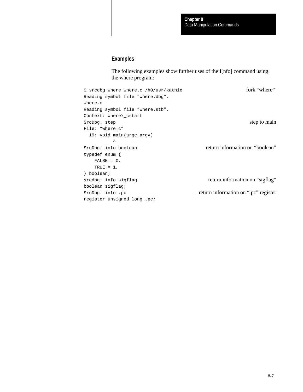## **Examples**

The following examples show further uses of the I[nfo] command using the where program:

```
$ srcdbg where where.c /h0/usr/kathie fork "where"
Reading symbol file "where.dbg". 
where.c
Reading symbol file "where.stb". 
Context: where\_cstart
SrcDbg: step step step to main
File: "where.c"
  19: void main(argc,argv)
\simSrcDbg: info boolean return information on "boolean"
typedef enum {
  FALSE = 0,TRUE = 1,
} boolean;
srcdbg: info sigflag return information on "sigflag"
boolean sigflag;
SrcDbg: info .pc return information on ".pc" register
register unsigned long .pc;
```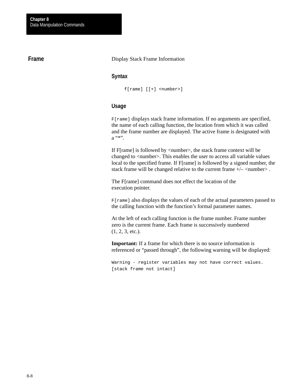## **Frame**

#### Display Stack Frame Information

## **Syntax**

f[rame] [[+] <number>]

#### **Usage**

F[rame] displays stack frame information. If no arguments are specified, the name of each calling function, the location from which it was called and the frame number are displayed. The active frame is designated with a "\*".

If F[rame] is followed by <number>, the stack frame context will be changed to <number>. This enables the user to access all variable values local to the specified frame. If F[rame] is followed by a signed number, the stack frame will be changed relative to the current frame  $+/-$  <number>.

The F[rame] command does not effect the location of the execution pointer.

F[rame] also displays the values of each of the actual parameters passed to the calling function with the function's formal parameter names.

At the left of each calling function is the frame number. Frame number zero is the current frame. Each frame is successively numbered  $(1, 2, 3, etc.).$ 

**Important:** If a frame for which there is no source information is referenced or "passed through", the following warning will be displayed:

Warning - register variables may not have correct values. [stack frame not intact]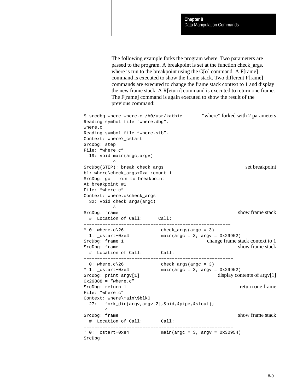The following example forks the program where. Two parameters are passed to the program. A breakpoint is set at the function check\_args. where is run to the breakpoint using the G[o] command. A F[rame] command is executed to show the frame stack. Two different F[rame] commands are executed to change the frame stack context to 1 and display the new frame stack. A R[eturn] command is executed to return one frame. The F[rame] command is again executed to show the result of the previous command:

```
$ srcdbg where where.c /h0/usr/kathie "where" forked with 2 parameters
Reading symbol file "where.dbg". 
where.c
Reading symbol file "where.stb". 
Context: where\_cstart
SrcDbg: step
File: "where.c"
  19: void main(argc,argv)
        \lambdaSrcDbg(STEP): break check_args set breakpoint
b1: where\check_args+0xa :count 1
SrcDbg: go run to breakpoint
At breakpoint #1
File: "where.c"
Context: where.c\check_args
  32: void check_args(argc)
\simSrcDbg: frame show frame stack
  # Location of Call: Call:
–––––––––––––––––––––––––––––––––––––––––––––––––––––––
* 0: where.c\geq 26 check_args(argc = 3)
 1: _cstart+0xe4 main(argc = 3, argv = 0x29952)
SrcDbg: frame 1 change frame stack context to 1
SrcDbg: frame stack
  # Location of Call: Call:
––––––––––––––––––––––––––––––––––––––––––––––––––––––––
0: where.c\26 check_args(argc = 3)<br>
* 1: _cstart+0xe4 main(argc = 3, argv :<br>
SrcDbc: print :
                      main(argc = 3, argv = 0x29952)SrcDbg: print argv[1] display contents of argv[1]
0x29888 = "where.c"
SrcDbg: return 1 return one frame
File: "where.c"
Context: where\main\$blk0
  27: fork_dir(argv,argv[2],&pid,&pipe,&stout); 
\sim \simSrcDbg: frame show frame stack
  # Location of Call: Call:
    ––––––––––––––––––––––––––––––––––––––––––––––––––––––––
* 0: _cstart+0xe4 main(argc = 3, argv = 0x30954)
SrcDbg:
```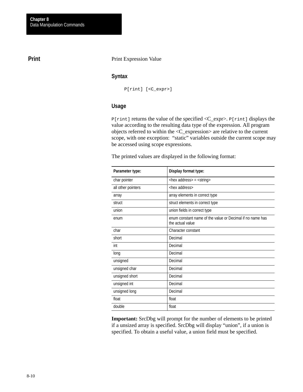## **Print**

#### Print Expression Value

## **Syntax**

P[rint] [<C\_expr>]

## **Usage**

P[rint] returns the value of the specified <C\_expr>. P[rint] displays the value according to the resulting data type of the expression. All program objects referred to within the <C\_expression> are relative to the current scope, with one exception: "static" variables outside the current scope may be accessed using scope expressions.

The printed values are displayed in the following format:

| Parameter type:    | Display format type:                                                          |
|--------------------|-------------------------------------------------------------------------------|
| char pointer       | <hex address=""> = <string></string></hex>                                    |
| all other pointers | <hex address=""></hex>                                                        |
| array              | array elements in correct type                                                |
| struct             | struct elements in correct type                                               |
| union              | union fields in correct type                                                  |
| enum               | enum constant name of the value or Decimal if no name has<br>the actual value |
| char               | Character constant                                                            |
| short              | Decimal                                                                       |
| int                | Decimal                                                                       |
| long               | Decimal                                                                       |
| unsigned           | Decimal                                                                       |
| unsigned char      | Decimal                                                                       |
| unsigned short     | Decimal                                                                       |
| unsigned int       | Decimal                                                                       |
| unsigned long      | Decimal                                                                       |
| float              | float                                                                         |
| double             | float                                                                         |

**Important:** SrcDbg will prompt for the number of elements to be printed if a unsized array is specified. SrcDbg will display "union", if a union is specified. To obtain a useful value, a union field must be specified.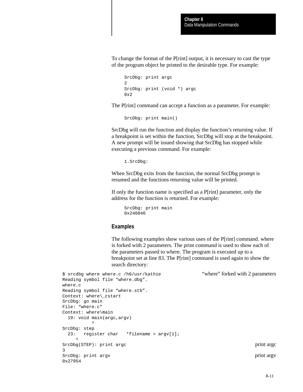To change the format of the P[rint] output, it is necessary to cast the type of the program object be printed to the desirable type. For example:

```
SrcDbg: print argc
2
SrcDbg: print (void *) argc
0x2
```
The P[rint] command can accept a function as a parameter. For example:

SrcDbg: print main()

SrcDbg will run the function and display the function's returning value. If a breakpoint is set within the function, SrcDbg will stop at the breakpoint. A new prompt will be issued showing that SrcDbg has stopped while executing a previous command. For example:

1.SrcDbg:

When SrcDbg exits from the function, the normal SrcDbg prompt is resumed and the functions returning value will be printed.

If only the function name is specified as a P[rint] parameter, only the address for the function is returned. For example:

SrcDbg: print main 0x240846

#### **Examples**

The following examples show various uses of the P[rint] command. where is forked with 2 parameters. The print command is used to show each of the parameters passed to where. The program is executed up to a breakpoint set at line 83. The P[rint] command is used again to show the search directory:

```
$ srcdbg where where.c /h0/usr/kathie "where" forked with 2 parameters
Reading symbol file "where.dbg". 
where.c
Reading symbol file "where.stb". 
Context: where\_cstart
SrcDbg: go main
File: "where.c"
Context: where\main
    19: void main(argc,argv)
\simSrcDbg: step
    23: register char *filename = argv[1];
\sim \simSrcDbg(STEP): print argc print argc print argc print argc print argc print argc print argc print argc print argc print argc print argc print argc print argc print argc print argc print argc print argc print argc print argc
3
SrcDbg: print argv print argv print argv print argv print argv print argv print argv print argv print argv print argv print argv print argv print argv print argv print argv print argv print argv print argv print argv print
0x27954
```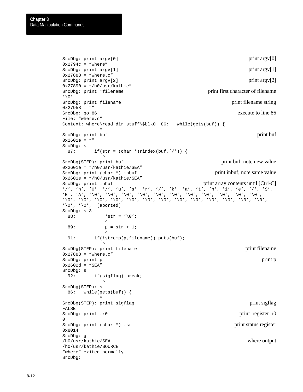```
SrcDbg: print argv[0] print argv[0]
0x2794c = "where"SrcDbg: print argv[1] print argv[1]
0x27888 = "where.c"
SrcDbg: print argv[2] print argv[2]
0x27890 = "/h0/usr/kathie"
SrcDbg: print *filename print first character of filename
' \setminus 0'SrcDbg: print filename print filename string
0x27958 = ""
SrcDbg: go 86 execute to line 86
File: "where.c"
Context: where\read_dir_stuff\$blk0 86: while(gets(buf)) {
\mathcal{L}^{\mathcal{A}} and \mathcal{L}^{\mathcal{A}} and \mathcal{L}^{\mathcal{A}}SrcDbg: print buf print buf print buf print buf print buf print buf print buf print buf print buf print buf print buf \frac{1}{2} buf \frac{1}{2} buf \frac{1}{2} buf \frac{1}{2} buf \frac{1}{2} buf \frac{1}{2} buf \frac{1}{2} buf \frac{1}{0x2601e = ""
SrcDbg: s
 87: if(str = (char *)rindex(buf,'/')) {
\sim \sim \sim \simSrcDbg(STEP): print buf print buf print buf print buf print buf; note new value
0x2601e = "h0/usr/kathie/SEA"SrcDbg: print (char *) inbuf print inbuf; note same value
0x2601e = "/h0/usr/kathie/SEA"SrcDbg: print inbuf print array contents until [Ctrl-C]'/', 'h', '0', '/', 'u', 's', 'r', '/', 'k', 'a', 't', 'h', 'i', 'e', '/', 'S',
E', 'A', '\0', '\0', '\0', '\0', '\0', '\0', '\0', '\0', '\0', '\0', '\0', '\0',
\langle \cdot \rangle0', '\setminus0', '\setminus0', '\setminus0', '\setminus0', '\setminus0', '\setminus0', '\setminus0', '\setminus0', '\setminus0', '\setminus0', '\setminus0', '
'\0', '0', ' [aborted]
SrcDbg: s 3
  88: *str = ' \0';\sim \sim \sim \sim 89: p = str + 1;
\sim \sim \sim \sim \sim91: if(!strcmp(p,filename)) puts(buf);
\sim \sim \sim \simSrcDbg(STEP): print filename print filename
0x27888 = "where.c"
SrcDbg: print p print p print p print p print p print p print p print p print p print p print p print p print p
0x2602d = "SEA"SrcDbg: s
  92: if(sigflag) break;
\sim \sim \sim \simSrcDbg(STEP): s
   86: while(gets(buf)) {
\mathcal{L}^{\mathcal{A}} and \mathcal{L}^{\mathcal{A}} and \mathcal{L}^{\mathcal{A}}SrcDbg(STEP): print sigflag print sigflag print sigflag print sigflag print sigflag
FALSE
SrcDbg: print .r0 print register .r0
\OmegaSrcDbg: print (char *) .sr print status register
0x8014
SrcDbg: g
/h0/usr/kathie/SEA where output
/h0/usr/kathie/SOURCE
"where" exited normally
SrcDbg:
```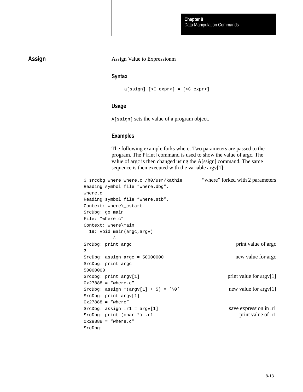## **Assign**

#### Assign Value to Expressionm

## **Syntax**

```
a[ssign] [<C_expr>] = [<C_expr>]
```
## **Usage**

A[ssign] sets the value of a program object.

## **Examples**

The following example forks where. Two parameters are passed to the program. The P[rint] command is used to show the value of argc. The value of argc is then changed using the A[ssign] command. The same sequence is then executed with the variable argv[1]:

```
$ srcdbg where where.c /h0/usr/kathie "where" forked with 2 parameters
Reading symbol file "where.dbg". 
where.c
Reading symbol file "where.stb". 
Context: where\_cstart
SrcDbg: go main
File: "where.c"
Context: where\main
   19: void main(argc,argv)
\simSrcDbg: print argc print argc print value of argc print value of argc print value of argc print value of argc print value of argc print value of argc print value of argc print value of argc print value of argc print value 
3
SrcDbg: assign argc = 50000000 new value for argc
SrcDbg: print argc
50000000
SrcDbg: print argv[1] print value for argv[1]
0x27888 = "where.c"
SrcDbg: assign *(\text{argv}[1] + 5) = \sqrt{0'} new value for \text{argv}[1]SrcDbg: print argv[1]
0x27888 = "where"
SrcDbg: assign .r1 = argv[1] save expression in .r1
SrcDbg: print (char *) .r1 print value of .r1
0x29888 = "where.c"
SrcDbg:
```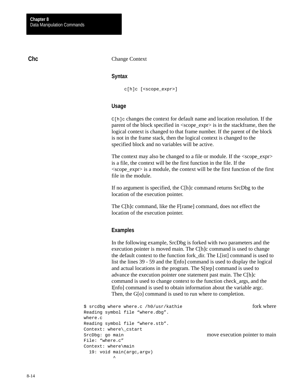## **Chc**

Change Context

## **Syntax**

c[h]c [<scope\_expr>]

## **Usage**

 $C[h]c$  changes the context for default name and location resolution. If the parent of the block specified in <scope\_expr> is in the stackframe, then the logical context is changed to that frame number. If the parent of the block is not in the frame stack, then the logical context is changed to the specified block and no variables will be active.

The context may also be changed to a file or module. If the  $\langle$ scope expr $\rangle$ is a file, the context will be the first function in the file. If the  $\langle$ scope\_expr $\rangle$  is a module, the context will be the first function of the first file in the module.

If no argument is specified, the C[h]c command returns SrcDbg to the location of the execution pointer.

The C[h]c command, like the F[rame] command, does not effect the location of the execution pointer.

## **Examples**

In the following example, SrcDbg is forked with two parameters and the execution pointer is moved main. The C[h]c command is used to change the default context to the function fork\_dir. The L[ist] command is used to list the lines 39 - 59 and the I[nfo] command is used to display the logical and actual locations in the program. The S[tep] command is used to advance the execution pointer one statement past main. The C[h]c command is used to change context to the function check\_args, and the I[nfo] command is used to obtain information about the variable argc. Then, the G[o] command is used to run where to completion.

```
$ srcdbg where where.c /h0/usr/kathie fork where fork where
Reading symbol file "where.dbg". 
where.c
Reading symbol file "where.stb". 
Context: where\_cstart
SrcDbg: go main move execution pointer to main
File: "where.c"
Context: where\main
  19: void main(argc,argv)
\sim
```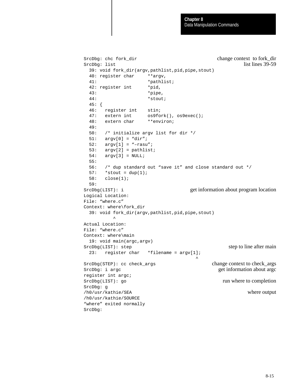```
SrcDbg: chc fork_dir change context to fork_dir
SrcDbg: list list lines 39-59
  39: void fork_dir(argv,pathlist,pid,pipe,stout)
  40: register char **argv,
  41: *pathlist;
 42: register int *pid,
  43: *pipe,
  44: *stout; 
  45: { 
  46: register int stin;
  47: extern int os9fork(), os9exec();
  48: extern char **environ;
  49: 
  50: /* initialize argv list for dir */ 
  51: argv[0] = "dir";
  52: argv[1] = "–rasu";
  53: argv[2] = pathlist;
  54: argv[3] = NULL;
  55: 
  56: /* dup standard out "save it" and close standard out */
 57: *stout = dup(1);
  58: close(1);
  59: 
SrcDbg(LIST): i get information about program location
Logical Location:
File: "where.c"
Context: where\fork_dir
  39: void fork_dir(argv,pathlist,pid,pipe,stout)
\simActual Location:
File: "where.c"
Context: where\main
  19: void main(argc,argv)
SrcDbg(LIST): step step step to line after main
  23: register char *filename = argv[1];
 ^
SrcDbg(STEP): cc check_args change context to check_args
SrcDbg: i argc get information about argc get information about argc
register int argc;
SrcDbg(LIST): go run where to completion
SrcDbg: g
/h0/usr/kathie/SEA where output
/h0/usr/kathie/SOURCE
"where" exited normally
SrcDbg:
```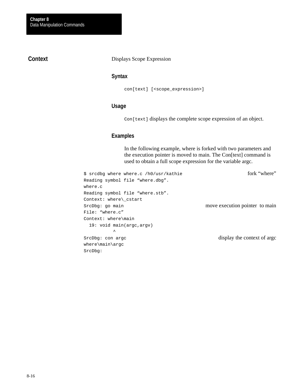## **Context**

#### Displays Scope Expression

## **Syntax**

con[text] [<scope\_expression>]

## **Usage**

Con[text] displays the complete scope expression of an object.

## **Examples**

In the following example, where is forked with two parameters and the execution pointer is moved to main. The Con[text] command is used to obtain a full scope expression for the variable argc.

```
$ srcdbg where where.c /h0/usr/kathie fork "where"
Reading symbol file "where.dbg". 
where.c
Reading symbol file "where.stb". 
Context: where\_cstart
SrcDbg: go main move execution pointer to main
File: "where.c"
Context: where\main
  19: void main(argc,argv)
\sim \simSrcDbg: con argc display the context of argc
where\main\argc
SrcDbg:
```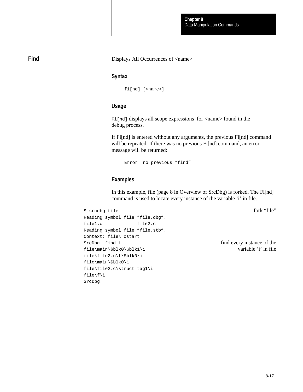## **Find**

#### Displays All Occurrences of <name>

## **Syntax**

fi[nd] [<name>]

## **Usage**

Fi[nd] displays all scope expressions for <name> found in the debug process.

If Fi[nd] is entered without any arguments, the previous Fi[nd] command will be repeated. If there was no previous Fi[nd] command, an error message will be returned:

Error: no previous "find"

## **Examples**

In this example, file (page 8 in Overview of SrcDbg) is forked. The Fi[nd] command is used to locate every instance of the variable 'i' in file.

\$ srcdbg file fork "file"

```
Reading symbol file "file.dbg". 
file1.c file2.c
Reading symbol file "file.stb". 
Context: file\_cstart
SrcDbg: find i find every instance of the
file\main\$blk0\$blk1\i variable 'i' in file
file\file2.c\f\$blk0\i
file\main\$blk0\i
file\file2.c\struct tag1\i
file\f\i
SrcDbg:
```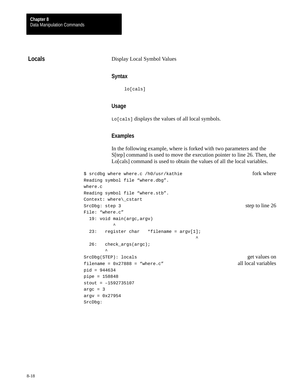## **Locals**

Display Local Symbol Values

## **Syntax**

lo[cals]

## **Usage**

Lo[cals] displays the values of all local symbols.

## **Examples**

In the following example, where is forked with two parameters and the S[tep] command is used to move the execution pointer to line 26. Then, the Lo[cals] command is used to obtain the values of all the local variables.

```
$ srcdbg where where.c /h0/usr/kathie fork where fork where
Reading symbol file "where.dbg". 
where.c
Reading symbol file "where.stb". 
Context: where\_cstart
SrcDbg: step 3 step behind the 26 step to line 26
File: "where.c"
  19: void main(argc,argv)
\sim 23: register char *filename = argv[1];
 ^
  26: check_args(argc);
\sim \simSrcDbg(STEP): locals get values on get values on get values on get values on get values on get values on get values on \mathbb{R}^n.
filename = 0x27888 = "where.c" all local variables
pid = 944634
pipe = 158848
stout = –1592735107
argc = 3argv = 0x27954
SrcDbg:
```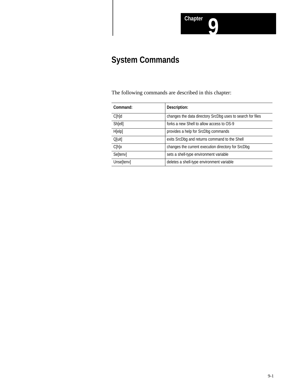# **System Commands**

The following commands are described in this chapter:

| Command:     | Description:                                               |
|--------------|------------------------------------------------------------|
| $C[h]$ d     | changes the data directory SrcDbg uses to search for files |
| Sh[ell]      | forks a new Shell to allow access to OS-9                  |
| H[elp]       | provides a help for SrcDbg commands                        |
| $Q[$ uit $]$ | exits SrcDbg and returns command to the Shell              |
| C[h]x        | changes the current execution directory for SrcDbg         |
| Se[tenv]     | sets a shell-type environment variable                     |
| Unse[tenv]   | deletes a shell-type environment variable                  |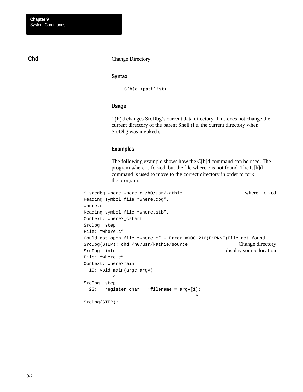## **Chd**

Change Directory

#### **Syntax**

C[h]d <pathlist>

### **Usage**

C[h]d changes SrcDbg's current data directory. This does not change the current directory of the parent Shell (i.e. the current directory when SrcDbg was invoked).

## **Examples**

The following example shows how the C[h]d command can be used. The program where is forked, but the file where.c is not found. The C[h]d command is used to move to the correct directory in order to fork the program:

```
$ srcdbg where where.c /h0/usr/kathie "where" forked
Reading symbol file "where.dbg". 
where.c
Reading symbol file "where.stb". 
Context: where\_cstart
SrcDbg: step
File: "where.c"
Could not open file "where.c" - Error #000:216(E$PNNF)File not found.
SrcDbg(STEP): chd /h0/usr/kathie/source Change directory
SrcDbg: info display source location
File: "where.c"
Context: where\main
  19: void main(argc,argv)
\sim \simSrcDbg: step
  23: register char *filename = argv[1];
 ^
SrcDbg(STEP):
```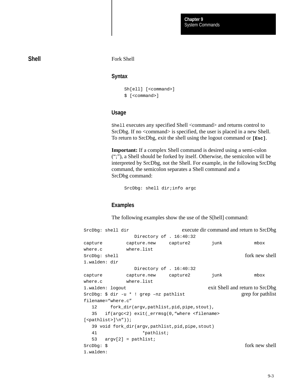## **Shell**

#### Fork Shell

### **Syntax**

```
Sh[ell] [<command>]
$ [<command>]
```
## **Usage**

Shell executes any specified Shell <command> and returns control to SrcDbg. If no <command> is specified, the user is placed in a new Shell. To return to SrcDbg, exit the shell using the logout command or **[Esc]**.

**Important:** If a complex Shell command is desired using a semi-colon (";"), a Shell should be forked by itself. Otherwise, the semicolon will be interpreted by SrcDbg, not the Shell. For example, in the following SrcDbg command, the semicolon separates a Shell command and a SrcDbg command:

SrcDbg: shell dir;info argc

## **Examples**

The following examples show the use of the S[hell] command:

SrcDbg: shell dir execute dir command and return to SrcDbg Directory of . 16:40:32 capture capture.new capture2 junk mbox where.c where.list SrcDbq: shell fork new shell 1.walden: dir Directory of . 16:40:32 capture capture.new capture2 junk mbox where.c where.list 1.walden: logout exit Shell and return to SrcDbg SrcDbg: \$ dir -u \* ! grep –nz pathlist grep for pathlist filename="where.c" 12 fork\_dir(argv,pathlist,pid,pipe,stout), 35 if(argc<2) exit(\_errmsg(0,"where <filename>  $[spathlist>\] \n\ n'$ ); 39 void fork\_dir(argv,pathlist,pid,pipe,stout) 41 \*pathlist; 53 argv[2] = pathlist; SrcDbg:  $\sinh(\theta)$  for knew shell 1.walden: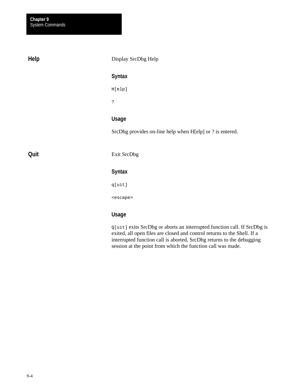**Help**

**Quit**

Display SrcDbg Help **Syntax** H[elp] ? **Usage** SrcDbg provides on-line help when H[elp] or ? is entered. Exit SrcDbg **Syntax** q[uit] <escape>

## **Usage**

Q[uit] exits SrcDbg or aborts an interrupted function call. If SrcDbg is exited, all open files are closed and control returns to the Shell. If a interrupted function call is aborted, SrcDbg returns to the debugging session at the point from which the function call was made.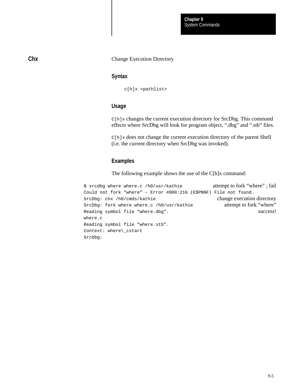#### Change Execution Directory

## **Syntax**

c[h]x <pathlist>

## **Usage**

C[h]x changes the current execution directory for SrcDbg. This command effects where SrcDbg will look for program object, ".dbg" and ".stb" files.

C[h]x does not change the current execution directory of the parent Shell (i.e. the current directory when SrcDbg was invoked).

## **Examples**

The following example shows the use of the C[h]x command:

```
$ srcdbg where where.c /h0/usr/kathie attempt to fork "where" ; fail
Could not fork "where" – Error #000:216 (E$PNNF) File not found.
SrcDbg: chx /h0/cmds/kathie change execution directory
SrcDbg: fork where where.c /h0/usr/kathie attempt to fork "where"
Reading symbol file "where.dbg". Success!
where.c
Reading symbol file "where.stb". 
Context: where\_cstart
SrcDbg:
```
**Chx**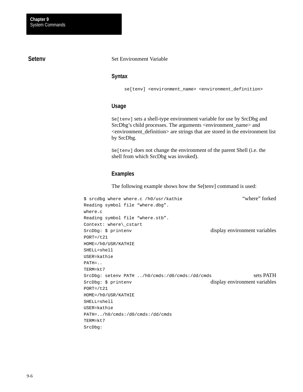## **Setenv**

#### Set Environment Variable

## **Syntax**

se[tenv] <environment\_name> <environment\_definition>

#### **Usage**

Se[tenv] sets a shell-type environment variable for use by SrcDbg and SrcDbg's child processes. The arguments <environment\_name> and <environment\_definition> are strings that are stored in the environment list by SrcDbg.

Se[tenv] does not change the environment of the parent Shell (i.e. the shell from which SrcDbg was invoked).

#### **Examples**

The following example shows how the Se[tenv] command is used:

```
$ srcdbg where where.c /h0/usr/kathie "where" forked
Reading symbol file "where.dbg". 
where.c
Reading symbol file "where.stb". 
Context: where\_cstart
SrcDbg: $ printenv display environment variables
PORT://t21HOME=/h0/USR/KATHIE
SHELL=shell
USER=kathie
PATH=..
TERM=kt7
SrcDbq: setenv PATH ../h0/cmds:/d0/cmds:/dd/cmds sets PATH
SrcDbg: $ printenv display environment variables
PORT= /t21HOME=/h0/USR/KATHIE
SHELL=shell
USER=kathie
PATH=../h0/cmds:/d0/cmds:/dd/cmds
TERM=kt7
SrcDbg:
```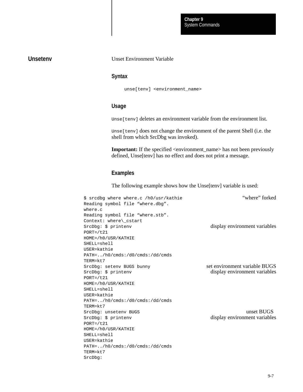## **Unsetenv**

#### Unset Environment Variable

## **Syntax**

unse[tenv] <environment\_name>

## **Usage**

Unse[tenv] deletes an environment variable from the environment list.

Unse[tenv] does not change the environment of the parent Shell (i.e. the shell from which SrcDbg was invoked).

**Important:** If the specified <environment\_name> has not been previously defined, Unse[tenv] has no effect and does not print a message.

## **Examples**

The following example shows how the Unse[tenv] variable is used:

| \$ srcdbq where where.c /h0/usr/kathie  | "where" forked                |
|-----------------------------------------|-------------------------------|
| Reading symbol file "where.dbg".        |                               |
| where.c                                 |                               |
| Reading symbol file "where.stb".        |                               |
| Context: where\ cstart                  |                               |
| SrcDbq: \$ printenv                     | display environment variables |
| $PORT = / t21$                          |                               |
| HOME=/h0/USR/KATHIE                     |                               |
| $SHELL = she11$                         |                               |
| USER=kathie                             |                               |
| $PATH=$ /h0/cmds:/d0/cmds:/dd/cmds      |                               |
| TERM=kt7                                |                               |
| SrcDbg: setenv BUGS bunny               | set environment variable BUGS |
| SrcDbq: \$ printenv                     | display environment variables |
| $PORT = /t21$                           |                               |
| HOME=/h0/USR/KATHIE                     |                               |
| $SHELL = she11$                         |                               |
| USER=kathie                             |                               |
| $PATH=$ /h0/cmds:/d0/cmds:/dd/cmds      |                               |
| TERM=kt7                                |                               |
| SrcDbg: unsetenv BUGS                   | unset BUGS                    |
| SrcDbq: \$ printenv                     | display environment variables |
| $PORT = / t21$                          |                               |
| HOME=/h0/USR/KATHIE                     |                               |
| $SHELL = she11$                         |                               |
| USER=kathie                             |                               |
| $PATH = / h0 / cmds$ :/d0/cmds:/dd/cmds |                               |
| TERM=kt7                                |                               |
| SrcDbq:                                 |                               |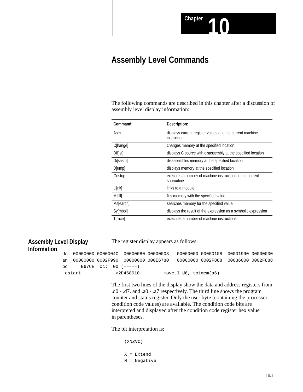

## **Assembly Level Commands**

The following commands are described in this chapter after a discussion of assembly level display information:

| Command:        | Description:                                                            |
|-----------------|-------------------------------------------------------------------------|
| Asm             | displays current register values and the current machine<br>instruction |
| C[hange]        | changes memory at the specified location                                |
| <b>Dillisti</b> | displays C source with disassembly at the specified location            |
| Disasm          | disassembles memory at the specified location                           |
| D[ump]          | displays memory at the specified location                               |
| Gostop          | executes a number of machine instructions in the current<br>subroutine  |
| Li[nk]          | links to a module                                                       |
| Mf[ill]         | fills memory with the specified value                                   |
| Ms[earch]       | searches memory for the specified value                                 |
| Sy[mbol]        | displays the result of the expression as a symbolic expression          |
| <b>T</b> [race] | executes a number of machine instructions                               |

# **Assembly Level Display**

The register display appears as follows:

## **Information**

dn: 0000000D 0000004C 00000080 00000003 00000000 00000108 00001990 00000000 an: 00000000 0002F990 00000000 000E6780 00000000 0002F888 00036000 0002F888 pc: E67CE cc: 00 (–––––)  $\text{cstart}$  >2D468010 move.l d6, totmem(a6)

> The first two lines of the display show the data and address registers from .d0 - .d7. and .a0 - .a7 respectively. The third line shows the program counter and status register. Only the user byte (containing the processor condition code values) are available. The condition code bits are interpreted and displayed after the condition code register hex value in parentheses.

The bit interpretation is:

(XNZVC)

X = Extend N = Negative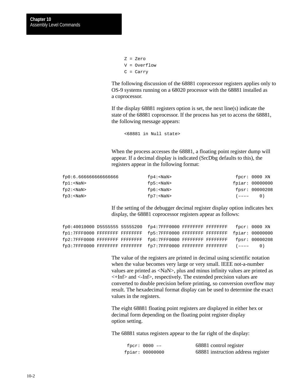```
Z = Zero
V = Overflow
C = Carry
```
The following discussion of the 68881 coprocessor registers applies only to OS-9 systems running on a 68020 processor with the 68881 installed as a coprocessor.

If the display 68881 registers option is set, the next line(s) indicate the state of the 68881 coprocessor. If the process has yet to access the 68881, the following message appears:

<68881 in Null state>

When the process accesses the 68881, a floating point register dump will appear. If a decimal display is indicated (SrcDbg defaults to this), the registers appear in the following format:

| fp0:6.66666666666666 | fp4: <nan></nan> | fpcr: 0000 XN   |
|----------------------|------------------|-----------------|
| fpl: <nan></nan>     | fp5: <nan></nan> | fpiar: 00000000 |
| fp2: <nan></nan>     | fp6: <nan></nan> | fpsr: 00000208  |
| fp3: <nan></nan>     | $fp7: < NaN$     | $(---- 0)$      |

If the setting of the debugger decimal register display option indicates hex display, the 68881 coprocessor registers appear as follows:

|  | fp0:40010000 D5555555 55555200 fp4:7FFF0000 FFFFFFFFF FFFFFFFFF fpcr: 0000 XN   |  |  |
|--|---------------------------------------------------------------------------------|--|--|
|  | fp1:7FFF0000 FFFFFFFFF FFFFFFFF fp5:7FFF0000 FFFFFFFF FFFFFFFF fpiar: 00000000  |  |  |
|  | fp2:7FFF0000 FFFFFFFFF FFFFFFFF fp6:7FFF0000 FFFFFFFF FFFFFFFF fpsr: 00000208   |  |  |
|  | $fp3:7FFF0000$ FFFFFFFFF FFFFFFFF $fp7:7FFF0000$ FFFFFFFFF FFFFFFFFF $(---- 0)$ |  |  |

The value of the registers are printed in decimal using scientific notation when the value becomes very large or very small. IEEE not-a-number values are printed as <NaN>, plus and minus infinity values are printed as <+Inf> and <-Inf>, respectively. The extended precision values are converted to double precision before printing, so conversion overflow may result. The hexadecimal format display can be used to determine the exact values in the registers.

The eight 68881 floating point registers are displayed in either hex or decimal form depending on the floating point register display option setting.

The 68881 status registers appear to the far right of the display:

| fpcr: $0000 -$ | 68881 control register             |
|----------------|------------------------------------|
| fpir: 00000000 | 68881 instruction address register |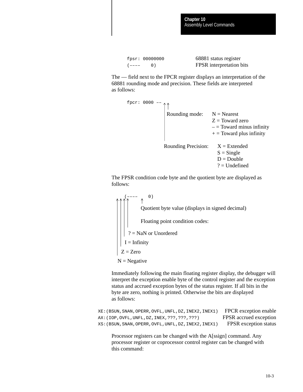```
 fpsr: 00000000 68881 status register
 (–––– 0) FPSR interpretation bits
```
The –– field next to the FPCR register displays an interpretation of the 68881 rounding mode and precision. These fields are interpreted as follows:



The FPSR condition code byte and the quotient byte are displayed as follows:

 $(0)$ Quotient byte value (displays in signed decimal) Floating point condition codes: ? = NaN or Unordered  $I =$ Infinity  $Z = Zero$  $N = Negative$ 

Immediately following the main floating register display, the debugger will interpret the exception enable byte of the control register and the exception status and accrued exception bytes of the status register. If all bits in the byte are zero, nothing is printed. Otherwise the bits are displayed as follows:

XE:(BSUN,SNAN,OPERR,OVFL,UNFL,DZ,INEX2,INEX1) FPCR exception enable AX: (IOP, OVFL, UNFL, DZ, INEX, ???, ???, ???) FPSR accrued exception XS:(BSUN,SNAN,OPERR,OVFL,UNFL,DZ,INEX2,INEX1) FPSR exception status

Processor registers can be changed with the A[ssign] command. Any processor register or coprocessor control register can be changed with this command: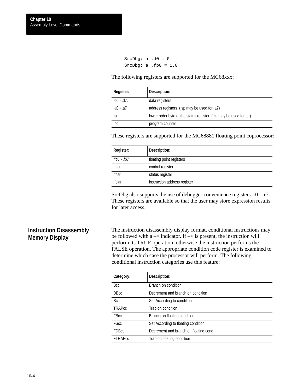```
SrcDbg: a .d0 = 0
SrcDbg: a . fp0 = 1.0
```
The following registers are supported for the MC68xxx:

| Register:        | Description:                                                      |
|------------------|-------------------------------------------------------------------|
| $.$ d0 - $.$ d7. | data registers                                                    |
| .a0 - .a7        | address registers (sp may be used for .a7)                        |
| .sr              | lower order byte of the status register (.cc may be used for .sr) |
| .pc              | program counter                                                   |

These registers are supported for the MC68881 floating point coprocessor:

| Register:   | Description:                 |
|-------------|------------------------------|
| .fp0 - .fp7 | floating point registers     |
| .fpcr       | control register             |
| .fpsr       | status register              |
| .fpiar      | instruction address register |

SrcDbg also supports the use of debugger convenience registers .r0 - .r7. These registers are available so that the user may store expression results for later access.

## **Instruction Disassembly Memory Display**

The instruction disassembly display format, conditional instructions may be followed with a  $\rightarrow$  indicator. If  $\rightarrow$  is present, the instruction will perform its TRUE operation, otherwise the instruction performs the FALSE operation. The appropriate condition code register is examined to determine which case the processor will perform. The following conditional instruction categories use this feature:

| Category:      | Description:                          |
|----------------|---------------------------------------|
| Bcc            | Branch on condition                   |
| DBcc           | Decrement and branch on condition     |
| Scc            | Set According to condition            |
| <b>TRAPcc</b>  | Trap on condition                     |
| FBcc           | Branch on floating condition          |
| <b>FScc</b>    | Set According to floating condition   |
| <b>FDBcc</b>   | Decrement and branch on floating cond |
| <b>FTRAPcc</b> | Trap on floating condition            |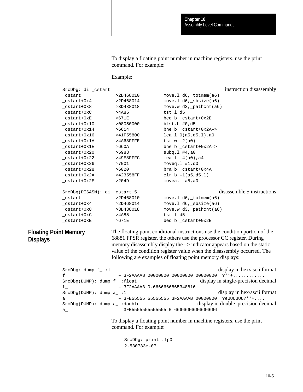To display a floating point number in machine registers, use the print command. For example:

#### Example:

SrcDbg: di \_cstart instruction disassembly \_cstart >2D468010 move.l d6,\_totmem(a6)  $_c$ cstart+0x4 >2D468014 move.l d6, sbsize(a6)  $_c$ cstart+0x8 >3D438018 move.w d3, pathcnt(a6)  $_c$ cstart+0xC  $>4A85$  tst.l d5 \_cstart+0xE >671E beq.b \_cstart+0x2E \_cstart+0x10 >08050000 btst.b #0,d5 \_cstart+0x14 >6614 bne.b \_cstart+0x2A–> \_cstart+0x16 >41F55800 lea.l 0(a5,d5.l),a0  $_c$ cstart+0x1A >4A68FFFE tst.w -2(a0) \_cstart+0x1E >660A bne.b \_cstart+0x2A–> \_cstart+0x20 >5988 subq.l #4,a0  $_c$ start+0x22 >49E8FFFC lea.l -4(a0),a4 \_cstart+0x26 >7001 moveq.l #1,d0  $_c$ cstart+0x28 >6020 bra.b  $_c$ start+0x4A  $\text{cstart}+\text{0x2A}$  >423558FF clr.b -1(a5,d5.l) \_cstart+0x2E >204D movea.l a5,a0 SrcDbq(DISASM): di cstart 5 disassemble 5 instructions \_cstart >2D468010 move.l d6,\_totmem(a6) \_cstart+0x4 >2D468014 move.l d6,\_sbsize(a6) \_cstart+0x8 >3D438018 move.w d3,\_pathcnt(a6)  $_c$ cstart+0xC  $>4A85$  tst.l d5 \_cstart+0xE >671E beq.b \_cstart+0x2E

## **Floating Point Memory Displays**

The floating point conditional instructions use the condition portion of the 68881 FPSR register, the others use the processor CC register. During memory disassembly display the  $\rightarrow$  indicator appears based on the static value of the condition register value when the disassembly occurred. The following are examples of floating point memory displays:

SrcDbg: dump  $f = 1$  display in hex/ascii format  $f_{-}$   $-$  3F2AAAAB 00000000 00000000 00000000 ?\*\*+............ SrcDbg(DUMP): dump f\_ :float display in single-precision decimal f\_ – 3F2AAAAB 0.6666666865348816 SrcDbg(DUMP): dump a\_ :1 display in hex/ascii format a\_ – 3FE55555 55555555 3F2AAAAB 00000000 ?eUUUUUU?\*\*+.... SrcDbg(DUMP): dump a\_ :double display in double–precision decimal a\_ – 3FE5555555555555 0.6666666666666666

> To display a floating point number in machine registers, use the print command. For example:

SrcDbg: print .fp0 2.530733e–07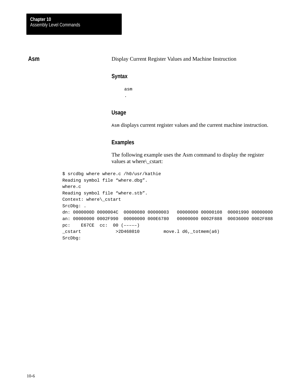## **Asm**

Display Current Register Values and Machine Instruction

#### **Syntax**

asm .

# **Usage**

Asm displays current register values and the current machine instruction.

# **Examples**

The following example uses the Asm command to display the register values at where\\_cstart:

```
$ srcdbg where where.c /h0/usr/kathie
Reading symbol file "where.dbg". 
where.c
Reading symbol file "where.stb". 
Context: where\_cstart
SrcDbg: .
dn: 0000000D 0000004C 00000080 00000003 00000000 00000108 00001990 00000000
an: 00000000 0002F990 00000000 000E6780 00000000 0002F888 00036000 0002F888
pc: E67CE cc: 00 (–––––)
{\sf \_cstart} >2D468010 move.1 d6,{\sf \_tother} (a6)
SrcDbg:
```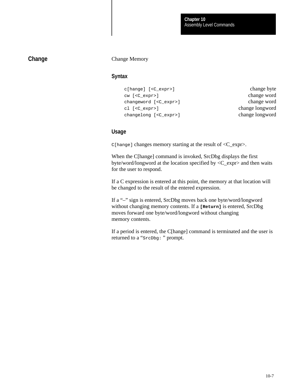# **Change**

#### Change Memory

# **Syntax**

```
c[hange] [<C_expr>] change byte
cw [<C_expr>] change word
changeword [<C_expr>] change word
cl [<C_expr>] change longword
changelong [<C_expr>] change longword
```
#### **Usage**

 $C[$  hange] changes memory starting at the result of  $\langle C_{\text{ex}} \rangle$ .

When the C[hange] command is invoked, SrcDbg displays the first byte/word/longword at the location specified by <C\_expr> and then waits for the user to respond.

If a C expression is entered at this point, the memory at that location will be changed to the result of the entered expression.

If a "–" sign is entered, SrcDbg moves back one byte/word/longword without changing memory contents. If a **[Return]** is entered, SrcDbg moves forward one byte/word/longword without changing memory contents.

If a period is entered, the C[hange] command is terminated and the user is returned to a "SrcDbg: " prompt.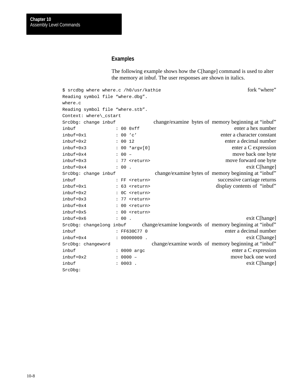# **Examples**

The following example shows how the C[hange] command is used to alter the memory at inbuf. The user responses are shown in italics.

| \$ srcdbq where where.c /h0/usr/kathie |          |                         |                                                         | fork "where"                |
|----------------------------------------|----------|-------------------------|---------------------------------------------------------|-----------------------------|
| Reading symbol file "where.dbg".       |          |                         |                                                         |                             |
| where.c                                |          |                         |                                                         |                             |
| Reading symbol file "where.stb".       |          |                         |                                                         |                             |
| Context: where\ cstart                 |          |                         |                                                         |                             |
| SrcDbg: change inbuf                   |          |                         | change/examine bytes of memory beginning at "inbuf"     |                             |
| inbuf                                  |          | : 000xff                |                                                         | enter a hex number          |
| inbuf+0x1                              |          | $: 00$ 'c'              |                                                         | enter a character constant  |
| inbuf+0x2                              | : 0012   |                         |                                                         | enter a decimal number      |
| inbuf+0x3                              |          | $: 00 * \text{argv[0]}$ |                                                         | enter a C expression        |
| $in$ buf+0 $x4$                        | $: 00 -$ |                         |                                                         | move back one byte          |
| $in$ buf+0 $x3$                        |          | : 77 <return></return>  |                                                         | move forward one byte       |
| inbuf+0x4                              | : 00.    |                         |                                                         | exit C[hange]               |
| SrcDbg: change inbuf                   |          |                         | change/examine bytes of memory beginning at "inbuf"     |                             |
| inbuf                                  |          | : FF <return></return>  |                                                         | successive carriage returns |
| inbuf+0x1                              |          | : 63 <return></return>  |                                                         | display contents of "inbuf" |
| inbuf+0x2                              |          | : OC <return></return>  |                                                         |                             |
| $in$ buf+0 $x3$                        |          | : 77 <return></return>  |                                                         |                             |
| $in$ buf+0 $x4$                        |          | : 00 <return></return>  |                                                         |                             |
| inbuf+0x5                              |          | : 00 <return></return>  |                                                         |                             |
| inbuf+0x6                              | : 00.    |                         |                                                         | exit C[hange]               |
| SrcDbg: changelong inbuf               |          |                         | change/examine longwords of memory beginning at "inbuf" |                             |
| inbuf                                  |          | : FF630C77 0            |                                                         | enter a decimal number      |
| $in$ buf+0 $x4$                        |          | : 00000000              |                                                         | exit C[hange]               |
| SrcDbg: changeword                     |          |                         | change/examine words of memory beginning at "inbuf"     |                             |
| inbuf                                  |          | : 0000 argc             |                                                         | enter a C expression        |
| $in$ buf+0 $x2$                        |          | $: 0000 -$              |                                                         | move back one word          |
| inbuf                                  |          | $: 0003$ .              |                                                         | exit C[hange]               |
| SrcDbq:                                |          |                         |                                                         |                             |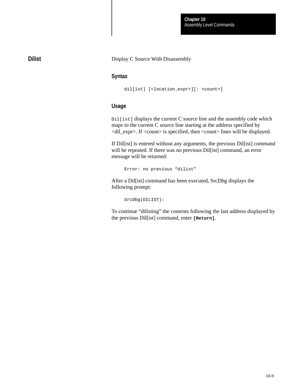Assembly Level Commands **Chapter 10**

**Dilist**

Display C Source With Disassembly

## **Syntax**

```
dil[ist] [<location_expr>][: <count>]
```
# **Usage**

Dil[ist] displays the current C source line and the assembly code which maps to the current C source line starting at the address specified by <dil\_expr>. If <count> is specified, then <count> lines will be displayed.

If Dil[ist] is entered without any arguments, the previous Dil[ist] command will be repeated. If there was no previous Dil[ist] command, an error message will be returned:

Error: no previous "dilist"

After a Dil[ist] command has been executed, SrcDbg displays the following prompt:

SrcDbg(DILIST):

To continue "dilisting" the contents following the last address displayed by the previous Dil[ist] command, enter **[Return]**.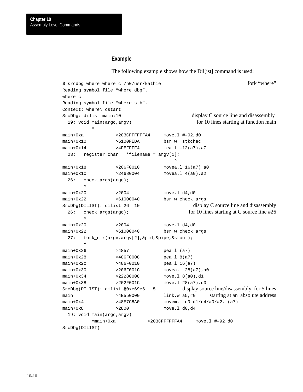#### **Example**

The following example shows how the Dil[ist] command is used:

```
$ srcdbq where where.c /h0/usr/kathie fork "where"
Reading symbol file "where.dbg". 
where.c
Reading symbol file "where.stb". 
Context: where\_cstart
SrcDbg: dilist main:10 display C source line and disassembly
 19: void main(argc,argv) for 10 lines starting at function main
\simmain+0xa >203CFFFFFFA4 move.l #–92,d0
main+0x10 >6100FEDA bsr.w _stkchec
main+0x14 >4FEFFFF4 lea.l -12(a7), a7
  23: register char *filename = argv[1];
 ^
main+0x18 >206F0010 movea.1 16(a7), a0
main+0x1c >24680004 movea.1 4(a0), a2
  26: check_args(argc);
\mathcal{L} and \mathcal{L}main+0x20 >2004 move.1 d4,d0
main+0x22 >61000040 bsr.w check_args
SrcDbg(DILIST): dilist 26 :10 display C source line and disassembly
 26: check_args(argc); for 10 lines starting at C source line #26
\sim \simmain+0x20 >2004 move.1 d4,d0
main+0x22 >61000040 bsr.w check_args
  27: fork_dir(argv,argv[2],&pid,&pipe,&stout); 
\sim \simmain+0x26 >4857 pea.l (a7)
main+0x28 >486F0008 pea.l 8(a7)
main+0x2c >486F0010 pea.1 16(a7)
main+0x30 >206F001C movea.1 28(a7), a0
main+0x34 >22280008 move.1 8(a0),d1
main+0x38 >202F001C move.1 28(a7),d0
SrcDbg(DILIST): dilist @0xe69e6 : 5 display source line/disassembly for 5 lines
main >4E550000 link.w a5,#0 starting at an absolute address
main+0x4 >48E7C8A0 movem.l d0–d1/d4/a0/a2,–(a7)
main+0x8 >2800 move.1 d0,d4
  19: void main(argc,argv)
         ^main+0xa >203CFFFFFFA4 move.l #–92,d0
SrcDbg(DILIST):
```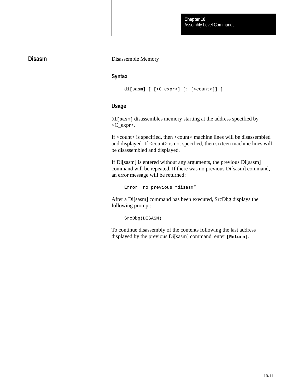# **Disasm**

#### Disassemble Memory

#### **Syntax**

```
di[sasm] [ [<C_expr>] [: [<count>]] ]
```
## **Usage**

Di[sasm] disassembles memory starting at the address specified by <C\_expr>.

If <count> is specified, then <count> machine lines will be disassembled and displayed. If <count> is not specified, then sixteen machine lines will be disassembled and displayed.

If Di[sasm] is entered without any arguments, the previous Di[sasm] command will be repeated. If there was no previous Di[sasm] command, an error message will be returned:

Error: no previous "disasm"

After a Di[sasm] command has been executed, SrcDbg displays the following prompt:

SrcDbg(DISASM):

To continue disassembly of the contents following the last address displayed by the previous Di[sasm] command, enter **[Return]**.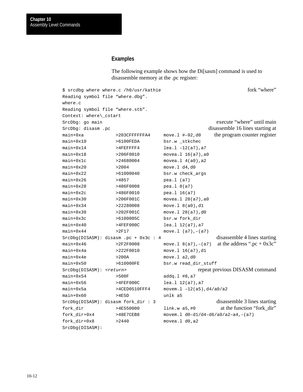#### **Examples**

The following example shows how the Di[sasm] command is used to disassemble memory at the .pc register:

\$ srcdbg where where.c /h0/usr/kathie fork "where" Reading symbol file "where.dbg". where.c Reading symbol file "where.stb". Context: where\\_cstart SrcDbg: go main execute "where" until main SrcDbg: disasm .pc disassemble 16 lines starting at disassemble 16 lines starting at main+0xa >203CFFFFFFA4 move.l #–92,d0 the program counter register main+0x10 >6100FEDA bsr.w \_stkchec  $main+0x14$  >4FEFFFF4 lea.l -12(a7), a7 main+0x18 >206F0010 movea.1 16(a7), a0 main+0x1c >24680004 movea.1 4(a0), a2 main+0x20 >2004 move.1 d4,d0 main+0x22 >61000040 bsr.w check\_args main+0x26 >4857 pea.1 (a7) main+0x28 >486F0008 pea.l 8(a7) main+0x2c >486F0010 pea.l 16(a7) main+0x30 >206F001C movea.1 28(a7), a0 main+0x34 >22280008 move.1 8(a0),d1 main+0x38 >202F001C move.1 28(a7),d0 main+0x3c >6100005C bsr.w fork dir main+0x40 >4FEF000C lea.1 12(a7), a7  $main+0x44$  >2F17 move.1 (a7),-(a7)  $SrCDbg(DISASM):$  disasm  $pc + 0x3c : 4$  disassemble 4 lines starting main+0x46 >2F2F0008 move.1  $8(a7)$ ,-(a7) at the address ".pc + 0x3c" main+0x4a >222F0010 move.1 16(a7),d1 main+0x4e >200A move.1 a2,d0 main+0x50 >610000FE bsr.w read\_dir\_stuff SrcDbg(DISASM): <return> repeat previous DISASM command main+0x54 >508F addq.1 #8,a7 main+0x56 >4FEF000C lea.1 12(a7), a7 main+0x5a  $>4$ CED0510FFF4 movem.1 -12(a5),d4/a0/a2  $main+0x60$  >4E5D unlk a5 SrcDbg(DISASM): disasm fork\_dir : 3 disassemble 3 lines starting fork\_dir >4E550000 link.w a5,#0 at the function "fork\_dir" fork dir+0x4 >48E7CEB8 movem.l d0-d1/d4-d6/a0/a2-a4,-(a7) fork\_dir+0x8 >2440 movea.l d0,a2 SrcDbg(DISASM):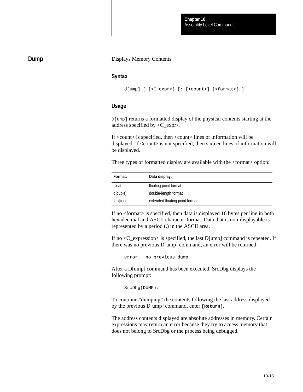# **Dump**

#### Displays Memory Contents

#### **Syntax**

```
d[ump] [ [<C_expr>] [: [<count>] [<format>] ]
```
#### **Usage**

D[ump] returns a formatted display of the physical contents starting at the address specified by <C\_expr>.

If <count> is specified, then <count> lines of information will be displayed. If <count> is not specified, then sixteen lines of information will be displayed.

Three types of formatted display are available with the <format> option:

| Format:    | Data display:                  |
|------------|--------------------------------|
| f[loat]    | floating point format          |
| d[ouble]   | double-length format           |
| [e]x[tend] | extended floating point format |

If no <format> is specified, then data is displayed 16 bytes per line in both hexadecimal and ASCII character format. Data that is non-displayable is represented by a period (.) in the ASCII area.

If no  $\langle C$  expression is specified, the last D[ump] command is repeated. If there was no previous D[ump] command, an error will be returned:

error: no previous dump

After a D[ump] command has been executed, SrcDbg displays the following prompt:

SrcDbg(DUMP):

To continue "dumping" the contents following the last address displayed by the previous D[ump] command, enter **[Return]**.

The address contents displayed are absolute addresses in memory. Certain expressions may return an error because they try to access memory that does not belong to SrcDbg or the process being debugged.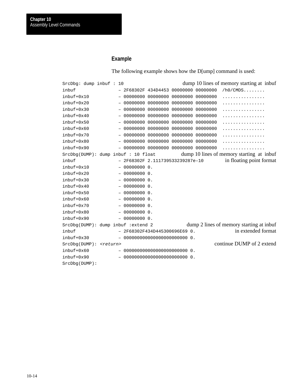# **Example**

The following example shows how the D[ump] command is used:

| SrcDbg: dump inbuf : 10         |  |  |                                       |                                         |          | dump 10 lines of memory starting at inbuf |
|---------------------------------|--|--|---------------------------------------|-----------------------------------------|----------|-------------------------------------------|
| inbuf                           |  |  |                                       | 2F68302F 434D4453 00000000 00000000     |          | $/h0/CMDS$                                |
| inbuf+0x10                      |  |  |                                       | 00000000 00000000 00000000              | 00000000 | .                                         |
| inbuf+0x20                      |  |  |                                       | 00000000 00000000 00000000 00000000     |          | .                                         |
| $in$ buf+0 $x30$                |  |  |                                       | 00000000 00000000 00000000 00000000     |          | .                                         |
| $in$ buf+0 $x40$                |  |  |                                       | 00000000 00000000 00000000              | 00000000 | .                                         |
| $in$ buf+0 $x$ 50               |  |  |                                       | 00000000 00000000 00000000 00000000     |          | .                                         |
| $in$ buf+0 $x60$                |  |  |                                       | 00000000 00000000 00000000              | 00000000 | .                                         |
| inbuf+0x70                      |  |  |                                       | 00000000 00000000 00000000              | 00000000 | .                                         |
| inbuf+0x80                      |  |  |                                       | 00000000 00000000 00000000 00000000     |          | .                                         |
| inbuf+0x90                      |  |  |                                       | $-$ 00000000 00000000 00000000 00000000 |          | .                                         |
|                                 |  |  | $SrcDbg(DUMP):$ dump inbuf : 10 float |                                         |          | dump 10 lines of memory starting at inbuf |
| inbuf                           |  |  |                                       | $-$ 2F68302F 2.111739533239287e-10      |          | in floating point format                  |
| inbuf+0x10                      |  |  | 00000000 0.                           |                                         |          |                                           |
| inbuf+0x20                      |  |  | 00000000 0.                           |                                         |          |                                           |
| $in$ buf+0 $x30$                |  |  | 00000000 0.                           |                                         |          |                                           |
| $in$ buf+0 $x40$                |  |  | 00000000 0.                           |                                         |          |                                           |
| $in$ buf+0 $x50$                |  |  | $-000000000$ .                        |                                         |          |                                           |
| inbuf+0x60                      |  |  | 00000000 0.                           |                                         |          |                                           |
| inbuf+0x70                      |  |  | $-0000000000$ .                       |                                         |          |                                           |
| inbuf+0x80                      |  |  | $-0000000000$ .                       |                                         |          |                                           |
| inbuf+0x90                      |  |  | $-000000000$                          |                                         |          |                                           |
|                                 |  |  | SrcDbq(DUMP): dump inbuf : extend 2   |                                         |          | dump 2 lines of memory starting at inbuf  |
| inbuf                           |  |  |                                       | $-2F68302F434D445300696E690.$           |          | in extended format                        |
| $in$ buf+0 $x30$                |  |  |                                       |                                         |          |                                           |
| SrcDbg(DUMP): <return></return> |  |  |                                       |                                         |          | continue DUMP of 2 extend                 |
| inbuf+0x60                      |  |  |                                       |                                         |          |                                           |
| inbuf+0x90                      |  |  |                                       |                                         |          |                                           |
| SrcDbg(DUMP):                   |  |  |                                       |                                         |          |                                           |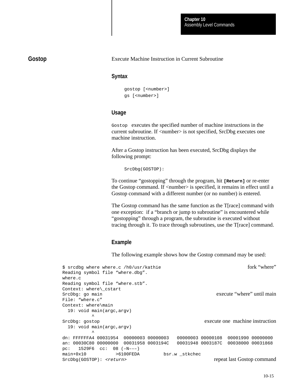# **Gostop**

#### Execute Machine Instruction in Current Subroutine

## **Syntax**

```
gostop [<number>]
gs [<number>]
```
# **Usage**

Gostop executes the specified number of machine instructions in the current subroutine. If <number> is not specified, SrcDbg executes one machine instruction.

After a Gostop instruction has been executed, SrcDbg displays the following prompt:

SrcDbg(GOSTOP):

To continue "gostopping" through the program, hit **[Return]** or re-enter the Gostop command. If <number> is specified, it remains in effect until a Gostop command with a different number (or no number) is entered.

The Gostop command has the same function as the T[race] command with one exception: if a "branch or jump to subroutine" is encountered while "gostopping" through a program, the subroutine is executed without tracing through it. To trace through subroutines, use the T[race] command.

# **Example**

The following example shows how the Gostop command may be used:

| \$ srcdbg where where.c /h0/usr/kathie  | fork "where"                        |
|-----------------------------------------|-------------------------------------|
| Reading symbol file "where.dbg".        |                                     |
| where.c                                 |                                     |
| Reading symbol file "where.stb".        |                                     |
| Context: where\ cstart                  |                                     |
| SrcDbg: go main                         | execute "where" until main          |
| File: "where.c"                         |                                     |
| Context: where\main                     |                                     |
| $19:$ void main(argc, argv)             |                                     |
| ᄉ                                       |                                     |
| SrcDbg: gostop                          | execute one machine instruction     |
| 19: void main(argc, argv)               |                                     |
| ᄉ                                       |                                     |
| dn: FFFFFFA4 00031954 00000003 00000003 | 00000003 00000108 00001990 00000000 |
| an: 00030C80 00000000 00031958 0003194C | 00031948 0003187C 00038000 00031868 |
| pc: $1529F6$ cc: 08 $(-N---)$           |                                     |
| main+0x10<br>>6100FEDA                  | bsr.w stkchec                       |
| SrcDbq(GOSTOP): <return></return>       | repeat last Gostop command          |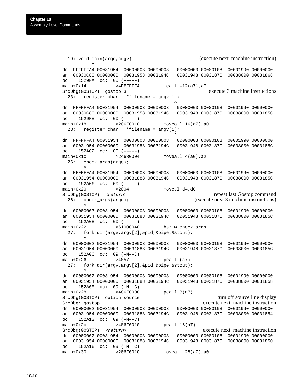19: void main(argc,argv) (execute next machine instruction)  $\sim$   $\sim$ dn: FFFFFFA4 00031954 00000003 00000003 00000003 00000108 00001990 00000000 an: 00030C80 00000000 00031958 0003194C 00031948 0003187C 00038000 00031868 pc: 1529FA cc: 00 (–––––) main+0x14 >4FEFFFF4 lea.l -12(a7), a7 SrcDbg(GOSTOP): gostop 3 execute 3 machine instructions 23: register char \*filename = argv[1]; ^ dn: FFFFFFA4 00031954 00000003 00000003 00000003 00000108 00001990 00000000 an: 00030C80 00000000 00031958 0003194C 00031948 0003187C 00038000 0003185C pc: 1529FE cc: 00 (–––––) main+0x18 >206F0010 movea.1 16(a7), a0 23: register char \*filename = argv[1]; ^ dn: FFFFFFA4 00031954 00000003 00000003 00000003 00000108 00001990 00000000 an: 00031954 00000000 00031958 0003194C 00031948 0003187C 00038000 0003185C pc: 152A02 cc: 00 (–––––) main+0x1c >24680004 movea.1 4(a0), a2  $26:$  check args(argc);  $\sim$   $\sim$ dn: FFFFFFA4 00031954 00000003 00000003 00000003 00000108 00001990 00000000 an: 00031954 00000000 00031888 0003194C 00031948 0003187C 00038000 0003185C pc: 152A06 cc: 00 (–––––) main+0x20 >2004 move.1 d4,d0 SrcDbq(GOSTOP): <return> repeat last Gostop command 26: check\_args(argc); (execute next 3 machine instructions)  $\sim$   $\sim$ dn: 00000003 00031954 00000003 00000003 00000003 00000108 00001990 00000000 an: 00031954 00000000 00031888 0003194C 00031948 0003187C 00038000 0003185C pc: 152A08 cc: 00 (–––––) main+0x22 >61000040 bsr.w check\_args 27: fork dir(argv,argv[2], &pid, &pipe, &stout);  $\sim$   $\sim$ dn: 00000002 00031954 00000003 00000003 00000003 00000108 00001990 00000000 an: 00031954 00000000 00031888 0003194C 00031948 0003187C 00038000 0003185C pc: 152A0C cc: 09 (–N––C) main+0x26 >4857 pea.l (a7) 27: fork\_dir(argv,argv[2],&pid,&pipe,&stout);  $\sim$   $\sim$ dn: 00000002 00031954 00000003 00000003 00000003 00000108 00001990 00000000 an: 00031954 00000000 00031888 0003194C 00031948 0003187C 00038000 00031858 pc: 152A0E cc: 09 (–N––C) main+0x28 >486F0008 pea.l 8(a7) SrcDbg(GOSTOP): option source turn off source turn off source line display SrcDbg: gostop execute next machine instruction dn: 00000002 00031954 00000003 00000003 00000003 00000108 00001990 00000000 an: 00031954 00000000 00031888 0003194C 00031948 0003187C 00038000 00031854 pc: 152A12 cc: 09 (–N––C) main+0x2c >486F0010 pea.l 16(a7) SrcDbg(GOSTOP): <return> execute next machine instruction dn: 00000002 00031954 00000003 00000003 00000003 00000108 00001990 00000000 an: 00031954 00000000 00031888 0003194C 00031948 0003187C 00038000 00031850 pc: 152A16 cc: 09 (–N––C) main+0x30 >206F001C movea.1 28(a7),a0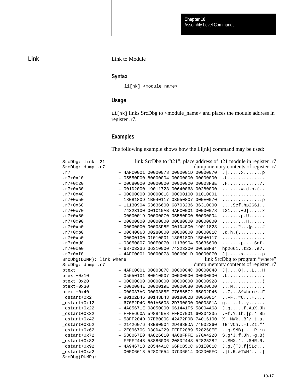#### Link to Module

# **Syntax**

li[nk] <module name>

# **Usage**

Li[nk] links SrcDbg to <module\_name> and places the module address in register .r7.

# **Examples**

The following example shows how the Li[nk] command may be used:

| SrcDbg: link t21         |                                         |                            |          | link SrcDbg to "t21"; place address of t21 module in register .r7 |
|--------------------------|-----------------------------------------|----------------------------|----------|-------------------------------------------------------------------|
| SrcDbg: dump .r7         |                                         |                            |          | dump memory contents of register .r7                              |
| $\ldots$                 | $-$ 4AFC0001 00000078 0000001D 00000070 |                            |          | $J   \ldots x \ldots p$                                           |
| $. r7 + 0x10$            | $-$                                     | 05550F00 80000004 00000000 | 00000000 | . U                                                               |
| $. r7 + 0x20$            |                                         | 00C80000 00000000 00000000 | 00003F8E | .H. ? .                                                           |
| $. r7 + 0x30$            | $-$                                     | 001D2000 19011723 00640068 | 00280000 | $\ldots$ $\ldots$ $\sharp$ .d.h. $(\ldots$                        |
| $. r7 + 0x40$            | $-$                                     | 00000000 0000001C 00000100 | 01010001 | .                                                                 |
| $. r7 + 0x50$            | $-$ 1808180D 1B040117 03050807          |                            | 000E0070 | . p                                                               |
| $. r7 + 0x60$            | $- 11130904 53636600 68703236$          |                            | 36310000 | $\ldots$ . Scf.hp2661                                             |
| $. r7 + 0x70$            | $-743231000001C10AB4AFC0001$            |                            | 00000078 | $t21+J$ $x$                                                       |
| $. r7 + 0x80$            | $ \,$                                   | 0000001D 00000070 05550F00 | 80000004 | $\ldots \ldots p. U \ldots \ldots$                                |
| $. r7 + 0x90$            | $ \,$                                   | 00000000 00000000 00C80000 | 00000000 | . H                                                               |
| $r7+0xa0$                | $ \,$                                   | 00000000 00003F8E 001D4000 | 19011823 | ?@#                                                               |
| $.r7+0xb0$               | $-006400680028000000000000$             |                            | 0000001C | .d.h. (                                                           |
| $.r7+0xc0$               | $-0000010001010100011808180D$           |                            | 1B040117 | .                                                                 |
| $.r7+0xd0$               | $-03050807000E00701113090453636600$     |                            |          | $\ldots \ldots p \ldots \text{Scf}.$                              |
| $.r7+0xe0$               | $-68703236$ 36310000 74323200           |                            | 0065BF84 | hp2661t22e?.                                                      |
| $.r7+0xf0$               | $-$ 4AFC0001 00000078 0000001D 00000070 |                            |          | $J   \ldots x \ldots p$                                           |
| StcDbq(DUMP): link where |                                         |                            |          | link SrcDbg to program "where"                                    |
| SrcDbg: dump .r7         |                                         |                            |          | dump memory contents of register .r7                              |
| btext                    | - 4AFC0001 0000387C 0000004C 00000048   |                            |          | $J   \ldots 8   \ldots L \ldots H$                                |
| $btext+0x10$             | $-05550101800100070000000000000000$     |                            |          | . U.                                                              |
| btext+0x20               | $-$ 00000000 00000000 00000000 00000928 |                            |          | . (                                                               |
| btext+0x30               | - 0000004E 0000019E 00000C80 00000C00   |                            |          | . N                                                               |
| btext+0x40               | - 000037AC 0000385E 77686572 65002D46   |                            |          | $\ldots$ 7, $\ldots$ 8^where.-F                                   |
| cstart+0x2               | $-80102D4680143D438018082B00050014$     |                            |          | $\ldots - F \ldots = C \ldots + \ldots$                           |
| $_c$ start+0x12          | $-$ 670E2D4C 801A6608 2D790000 0000801A |                            |          | $g.-L.$ . f. $-y.$                                                |
| _cstart+0x22             | - 4A85671E 08050000 661441F5 58004A68   |                            |          | $J.g. \ldots$ . f. AuX. Jh                                        |
| _cstart+0x32             | - FFFE660A 598849E8 FFFC7001 60204235   |                            |          | $.~f.Y.$ Ih. $ p.$ B5                                             |
| $_c$ start+0x42          | - 58FF204D D7EB000C 42A72F0B 74016100   |                            |          | X. MWkB'/.t.a.                                                    |
| _cstart+0x52             | $-$ 21426076 43E80004 2D498BDA 74002260 |                            |          | !B'vCh-I.Zt."'                                                    |
| _cstart+0x62             | - 2E09670C D3CD4229 FFFF2089 528260EE   |                            |          | $.9.$ SMB)R.'n                                                    |
| _cstart+0x72             | - 538067E0 4A826610 4A68FFFE 670A4228   |                            |          | $S.g'J.f.Jh.-g.B($                                                |
| _cstart+0x82             | - FFFF2448 58886006 208D2448 52825282   |                            |          | $.$ $$HK.''.$ $$HR.R.$                                            |
| cstart+0x92              | - 4A946718 28544A1C 66FCB5CC 631E0C1C   |                            |          | $J.g.$ (TJ.f   5Lc                                                |
| _cstart+0xa2             | - 00FC6618 528C2654 D7CD6014 0C2D00FC   |                            |          | . $ f.R.\&TWM$ ,                                                  |
| SrcDbg(DUMP):            |                                         |                            |          |                                                                   |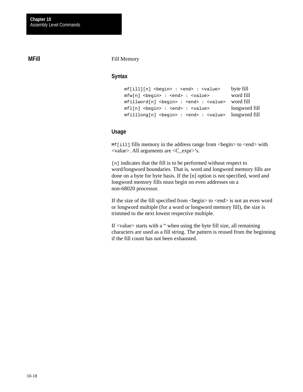# **MFill**

#### Fill Memory

#### **Syntax**

mf[ill][n] <begin> : <end> : <value> byte fill mfw[n] <br/> <br/>eegin> : <end> : <value> word fill mfillword[n] <begin> : <end> : <value> word fill  $mfl[n]$  <br/>begin> : <end> : <value> longword fill mfilllong[n] <begin> : <end> : <value> longword fill

#### **Usage**

Mf[ill] fills memory in the address range from <br/> <br/>begin> to <end> with <value>. All arguments are <C\_expr>'s.

[n] indicates that the fill is to be performed without respect to word/longword boundaries. That is, word and longword memory fills are done on a byte for byte basis. If the [n] option is not specified, word and longword memory fills must begin on even addresses on a non-68020 processor.

If the size of the fill specified from  $\langle$ begin $\rangle$  to  $\langle$ end $\rangle$  is not an even word or longword multiple (for a word or longword memory fill), the size is trimmed to the next lowest respective multiple.

If <value> starts with a " when using the byte fill size, all remaining characters are used as a fill string. The pattern is reused from the beginning if the fill count has not been exhausted.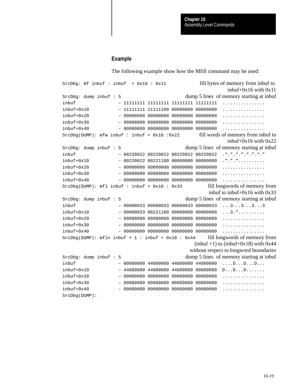#### **Example**

The following example show how the Mfill command may be used:

SrcDbq:  $mf$  inbuf:  $inkuf + 0x16 : 0x11$  fill bytes of memory from inbuf to inbuf+0x16 with 0x11 SrcDbq: dump inbuf : 5 dump 5 lines of memory starting at inbuf inbuf – 11111111 11111111 11111111 11111111 ................ inbuf+0x10 – 11111111 11111100 00000000 00000000 ................ inbuf+0x20 – 00000000 00000000 00000000 00000000 ................ inbuf+0x30 – 00000000 00000000 00000000 00000000 ................ inbuf+0x40 – 00000000 00000000 00000000 00000000 ................ SrcDbg(DUMP): mfw inbuf : inbuf + 0x16 :0x22 fill words of memory from inbuf to inbuf+0x16 with 0x22 SrcDbq: dump inbuf : 5 dump 5 lines of memory starting at inbuf inbuf – 00220022 00220022 00220022 00220022 ."."."."."."."."  $inbut+0x10$  - 00220022 00221100 00000000 00000000 ."."."..........  $\text{inbuf+0x20}$   $-000000000000000000000000000000000...$ inbuf+0x30 – 00000000 00000000 00000000 00000000 ................ inbuf+0x40 – 00000000 00000000 00000000 00000000 ................  $SrCDbg(DUMP): mfl inbuf: inbuf + 0x16 : 0x33$  fill longwords of memory from inbuf to inbuf+0x16 with 0x33 SrcDbg: dump inbuf : 5 dump 5 lines of memory starting at inbuf inbuf – 00000033 00000033 00000033 00000033 ...3...3...3...3  $inbut+0x10$  - 00000033 00221100 00000000 00000000 ...3.".......... inbuf+0x20 – 00000000 00000000 00000000 00000000 ................ inbuf+0x30 – 00000000 00000000 00000000 00000000 ................ inbuf+0x40 – 00000000 00000000 00000000 00000000 ................  $SrCDbg(DUMP):$  mfln inbuf + 1 : inbuf + 0x18 : 0x44 fill longwords of memory from (inbuf  $+1$ ) to (inbuf $+0x18$ ) with 0x44 without respect to longword boundaries SrcDbq: dump inbuf : 5 dump 5 lines of memory starting at inbuf inbuf – 00000000 44000000 44000000 44000000 ....D...D...D...  $inbut +0x10$  - 44000000 44000000 44000000 00000000 D...D...D...... inbuf+0x20 – 00000000 00000000 00000000 00000000 ................ inbuf+0x30 – 00000000 00000000 00000000 00000000 ................ inbuf+0x40 – 00000000 00000000 00000000 00000000 ................ SrcDbg(DUMP):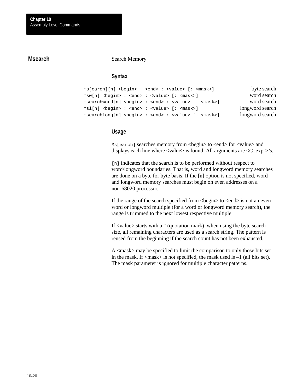# **Msearch**

#### Search Memory

## **Syntax**

ms[earch][n] <begin> : <end> : <value> [: <mask>] byte search msw[n] <br/> <br/>edent> : <end> : <value> [: <mask>] word search msearchword[n] <br/> <br/>ed> : <value> [: <mask>] word search msl[n] <br/> <br/>ed> : <end> : <value> [: <mask>] longword search msearchlong[n] <begin> : <end> : <value> [: <mask>] longword search

#### **Usage**

Ms [earch] searches memory from <br/>begin> to <end> for <value> and displays each line where  $\langle$ value $\rangle$  is found. All arguments are  $\langle C_{\mathbf{k}} \rangle$  s.

[n] indicates that the search is to be performed without respect to word/longword boundaries. That is, word and longword memory searches are done on a byte for byte basis. If the [n] option is not specified, word and longword memory searches must begin on even addresses on a non-68020 processor.

If the range of the search specified from  $\langle$ begin $\rangle$  to  $\langle$ end $\rangle$  is not an even word or longword multiple (for a word or longword memory search), the range is trimmed to the next lowest respective multiple.

If <value> starts with a " (quotation mark) when using the byte search size, all remaining characters are used as a search string. The pattern is reused from the beginning if the search count has not been exhausted.

A <mask> may be specified to limit the comparison to only those bits set in the mask. If  $\langle \text{mask} \rangle$  is not specified, the mask used is  $-1$  (all bits set). The mask parameter is ignored for multiple character patterns.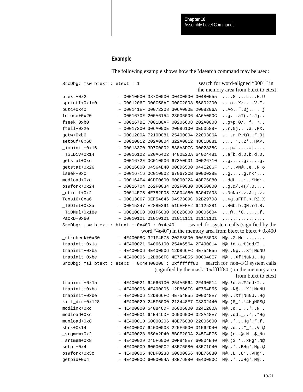#### **Example**

The following example shows how the Msearch command may be used:

 $SrcDbq:$  msw btext : etext : 1 search for word-aligned "0001" in the memory area from btext to etext btext+0x2 – 00010000 387C0000 004C0000 00480555 ....8|...L...H.U sprintf+0x1c0 – 0001206F 000C58AF 000C2008 56802200 .. o..X/.. .V.". putc+0x40 – 000141EF 00072208 306A000E 2008206A ..Ao..".0j.. . j fclose+0x20 – 0001670E 200A6154 28006006 4A6A000C ..g. .aT(.'.Jj.. fseek+0xb0 – 000167BE 7001B0AF 00206608 202A0008 ..g>p.0/. f. \*.. ftell+0x2e – 00017200 306A000E 20086100 0E50588F ..r.0j.. .a..PX. getw+0xb6 – 0001200A 7210D081 25400004 2200306A .. .r.P.%@..".0j setbuf+0x68 – 00010012 202A0004 322A0012 48C1D081 .... \*..2\*..HAP.  $i$ obinit+0x16 – 00018370 3D7C0002 838A3D7C 0002838C ...p= $|...|$ \_T\$LDiv+0x14 – 00016122 E20A6402 4480E20A 64024481 ..a"b.d.D.b.d.D. getstat+0xc – 0001672E 0C010006 673A0C01 00026710 ..g.....g:....g. getstat+0x26 – 00016000 04564E40 008D6500 044E206F ..'..VN@..e..N o lseek+0xc – 00016716 0C010002 670672CB 6000028E ..g.....g.rK'... modload+0xe - 000164E4 4CDF0600 6000022A 48E76080 ..ddL\_..'..\*Hg'. os9fork+0x24 – 00016704 262F0034 282F0030 08050000 ..g.&/.4(/.0....  $_{\text{withinit+0x2}}$  - 00014E75 4E752F05 7A004A80 6A047A08 ..NuNu/.z.J.j.z. Tens16+0xa6 – 00013C67 0EF54646 D4973C9C D2B297D8 ..<g.uFFT.<.R2.X \_T\$DInt+0x3a – 00015247 E288E291 51CEFFF2 64125281 ..RGb.b.QN.rd.R.  $T5DMul+0x18e$  - 000108C0 001F6030 0C828000 00006604 ...@..'0......f. PackD+0x60 – 00010101 01010101 01011111 01111101 ................  $SrcDbg:$  msw btext : btext + 0x400 : 0x4e40 search for system calls (signified by the word "4e40") in the memory area from btext to btext +  $0x400$  $stkcheck+0x30$  - 4E40008C 321F4E75 202E8000 90AE8008 N@..2.Nu ...... trapinit+0x1a – 4E400021 64066100 254A6564 2F490014 N@.!d.a.%Jed/I.. trapinit+0xba – 4E400006 4E400006 12D866FC 4E754E55 N@..N@...Xf|NuNU trapinit+0xbe – 4E400006 12D866FC 4E754E55 000048E7 N@...Xf|NuNU..Hg SrcDbg: msl btext : etext : 0x4e400000 : 0xffffff80 search for non-I/O system calls (signified by the mask "0xffffff80") in the memory area from btext to etext trapinit+0x1a – 4E400021 64066100 254A6564 2F490014 N@.!d.a.%Jed/I.. trapinit+0xba – 4E400006 4E400006 12D866FC 4E754E55 N@..N@...Xf|NuNU trapinit+0xbe – 4E400006 12D866FC 4E754E55 000048E7 N@...Xf|NuNU..Hg kill\_dir+0x128 – 4E400029 245F6000 213448E7 C8302440 N@.)\$\_'.!4HgH0\$@ modlink+0xc – 4E400000 64084CDF 06006000 024E200A N@..d.L\_..'..N . modload+0xc – 4E400001 64E44CDF 06006000 022A48E7 N@..ddL\_..'..\*Hg munload+0x8 – 4E40001D 60000206 48E76080 22006600 N@..'...Hg'.".f. sbrk+0x14 – 4E400007 64000008 225F6000 01562D40 N@..d..."\_'..V–@ \_srqmem+0x2 – 4E400028 650A2D40 8BCE200A 245F4E75 N@.(e.–@.N .\$\_Nu \_srtmem+0x8 – 4E400029 245F6000 00F848E7 60804E40 N@.)\$\_'..xHg'.N@ setpr+0x4 – 4E40000D 600000C2 48E76080 48E71C40 N@..'..BHg'.Hg.@ os9fork+0x3c – 4E400005 4CDF0238 60000056 48E76080 N@..L\_.8'..VHg'. getpid+0x4 – 4E40000C 6000004A 48E76080 4E40000C N@..'..JHg'.N@..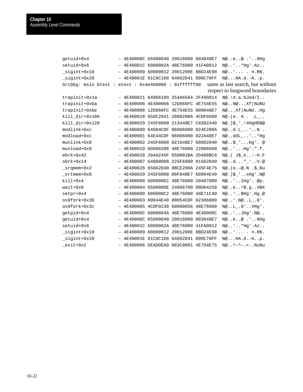getuid+0x4 – 4E40000C 65000040 20016000 003848E7 N@..e..@ .'..8Hg setuid+0x6 – 4E40001C 6000002A 48E76080 41FA0012 N@..'..\*Hg'.Az.. \_sigint+0x10 – 4E400009 60000012 2001206E 8BD24E90 N@..'... . n.RN.  $signt+0x20$   $-$  4E40001E 91C8C188 64062D41 800C70FF N@...HA.d.-A..p. SrcDbg: msln btext : etext : 0x4e400000 : 0xffffff80 same as last search, but without respect to longword boundaries trapinit+0x1a – 4E400021 64066100 254A6564 2F490014 N@.!d.a.%Jed/I.. trapinit+0xba – 4E400006 4E400006 12D866FC 4E754E55 N@..N@...Xf|NuNU trapinit+0xbe – 4E400006 12D866FC 4E754E55 000048E7 N@...Xf|NuNU..Hg kill\_dir+0x106 – 4E400028 650C2041 2080200A 4CDF0500 N@.(e. A . .L\_.. kill\_dir+0x128 – 4E400029 245F6000 213448E7 C8302440 N@.)\$\_'.!4HgH0\$@ modlink+0xc – 4E400000 64084CDF 06006000 024E200A N@..d.L\_..'..N . modload+0xc – 4E400001 64E44CDF 06006000 022A48E7 N@..ddL\_..'..\*Hg munlink+0x8 - 4E400002 245F6000 021648E7 60802040 N@..\$ '...Hq'. @ munload+0x8 – 4E40001D 60000206 48E76080 22006600 N@..'...Hg'.".f. ebrk+0x42 – 4E400028 204A245F 650001BA 2D488BC6 N@.( J\$\_e..:–H.F sbrk+0x14 – 4E400007 64000008 225F6000 01562D40 N@..d..."\_'..V–@ \_srqmem+0x2 – 4E400028 650A2D40 8BCE200A 245F4E75 N@.(e.–@.N .\$\_Nu \_srtmem+0x8 – 4E400029 245F6000 00F848E7 60804E40 N@.)\$\_'..xHg'.N@ kill+0x4 - 4E400008 600000EC 48E76080 20407000 N@..'..1Hg'. @p. wait+0x8 - 4E400004 650000DE 24086700 00D64258 N@..e..^\$.g..VBX setpr+0x4 – 4E40000D 600000C2 48E76080 48E71C40 N@..'..BHg'.Hg.@ os9fork+0x36 – 4E400003 60044E40 00054CDF 02386000 N@..'.N@..L\_.8'. os9fork+0x3c – 4E400005 4CDF0238 60000056 48E76080 N@..L\_.8'..VHg'. getpid+0x4 – 4E40000C 6000004A 48E76080 4E40000C N@..'..JHg'.N@.. getuid+0x4 – 4E40000C 65000040 20016000 003848E7 N@..e..@ .'..8Hg setuid+0x6 – 4E40001C 6000002A 48E76080 41FA0012 N@..'..\*Hg'.Az.. \_sigint+0x10 – 4E400009 60000012 2001206E 8BD24E90 N@..'... . n.RN. \_sigint+0x20 – 4E40001E 91C8C188 64062D41 800C70FF N@...HA.d.–A..p. \_exit+0x2 – 4E400006 DEADDEAD 003C0001 4E754E75 N@..^–^–.<..NuNu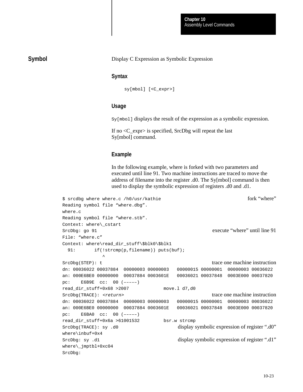## **Symbol**

#### Display C Expression as Symbolic Expression

#### **Syntax**

sy[mbol] [<C\_expr>]

## **Usage**

Sy[mbol] displays the result of the expression as a symbolic expression.

If no <C\_expr> is specified, SrcDbg will repeat the last Sy[mbol] command.

#### **Example**

In the following example, where is forked with two parameters and executed until line 91. Two machine instructions are traced to move the address of filename into the register .d0. The Sy[mbol] command is then used to display the symbolic expression of registers .d0 and .d1.

```
$ srcdbg where where.c /h0/usr/kathie fork "where"
Reading symbol file "where.dbg". 
where.c
Reading symbol file "where.stb". 
Context: where\_cstart
SrcDbg: go 91 execute "where" until line 91
File: "where.c"
Context: where\read_dir_stuff\$blk0\$blk1
 91: if(!strcmp(p,filename)) puts(buf);
\sim \sim \sim \simSrcDbg(STEP): t trace one machine instruction
dn: 00036022 00037884 00000003 00000003 00000015 00000001 00000003 00036022
an: 000E6BE0 00000000 00037884 0003601E 00036021 00037848 0003E000 00037820
pc: E6B9E cc: 00 (–––––)
read_dir_stuff+0x68 >2007 move.l d7,d0
SrcDbg(TRACE): <return> trace one machine instruction
dn: 00036022 00037884 00000003 00000003 00000015 00000001 00000003 00036022
an: 000E6BE0 00000000 00037884 0003601E 00036021 00037848 0003E000 00037820
pc: E6BA0 cc: 00 (–––––)
read_dir_stuff+0x6a >61001532 bsr.w strcmp
SrcDbg(TRACE): sy .d0 display symbolic expression of register ".d0"
where\inbuf+0x4
SrcDbg: sy .d1 display symbolic expression of register ".d1"
where\_jmptbl+0xc04
SrcDbg:
```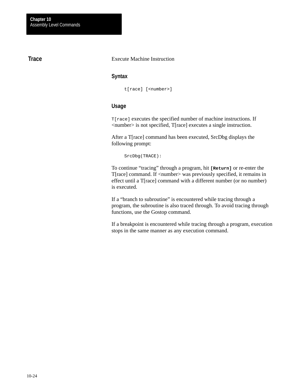# **Trace**

#### Execute Machine Instruction

#### **Syntax**

t[race] [<number>]

# **Usage**

T[race] executes the specified number of machine instructions. If <number> is not specified, T[race] executes a single instruction.

After a T[race] command has been executed, SrcDbg displays the following prompt:

SrcDbg(TRACE):

To continue "tracing" through a program, hit **[Return]** or re-enter the T[race] command. If <number> was previously specified, it remains in effect until a T[race] command with a different number (or no number) is executed.

If a "branch to subroutine" is encountered while tracing through a program, the subroutine is also traced through. To avoid tracing through functions, use the Gostop command.

If a breakpoint is encountered while tracing through a program, execution stops in the same manner as any execution command.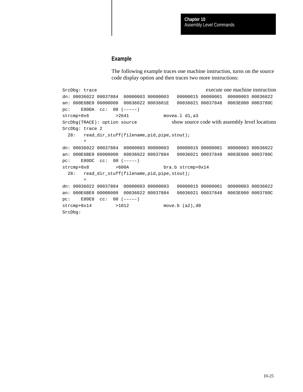#### **Example**

The following example traces one machine instruction, turns on the source code display option and then traces two more instructions:

SrcDbg: trace execute one machine instruction dn: 00036022 00037884 00000003 00000003 00000015 00000001 00000003 00036022 an: 000E6BE0 00000000 00036022 0003601E 00036021 00037848 0003E000 0003780C pc: E80DA cc: 00 (–––––) strcmp+0x6 >2641 movea.l d1,a3 SrcDbg(TRACE): option source show source show source code with assembly level locations SrcDbg: trace 2 28: read\_dir\_stuff(filename,pid,pipe,stout);  $\sim$   $\sim$ dn: 00036022 00037884 00000003 00000003 00000015 00000001 00000003 00036022 an: 000E6BE0 00000000 00036022 00037884 00036021 00037848 0003E000 0003780C pc: E80DC cc: 00 (–––––) strcmp+0x8 >600A bra.b strcmp+0x14 28: read\_dir\_stuff(filename,pid,pipe,stout);  $\sim$   $\sim$ dn: 00036022 00037884 00000003 00000003 00000015 00000001 00000003 00036022 an: 000E6BE0 00000000 00036022 00037884 00036021 00037848 0003E000 0003780C pc: E80E8 cc: 00 (–––––) strcmp+0x14 >1012 move.b (a2),d0 SrcDbg: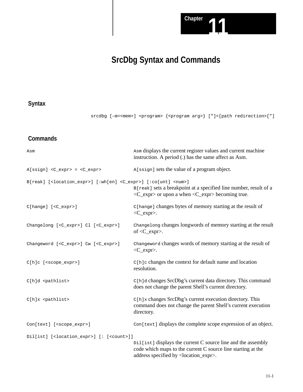

# **SrcDbg Syntax and Commands**

# **Syntax**

srcdbg [-m=<mem>] <program> {<program arg>} ["]<[path redirection>["]

# **Commands**

| Asm                                                                                           | Asm displays the current register values and current machine<br>instruction. A period (.) has the same affect as Asm.                                                                        |
|-----------------------------------------------------------------------------------------------|----------------------------------------------------------------------------------------------------------------------------------------------------------------------------------------------|
| A[ssign] <c_expr> = <c_expr></c_expr></c_expr>                                                | A[ssign] sets the value of a program object.                                                                                                                                                 |
| B[reak] [ <location_expr>] [:wh[en] <c_expr>] [:co[unt] <num>]</num></c_expr></location_expr> | B[reak] sets a breakpoint at a specified line number, result of a<br>$\langle C_{\text{ex}}$ = $\langle C_{\text{ex}} \rangle$ or upon a when $\langle C_{\text{ex}} \rangle$ becoming true. |
| C[hange] [ <c_expr>]</c_expr>                                                                 | C[hange] changes bytes of memory starting at the result of<br>$<$ C_expr>.                                                                                                                   |
| Changelong [ <c_expr>] Cl [<c_expr>]</c_expr></c_expr>                                        | Changelong changes longwords of memory starting at the result<br>of $\langle C_{\text{expr}} \rangle$ .                                                                                      |
| Changeword [ <c_expr>] Cw [<c_expr>]</c_expr></c_expr>                                        | Changeword changes words of memory starting at the result of<br>$\langle C_{\text{expr}} \rangle$ .                                                                                          |
| C[h]c [ <scope_expr>]</scope_expr>                                                            | C[h]c changes the context for default name and location<br>resolution.                                                                                                                       |
| C[h]d <pathlist></pathlist>                                                                   | C[h]d changes SrcDbg's current data directory. This command<br>does not change the parent Shell's current directory.                                                                         |
| $C[h]x$ <pathlist></pathlist>                                                                 | C[h]x changes SrcDbg's current execution directory. This<br>command does not change the parent Shell's current execution<br>directory.                                                       |
| Con[text] [ <scope_expr>]</scope_expr>                                                        | Con[text] displays the complete scope expression of an object.                                                                                                                               |
| Dil[ist] [ <location_expr>] [: [<count>]]</count></location_expr>                             |                                                                                                                                                                                              |
|                                                                                               | Dil[ist] displays the current C source line and the assembly<br>code which maps to the current C source line starting at the<br>address specified by <location_expr>.</location_expr>        |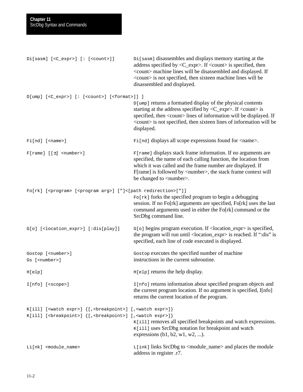| Di[sasm] [ <c_expr>] [: [<count>]]</count></c_expr>                                                                                                                              | Di [sasm] disassembles and displays memory starting at the<br>address specified by $\langle C_{\text{ex}} \rangle$ . If $\langle$ count $\rangle$ is specified, then<br><count> machine lines will be disassembled and displayed. If<br/><count> is not specified, then sixteen machine lines will be<br/>disassembled and displayed.</count></count> |
|----------------------------------------------------------------------------------------------------------------------------------------------------------------------------------|-------------------------------------------------------------------------------------------------------------------------------------------------------------------------------------------------------------------------------------------------------------------------------------------------------------------------------------------------------|
| D[ump] [ <c_expr>] [: [<count>] [<format>]] ]</format></count></c_expr>                                                                                                          | D[ump] returns a formatted display of the physical contents<br>starting at the address specified by $\langle C_{\text{ex}} \rangle$ . If $\langle$ count $\rangle$ is<br>specified, then <count> lines of information will be displayed. If<br/><count> is not specified, then sixteen lines of information will be<br/>displayed.</count></count>    |
| $Fi[nd]$ [ <name>]</name>                                                                                                                                                        | Film I displays all scope expressions found for <name>.</name>                                                                                                                                                                                                                                                                                        |
| $F[name] [t]$ <number>]</number>                                                                                                                                                 | F[rame] displays stack frame information. If no arguments are<br>specified, the name of each calling function, the location from<br>which it was called and the frame number are displayed. If<br>F[rame] is followed by <number>, the stack frame context will<br/>be changed to <number>.</number></number>                                         |
| Fo[rk] [ <program> [<program arg="">] ["]&lt;[path redirection&gt;["]]</program></program>                                                                                       | Fo[rk] forks the specified program to begin a debugging<br>session. If no Fo[rk] arguments are specified, Fo[rk] uses the last<br>command arguments used in either the Fo[rk] command or the<br>SrcDbg command line.                                                                                                                                  |
| G[o] [ <location_expr>] [:dis[play]]</location_expr>                                                                                                                             | $G[\circ]$ begins program execution. If <location_expr> is specified,<br/>the program will run until <location_expr> is reached. If ":dis" is<br/>specified, each line of code executed is displayed.</location_expr></location_expr>                                                                                                                 |
| Gostop [ <number>]<br/>Gs [<number>]</number></number>                                                                                                                           | Gostop executes the specified number of machine<br>instructions in the current subroutine.                                                                                                                                                                                                                                                            |
| H[elp]                                                                                                                                                                           | $H[e1p]$ returns the help display.                                                                                                                                                                                                                                                                                                                    |
| $I[nfo]$ [ <scope>]</scope>                                                                                                                                                      | I[nfo] returns information about specified program objects and<br>the current program location. If no argument is specified, I[nfo]<br>returns the current location of the program.                                                                                                                                                                   |
| K[ill] [ <watch expr="">] {[, <breakpoint>] [, <watch expr="">]}<br/>K[ill] [<br eakpoint=""/>] {[, <br eakpoint=""/>] [, <watch expr="">]}</watch></watch></breakpoint></watch> | K[ill] removes all specified breakpoints and watch expressions.<br>K[ill] uses SrcDbg notation for breakpoint and watch<br>expressions $(b1, b2, w1, w2, )$ .                                                                                                                                                                                         |
| Li[nk] <module_name></module_name>                                                                                                                                               | $L[ink]$ links SrcDbg to $\leq$ module_name and places the module<br>address in register .r7.                                                                                                                                                                                                                                                         |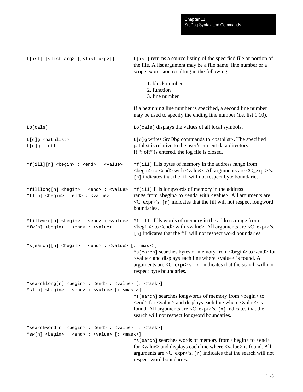L[ist] [<list arg> [,<list arg>]] L[ist] returns a source listing of the specified file or portion of the file. A list argument may be a file name, line number or a scope expression resulting in the following: 1. block number 2. function 3. line number If a beginning line number is specified, a second line number may be used to specify the ending line number (i.e. list 1 10). Lo[cals]  $L \circ$ [cals] displays the values of all local symbols.  $L[\circ]$ g <pathlist>  $L[\circ]$ g writes SrcDbg commands to <pathlist>. The specified  $L[\circ]g : \circ ff$  pathlist is relative to the user's current data directory. If ": off" is entered, the log file is closed.  $Mf[i11][n]$  <br/>begin>: <end>: <value>  $Mf[i11]$  fills bytes of memory in the address range from <begin> to <end> with <value>. All arguments are <C\_expr>'s. [n] indicates that the fill will not respect byte boundaries. Mfilllong[n] <br/>begin> : <end> : <value> Mf[ill] fills longwords of memory in the address  $Mf1[n] **begin** is equal to  $1$ . This is a function of  $h = Mf1[n]$ , where  $h = Mf1[n]$  is equal to  $1$ .$ <C\_expr>'s. [n] indicates that the fill will not respect longword boundaries. Mfillword[n] <br/>begin> : <end> : <value> Mf[ill] fills words of memory in the address range from Mfw[n] <br/> <br/>edin> : <end> : <value> <br/> <br/> <br/> <br/> <br/><br/>exproper to <end> with <value>. All arguments are <<br/>C\_expr>'s. [n] indicates that the fill will not respect word boundaries.  $Ms[earth][n]$  <br/>begin> : <end> : <value> [: <mask>]  $\text{Ms}$  [earch] searches bytes of memory from  $\text{degin}$  to  $\text{send}$  for <value> and displays each line where <value> is found. All arguments are <C\_expr>'s. [n] indicates that the search will not respect byte boundaries. Msearchlong[n] <br/>begin> : <end> : <value> [: <mask>] Msl[n] <br/> <br/>ed> : <value> [: <mask>] Ms[earch] searches longwords of memory from <br/>begin> to <end> for <value> and displays each line where <value> is found. All arguments are  $\langle C \exp \rangle$ 's. [n] indicates that the search will not respect longword boundaries. Msearchword[n] <br/>begin> : <end> : <value> [: <mask>] Msw[n] <br/> <br/>begin> : <end> : <value> [: <mask>] Ms[earch] searches words of memory from <br/>begin> to <end> for <value> and displays each line where <value> is found. All arguments are <C\_expr>'s. [n] indicates that the search will not respect word boundaries.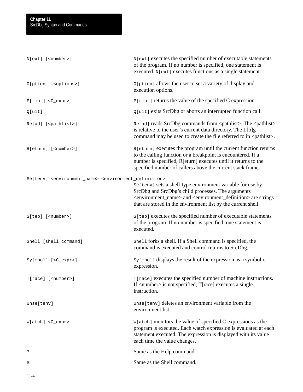| $N[ext]$ [ <number>]</number>                                                                    | N[ext] executes the specified number of executable statements<br>of the program. If no number is specified, one statement is<br>executed. N[ext] executes functions as a single statement.                                                                                                    |
|--------------------------------------------------------------------------------------------------|-----------------------------------------------------------------------------------------------------------------------------------------------------------------------------------------------------------------------------------------------------------------------------------------------|
| O[ption] { <options>}</options>                                                                  | O[ption] allows the user to set a variety of display and<br>execution options.                                                                                                                                                                                                                |
| P[rint] <c_expr></c_expr>                                                                        | $P[\text{rint}]$ returns the value of the specified C expression.                                                                                                                                                                                                                             |
| Q[uit]                                                                                           | Q[uit] exits SrcDbg or aborts an interrupted function call.                                                                                                                                                                                                                                   |
| Re[ad] [ <pathlist>]</pathlist>                                                                  | Re[ad] reads SrcDbg commands from <pathlist>. The <pathlist><br/>is relative to the user's current data directory. The L[o]g<br/>command may be used to create the file referred to in <pathlist>.</pathlist></pathlist></pathlist>                                                           |
| R[eturn] [ <number>]</number>                                                                    | R[eturn] executes the program until the current function returns<br>to the calling function or a breakpoint is encountered. If a<br>number is specified, R[eturn] executes until it returns to the<br>specified number of callers above the current stack frame.                              |
| Se[tenv] <environment_name> <environment_definition></environment_definition></environment_name> |                                                                                                                                                                                                                                                                                               |
|                                                                                                  | Se[tenv] sets a shell-type environment variable for use by<br>SrcDbg and SrcDbg's child processes. The arguments<br><environment_name> and <environment_definition> are strings<br/>that are stored in the environment list by the current shell.</environment_definition></environment_name> |
| S[tep] [ <number>]</number>                                                                      | S[tep] executes the specified number of executable statements<br>of the program. If no number is specified, one statement is<br>executed.                                                                                                                                                     |
| Shell [shell command]                                                                            | shell forks a shell. If a Shell command is specified, the<br>command is executed and control returns to SrcDbg.                                                                                                                                                                               |
| Sy[mbol] [ <c_expr>]</c_expr>                                                                    | Sy[mbol] displays the result of the expression as a symbolic<br>expression.                                                                                                                                                                                                                   |
| T[race] [ <number>]</number>                                                                     | T[race] executes the specified number of machine instructions.<br>If <number> is not specified, T[race] executes a single<br/>instruction.</number>                                                                                                                                           |
| Unse[tenv]                                                                                       | Unse[tenv] deletes an environment variable from the<br>environment list.                                                                                                                                                                                                                      |
| W[atch] <c_expr></c_expr>                                                                        | W[atch] monitors the value of specified C expressions as the<br>program is executed. Each watch expression is evaluated at each<br>statement executed. The expression is displayed with its value<br>each time the value changes.                                                             |
| ?                                                                                                | Same as the Help command.                                                                                                                                                                                                                                                                     |
| \$                                                                                               | Same as the Shell command.                                                                                                                                                                                                                                                                    |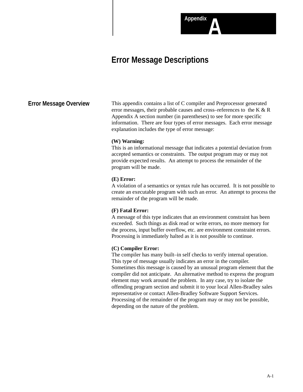# **Error Message Descriptions**

## **Error Message Overview**

This appendix contains a list of C compiler and Preprocessor generated error messages, their probable causes and cross–references to the K & R Appendix A section number (in parentheses) to see for more specific information. There are four types of error messages. Each error message explanation includes the type of error message:

**AppendixA**

#### **(W) Warning:**

This is an informational message that indicates a potential deviation from accepted semantics or constraints. The output program may or may not provide expected results. An attempt to process the remainder of the program will be made.

#### **(E) Error:**

A violation of a semantics or syntax rule has occurred. It is not possible to create an executable program with such an error. An attempt to process the remainder of the program will be made.

#### **(F) Fatal Error:**

A message of this type indicates that an environment constraint has been exceeded. Such things as disk read or write errors, no more memory for the process, input buffer overflow, etc. are environment constraint errors. Processing is immediately halted as it is not possible to continue.

#### **(C) Compiler Error:**

The compiler has many built–in self checks to verify internal operation. This type of message usually indicates an error in the compiler. Sometimes this message is caused by an unusual program element that the compiler did not anticipate. An alternative method to express the program element may work around the problem. In any case, try to isolate the offending program section and submit it to your local Allen-Bradley sales representative or contact Allen-Bradley Software Support Services. Processing of the remainder of the program may or may not be possible, depending on the nature of the problem.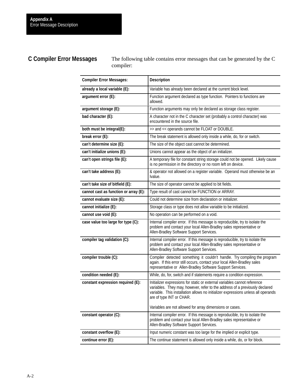# **C Compiler Error Messages**

The following table contains error messages that can be generated by the C compiler:

| <b>Compiler Error Messages:</b>       | <b>Description</b>                                                                                                                                                                                                                                                                                                                    |
|---------------------------------------|---------------------------------------------------------------------------------------------------------------------------------------------------------------------------------------------------------------------------------------------------------------------------------------------------------------------------------------|
| already a local variable (E):         | Variable has already been declared at the current block level.                                                                                                                                                                                                                                                                        |
| argument error (E):                   | Function argument declared as type function. Pointers to functions are<br>allowed.                                                                                                                                                                                                                                                    |
| argument storage (E):                 | Function arguments may only be declared as storage class register.                                                                                                                                                                                                                                                                    |
| bad character (E):                    | A character not in the C character set (probably a control character) was<br>encountered in the source file.                                                                                                                                                                                                                          |
| both must be integral(E):             | >> and << operands cannot be FLOAT or DOUBLE.                                                                                                                                                                                                                                                                                         |
| break error (E):                      | The break statement is allowed only inside a while, do, for or switch.                                                                                                                                                                                                                                                                |
| can't determine size (E):             | The size of the object cast cannot be determined.                                                                                                                                                                                                                                                                                     |
| can't initialize unions (E):          | Unions cannot appear as the object of an initializer.                                                                                                                                                                                                                                                                                 |
| can't open strings file (E):          | A temporary file for constant string storage could not be opened. Likely cause<br>is no permission in the directory or no room left on device.                                                                                                                                                                                        |
| can't take address (E):               | & operator not allowed on a register variable. Operand must otherwise be an<br>Ivalue.                                                                                                                                                                                                                                                |
| can't take size of bitfield (E):      | The size of operator cannot be applied to bit fields.                                                                                                                                                                                                                                                                                 |
| cannot cast as function or array (E): | Type result of cast cannot be FUNCTION or ARRAY.                                                                                                                                                                                                                                                                                      |
| cannot evaluate size (E):             | Could not determine size from declaration or initializer.                                                                                                                                                                                                                                                                             |
| cannot initialize (E):                | Storage class or type does not allow variable to be initialized.                                                                                                                                                                                                                                                                      |
| cannot use void (E):                  | No operation can be performed on a void.                                                                                                                                                                                                                                                                                              |
| case value too large for type (C):    | Internal compiler error. If this message is reproducible, try to isolate the<br>problem and contact your local Allen-Bradley sales representative or<br>Allen-Bradley Software Support Services.                                                                                                                                      |
| compiler tag validation (C):          | Internal compiler error. If this message is reproducible, try to isolate the<br>problem and contact your local Allen-Bradley sales representative or<br>Allen-Bradley Software Support Services.                                                                                                                                      |
| compiler trouble (C):                 | Compiler detected something it couldn't handle. Try compiling the program<br>again. If this error still occurs, contact your local Allen-Bradley sales<br>representative or Allen-Bradley Software Support Services.                                                                                                                  |
| condition needed (E):                 | While, do, for, switch and if statements require a condition expression.                                                                                                                                                                                                                                                              |
| constant expression required (E):     | Initializer expressions for static or external variables cannot reference<br>variables. They may, however, refer to the address of a previously declared<br>variable. This installation allows no initializer expressions unless all operands<br>are of type INT or CHAR.<br>Variables are not allowed for array dimensions or cases. |
| constant operator (C):                | Internal compiler error. If this message is reproducible, try to isolate the                                                                                                                                                                                                                                                          |
|                                       | problem and contact your local Allen-Bradley sales representative or<br>Allen-Bradley Software Support Services.                                                                                                                                                                                                                      |
| constant overflow (E):                | Input numeric constant was too large for the implied or explicit type.                                                                                                                                                                                                                                                                |
| continue error (E):                   | The continue statement is allowed only inside a while, do, or for block.                                                                                                                                                                                                                                                              |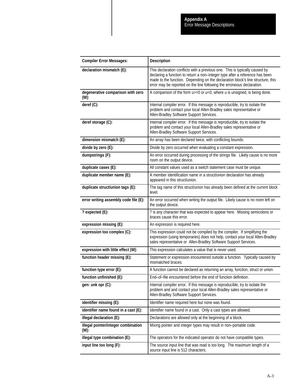| <b>Compiler Error Messages:</b>             | <b>Description</b>                                                                                                                                                                                                                                                                                                       |
|---------------------------------------------|--------------------------------------------------------------------------------------------------------------------------------------------------------------------------------------------------------------------------------------------------------------------------------------------------------------------------|
| declaration mismatch (E):                   | This declaration conflicts with a previous one. This is typically caused by<br>declaring a function to return a non-integer type after a reference has been<br>made to the function. Depending on the declaration block's line structure, this<br>error may be reported on the line following the erroneous declaration. |
| degenerative comparison with zero<br>(W):   | A comparison of the form $u>=0$ or $u<0$ , where u is unsigned, is being done.                                                                                                                                                                                                                                           |
| deref (C):                                  | Internal compiler error. If this message is reproducible, try to isolate the<br>problem and contact your local Allen-Bradley sales representative or<br>Allen-Bradley Software Support Services.                                                                                                                         |
| deref storage (C):                          | Internal compiler error. If this message is reproducible, try to isolate the<br>problem and contact your local Allen-Bradley sales representative or<br>Allen-Bradley Software Support Services.                                                                                                                         |
| dimension mismatch (E):                     | An array has been declared twice, with conflicting bounds.                                                                                                                                                                                                                                                               |
| divide by zero (E):                         | Divide by zero occurred when evaluating a constant expression.                                                                                                                                                                                                                                                           |
| dumpstrings (F):                            | An error occurred during processing of the strings file. Likely cause is no more<br>room on the output device.                                                                                                                                                                                                           |
| duplicate cases (E):                        | All constant values used as a switch statement case must be unique.                                                                                                                                                                                                                                                      |
| duplicate member name (E):                  | A member identification name in a struct/union declaration has already<br>appeared in this struct/union.                                                                                                                                                                                                                 |
| duplicate struct/union tags (E):            | The tag name of this struct/union has already been defined at the current block<br>level.                                                                                                                                                                                                                                |
| error writing assembly code file (E):       | An error occurred when writing the output file. Likely cause is no room left on<br>the output device.                                                                                                                                                                                                                    |
| ? expected (E):                             | ? is any character that was expected to appear here. Missing semicolons or<br>braces cause this error.                                                                                                                                                                                                                   |
| expression missing (E):                     | An expression is required here.                                                                                                                                                                                                                                                                                          |
| expression too complex (C):                 | This expression could not be compiled by the compiler. If simplifying the<br>expression (using temporaries) does not help, contact your local Allen-Bradley<br>sales representative or Allen-Bradley Software Support Services.                                                                                          |
| expression with little effect (W):          | This expression calculates a value that is never used.                                                                                                                                                                                                                                                                   |
| function header missing (E):                | Statement or expression encountered outside a function. Typically caused by<br>mismatched braces.                                                                                                                                                                                                                        |
| function type error (E):                    | A function cannot be declared as returning an array, function, struct or union.                                                                                                                                                                                                                                          |
| function unfinished (E):                    | End-of-file encountered before the end of function definition.                                                                                                                                                                                                                                                           |
| gen: unk opr (C):                           | Internal compiler error. If this message is reproducible, try to isolate the<br>problem and and contact your local Allen-Bradley sales representative or<br>Allen-Bradley Software Support Services.                                                                                                                     |
| identifier missing (E):                     | Identifier name required here but none was found.                                                                                                                                                                                                                                                                        |
| identifier name found in a cast (E):        | Identifier name found in a cast. Only a cast types are allowed.                                                                                                                                                                                                                                                          |
| illegal declaration (E):                    | Declarations are allowed only at the beginning of a block.                                                                                                                                                                                                                                                               |
| illegal pointer/integer combination<br>(W): | Mixing pointer and integer types may result in non-portable code.                                                                                                                                                                                                                                                        |
| illegal type combination (E):               | The operators for the indicated operator do not have compatible types.                                                                                                                                                                                                                                                   |
| input line too long (F):                    | The source input line that was read is too long. The maximum length of a<br>source input line is 512 characters.                                                                                                                                                                                                         |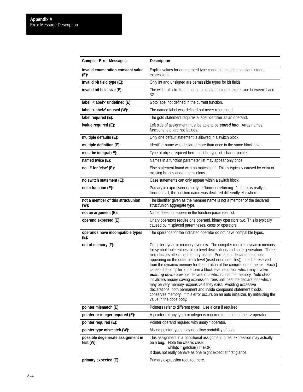| <b>Compiler Error Messages:</b>                | <b>Description</b>                                                                                                                                                                                                                                                                                                                                                                                                                                                                                                                                                                                                                                                                                                                                                                                                                                                                                |
|------------------------------------------------|---------------------------------------------------------------------------------------------------------------------------------------------------------------------------------------------------------------------------------------------------------------------------------------------------------------------------------------------------------------------------------------------------------------------------------------------------------------------------------------------------------------------------------------------------------------------------------------------------------------------------------------------------------------------------------------------------------------------------------------------------------------------------------------------------------------------------------------------------------------------------------------------------|
| invalid enumeration constant value<br>$(E)$ :  | Explicit values for enumerated type constants must be constant integral<br>expressions.                                                                                                                                                                                                                                                                                                                                                                                                                                                                                                                                                                                                                                                                                                                                                                                                           |
| Invalid bit field type (E):                    | Only int and unsigned are permissible types for bit fields.                                                                                                                                                                                                                                                                                                                                                                                                                                                                                                                                                                                                                                                                                                                                                                                                                                       |
| invalid bit field size (E):                    | The width of a bit field must be a constant integral expression between 1 and<br>32.                                                                                                                                                                                                                                                                                                                                                                                                                                                                                                                                                                                                                                                                                                                                                                                                              |
| label ' <label>' undefined (E):</label>        | Goto label not defined in the current function.                                                                                                                                                                                                                                                                                                                                                                                                                                                                                                                                                                                                                                                                                                                                                                                                                                                   |
| label ' <label>' unused (W):</label>           | The named label was defined but never referenced.                                                                                                                                                                                                                                                                                                                                                                                                                                                                                                                                                                                                                                                                                                                                                                                                                                                 |
| label required (E):                            | The goto statement requires a label identifier as an operand.                                                                                                                                                                                                                                                                                                                                                                                                                                                                                                                                                                                                                                                                                                                                                                                                                                     |
| Ivalue required (E):                           | Left side of assignment must be able to be stored into. Array names,<br>functions, etc. are not lvalues.                                                                                                                                                                                                                                                                                                                                                                                                                                                                                                                                                                                                                                                                                                                                                                                          |
| multiple defaults (E):                         | Only one default statement is allowed in a switch block.                                                                                                                                                                                                                                                                                                                                                                                                                                                                                                                                                                                                                                                                                                                                                                                                                                          |
| multiple definition (E):                       | Identifier name was declared more than once in the same block level.                                                                                                                                                                                                                                                                                                                                                                                                                                                                                                                                                                                                                                                                                                                                                                                                                              |
| must be integral (E):                          | Type of object required here must be type int, char or pointer.                                                                                                                                                                                                                                                                                                                                                                                                                                                                                                                                                                                                                                                                                                                                                                                                                                   |
| named twice (E):                               | Names in a function parameter list may appear only once.                                                                                                                                                                                                                                                                                                                                                                                                                                                                                                                                                                                                                                                                                                                                                                                                                                          |
| no 'if' for 'else' (E):                        | Else statement found with no matching if. This is typically caused by extra or<br>missing braces and/or semicolons.                                                                                                                                                                                                                                                                                                                                                                                                                                                                                                                                                                                                                                                                                                                                                                               |
| no switch statement (E):                       | Case statements can only appear within a switch block.                                                                                                                                                                                                                                                                                                                                                                                                                                                                                                                                                                                                                                                                                                                                                                                                                                            |
| not a function (E):                            | Primary in expression is not type "function returning". If this is really a<br>function call, the function name was declared differently elsewhere.                                                                                                                                                                                                                                                                                                                                                                                                                                                                                                                                                                                                                                                                                                                                               |
| not a member of this struct/union<br>(W):      | The identifier given as the member name is not a member of the declared<br>struct/union aggregate type.                                                                                                                                                                                                                                                                                                                                                                                                                                                                                                                                                                                                                                                                                                                                                                                           |
| not an argument (E):                           | Name does not appear in the function parameter list.                                                                                                                                                                                                                                                                                                                                                                                                                                                                                                                                                                                                                                                                                                                                                                                                                                              |
| operand expected (E):                          | Unary operators require one operand, binary operators two. This is typically<br>caused by misplaced parentheses, casts or operators.                                                                                                                                                                                                                                                                                                                                                                                                                                                                                                                                                                                                                                                                                                                                                              |
| operands have incompatible types<br>$(E)$ :    | The operands for the indicated operator do not have compatible types.                                                                                                                                                                                                                                                                                                                                                                                                                                                                                                                                                                                                                                                                                                                                                                                                                             |
| out of memory (F):                             | Compiler dynamic memory overflow. The compiler requires dynamic memory<br>for symbol table entries, block level declarations and code generation. Three<br>main factors affect this memory usage. Permanent declarations (those<br>appearing on the outer block level (used in include files)) must be reserved<br>from the dynamic memory for the duration of the compilation of the file. Each {<br>causes the compiler to perform a block level recursion which may involve<br>pushing down previous declarations which consume memory. Auto class<br>initializers require saving expression trees until past the declarations which<br>may be very memory-expensive if they exist. Avoiding excessive<br>declarations, both permanent and inside compound statement blocks,<br>conserves memory. If this error occurs on an auto initializer, try initializing the<br>value in the code body. |
| pointer mismatch (E):                          | Pointers refer to different types. Use a cast if required.                                                                                                                                                                                                                                                                                                                                                                                                                                                                                                                                                                                                                                                                                                                                                                                                                                        |
| pointer or integer required (E):               | A pointer (of any type) or integer is required to the left of the $\rightarrow$ operator.                                                                                                                                                                                                                                                                                                                                                                                                                                                                                                                                                                                                                                                                                                                                                                                                         |
| pointer required (E):                          | Pointer operand required with unary * operator.                                                                                                                                                                                                                                                                                                                                                                                                                                                                                                                                                                                                                                                                                                                                                                                                                                                   |
| pointer type mismatch (W):                     | Mixing pointer types may not allow portability of code.                                                                                                                                                                                                                                                                                                                                                                                                                                                                                                                                                                                                                                                                                                                                                                                                                                           |
| possible degenerate assignment in<br>test (W): | This assignment in a conditional assignment in test expression may actually<br>be a bug. Note the classic case:<br>while( $c = \text{getchar}()$ != EOF).<br>It does not really behave as one might expect at first glance.                                                                                                                                                                                                                                                                                                                                                                                                                                                                                                                                                                                                                                                                       |
| primary expected (E):                          | Primary expression required here.                                                                                                                                                                                                                                                                                                                                                                                                                                                                                                                                                                                                                                                                                                                                                                                                                                                                 |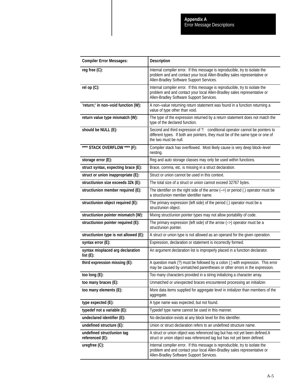| <b>Compiler Error Messages:</b>               | <b>Description</b>                                                                                                                                                                                   |
|-----------------------------------------------|------------------------------------------------------------------------------------------------------------------------------------------------------------------------------------------------------|
| reg free (C):                                 | Internal compiler error. If this message is reproducible, try to isolate the<br>problem and and contact your local Allen-Bradley sales representative or<br>Allen-Bradley Software Support Services. |
| rel op (C):                                   | Internal compiler error. If this message is reproducible, try to isolate the<br>problem and and contact your local Allen-Bradley sales representative or<br>Allen-Bradley Software Support Services. |
| 'return;' in non-void function (W):           | A non-value returning return statement was found in a function returning a<br>value of type other than void.                                                                                         |
| return value type mismatch (W):               | The type of the expression returned by a return statement does not match the<br>type of the declared function.                                                                                       |
| should be NULL (E):                           | Second and third expression of ?: conditional operator cannot be pointers to<br>different types. If both are pointers, they must be of the same type or one of<br>the two must be null.              |
| **** STACK OVERFLOW **** (F):                 | Compiler stack has overflowed. Most likely cause is very deep block-level<br>nesting.                                                                                                                |
| storage error (E):                            | Reg and auto storage classes may only be used within functions.                                                                                                                                      |
| struct syntax, expecting brace (E):           | Brace, comma, etc. is missing in a struct declaration.                                                                                                                                               |
| struct or union inappropriate (E):            | Struct or union cannot be used in this context.                                                                                                                                                      |
| struct/union size exceeds 32k (E):            | The total size of a struct or union cannot exceed 32767 bytes.                                                                                                                                       |
| struct/union member required (E):             | The identifier on the right side of the arrow $(-)$ or period (.) operator must be<br>a struct/union member identifier name.                                                                         |
| struct/union object required (E):             | The primary expression (left side) of the period (.) operator must be a<br>struct/union object.                                                                                                      |
| struct/union pointer mismatch (W):            | Mixing struct/union pointer types may not allow portability of code.                                                                                                                                 |
| struct/union pointer required (E):            | The primary expression (left side) of the arrow $(-)$ operator must be a<br>struct/union pointer.                                                                                                    |
| struct/union type is not allowed (E):         | A struct or union type is not allowed as an operand for the given operation.                                                                                                                         |
| syntax error (E):                             | Expression, declaration or statement is incorrectly formed.                                                                                                                                          |
| syntax misplaced arg declaration<br>list(E):  | An argument declaration list is improperly placed in a function declarator.                                                                                                                          |
| third expression missing (E):                 | A question mark (?) must be followed by a colon (:) with expression. This error<br>may be caused by unmatched parentheses or other errors in the expression.                                         |
| too long (E):                                 | Too many characters provided in a string initializing a character array.                                                                                                                             |
| too many braces (E):                          | Unmatched or unexpected braces encountered processing an initializer.                                                                                                                                |
| too many elements (E):                        | More data items supplied for aggregate level in initializer than members of the<br>aggregate.                                                                                                        |
| type expected (E):                            | A type name was expected, but not found.                                                                                                                                                             |
| typedef not a variable (E):                   | Typedef type name cannot be used in this manner.                                                                                                                                                     |
| undeclared identifier (E):                    | No declaration exists at any block level for this identifier.                                                                                                                                        |
| undefined structure (E):                      | Union or struct declaration refers to an undefined structure name.                                                                                                                                   |
| undefined struct/union tag<br>referenced (E): | A struct or union object was referenced tag but has not yet been defined.A<br>struct or union object was referenced tag but has not yet been defined.                                                |
| uregfree (C):                                 | Internal compiler error. If this message is reproducible, try to isolate the<br>problem and and contact your local Allen-Bradley sales representative or<br>Allen-Bradley Software Support Services. |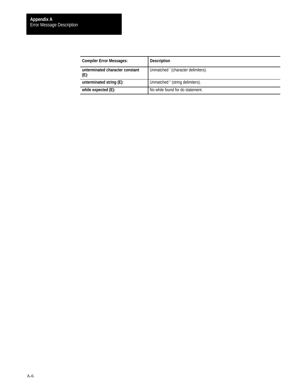| <b>Compiler Error Messages:</b>            | <b>Description</b>                  |
|--------------------------------------------|-------------------------------------|
| unterminated character constant<br>$(E)$ : | Unmatched ' (character delimiters). |
| unterminated string (E):                   | Unmatched " (string delimiters).    |
| while expected (E):                        | No while found for do statement.    |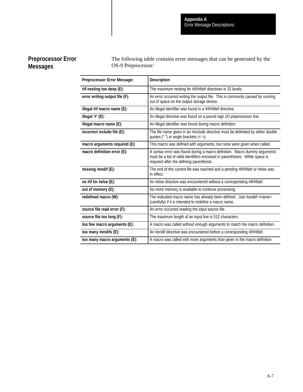# **Preprocessor Error Messages**

The following table contains error messages that can be generated by the OS-9 Preprocessor:

| <b>Preprocessor Error Message:</b> | <b>Description</b>                                                                                                                                                                                   |
|------------------------------------|------------------------------------------------------------------------------------------------------------------------------------------------------------------------------------------------------|
|                                    |                                                                                                                                                                                                      |
| #if nesting too deep (E):          | The maximum nesting for #if/#ifdef directives is 32 levels.                                                                                                                                          |
| error writing output file (F):     | An error occurred writing the output file. This is commonly caused by running<br>out of space on the output storage device.                                                                          |
| illegal #if macro name (E):        | An illegal identifier was found in a #if/#ifdef directive.                                                                                                                                           |
| illegal $'#$ ' (E):                | An illegal directive was found on a pound sign (#) preprocessor line.                                                                                                                                |
| illegal macro name (E):            | An illegal identifier was found during macro definition.                                                                                                                                             |
| incorrect include file (E):        | The file name given in an #include directive must be delimited by either double<br>quotes ( $"$ ") or angle brackets $\left\langle \langle \rangle \right\rangle$ .                                  |
| macro arguments required (E):      | This macro was defined with arguments, but none were given when called.                                                                                                                              |
| macro definition error (E):        | A syntax error was found during a macro definition. Macro dummy arguments<br>must be a list of valid identifiers enclosed in parentheses. White space is<br>required after the defining parenthesis. |
| missing #endif (E):                | The end of the current file was reached and a pending #if/#ifdef or #else was<br>in effect.                                                                                                          |
| no #if for #else $(E)$ :           | An #else directive was encountered without a corresponding #if/#ifdef.                                                                                                                               |
| out of memory (E):                 | No more memory is available to continue processing.                                                                                                                                                  |
| redefined macro (W):               | The indicated macro name has already been defined. Use #undef <name><br/>(carefully) if it is intended to redefine a macro name.</name>                                                              |
| source file read error (F):        | An error occurred reading the input source file.                                                                                                                                                     |
| source file too long (F):          | The maximum length of an input line is 512 characters.                                                                                                                                               |
| too few macro arguments (E):       | A macro was called without enough arguments to match the macro definition.                                                                                                                           |
| too many #endifs (E):              | An #endif directive was encountered before a corresponding #if/#ifdef.                                                                                                                               |
| too many macro arguments (E):      | A macro was called with more arguments than given in the macro definition.                                                                                                                           |